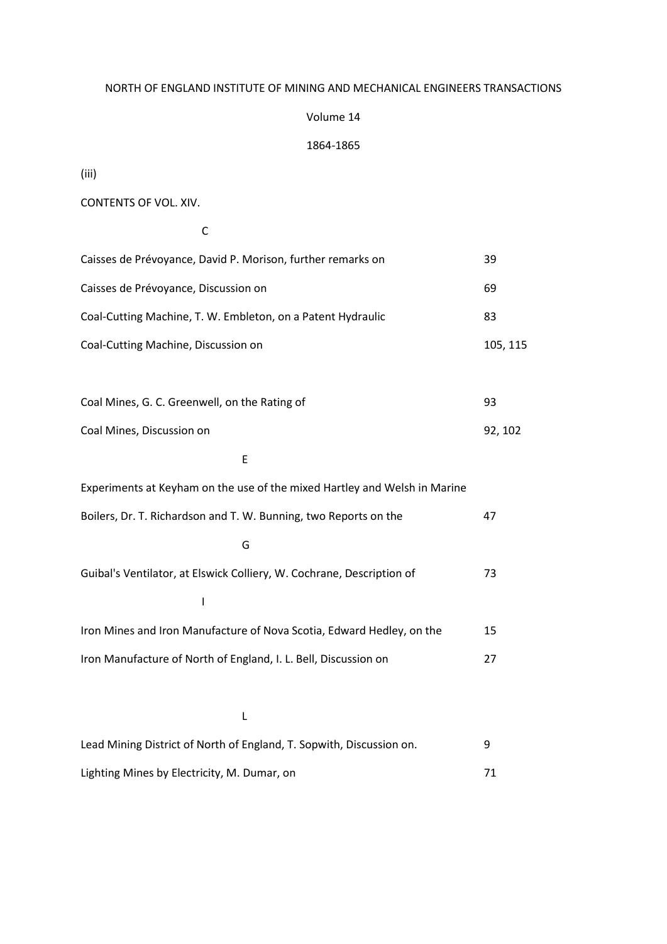### NORTH OF ENGLAND INSTITUTE OF MINING AND MECHANICAL ENGINEERS TRANSACTIONS

## Volume 14

## 1864-1865

(iii)

CONTENTS OF VOL. XIV.

#### **C** C

| Caisses de Prévoyance, David P. Morison, further remarks on               | 39       |
|---------------------------------------------------------------------------|----------|
| Caisses de Prévoyance, Discussion on                                      | 69       |
| Coal-Cutting Machine, T. W. Embleton, on a Patent Hydraulic               | 83       |
| Coal-Cutting Machine, Discussion on                                       | 105, 115 |
|                                                                           |          |
| Coal Mines, G. C. Greenwell, on the Rating of                             | 93       |
| Coal Mines, Discussion on                                                 | 92, 102  |
| E                                                                         |          |
| Experiments at Keyham on the use of the mixed Hartley and Welsh in Marine |          |
| Boilers, Dr. T. Richardson and T. W. Bunning, two Reports on the          | 47       |
| G                                                                         |          |
| Guibal's Ventilator, at Elswick Colliery, W. Cochrane, Description of     | 73       |
| $\overline{\phantom{a}}$                                                  |          |
| Iron Mines and Iron Manufacture of Nova Scotia, Edward Hedley, on the     | 15       |
| Iron Manufacture of North of England, I. L. Bell, Discussion on           | 27       |
|                                                                           |          |
| L                                                                         |          |
| Lead Mining District of North of England, T. Sopwith, Discussion on.      | 9        |

Lighting Mines by Electricity, M. Dumar, on 71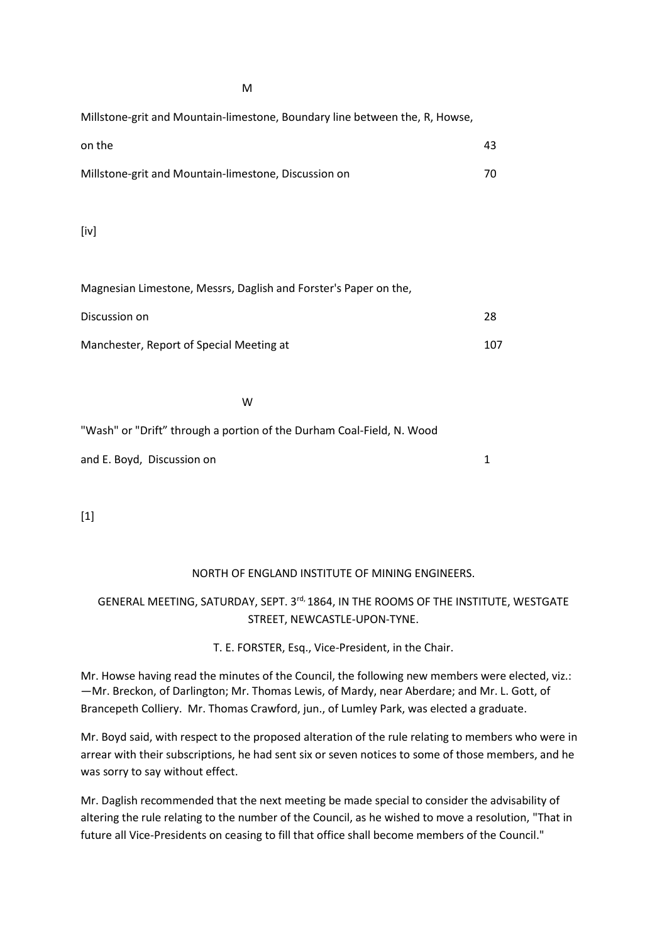March 2007 (March 2007) and the March 2007 (March 2007) and the March 2007 (March 2007) and the March 2007 (Ma

Millstone-grit and Mountain-limestone, Boundary line between the, R, Howse,

| on the                                               |  |
|------------------------------------------------------|--|
| Millstone-grit and Mountain-limestone, Discussion on |  |

[iv]

| Magnesian Limestone, Messrs, Daglish and Forster's Paper on the, |     |
|------------------------------------------------------------------|-----|
| Discussion on                                                    | 28  |
| Manchester, Report of Special Meeting at                         | 107 |

where the control of the control of the control of the control of the control of the control of the control of

"Wash" or "Drift" through a portion of the Durham Coal-Field, N. Wood

and E. Boyd, Discussion on 1

[1]

## NORTH OF ENGLAND INSTITUTE OF MINING ENGINEERS.

# GENERAL MEETING, SATURDAY, SEPT. 3rd, 1864, IN THE ROOMS OF THE INSTITUTE, WESTGATE STREET, NEWCASTLE-UPON-TYNE.

T. E. FORSTER, Esq., Vice-President, in the Chair.

Mr. Howse having read the minutes of the Council, the following new members were elected, viz.: —Mr. Breckon, of Darlington; Mr. Thomas Lewis, of Mardy, near Aberdare; and Mr. L. Gott, of Brancepeth Colliery. Mr. Thomas Crawford, jun., of Lumley Park, was elected a graduate.

Mr. Boyd said, with respect to the proposed alteration of the rule relating to members who were in arrear with their subscriptions, he had sent six or seven notices to some of those members, and he was sorry to say without effect.

Mr. Daglish recommended that the next meeting be made special to consider the advisability of altering the rule relating to the number of the Council, as he wished to move a resolution, "That in future all Vice-Presidents on ceasing to fill that office shall become members of the Council."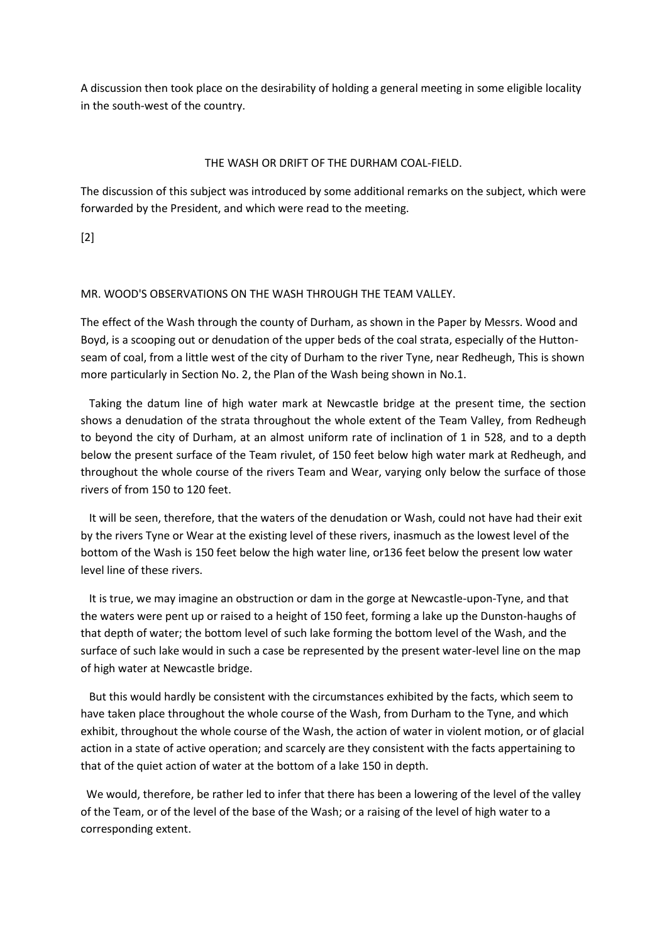A discussion then took place on the desirability of holding a general meeting in some eligible locality in the south-west of the country.

## THE WASH OR DRIFT OF THE DURHAM COAL-FIELD.

The discussion of this subject was introduced by some additional remarks on the subject, which were forwarded by the President, and which were read to the meeting.

[2]

## MR. WOOD'S OBSERVATIONS ON THE WASH THROUGH THE TEAM VALLEY.

The effect of the Wash through the county of Durham, as shown in the Paper by Messrs. Wood and Boyd, is a scooping out or denudation of the upper beds of the coal strata, especially of the Huttonseam of coal, from a little west of the city of Durham to the river Tyne, near Redheugh, This is shown more particularly in Section No. 2, the Plan of the Wash being shown in No.1.

 Taking the datum line of high water mark at Newcastle bridge at the present time, the section shows a denudation of the strata throughout the whole extent of the Team Valley, from Redheugh to beyond the city of Durham, at an almost uniform rate of inclination of 1 in 528, and to a depth below the present surface of the Team rivulet, of 150 feet below high water mark at Redheugh, and throughout the whole course of the rivers Team and Wear, varying only below the surface of those rivers of from 150 to 120 feet.

 It will be seen, therefore, that the waters of the denudation or Wash, could not have had their exit by the rivers Tyne or Wear at the existing level of these rivers, inasmuch as the lowest level of the bottom of the Wash is 150 feet below the high water line, or136 feet below the present low water level line of these rivers.

 It is true, we may imagine an obstruction or dam in the gorge at Newcastle-upon-Tyne, and that the waters were pent up or raised to a height of 150 feet, forming a lake up the Dunston-haughs of that depth of water; the bottom level of such lake forming the bottom level of the Wash, and the surface of such lake would in such a case be represented by the present water-level line on the map of high water at Newcastle bridge.

 But this would hardly be consistent with the circumstances exhibited by the facts, which seem to have taken place throughout the whole course of the Wash, from Durham to the Tyne, and which exhibit, throughout the whole course of the Wash, the action of water in violent motion, or of glacial action in a state of active operation; and scarcely are they consistent with the facts appertaining to that of the quiet action of water at the bottom of a lake 150 in depth.

 We would, therefore, be rather led to infer that there has been a lowering of the level of the valley of the Team, or of the level of the base of the Wash; or a raising of the level of high water to a corresponding extent.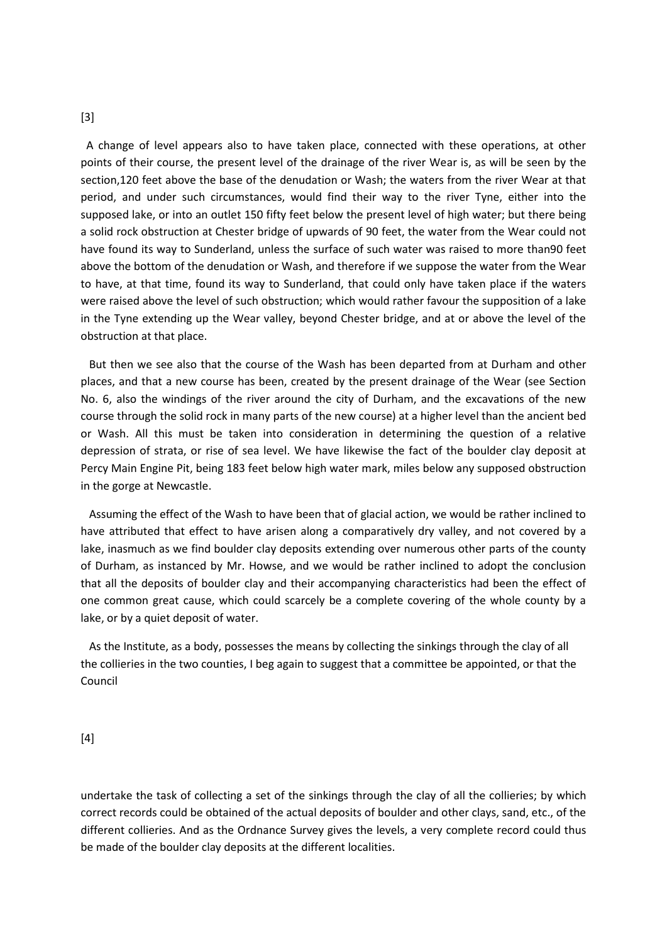#### [3]

 A change of level appears also to have taken place, connected with these operations, at other points of their course, the present level of the drainage of the river Wear is, as will be seen by the section,120 feet above the base of the denudation or Wash; the waters from the river Wear at that period, and under such circumstances, would find their way to the river Tyne, either into the supposed lake, or into an outlet 150 fifty feet below the present level of high water; but there being a solid rock obstruction at Chester bridge of upwards of 90 feet, the water from the Wear could not have found its way to Sunderland, unless the surface of such water was raised to more than90 feet above the bottom of the denudation or Wash, and therefore if we suppose the water from the Wear to have, at that time, found its way to Sunderland, that could only have taken place if the waters were raised above the level of such obstruction; which would rather favour the supposition of a lake in the Tyne extending up the Wear valley, beyond Chester bridge, and at or above the level of the obstruction at that place.

 But then we see also that the course of the Wash has been departed from at Durham and other places, and that a new course has been, created by the present drainage of the Wear (see Section No. 6, also the windings of the river around the city of Durham, and the excavations of the new course through the solid rock in many parts of the new course) at a higher level than the ancient bed or Wash. All this must be taken into consideration in determining the question of a relative depression of strata, or rise of sea level. We have likewise the fact of the boulder clay deposit at Percy Main Engine Pit, being 183 feet below high water mark, miles below any supposed obstruction in the gorge at Newcastle.

 Assuming the effect of the Wash to have been that of glacial action, we would be rather inclined to have attributed that effect to have arisen along a comparatively dry valley, and not covered by a lake, inasmuch as we find boulder clay deposits extending over numerous other parts of the county of Durham, as instanced by Mr. Howse, and we would be rather inclined to adopt the conclusion that all the deposits of boulder clay and their accompanying characteristics had been the effect of one common great cause, which could scarcely be a complete covering of the whole county by a lake, or by a quiet deposit of water.

 As the Institute, as a body, possesses the means by collecting the sinkings through the clay of all the collieries in the two counties, I beg again to suggest that a committee be appointed, or that the Council

[4]

undertake the task of collecting a set of the sinkings through the clay of all the collieries; by which correct records could be obtained of the actual deposits of boulder and other clays, sand, etc., of the different collieries. And as the Ordnance Survey gives the levels, a very complete record could thus be made of the boulder clay deposits at the different localities.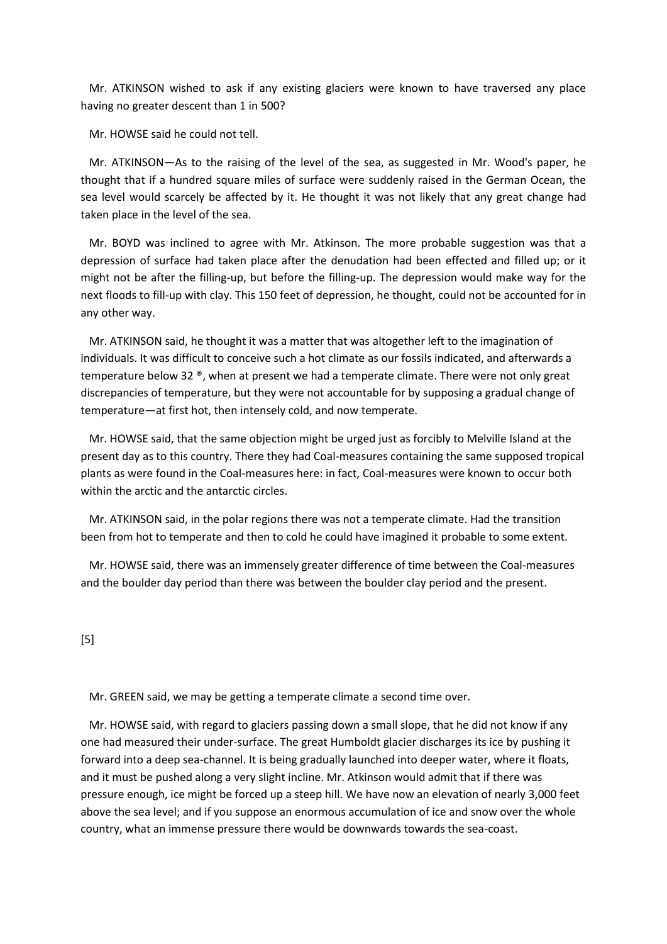Mr. ATKINSON wished to ask if any existing glaciers were known to have traversed any place having no greater descent than 1 in 500?

Mr. HOWSE said he could not tell.

 Mr. ATKINSON—As to the raising of the level of the sea, as suggested in Mr. Wood's paper, he thought that if a hundred square miles of surface were suddenly raised in the German Ocean, the sea level would scarcely be affected by it. He thought it was not likely that any great change had taken place in the level of the sea.

 Mr. BOYD was inclined to agree with Mr. Atkinson. The more probable suggestion was that a depression of surface had taken place after the denudation had been effected and filled up; or it might not be after the filling-up, but before the filling-up. The depression would make way for the next floods to fill-up with clay. This 150 feet of depression, he thought, could not be accounted for in any other way.

 Mr. ATKINSON said, he thought it was a matter that was altogether left to the imagination of individuals. It was difficult to conceive such a hot climate as our fossils indicated, and afterwards a temperature below 32 ®, when at present we had a temperate climate. There were not only great discrepancies of temperature, but they were not accountable for by supposing a gradual change of temperature—at first hot, then intensely cold, and now temperate.

 Mr. HOWSE said, that the same objection might be urged just as forcibly to Melville Island at the present day as to this country. There they had Coal-measures containing the same supposed tropical plants as were found in the Coal-measures here: in fact, Coal-measures were known to occur both within the arctic and the antarctic circles.

 Mr. ATKINSON said, in the polar regions there was not a temperate climate. Had the transition been from hot to temperate and then to cold he could have imagined it probable to some extent.

 Mr. HOWSE said, there was an immensely greater difference of time between the Coal-measures and the boulder day period than there was between the boulder clay period and the present.

[5]

Mr. GREEN said, we may be getting a temperate climate a second time over.

 Mr. HOWSE said, with regard to glaciers passing down a small slope, that he did not know if any one had measured their under-surface. The great Humboldt glacier discharges its ice by pushing it forward into a deep sea-channel. It is being gradually launched into deeper water, where it floats, and it must be pushed along a very slight incline. Mr. Atkinson would admit that if there was pressure enough, ice might be forced up a steep hill. We have now an elevation of nearly 3,000 feet above the sea level; and if you suppose an enormous accumulation of ice and snow over the whole country, what an immense pressure there would be downwards towards the sea-coast.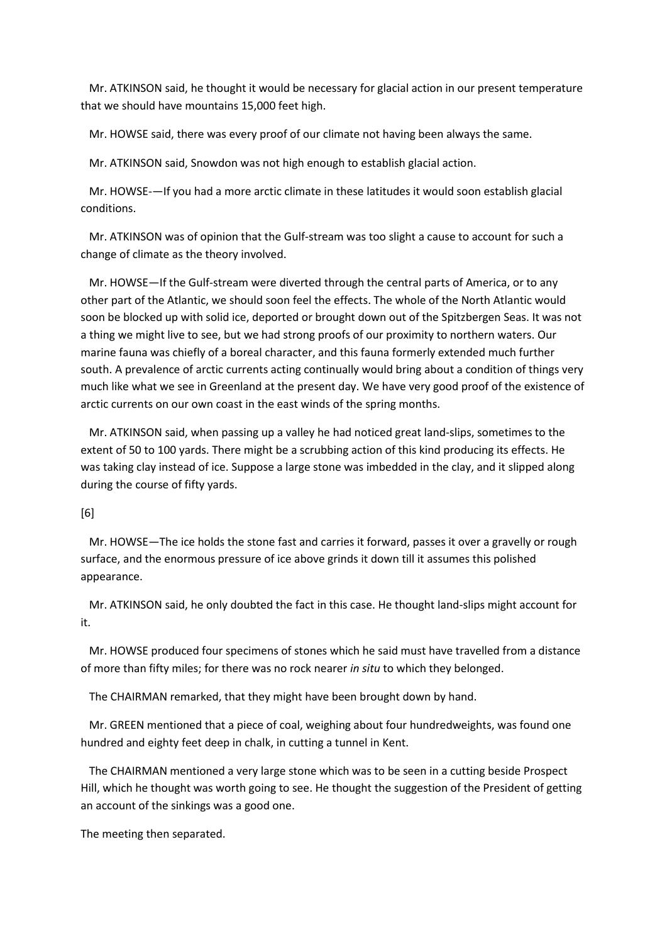Mr. ATKINSON said, he thought it would be necessary for glacial action in our present temperature that we should have mountains 15,000 feet high.

Mr. HOWSE said, there was every proof of our climate not having been always the same.

Mr. ATKINSON said, Snowdon was not high enough to establish glacial action.

 Mr. HOWSE-—If you had a more arctic climate in these latitudes it would soon establish glacial conditions.

 Mr. ATKINSON was of opinion that the Gulf-stream was too slight a cause to account for such a change of climate as the theory involved.

 Mr. HOWSE—If the Gulf-stream were diverted through the central parts of America, or to any other part of the Atlantic, we should soon feel the effects. The whole of the North Atlantic would soon be blocked up with solid ice, deported or brought down out of the Spitzbergen Seas. It was not a thing we might live to see, but we had strong proofs of our proximity to northern waters. Our marine fauna was chiefly of a boreal character, and this fauna formerly extended much further south. A prevalence of arctic currents acting continually would bring about a condition of things very much like what we see in Greenland at the present day. We have very good proof of the existence of arctic currents on our own coast in the east winds of the spring months.

 Mr. ATKINSON said, when passing up a valley he had noticed great land-slips, sometimes to the extent of 50 to 100 yards. There might be a scrubbing action of this kind producing its effects. He was taking clay instead of ice. Suppose a large stone was imbedded in the clay, and it slipped along during the course of fifty yards.

## [6]

 Mr. HOWSE—The ice holds the stone fast and carries it forward, passes it over a gravelly or rough surface, and the enormous pressure of ice above grinds it down till it assumes this polished appearance.

 Mr. ATKINSON said, he only doubted the fact in this case. He thought land-slips might account for it.

 Mr. HOWSE produced four specimens of stones which he said must have travelled from a distance of more than fifty miles; for there was no rock nearer *in situ* to which they belonged.

The CHAIRMAN remarked, that they might have been brought down by hand.

 Mr. GREEN mentioned that a piece of coal, weighing about four hundredweights, was found one hundred and eighty feet deep in chalk, in cutting a tunnel in Kent.

 The CHAIRMAN mentioned a very large stone which was to be seen in a cutting beside Prospect Hill, which he thought was worth going to see. He thought the suggestion of the President of getting an account of the sinkings was a good one.

The meeting then separated.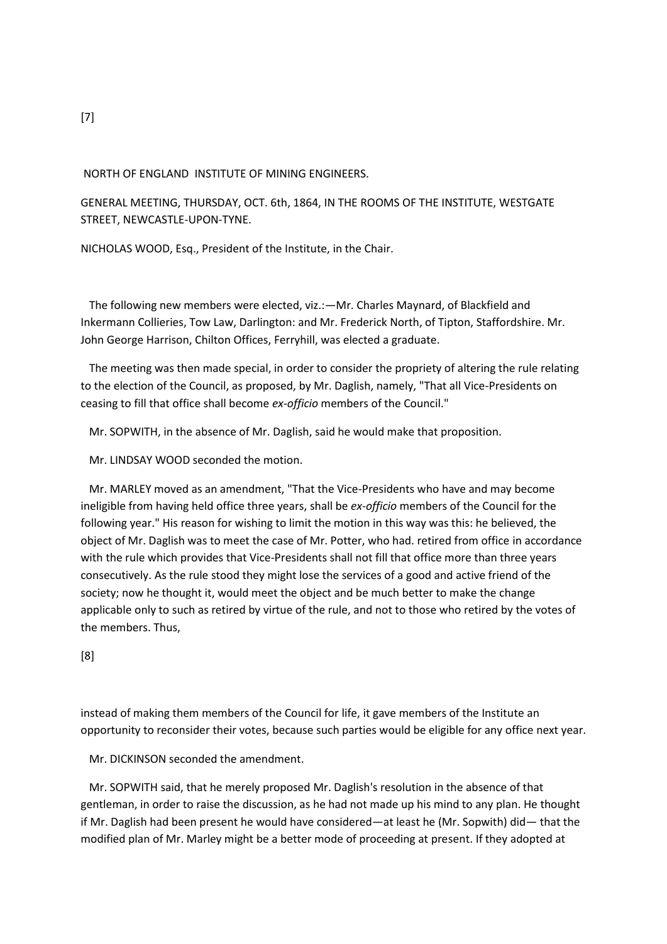## NORTH OF ENGLAND INSTITUTE OF MINING ENGINEERS.

GENERAL MEETING, THURSDAY, OCT. 6th, 1864, IN THE ROOMS OF THE INSTITUTE, WESTGATE STREET, NEWCASTLE-UPON-TYNE.

NICHOLAS WOOD, Esq., President of the Institute, in the Chair.

 The following new members were elected, viz.:—Mr. Charles Maynard, of Blackfield and Inkermann Collieries, Tow Law, Darlington: and Mr. Frederick North, of Tipton, Staffordshire. Mr. John George Harrison, Chilton Offices, Ferryhill, was elected a graduate.

 The meeting was then made special, in order to consider the propriety of altering the rule relating to the election of the Council, as proposed, by Mr. Daglish, namely, "That all Vice-Presidents on ceasing to fill that office shall become *ex-officio* members of the Council."

Mr. SOPWITH, in the absence of Mr. Daglish, said he would make that proposition.

Mr. LINDSAY WOOD seconded the motion.

 Mr. MARLEY moved as an amendment, "That the Vice-Presidents who have and may become ineligible from having held office three years, shall be *ex-officio* members of the Council for the following year." His reason for wishing to limit the motion in this way was this: he believed, the object of Mr. Daglish was to meet the case of Mr. Potter, who had. retired from office in accordance with the rule which provides that Vice-Presidents shall not fill that office more than three years consecutively. As the rule stood they might lose the services of a good and active friend of the society; now he thought it, would meet the object and be much better to make the change applicable only to such as retired by virtue of the rule, and not to those who retired by the votes of the members. Thus,

[8]

instead of making them members of the Council for life, it gave members of the Institute an opportunity to reconsider their votes, because such parties would be eligible for any office next year.

Mr. DICKINSON seconded the amendment.

 Mr. SOPWITH said, that he merely proposed Mr. Daglish's resolution in the absence of that gentleman, in order to raise the discussion, as he had not made up his mind to any plan. He thought if Mr. Daglish had been present he would have considered—at least he (Mr. Sopwith) did— that the modified plan of Mr. Marley might be a better mode of proceeding at present. If they adopted at

[7]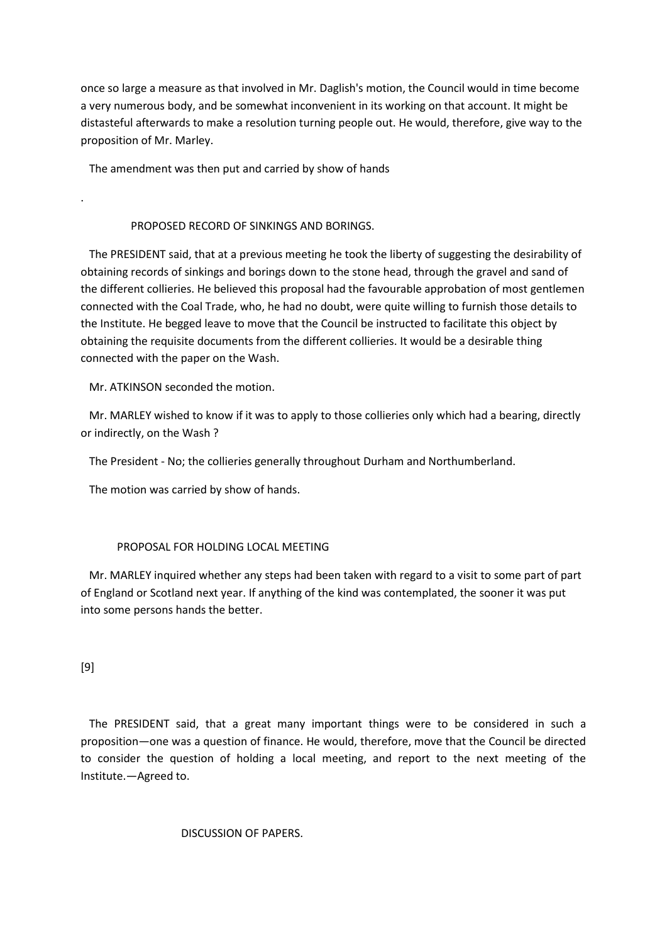once so large a measure as that involved in Mr. Daglish's motion, the Council would in time become a very numerous body, and be somewhat inconvenient in its working on that account. It might be distasteful afterwards to make a resolution turning people out. He would, therefore, give way to the proposition of Mr. Marley.

The amendment was then put and carried by show of hands

## PROPOSED RECORD OF SINKINGS AND BORINGS.

 The PRESIDENT said, that at a previous meeting he took the liberty of suggesting the desirability of obtaining records of sinkings and borings down to the stone head, through the gravel and sand of the different collieries. He believed this proposal had the favourable approbation of most gentlemen connected with the Coal Trade, who, he had no doubt, were quite willing to furnish those details to the Institute. He begged leave to move that the Council be instructed to facilitate this object by obtaining the requisite documents from the different collieries. It would be a desirable thing connected with the paper on the Wash.

Mr. ATKINSON seconded the motion.

 Mr. MARLEY wished to know if it was to apply to those collieries only which had a bearing, directly or indirectly, on the Wash ?

The President - No; the collieries generally throughout Durham and Northumberland.

The motion was carried by show of hands.

## PROPOSAL FOR HOLDING LOCAL MEETING

 Mr. MARLEY inquired whether any steps had been taken with regard to a visit to some part of part of England or Scotland next year. If anything of the kind was contemplated, the sooner it was put into some persons hands the better.

## [9]

.

 The PRESIDENT said, that a great many important things were to be considered in such a proposition—one was a question of finance. He would, therefore, move that the Council be directed to consider the question of holding a local meeting, and report to the next meeting of the Institute.—Agreed to.

## DISCUSSION OF PAPERS.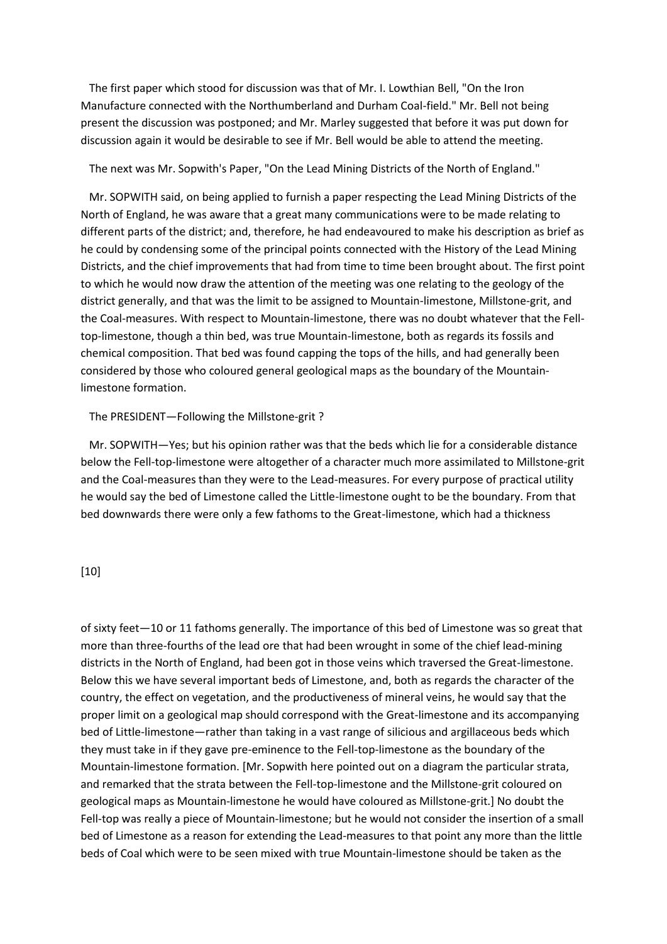The first paper which stood for discussion was that of Mr. I. Lowthian Bell, "On the Iron Manufacture connected with the Northumberland and Durham Coal-field." Mr. Bell not being present the discussion was postponed; and Mr. Marley suggested that before it was put down for discussion again it would be desirable to see if Mr. Bell would be able to attend the meeting.

The next was Mr. Sopwith's Paper, "On the Lead Mining Districts of the North of England."

 Mr. SOPWITH said, on being applied to furnish a paper respecting the Lead Mining Districts of the North of England, he was aware that a great many communications were to be made relating to different parts of the district; and, therefore, he had endeavoured to make his description as brief as he could by condensing some of the principal points connected with the History of the Lead Mining Districts, and the chief improvements that had from time to time been brought about. The first point to which he would now draw the attention of the meeting was one relating to the geology of the district generally, and that was the limit to be assigned to Mountain-limestone, Millstone-grit, and the Coal-measures. With respect to Mountain-limestone, there was no doubt whatever that the Felltop-limestone, though a thin bed, was true Mountain-limestone, both as regards its fossils and chemical composition. That bed was found capping the tops of the hills, and had generally been considered by those who coloured general geological maps as the boundary of the Mountainlimestone formation.

#### The PRESIDENT—Following the Millstone-grit ?

 Mr. SOPWITH—Yes; but his opinion rather was that the beds which lie for a considerable distance below the Fell-top-limestone were altogether of a character much more assimilated to Millstone-grit and the Coal-measures than they were to the Lead-measures. For every purpose of practical utility he would say the bed of Limestone called the Little-limestone ought to be the boundary. From that bed downwards there were only a few fathoms to the Great-limestone, which had a thickness

## [10]

of sixty feet—10 or 11 fathoms generally. The importance of this bed of Limestone was so great that more than three-fourths of the lead ore that had been wrought in some of the chief lead-mining districts in the North of England, had been got in those veins which traversed the Great-limestone. Below this we have several important beds of Limestone, and, both as regards the character of the country, the effect on vegetation, and the productiveness of mineral veins, he would say that the proper limit on a geological map should correspond with the Great-limestone and its accompanying bed of Little-limestone—rather than taking in a vast range of silicious and argillaceous beds which they must take in if they gave pre-eminence to the Fell-top-limestone as the boundary of the Mountain-limestone formation. [Mr. Sopwith here pointed out on a diagram the particular strata, and remarked that the strata between the Fell-top-limestone and the Millstone-grit coloured on geological maps as Mountain-limestone he would have coloured as Millstone-grit.] No doubt the Fell-top was really a piece of Mountain-limestone; but he would not consider the insertion of a small bed of Limestone as a reason for extending the Lead-measures to that point any more than the little beds of Coal which were to be seen mixed with true Mountain-limestone should be taken as the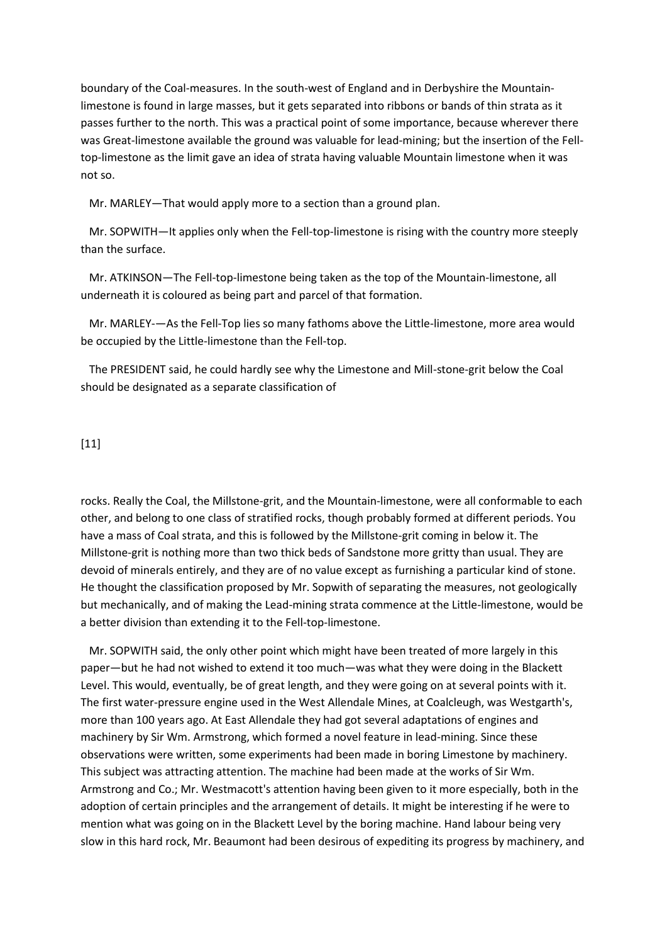boundary of the Coal-measures. In the south-west of England and in Derbyshire the Mountainlimestone is found in large masses, but it gets separated into ribbons or bands of thin strata as it passes further to the north. This was a practical point of some importance, because wherever there was Great-limestone available the ground was valuable for lead-mining; but the insertion of the Felltop-limestone as the limit gave an idea of strata having valuable Mountain limestone when it was not so.

Mr. MARLEY—That would apply more to a section than a ground plan.

 Mr. SOPWITH—It applies only when the Fell-top-limestone is rising with the country more steeply than the surface.

 Mr. ATKINSON—The Fell-top-limestone being taken as the top of the Mountain-limestone, all underneath it is coloured as being part and parcel of that formation.

 Mr. MARLEY-—As the Fell-Top lies so many fathoms above the Little-limestone, more area would be occupied by the Little-limestone than the Fell-top.

 The PRESIDENT said, he could hardly see why the Limestone and Mill-stone-grit below the Coal should be designated as a separate classification of

### [11]

rocks. Really the Coal, the Millstone-grit, and the Mountain-limestone, were all conformable to each other, and belong to one class of stratified rocks, though probably formed at different periods. You have a mass of Coal strata, and this is followed by the Millstone-grit coming in below it. The Millstone-grit is nothing more than two thick beds of Sandstone more gritty than usual. They are devoid of minerals entirely, and they are of no value except as furnishing a particular kind of stone. He thought the classification proposed by Mr. Sopwith of separating the measures, not geologically but mechanically, and of making the Lead-mining strata commence at the Little-limestone, would be a better division than extending it to the Fell-top-limestone.

 Mr. SOPWITH said, the only other point which might have been treated of more largely in this paper—but he had not wished to extend it too much—was what they were doing in the Blackett Level. This would, eventually, be of great length, and they were going on at several points with it. The first water-pressure engine used in the West Allendale Mines, at Coalcleugh, was Westgarth's, more than 100 years ago. At East Allendale they had got several adaptations of engines and machinery by Sir Wm. Armstrong, which formed a novel feature in lead-mining. Since these observations were written, some experiments had been made in boring Limestone by machinery. This subject was attracting attention. The machine had been made at the works of Sir Wm. Armstrong and Co.; Mr. Westmacott's attention having been given to it more especially, both in the adoption of certain principles and the arrangement of details. It might be interesting if he were to mention what was going on in the Blackett Level by the boring machine. Hand labour being very slow in this hard rock, Mr. Beaumont had been desirous of expediting its progress by machinery, and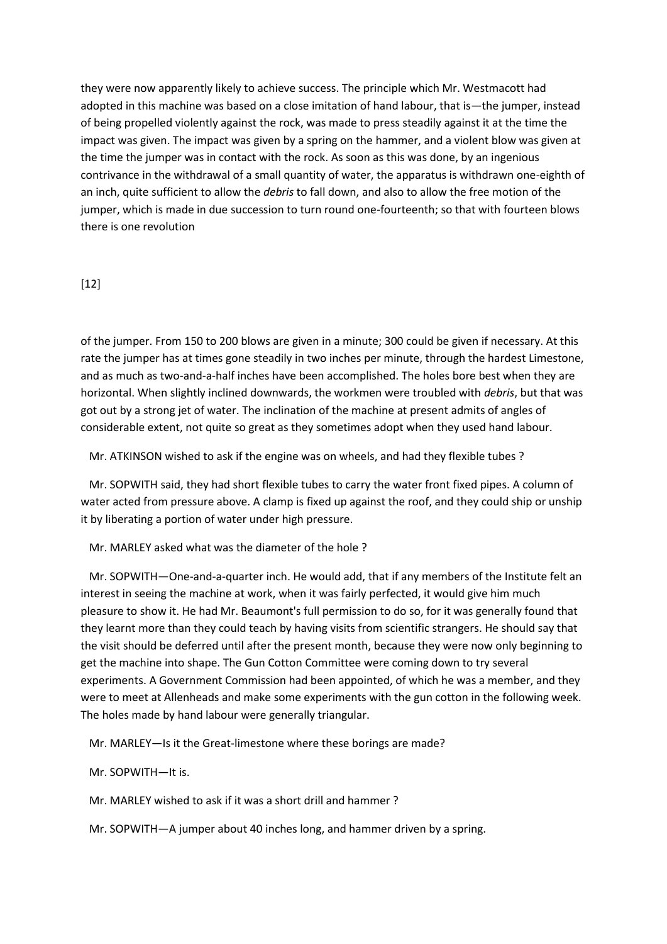they were now apparently likely to achieve success. The principle which Mr. Westmacott had adopted in this machine was based on a close imitation of hand labour, that is—the jumper, instead of being propelled violently against the rock, was made to press steadily against it at the time the impact was given. The impact was given by a spring on the hammer, and a violent blow was given at the time the jumper was in contact with the rock. As soon as this was done, by an ingenious contrivance in the withdrawal of a small quantity of water, the apparatus is withdrawn one-eighth of an inch, quite sufficient to allow the *debris* to fall down, and also to allow the free motion of the jumper, which is made in due succession to turn round one-fourteenth; so that with fourteen blows there is one revolution

## [12]

of the jumper. From 150 to 200 blows are given in a minute; 300 could be given if necessary. At this rate the jumper has at times gone steadily in two inches per minute, through the hardest Limestone, and as much as two-and-a-half inches have been accomplished. The holes bore best when they are horizontal. When slightly inclined downwards, the workmen were troubled with *debris*, but that was got out by a strong jet of water. The inclination of the machine at present admits of angles of considerable extent, not quite so great as they sometimes adopt when they used hand labour.

Mr. ATKINSON wished to ask if the engine was on wheels, and had they flexible tubes ?

 Mr. SOPWITH said, they had short flexible tubes to carry the water front fixed pipes. A column of water acted from pressure above. A clamp is fixed up against the roof, and they could ship or unship it by liberating a portion of water under high pressure.

Mr. MARLEY asked what was the diameter of the hole ?

 Mr. SOPWITH—One-and-a-quarter inch. He would add, that if any members of the Institute felt an interest in seeing the machine at work, when it was fairly perfected, it would give him much pleasure to show it. He had Mr. Beaumont's full permission to do so, for it was generally found that they learnt more than they could teach by having visits from scientific strangers. He should say that the visit should be deferred until after the present month, because they were now only beginning to get the machine into shape. The Gun Cotton Committee were coming down to try several experiments. A Government Commission had been appointed, of which he was a member, and they were to meet at Allenheads and make some experiments with the gun cotton in the following week. The holes made by hand labour were generally triangular.

Mr. MARLEY—Is it the Great-limestone where these borings are made?

Mr. SOPWITH—It is.

Mr. MARLEY wished to ask if it was a short drill and hammer ?

Mr. SOPWITH—A jumper about 40 inches long, and hammer driven by a spring.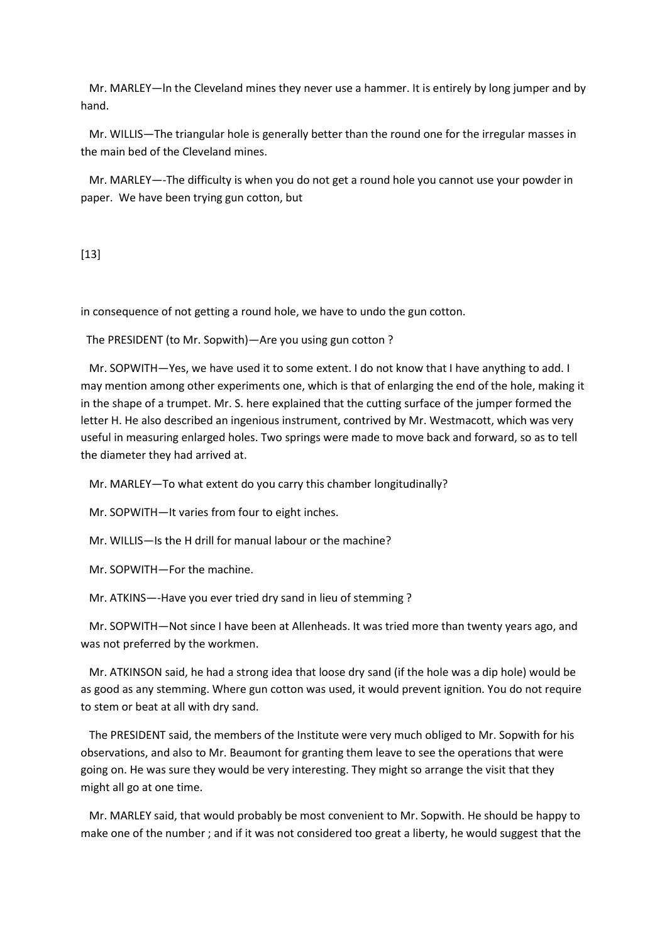Mr. MARLEY—ln the Cleveland mines they never use a hammer. It is entirely by long jumper and by hand.

 Mr. WILLIS—The triangular hole is generally better than the round one for the irregular masses in the main bed of the Cleveland mines.

 Mr. MARLEY—-The difficulty is when you do not get a round hole you cannot use your powder in paper. We have been trying gun cotton, but

[13]

in consequence of not getting a round hole, we have to undo the gun cotton.

The PRESIDENT (to Mr. Sopwith)—Are you using gun cotton ?

 Mr. SOPWITH—Yes, we have used it to some extent. I do not know that I have anything to add. I may mention among other experiments one, which is that of enlarging the end of the hole, making it in the shape of a trumpet. Mr. S. here explained that the cutting surface of the jumper formed the letter H. He also described an ingenious instrument, contrived by Mr. Westmacott, which was very useful in measuring enlarged holes. Two springs were made to move back and forward, so as to tell the diameter they had arrived at.

Mr. MARLEY—To what extent do you carry this chamber longitudinally?

Mr. SOPWITH—It varies from four to eight inches.

Mr. WILLIS—Is the H drill for manual labour or the machine?

Mr. SOPWITH—For the machine.

Mr. ATKINS—-Have you ever tried dry sand in lieu of stemming ?

 Mr. SOPWITH—Not since I have been at Allenheads. It was tried more than twenty years ago, and was not preferred by the workmen.

 Mr. ATKINSON said, he had a strong idea that loose dry sand (if the hole was a dip hole) would be as good as any stemming. Where gun cotton was used, it would prevent ignition. You do not require to stem or beat at all with dry sand.

 The PRESIDENT said, the members of the Institute were very much obliged to Mr. Sopwith for his observations, and also to Mr. Beaumont for granting them leave to see the operations that were going on. He was sure they would be very interesting. They might so arrange the visit that they might all go at one time.

 Mr. MARLEY said, that would probably be most convenient to Mr. Sopwith. He should be happy to make one of the number ; and if it was not considered too great a liberty, he would suggest that the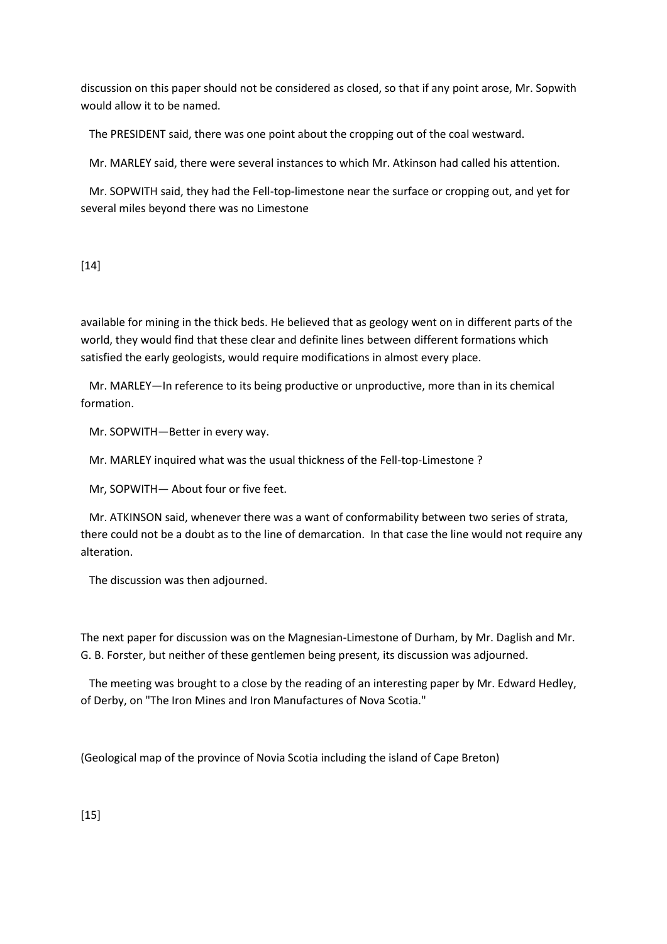discussion on this paper should not be considered as closed, so that if any point arose, Mr. Sopwith would allow it to be named.

The PRESIDENT said, there was one point about the cropping out of the coal westward.

Mr. MARLEY said, there were several instances to which Mr. Atkinson had called his attention.

 Mr. SOPWITH said, they had the Fell-top-limestone near the surface or cropping out, and yet for several miles beyond there was no Limestone

# [14]

available for mining in the thick beds. He believed that as geology went on in different parts of the world, they would find that these clear and definite lines between different formations which satisfied the early geologists, would require modifications in almost every place.

 Mr. MARLEY—In reference to its being productive or unproductive, more than in its chemical formation.

Mr. SOPWITH—Better in every way.

Mr. MARLEY inquired what was the usual thickness of the Fell-top-Limestone ?

Mr, SOPWITH— About four or five feet.

 Mr. ATKINSON said, whenever there was a want of conformability between two series of strata, there could not be a doubt as to the line of demarcation. In that case the line would not require any alteration.

The discussion was then adjourned.

The next paper for discussion was on the Magnesian-Limestone of Durham, by Mr. Daglish and Mr. G. B. Forster, but neither of these gentlemen being present, its discussion was adjourned.

 The meeting was brought to a close by the reading of an interesting paper by Mr. Edward Hedley, of Derby, on "The Iron Mines and Iron Manufactures of Nova Scotia."

(Geological map of the province of Novia Scotia including the island of Cape Breton)

[15]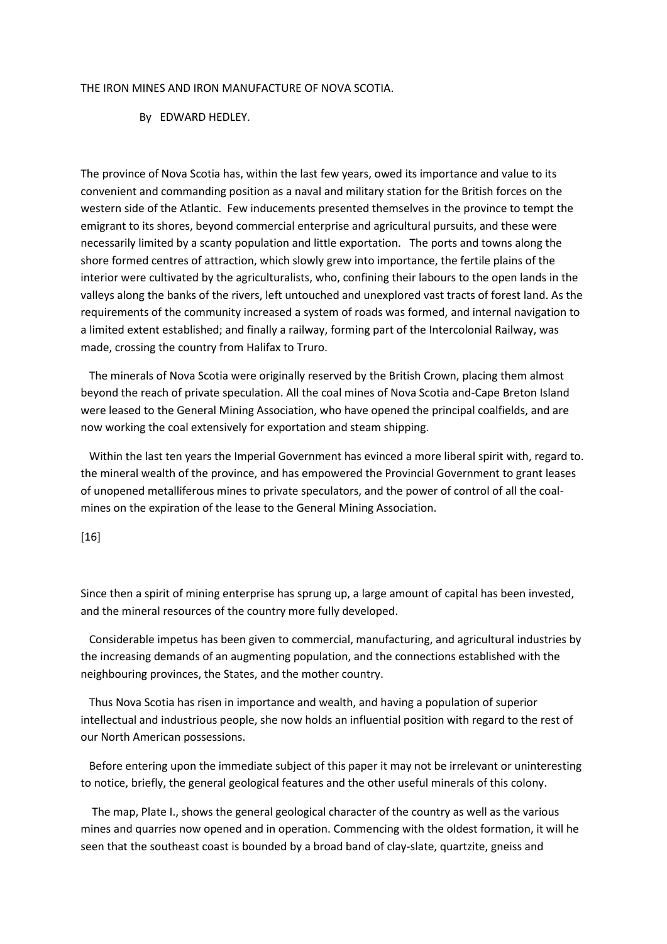#### THE IRON MINES AND IRON MANUFACTURE OF NOVA SCOTIA.

#### By EDWARD HEDLEY.

The province of Nova Scotia has, within the last few years, owed its importance and value to its convenient and commanding position as a naval and military station for the British forces on the western side of the Atlantic. Few inducements presented themselves in the province to tempt the emigrant to its shores, beyond commercial enterprise and agricultural pursuits, and these were necessarily limited by a scanty population and little exportation. The ports and towns along the shore formed centres of attraction, which slowly grew into importance, the fertile plains of the interior were cultivated by the agriculturalists, who, confining their labours to the open lands in the valleys along the banks of the rivers, left untouched and unexplored vast tracts of forest land. As the requirements of the community increased a system of roads was formed, and internal navigation to a limited extent established; and finally a railway, forming part of the Intercolonial Railway, was made, crossing the country from Halifax to Truro.

 The minerals of Nova Scotia were originally reserved by the British Crown, placing them almost beyond the reach of private speculation. All the coal mines of Nova Scotia and-Cape Breton Island were leased to the General Mining Association, who have opened the principal coalfields, and are now working the coal extensively for exportation and steam shipping.

 Within the last ten years the Imperial Government has evinced a more liberal spirit with, regard to. the mineral wealth of the province, and has empowered the Provincial Government to grant leases of unopened metalliferous mines to private speculators, and the power of control of all the coalmines on the expiration of the lease to the General Mining Association.

#### [16]

Since then a spirit of mining enterprise has sprung up, a large amount of capital has been invested, and the mineral resources of the country more fully developed.

 Considerable impetus has been given to commercial, manufacturing, and agricultural industries by the increasing demands of an augmenting population, and the connections established with the neighbouring provinces, the States, and the mother country.

 Thus Nova Scotia has risen in importance and wealth, and having a population of superior intellectual and industrious people, she now holds an influential position with regard to the rest of our North American possessions.

 Before entering upon the immediate subject of this paper it may not be irrelevant or uninteresting to notice, briefly, the general geological features and the other useful minerals of this colony.

 The map, Plate I., shows the general geological character of the country as well as the various mines and quarries now opened and in operation. Commencing with the oldest formation, it will he seen that the southeast coast is bounded by a broad band of clay-slate, quartzite, gneiss and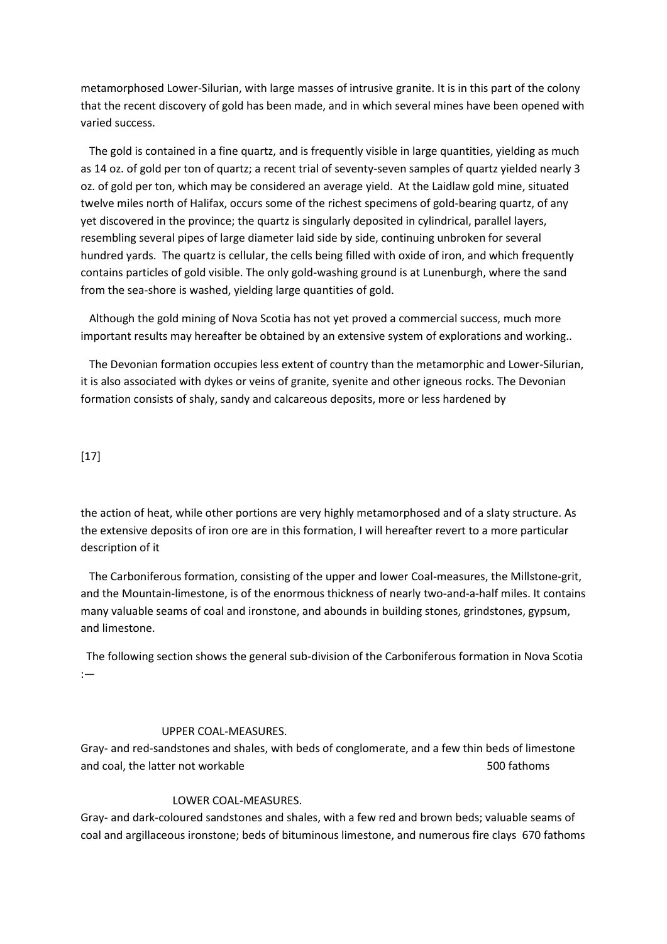metamorphosed Lower-Silurian, with large masses of intrusive granite. It is in this part of the colony that the recent discovery of gold has been made, and in which several mines have been opened with varied success.

 The gold is contained in a fine quartz, and is frequently visible in large quantities, yielding as much as 14 oz. of gold per ton of quartz; a recent trial of seventy-seven samples of quartz yielded nearly 3 oz. of gold per ton, which may be considered an average yield. At the Laidlaw gold mine, situated twelve miles north of Halifax, occurs some of the richest specimens of gold-bearing quartz, of any yet discovered in the province; the quartz is singularly deposited in cylindrical, parallel layers, resembling several pipes of large diameter laid side by side, continuing unbroken for several hundred yards. The quartz is cellular, the cells being filled with oxide of iron, and which frequently contains particles of gold visible. The only gold-washing ground is at Lunenburgh, where the sand from the sea-shore is washed, yielding large quantities of gold.

 Although the gold mining of Nova Scotia has not yet proved a commercial success, much more important results may hereafter be obtained by an extensive system of explorations and working..

 The Devonian formation occupies less extent of country than the metamorphic and Lower-Silurian, it is also associated with dykes or veins of granite, syenite and other igneous rocks. The Devonian formation consists of shaly, sandy and calcareous deposits, more or less hardened by

## [17]

the action of heat, while other portions are very highly metamorphosed and of a slaty structure. As the extensive deposits of iron ore are in this formation, I will hereafter revert to a more particular description of it

 The Carboniferous formation, consisting of the upper and lower Coal-measures, the Millstone-grit, and the Mountain-limestone, is of the enormous thickness of nearly two-and-a-half miles. It contains many valuable seams of coal and ironstone, and abounds in building stones, grindstones, gypsum, and limestone.

 The following section shows the general sub-division of the Carboniferous formation in Nova Scotia :—

## UPPER COAL-MEASURES.

Gray- and red-sandstones and shales, with beds of conglomerate, and a few thin beds of limestone and coal, the latter not workable 500 fathoms of the latter not workable 500 fathoms of the state 500 fathoms

## LOWER COAL-MEASURES.

Gray- and dark-coloured sandstones and shales, with a few red and brown beds; valuable seams of coal and argillaceous ironstone; beds of bituminous limestone, and numerous fire clays 670 fathoms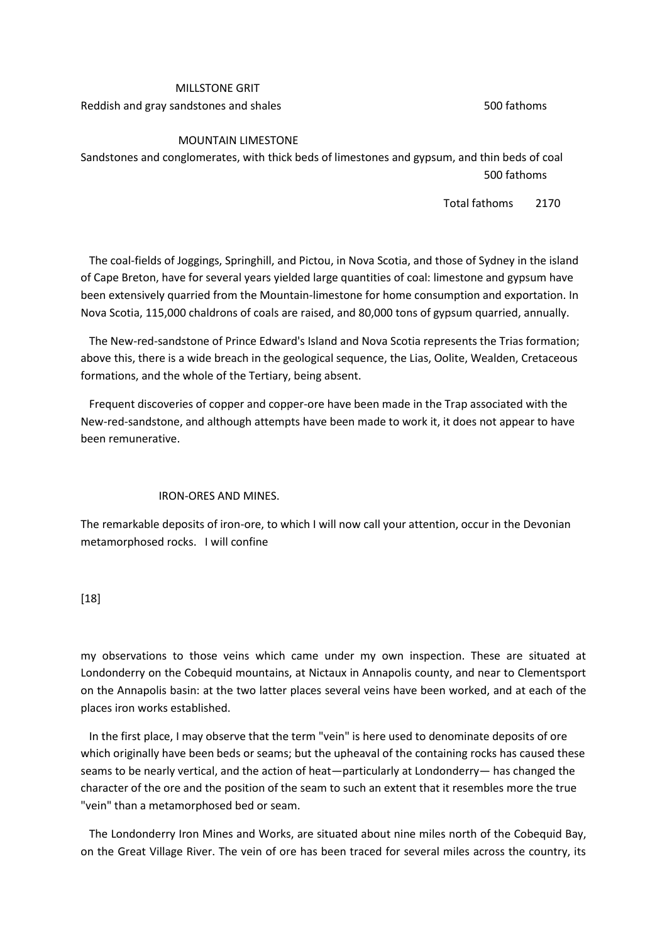# MILLSTONE GRIT Reddish and gray sandstones and shales 500 fathoms

## MOUNTAIN LIMESTONE

Sandstones and conglomerates, with thick beds of limestones and gypsum, and thin beds of coal 500 fathoms

Total fathoms 2170

 The coal-fields of Joggings, Springhill, and Pictou, in Nova Scotia, and those of Sydney in the island of Cape Breton, have for several years yielded large quantities of coal: limestone and gypsum have been extensively quarried from the Mountain-limestone for home consumption and exportation. In Nova Scotia, 115,000 chaldrons of coals are raised, and 80,000 tons of gypsum quarried, annually.

 The New-red-sandstone of Prince Edward's Island and Nova Scotia represents the Trias formation; above this, there is a wide breach in the geological sequence, the Lias, Oolite, Wealden, Cretaceous formations, and the whole of the Tertiary, being absent.

 Frequent discoveries of copper and copper-ore have been made in the Trap associated with the New-red-sandstone, and although attempts have been made to work it, it does not appear to have been remunerative.

## IRON-ORES AND MINES.

The remarkable deposits of iron-ore, to which I will now call your attention, occur in the Devonian metamorphosed rocks. I will confine

## [18]

my observations to those veins which came under my own inspection. These are situated at Londonderry on the Cobequid mountains, at Nictaux in Annapolis county, and near to Clementsport on the Annapolis basin: at the two latter places several veins have been worked, and at each of the places iron works established.

 In the first place, I may observe that the term "vein" is here used to denominate deposits of ore which originally have been beds or seams; but the upheaval of the containing rocks has caused these seams to be nearly vertical, and the action of heat—particularly at Londonderry— has changed the character of the ore and the position of the seam to such an extent that it resembles more the true "vein" than a metamorphosed bed or seam.

 The Londonderry Iron Mines and Works, are situated about nine miles north of the Cobequid Bay, on the Great Village River. The vein of ore has been traced for several miles across the country, its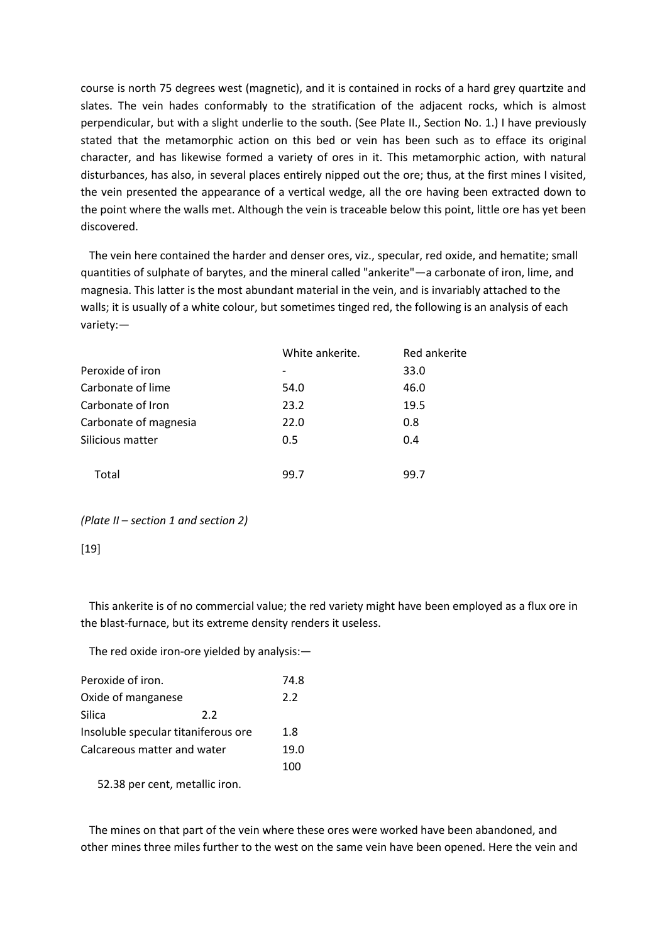course is north 75 degrees west (magnetic), and it is contained in rocks of a hard grey quartzite and slates. The vein hades conformably to the stratification of the adjacent rocks, which is almost perpendicular, but with a slight underlie to the south. (See Plate II., Section No. 1.) I have previously stated that the metamorphic action on this bed or vein has been such as to efface its original character, and has likewise formed a variety of ores in it. This metamorphic action, with natural disturbances, has also, in several places entirely nipped out the ore; thus, at the first mines I visited, the vein presented the appearance of a vertical wedge, all the ore having been extracted down to the point where the walls met. Although the vein is traceable below this point, little ore has yet been discovered.

 The vein here contained the harder and denser ores, viz., specular, red oxide, and hematite; small quantities of sulphate of barytes, and the mineral called "ankerite"—a carbonate of iron, lime, and magnesia. This latter is the most abundant material in the vein, and is invariably attached to the walls; it is usually of a white colour, but sometimes tinged red, the following is an analysis of each variety:—

|                       | White ankerite. | Red ankerite |
|-----------------------|-----------------|--------------|
| Peroxide of iron      |                 | 33.0         |
| Carbonate of lime     | 54.0            | 46.0         |
| Carbonate of Iron     | 23.2            | 19.5         |
| Carbonate of magnesia | 22.0            | 0.8          |
| Silicious matter      | 0.5             | 0.4          |
| Total                 | 99.7            | 99.7         |

*(Plate II – section 1 and section 2)*

## [19]

 This ankerite is of no commercial value; the red variety might have been employed as a flux ore in the blast-furnace, but its extreme density renders it useless.

The red oxide iron-ore yielded by analysis:—

| Peroxide of iron.                   |                                | 74.8 |
|-------------------------------------|--------------------------------|------|
| Oxide of manganese                  |                                | 2.2  |
| Silica                              | 2.2                            |      |
| Insoluble specular titaniferous ore |                                | 1.8  |
| Calcareous matter and water         |                                | 19.0 |
|                                     |                                | 100  |
|                                     | 52.38 per cent, metallic iron. |      |

 The mines on that part of the vein where these ores were worked have been abandoned, and other mines three miles further to the west on the same vein have been opened. Here the vein and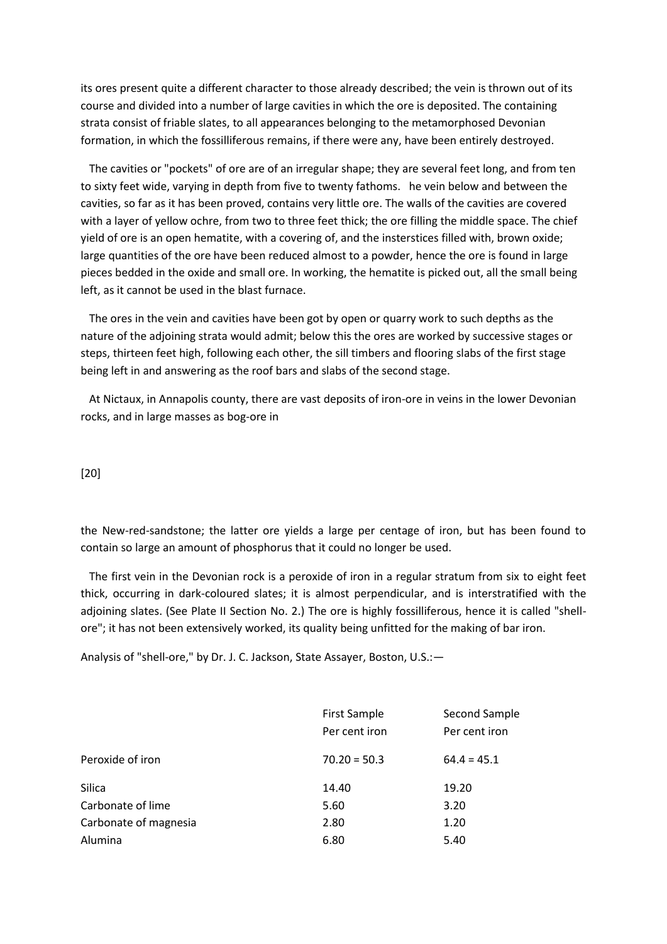its ores present quite a different character to those already described; the vein is thrown out of its course and divided into a number of large cavities in which the ore is deposited. The containing strata consist of friable slates, to all appearances belonging to the metamorphosed Devonian formation, in which the fossilliferous remains, if there were any, have been entirely destroyed.

 The cavities or "pockets" of ore are of an irregular shape; they are several feet long, and from ten to sixty feet wide, varying in depth from five to twenty fathoms. he vein below and between the cavities, so far as it has been proved, contains very little ore. The walls of the cavities are covered with a layer of yellow ochre, from two to three feet thick; the ore filling the middle space. The chief yield of ore is an open hematite, with a covering of, and the insterstices filled with, brown oxide; large quantities of the ore have been reduced almost to a powder, hence the ore is found in large pieces bedded in the oxide and small ore. In working, the hematite is picked out, all the small being left, as it cannot be used in the blast furnace.

 The ores in the vein and cavities have been got by open or quarry work to such depths as the nature of the adjoining strata would admit; below this the ores are worked by successive stages or steps, thirteen feet high, following each other, the sill timbers and flooring slabs of the first stage being left in and answering as the roof bars and slabs of the second stage.

 At Nictaux, in Annapolis county, there are vast deposits of iron-ore in veins in the lower Devonian rocks, and in large masses as bog-ore in

[20]

the New-red-sandstone; the latter ore yields a large per centage of iron, but has been found to contain so large an amount of phosphorus that it could no longer be used.

 The first vein in the Devonian rock is a peroxide of iron in a regular stratum from six to eight feet thick, occurring in dark-coloured slates; it is almost perpendicular, and is interstratified with the adjoining slates. (See Plate II Section No. 2.) The ore is highly fossilliferous, hence it is called "shellore"; it has not been extensively worked, its quality being unfitted for the making of bar iron.

Analysis of "shell-ore," by Dr. J. C. Jackson, State Assayer, Boston, U.S.:—

| <b>First Sample</b><br>Per cent iron | Second Sample<br>Per cent iron |
|--------------------------------------|--------------------------------|
| $70.20 = 50.3$                       | $64.4 = 45.1$                  |
| 14.40                                | 19.20                          |
| 5.60                                 | 3.20                           |
| 2.80                                 | 1.20                           |
| 6.80                                 | 5.40                           |
|                                      |                                |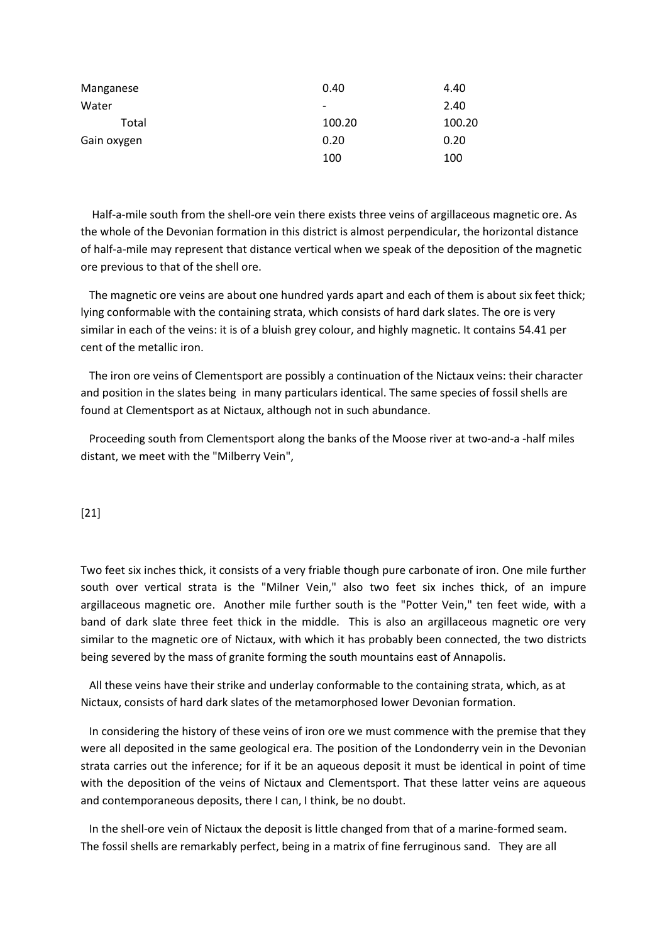| Manganese   | 0.40                     | 4.40   |
|-------------|--------------------------|--------|
| Water       | $\overline{\phantom{a}}$ | 2.40   |
| Total       | 100.20                   | 100.20 |
| Gain oxygen | 0.20                     | 0.20   |
|             | 100                      | 100    |

 Half-a-mile south from the shell-ore vein there exists three veins of argillaceous magnetic ore. As the whole of the Devonian formation in this district is almost perpendicular, the horizontal distance of half-a-mile may represent that distance vertical when we speak of the deposition of the magnetic ore previous to that of the shell ore.

 The magnetic ore veins are about one hundred yards apart and each of them is about six feet thick; lying conformable with the containing strata, which consists of hard dark slates. The ore is very similar in each of the veins: it is of a bluish grey colour, and highly magnetic. It contains 54.41 per cent of the metallic iron.

 The iron ore veins of Clementsport are possibly a continuation of the Nictaux veins: their character and position in the slates being in many particulars identical. The same species of fossil shells are found at Clementsport as at Nictaux, although not in such abundance.

 Proceeding south from Clementsport along the banks of the Moose river at two-and-a -half miles distant, we meet with the "Milberry Vein",

[21]

Two feet six inches thick, it consists of a very friable though pure carbonate of iron. One mile further south over vertical strata is the "Milner Vein," also two feet six inches thick, of an impure argillaceous magnetic ore. Another mile further south is the "Potter Vein," ten feet wide, with a band of dark slate three feet thick in the middle. This is also an argillaceous magnetic ore very similar to the magnetic ore of Nictaux, with which it has probably been connected, the two districts being severed by the mass of granite forming the south mountains east of Annapolis.

 All these veins have their strike and underlay conformable to the containing strata, which, as at Nictaux, consists of hard dark slates of the metamorphosed lower Devonian formation.

 In considering the history of these veins of iron ore we must commence with the premise that they were all deposited in the same geological era. The position of the Londonderry vein in the Devonian strata carries out the inference; for if it be an aqueous deposit it must be identical in point of time with the deposition of the veins of Nictaux and Clementsport. That these latter veins are aqueous and contemporaneous deposits, there I can, I think, be no doubt.

 In the shell-ore vein of Nictaux the deposit is little changed from that of a marine-formed seam. The fossil shells are remarkably perfect, being in a matrix of fine ferruginous sand. They are all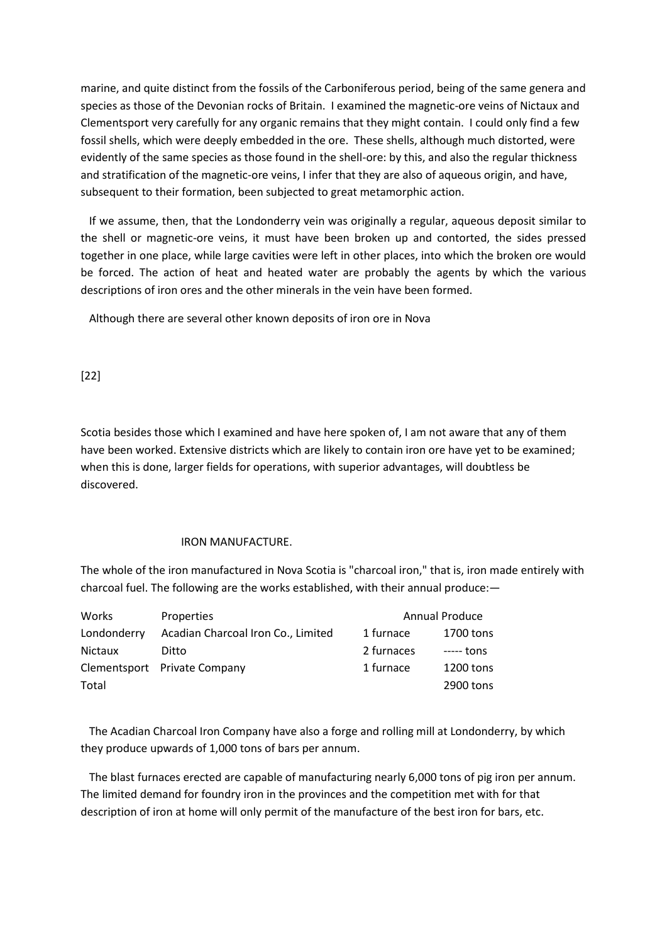marine, and quite distinct from the fossils of the Carboniferous period, being of the same genera and species as those of the Devonian rocks of Britain. I examined the magnetic-ore veins of Nictaux and Clementsport very carefully for any organic remains that they might contain. I could only find a few fossil shells, which were deeply embedded in the ore. These shells, although much distorted, were evidently of the same species as those found in the shell-ore: by this, and also the regular thickness and stratification of the magnetic-ore veins, I infer that they are also of aqueous origin, and have, subsequent to their formation, been subjected to great metamorphic action.

 If we assume, then, that the Londonderry vein was originally a regular, aqueous deposit similar to the shell or magnetic-ore veins, it must have been broken up and contorted, the sides pressed together in one place, while large cavities were left in other places, into which the broken ore would be forced. The action of heat and heated water are probably the agents by which the various descriptions of iron ores and the other minerals in the vein have been formed.

Although there are several other known deposits of iron ore in Nova

[22]

Scotia besides those which I examined and have here spoken of, I am not aware that any of them have been worked. Extensive districts which are likely to contain iron ore have yet to be examined; when this is done, larger fields for operations, with superior advantages, will doubtless be discovered.

#### IRON MANUFACTURE.

The whole of the iron manufactured in Nova Scotia is "charcoal iron," that is, iron made entirely with charcoal fuel. The following are the works established, with their annual produce:—

| Works          | Properties                         |            | Annual Produce |
|----------------|------------------------------------|------------|----------------|
| Londonderry    | Acadian Charcoal Iron Co., Limited | 1 furnace  | 1700 tons      |
| <b>Nictaux</b> | Ditto                              | 2 furnaces | ----- tons     |
|                | Clementsport Private Company       | 1 furnace  | 1200 tons      |
| Total          |                                    |            | 2900 tons      |

 The Acadian Charcoal Iron Company have also a forge and rolling mill at Londonderry, by which they produce upwards of 1,000 tons of bars per annum.

 The blast furnaces erected are capable of manufacturing nearly 6,000 tons of pig iron per annum. The limited demand for foundry iron in the provinces and the competition met with for that description of iron at home will only permit of the manufacture of the best iron for bars, etc.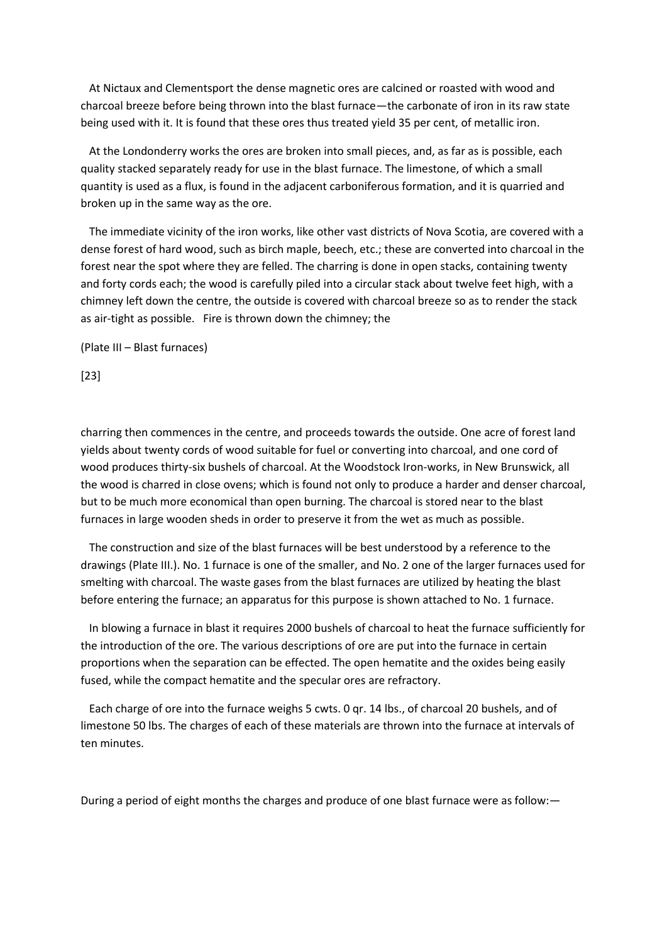At Nictaux and Clementsport the dense magnetic ores are calcined or roasted with wood and charcoal breeze before being thrown into the blast furnace—the carbonate of iron in its raw state being used with it. It is found that these ores thus treated yield 35 per cent, of metallic iron.

 At the Londonderry works the ores are broken into small pieces, and, as far as is possible, each quality stacked separately ready for use in the blast furnace. The limestone, of which a small quantity is used as a flux, is found in the adjacent carboniferous formation, and it is quarried and broken up in the same way as the ore.

 The immediate vicinity of the iron works, like other vast districts of Nova Scotia, are covered with a dense forest of hard wood, such as birch maple, beech, etc.; these are converted into charcoal in the forest near the spot where they are felled. The charring is done in open stacks, containing twenty and forty cords each; the wood is carefully piled into a circular stack about twelve feet high, with a chimney left down the centre, the outside is covered with charcoal breeze so as to render the stack as air-tight as possible. Fire is thrown down the chimney; the

(Plate III – Blast furnaces)

[23]

charring then commences in the centre, and proceeds towards the outside. One acre of forest land yields about twenty cords of wood suitable for fuel or converting into charcoal, and one cord of wood produces thirty-six bushels of charcoal. At the Woodstock Iron-works, in New Brunswick, all the wood is charred in close ovens; which is found not only to produce a harder and denser charcoal, but to be much more economical than open burning. The charcoal is stored near to the blast furnaces in large wooden sheds in order to preserve it from the wet as much as possible.

 The construction and size of the blast furnaces will be best understood by a reference to the drawings (Plate III.). No. 1 furnace is one of the smaller, and No. 2 one of the larger furnaces used for smelting with charcoal. The waste gases from the blast furnaces are utilized by heating the blast before entering the furnace; an apparatus for this purpose is shown attached to No. 1 furnace.

 In blowing a furnace in blast it requires 2000 bushels of charcoal to heat the furnace sufficiently for the introduction of the ore. The various descriptions of ore are put into the furnace in certain proportions when the separation can be effected. The open hematite and the oxides being easily fused, while the compact hematite and the specular ores are refractory.

 Each charge of ore into the furnace weighs 5 cwts. 0 qr. 14 lbs., of charcoal 20 bushels, and of limestone 50 lbs. The charges of each of these materials are thrown into the furnace at intervals of ten minutes.

During a period of eight months the charges and produce of one blast furnace were as follow:—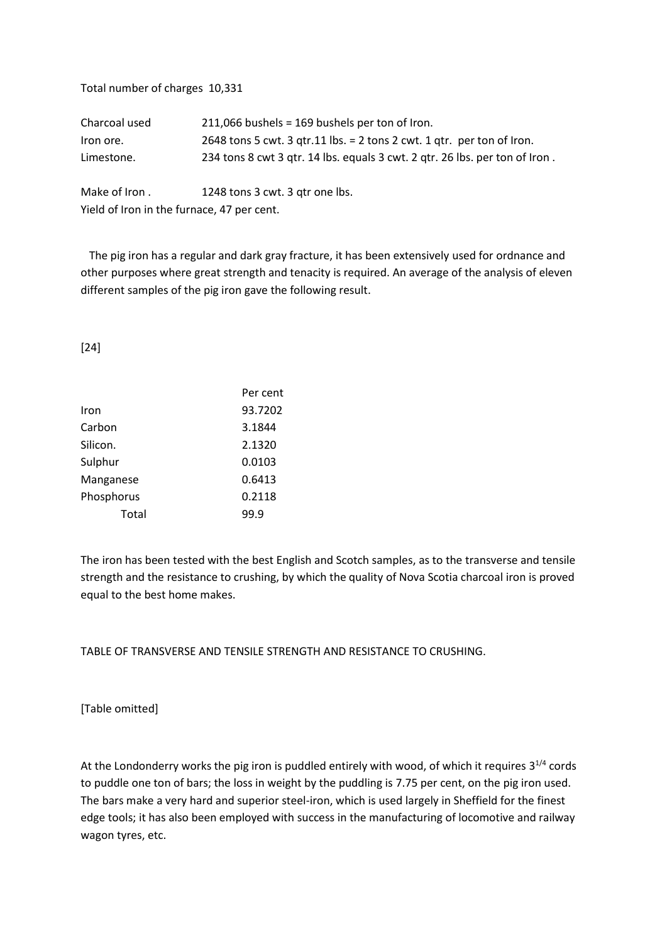| Total number of charges 10,331             |                                                                             |
|--------------------------------------------|-----------------------------------------------------------------------------|
| Charcoal used                              | 211,066 bushels = 169 bushels per ton of Iron.                              |
| Iron ore.                                  | 2648 tons 5 cwt. 3 gtr.11 lbs. = 2 tons 2 cwt. 1 gtr. per ton of Iron.      |
| Limestone.                                 | 234 tons 8 cwt 3 qtr. 14 lbs. equals 3 cwt. 2 qtr. 26 lbs. per ton of Iron. |
| Make of Iron.                              | 1248 tons 3 cwt. 3 gtr one lbs.                                             |
| Yield of Iron in the furnace, 47 per cent. |                                                                             |

 The pig iron has a regular and dark gray fracture, it has been extensively used for ordnance and other purposes where great strength and tenacity is required. An average of the analysis of eleven different samples of the pig iron gave the following result.

[24]

|            | Per cent |
|------------|----------|
| Iron       | 93.7202  |
| Carbon     | 3.1844   |
| Silicon.   | 2.1320   |
| Sulphur    | 0.0103   |
| Manganese  | 0.6413   |
| Phosphorus | 0.2118   |
| Total      | 99.9     |

The iron has been tested with the best English and Scotch samples, as to the transverse and tensile strength and the resistance to crushing, by which the quality of Nova Scotia charcoal iron is proved equal to the best home makes.

TABLE OF TRANSVERSE AND TENSILE STRENGTH AND RESISTANCE TO CRUSHING.

[Table omitted]

At the Londonderry works the pig iron is puddled entirely with wood, of which it requires  $3^{1/4}$  cords to puddle one ton of bars; the loss in weight by the puddling is 7.75 per cent, on the pig iron used. The bars make a very hard and superior steel-iron, which is used largely in Sheffield for the finest edge tools; it has also been employed with success in the manufacturing of locomotive and railway wagon tyres, etc.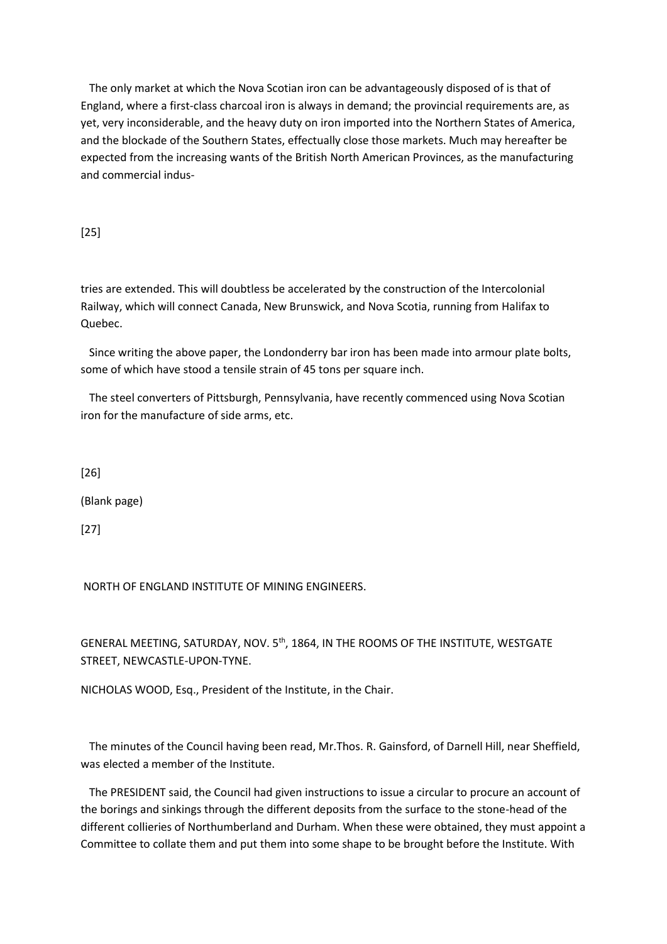The only market at which the Nova Scotian iron can be advantageously disposed of is that of England, where a first-class charcoal iron is always in demand; the provincial requirements are, as yet, very inconsiderable, and the heavy duty on iron imported into the Northern States of America, and the blockade of the Southern States, effectually close those markets. Much may hereafter be expected from the increasing wants of the British North American Provinces, as the manufacturing and commercial indus-

[25]

tries are extended. This will doubtless be accelerated by the construction of the Intercolonial Railway, which will connect Canada, New Brunswick, and Nova Scotia, running from Halifax to Quebec.

 Since writing the above paper, the Londonderry bar iron has been made into armour plate bolts, some of which have stood a tensile strain of 45 tons per square inch.

 The steel converters of Pittsburgh, Pennsylvania, have recently commenced using Nova Scotian iron for the manufacture of side arms, etc.

[26]

(Blank page)

[27]

NORTH OF ENGLAND INSTITUTE OF MINING ENGINEERS.

GENERAL MEETING, SATURDAY, NOV. 5th, 1864, IN THE ROOMS OF THE INSTITUTE, WESTGATE STREET, NEWCASTLE-UPON-TYNE.

NICHOLAS WOOD, Esq., President of the Institute, in the Chair.

 The minutes of the Council having been read, Mr.Thos. R. Gainsford, of Darnell Hill, near Sheffield, was elected a member of the Institute.

 The PRESIDENT said, the Council had given instructions to issue a circular to procure an account of the borings and sinkings through the different deposits from the surface to the stone-head of the different collieries of Northumberland and Durham. When these were obtained, they must appoint a Committee to collate them and put them into some shape to be brought before the Institute. With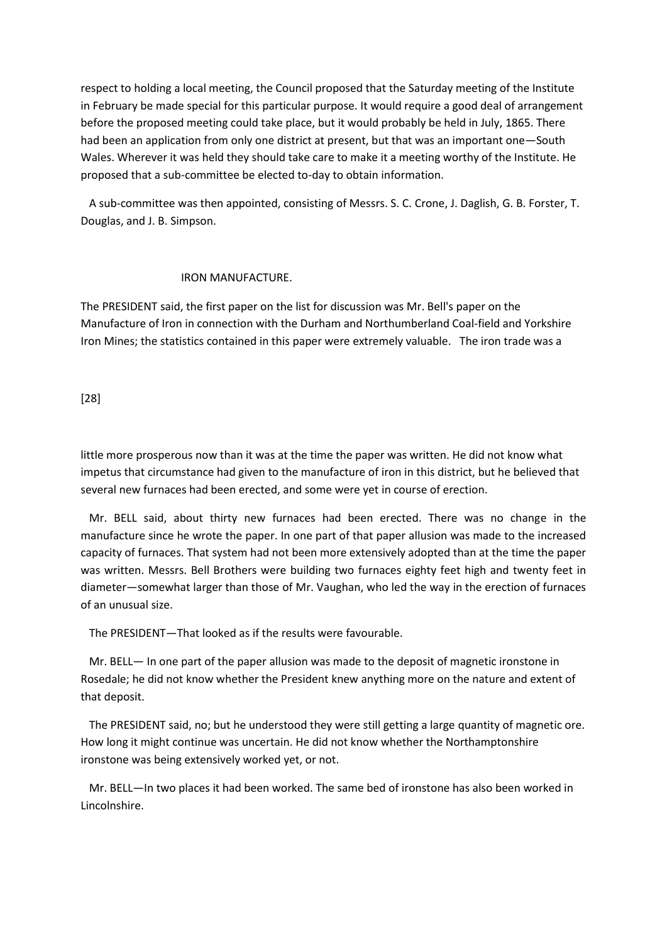respect to holding a local meeting, the Council proposed that the Saturday meeting of the Institute in February be made special for this particular purpose. It would require a good deal of arrangement before the proposed meeting could take place, but it would probably be held in July, 1865. There had been an application from only one district at present, but that was an important one—South Wales. Wherever it was held they should take care to make it a meeting worthy of the Institute. He proposed that a sub-committee be elected to-day to obtain information.

 A sub-committee was then appointed, consisting of Messrs. S. C. Crone, J. Daglish, G. B. Forster, T. Douglas, and J. B. Simpson.

### IRON MANUFACTURE.

The PRESIDENT said, the first paper on the list for discussion was Mr. Bell's paper on the Manufacture of Iron in connection with the Durham and Northumberland Coal-field and Yorkshire Iron Mines; the statistics contained in this paper were extremely valuable. The iron trade was a

[28]

little more prosperous now than it was at the time the paper was written. He did not know what impetus that circumstance had given to the manufacture of iron in this district, but he believed that several new furnaces had been erected, and some were yet in course of erection.

 Mr. BELL said, about thirty new furnaces had been erected. There was no change in the manufacture since he wrote the paper. In one part of that paper allusion was made to the increased capacity of furnaces. That system had not been more extensively adopted than at the time the paper was written. Messrs. Bell Brothers were building two furnaces eighty feet high and twenty feet in diameter—somewhat larger than those of Mr. Vaughan, who led the way in the erection of furnaces of an unusual size.

The PRESIDENT—That looked as if the results were favourable.

 Mr. BELL— In one part of the paper allusion was made to the deposit of magnetic ironstone in Rosedale; he did not know whether the President knew anything more on the nature and extent of that deposit.

 The PRESIDENT said, no; but he understood they were still getting a large quantity of magnetic ore. How long it might continue was uncertain. He did not know whether the Northamptonshire ironstone was being extensively worked yet, or not.

 Mr. BELL—In two places it had been worked. The same bed of ironstone has also been worked in Lincolnshire.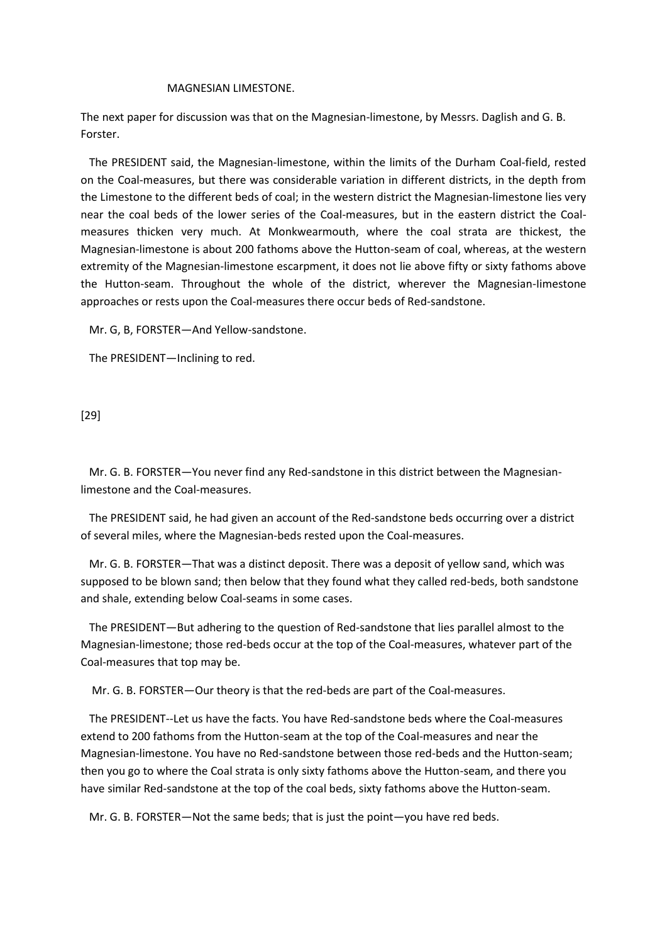#### MAGNESIAN LIMESTONE.

The next paper for discussion was that on the Magnesian-limestone, by Messrs. Daglish and G. B. Forster.

 The PRESIDENT said, the Magnesian-limestone, within the limits of the Durham Coal-field, rested on the Coal-measures, but there was considerable variation in different districts, in the depth from the Limestone to the different beds of coal; in the western district the Magnesian-limestone lies very near the coal beds of the lower series of the Coal-measures, but in the eastern district the Coalmeasures thicken very much. At Monkwearmouth, where the coal strata are thickest, the Magnesian-limestone is about 200 fathoms above the Hutton-seam of coal, whereas, at the western extremity of the Magnesian-limestone escarpment, it does not lie above fifty or sixty fathoms above the Hutton-seam. Throughout the whole of the district, wherever the Magnesian-Iimestone approaches or rests upon the Coal-measures there occur beds of Red-sandstone.

Mr. G, B, FORSTER—And Yellow-sandstone.

The PRESIDENT—Inclining to red.

[29]

 Mr. G. B. FORSTER—You never find any Red-sandstone in this district between the Magnesianlimestone and the Coal-measures.

 The PRESIDENT said, he had given an account of the Red-sandstone beds occurring over a district of several miles, where the Magnesian-beds rested upon the Coal-measures.

 Mr. G. B. FORSTER—That was a distinct deposit. There was a deposit of yellow sand, which was supposed to be blown sand; then below that they found what they called red-beds, both sandstone and shale, extending below Coal-seams in some cases.

 The PRESIDENT—But adhering to the question of Red-sandstone that lies parallel almost to the Magnesian-limestone; those red-beds occur at the top of the Coal-measures, whatever part of the Coal-measures that top may be.

Mr. G. B. FORSTER—Our theory is that the red-beds are part of the Coal-measures.

 The PRESIDENT--Let us have the facts. You have Red-sandstone beds where the Coal-measures extend to 200 fathoms from the Hutton-seam at the top of the Coal-measures and near the Magnesian-limestone. You have no Red-sandstone between those red-beds and the Hutton-seam; then you go to where the Coal strata is only sixty fathoms above the Hutton-seam, and there you have similar Red-sandstone at the top of the coal beds, sixty fathoms above the Hutton-seam.

Mr. G. B. FORSTER—Not the same beds; that is just the point—you have red beds.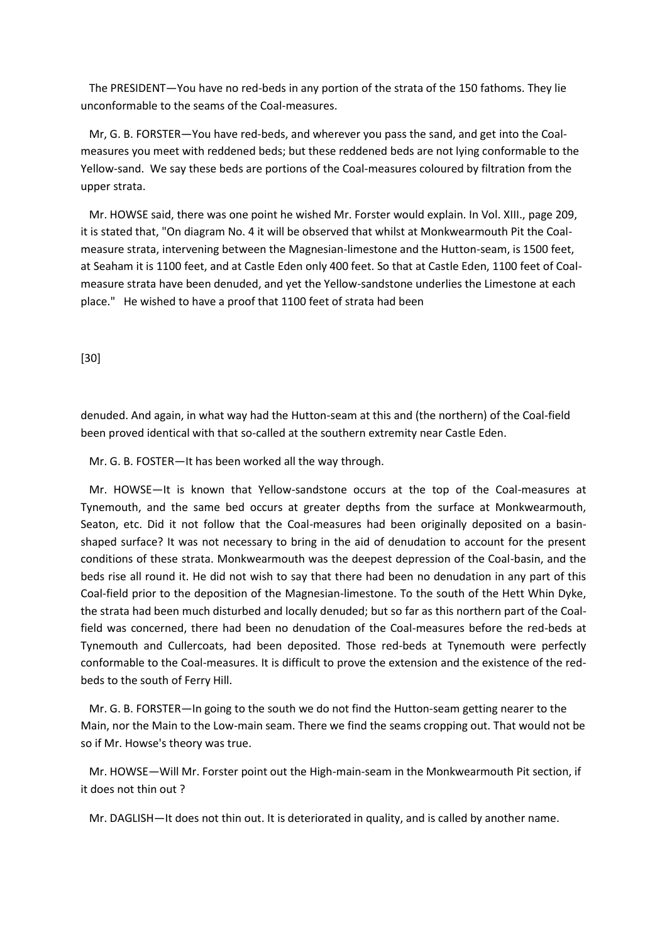The PRESIDENT—You have no red-beds in any portion of the strata of the 150 fathoms. They lie unconformable to the seams of the Coal-measures.

 Mr, G. B. FORSTER—You have red-beds, and wherever you pass the sand, and get into the Coalmeasures you meet with reddened beds; but these reddened beds are not lying conformable to the Yellow-sand. We say these beds are portions of the Coal-measures coloured by filtration from the upper strata.

 Mr. HOWSE said, there was one point he wished Mr. Forster would explain. In Vol. XIII., page 209, it is stated that, "On diagram No. 4 it will be observed that whilst at Monkwearmouth Pit the Coalmeasure strata, intervening between the Magnesian-limestone and the Hutton-seam, is 1500 feet, at Seaham it is 1100 feet, and at Castle Eden only 400 feet. So that at Castle Eden, 1100 feet of Coalmeasure strata have been denuded, and yet the Yellow-sandstone underlies the Limestone at each place." He wished to have a proof that 1100 feet of strata had been

[30]

denuded. And again, in what way had the Hutton-seam at this and (the northern) of the Coal-field been proved identical with that so-called at the southern extremity near Castle Eden.

Mr. G. B. FOSTER—It has been worked all the way through.

 Mr. HOWSE—It is known that Yellow-sandstone occurs at the top of the Coal-measures at Tynemouth, and the same bed occurs at greater depths from the surface at Monkwearmouth, Seaton, etc. Did it not follow that the Coal-measures had been originally deposited on a basinshaped surface? It was not necessary to bring in the aid of denudation to account for the present conditions of these strata. Monkwearmouth was the deepest depression of the Coal-basin, and the beds rise all round it. He did not wish to say that there had been no denudation in any part of this Coal-field prior to the deposition of the Magnesian-limestone. To the south of the Hett Whin Dyke, the strata had been much disturbed and locally denuded; but so far as this northern part of the Coalfield was concerned, there had been no denudation of the Coal-measures before the red-beds at Tynemouth and Cullercoats, had been deposited. Those red-beds at Tynemouth were perfectly conformable to the Coal-measures. It is difficult to prove the extension and the existence of the redbeds to the south of Ferry Hill.

 Mr. G. B. FORSTER—In going to the south we do not find the Hutton-seam getting nearer to the Main, nor the Main to the Low-main seam. There we find the seams cropping out. That would not be so if Mr. Howse's theory was true.

 Mr. HOWSE—Will Mr. Forster point out the High-main-seam in the Monkwearmouth Pit section, if it does not thin out ?

Mr. DAGLISH—It does not thin out. It is deteriorated in quality, and is called by another name.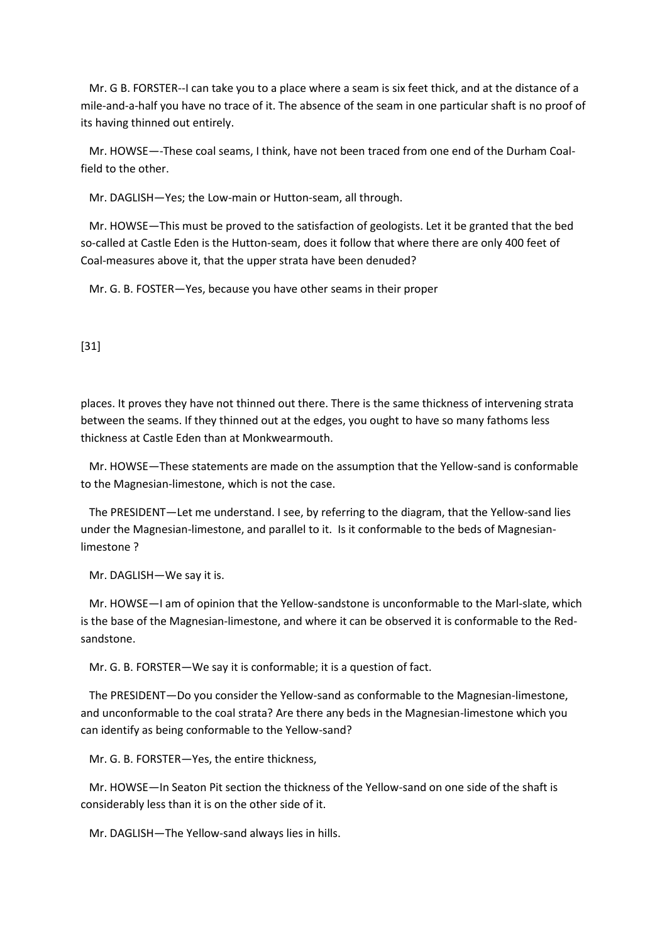Mr. G B. FORSTER--I can take you to a place where a seam is six feet thick, and at the distance of a mile-and-a-half you have no trace of it. The absence of the seam in one particular shaft is no proof of its having thinned out entirely.

 Mr. HOWSE—-These coal seams, I think, have not been traced from one end of the Durham Coalfield to the other.

Mr. DAGLISH—Yes; the Low-main or Hutton-seam, all through.

 Mr. HOWSE—This must be proved to the satisfaction of geologists. Let it be granted that the bed so-called at Castle Eden is the Hutton-seam, does it follow that where there are only 400 feet of Coal-measures above it, that the upper strata have been denuded?

Mr. G. B. FOSTER—Yes, because you have other seams in their proper

[31]

places. It proves they have not thinned out there. There is the same thickness of intervening strata between the seams. If they thinned out at the edges, you ought to have so many fathoms less thickness at Castle Eden than at Monkwearmouth.

 Mr. HOWSE—These statements are made on the assumption that the Yellow-sand is conformable to the Magnesian-limestone, which is not the case.

 The PRESIDENT—Let me understand. I see, by referring to the diagram, that the Yellow-sand lies under the Magnesian-limestone, and parallel to it. Is it conformable to the beds of Magnesianlimestone ?

Mr. DAGLISH—We say it is.

 Mr. HOWSE—I am of opinion that the Yellow-sandstone is unconformable to the Marl-slate, which is the base of the Magnesian-limestone, and where it can be observed it is conformable to the Redsandstone.

Mr. G. B. FORSTER—We say it is conformable; it is a question of fact.

 The PRESIDENT—Do you consider the Yellow-sand as conformable to the Magnesian-limestone, and unconformable to the coal strata? Are there any beds in the Magnesian-limestone which you can identify as being conformable to the Yellow-sand?

Mr. G. B. FORSTER—Yes, the entire thickness,

 Mr. HOWSE—In Seaton Pit section the thickness of the Yellow-sand on one side of the shaft is considerably less than it is on the other side of it.

Mr. DAGLISH—The Yellow-sand always lies in hills.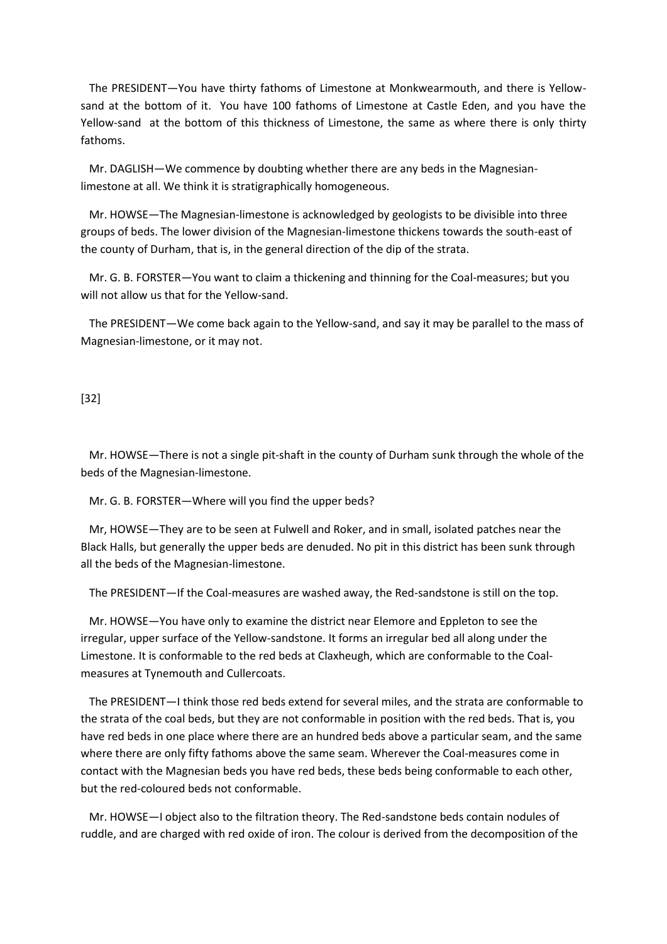The PRESIDENT—You have thirty fathoms of Limestone at Monkwearmouth, and there is Yellowsand at the bottom of it. You have 100 fathoms of Limestone at Castle Eden, and you have the Yellow-sand at the bottom of this thickness of Limestone, the same as where there is only thirty fathoms.

 Mr. DAGLISH—We commence by doubting whether there are any beds in the Magnesianlimestone at all. We think it is stratigraphically homogeneous.

 Mr. HOWSE—The Magnesian-limestone is acknowledged by geologists to be divisible into three groups of beds. The lower division of the Magnesian-limestone thickens towards the south-east of the county of Durham, that is, in the general direction of the dip of the strata.

 Mr. G. B. FORSTER—You want to claim a thickening and thinning for the Coal-measures; but you will not allow us that for the Yellow-sand.

 The PRESIDENT—We come back again to the Yellow-sand, and say it may be parallel to the mass of Magnesian-limestone, or it may not.

[32]

 Mr. HOWSE—There is not a single pit-shaft in the county of Durham sunk through the whole of the beds of the Magnesian-limestone.

Mr. G. B. FORSTER—Where will you find the upper beds?

 Mr, HOWSE—They are to be seen at Fulwell and Roker, and in small, isolated patches near the Black Halls, but generally the upper beds are denuded. No pit in this district has been sunk through all the beds of the Magnesian-limestone.

The PRESIDENT—If the Coal-measures are washed away, the Red-sandstone is still on the top.

 Mr. HOWSE—You have only to examine the district near Elemore and Eppleton to see the irregular, upper surface of the Yellow-sandstone. It forms an irregular bed all along under the Limestone. It is conformable to the red beds at Claxheugh, which are conformable to the Coalmeasures at Tynemouth and Cullercoats.

 The PRESIDENT—I think those red beds extend for several miles, and the strata are conformable to the strata of the coal beds, but they are not conformable in position with the red beds. That is, you have red beds in one place where there are an hundred beds above a particular seam, and the same where there are only fifty fathoms above the same seam. Wherever the Coal-measures come in contact with the Magnesian beds you have red beds, these beds being conformable to each other, but the red-coloured beds not conformable.

 Mr. HOWSE—I object also to the filtration theory. The Red-sandstone beds contain nodules of ruddle, and are charged with red oxide of iron. The colour is derived from the decomposition of the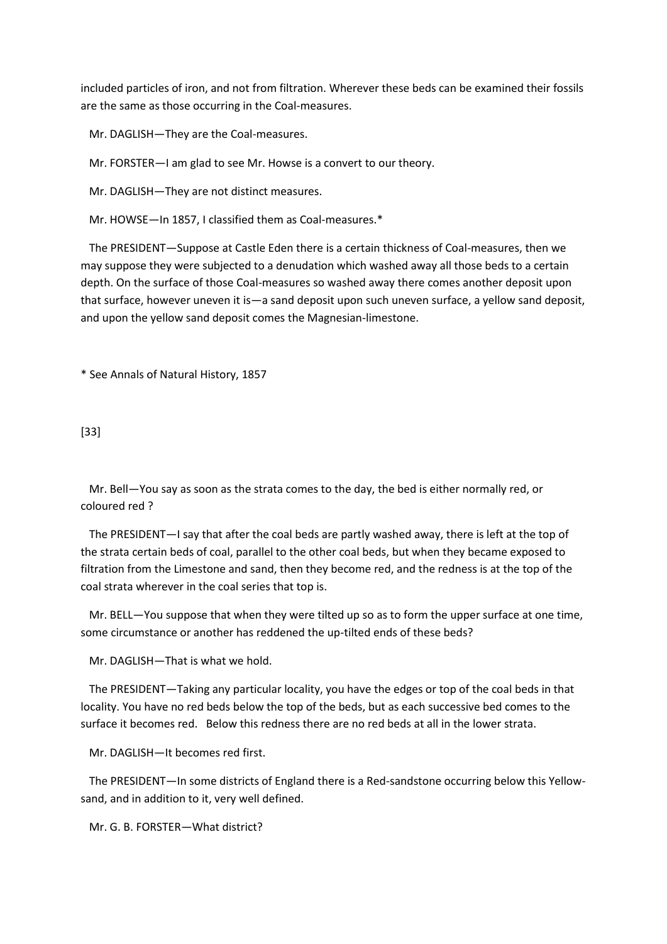included particles of iron, and not from filtration. Wherever these beds can be examined their fossils are the same as those occurring in the Coal-measures.

Mr. DAGLISH—They are the Coal-measures.

Mr. FORSTER—I am glad to see Mr. Howse is a convert to our theory.

Mr. DAGLISH—They are not distinct measures.

Mr. HOWSE—In 1857, I classified them as Coal-measures.\*

 The PRESIDENT—Suppose at Castle Eden there is a certain thickness of Coal-measures, then we may suppose they were subjected to a denudation which washed away all those beds to a certain depth. On the surface of those Coal-measures so washed away there comes another deposit upon that surface, however uneven it is—a sand deposit upon such uneven surface, a yellow sand deposit, and upon the yellow sand deposit comes the Magnesian-limestone.

\* See Annals of Natural History, 1857

[33]

 Mr. Bell—You say as soon as the strata comes to the day, the bed is either normally red, or coloured red ?

 The PRESIDENT—I say that after the coal beds are partly washed away, there is left at the top of the strata certain beds of coal, parallel to the other coal beds, but when they became exposed to filtration from the Limestone and sand, then they become red, and the redness is at the top of the coal strata wherever in the coal series that top is.

 Mr. BELL—You suppose that when they were tilted up so as to form the upper surface at one time, some circumstance or another has reddened the up-tilted ends of these beds?

Mr. DAGLISH—That is what we hold.

 The PRESIDENT—Taking any particular locality, you have the edges or top of the coal beds in that locality. You have no red beds below the top of the beds, but as each successive bed comes to the surface it becomes red. Below this redness there are no red beds at all in the lower strata.

Mr. DAGLISH—It becomes red first.

 The PRESIDENT—In some districts of England there is a Red-sandstone occurring below this Yellowsand, and in addition to it, very well defined.

Mr. G. B. FORSTER—What district?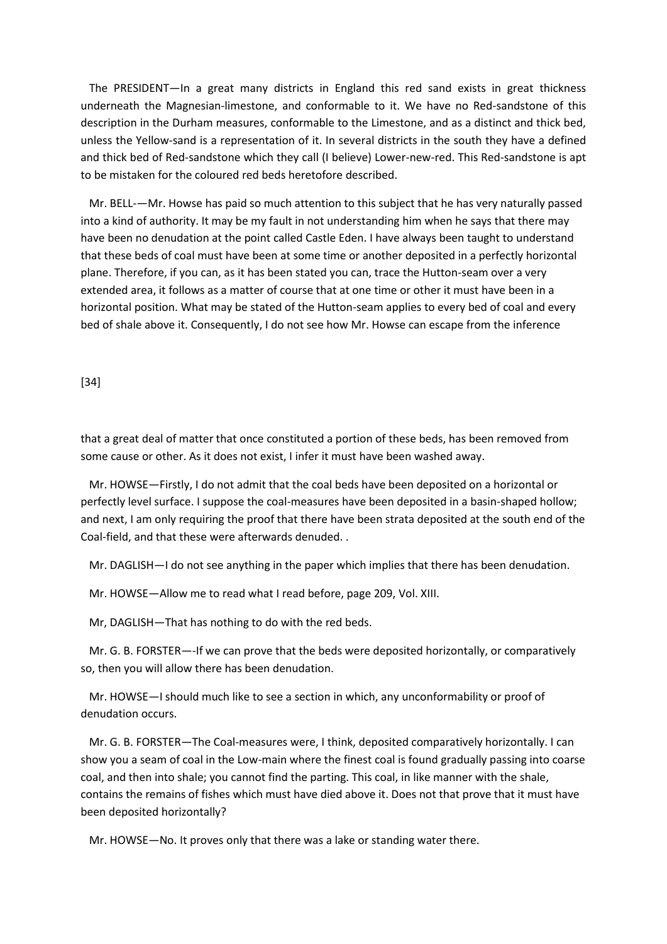The PRESIDENT—In a great many districts in England this red sand exists in great thickness underneath the Magnesian-limestone, and conformable to it. We have no Red-sandstone of this description in the Durham measures, conformable to the Limestone, and as a distinct and thick bed, unless the Yellow-sand is a representation of it. In several districts in the south they have a defined and thick bed of Red-sandstone which they call (I believe) Lower-new-red. This Red-sandstone is apt to be mistaken for the coloured red beds heretofore described.

 Mr. BELL-—Mr. Howse has paid so much attention to this subject that he has very naturally passed into a kind of authority. It may be my fault in not understanding him when he says that there may have been no denudation at the point called Castle Eden. I have always been taught to understand that these beds of coal must have been at some time or another deposited in a perfectly horizontal plane. Therefore, if you can, as it has been stated you can, trace the Hutton-seam over a very extended area, it follows as a matter of course that at one time or other it must have been in a horizontal position. What may be stated of the Hutton-seam applies to every bed of coal and every bed of shale above it. Consequently, I do not see how Mr. Howse can escape from the inference

### [34]

that a great deal of matter that once constituted a portion of these beds, has been removed from some cause or other. As it does not exist, I infer it must have been washed away.

 Mr. HOWSE—Firstly, I do not admit that the coal beds have been deposited on a horizontal or perfectly level surface. I suppose the coal-measures have been deposited in a basin-shaped hollow; and next, I am only requiring the proof that there have been strata deposited at the south end of the Coal-field, and that these were afterwards denuded. .

Mr. DAGLISH—I do not see anything in the paper which implies that there has been denudation.

Mr. HOWSE—Allow me to read what I read before, page 209, Vol. XIII.

Mr, DAGLISH—That has nothing to do with the red beds.

 Mr. G. B. FORSTER—-If we can prove that the beds were deposited horizontally, or comparatively so, then you will allow there has been denudation.

 Mr. HOWSE—I should much like to see a section in which, any unconformability or proof of denudation occurs.

 Mr. G. B. FORSTER—The Coal-measures were, I think, deposited comparatively horizontally. I can show you a seam of coal in the Low-main where the finest coal is found gradually passing into coarse coal, and then into shale; you cannot find the parting. This coal, in like manner with the shale, contains the remains of fishes which must have died above it. Does not that prove that it must have been deposited horizontally?

Mr. HOWSE—No. It proves only that there was a lake or standing water there.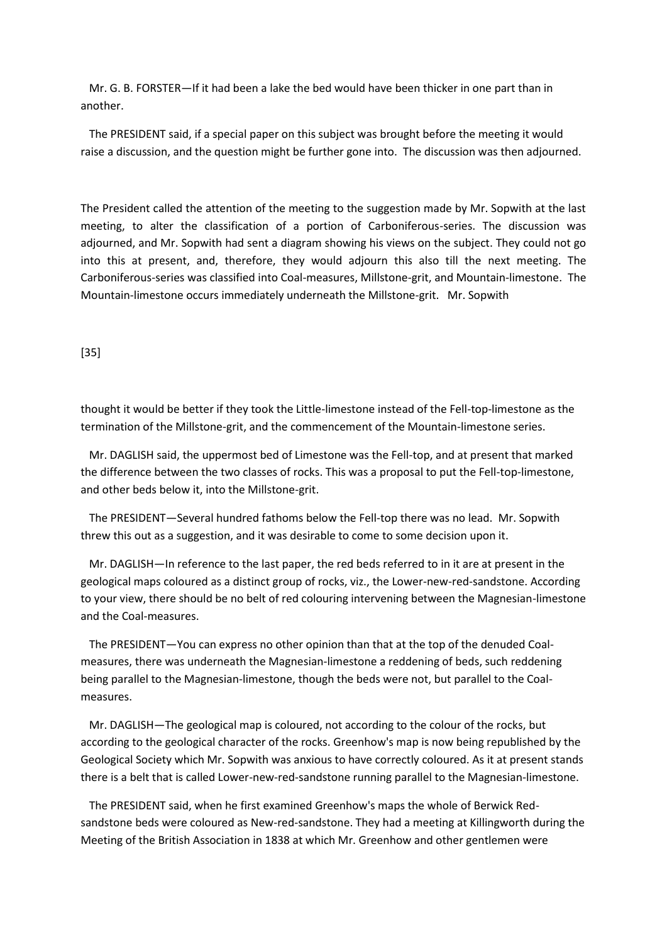Mr. G. B. FORSTER—If it had been a lake the bed would have been thicker in one part than in another.

 The PRESIDENT said, if a special paper on this subject was brought before the meeting it would raise a discussion, and the question might be further gone into. The discussion was then adjourned.

The President called the attention of the meeting to the suggestion made by Mr. Sopwith at the last meeting, to alter the classification of a portion of Carboniferous-series. The discussion was adjourned, and Mr. Sopwith had sent a diagram showing his views on the subject. They could not go into this at present, and, therefore, they would adjourn this also till the next meeting. The Carboniferous-series was classified into Coal-measures, Millstone-grit, and Mountain-limestone. The Mountain-limestone occurs immediately underneath the Millstone-grit. Mr. Sopwith

#### [35]

thought it would be better if they took the Little-limestone instead of the Fell-top-limestone as the termination of the Millstone-grit, and the commencement of the Mountain-limestone series.

 Mr. DAGLISH said, the uppermost bed of Limestone was the Fell-top, and at present that marked the difference between the two classes of rocks. This was a proposal to put the Fell-top-limestone, and other beds below it, into the Millstone-grit.

 The PRESIDENT—Several hundred fathoms below the Fell-top there was no lead. Mr. Sopwith threw this out as a suggestion, and it was desirable to come to some decision upon it.

 Mr. DAGLISH—In reference to the last paper, the red beds referred to in it are at present in the geological maps coloured as a distinct group of rocks, viz., the Lower-new-red-sandstone. According to your view, there should be no belt of red colouring intervening between the Magnesian-limestone and the Coal-measures.

 The PRESIDENT—You can express no other opinion than that at the top of the denuded Coalmeasures, there was underneath the Magnesian-limestone a reddening of beds, such reddening being parallel to the Magnesian-limestone, though the beds were not, but parallel to the Coalmeasures.

 Mr. DAGLISH—The geological map is coloured, not according to the colour of the rocks, but according to the geological character of the rocks. Greenhow's map is now being republished by the Geological Society which Mr. Sopwith was anxious to have correctly coloured. As it at present stands there is a belt that is called Lower-new-red-sandstone running parallel to the Magnesian-limestone.

 The PRESIDENT said, when he first examined Greenhow's maps the whole of Berwick Redsandstone beds were coloured as New-red-sandstone. They had a meeting at Killingworth during the Meeting of the British Association in 1838 at which Mr. Greenhow and other gentlemen were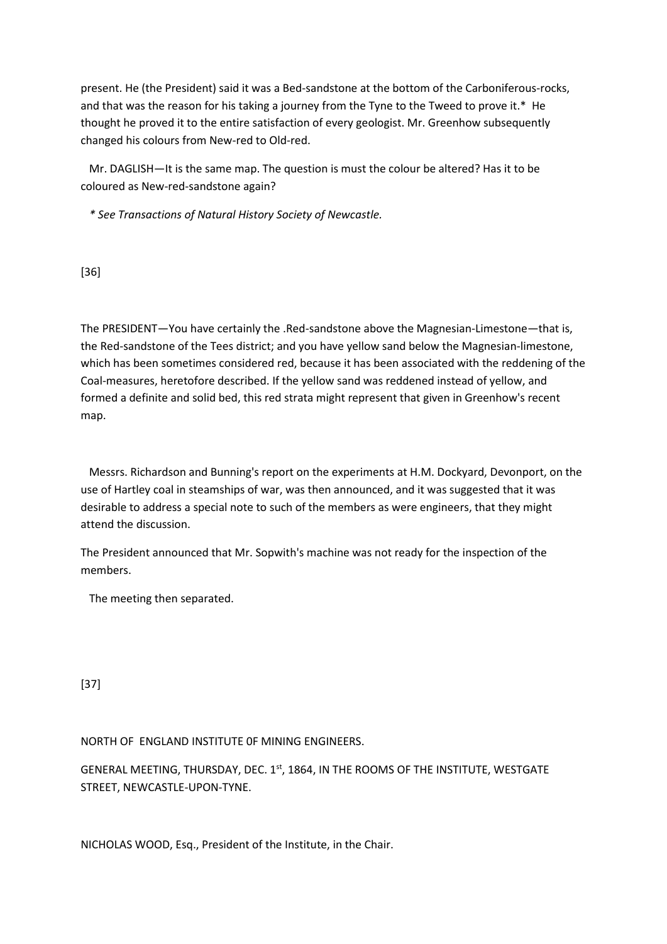present. He (the President) said it was a Bed-sandstone at the bottom of the Carboniferous-rocks, and that was the reason for his taking a journey from the Tyne to the Tweed to prove it.\* He thought he proved it to the entire satisfaction of every geologist. Mr. Greenhow subsequently changed his colours from New-red to Old-red.

 Mr. DAGLISH—It is the same map. The question is must the colour be altered? Has it to be coloured as New-red-sandstone again?

 *\* See Transactions of Natural History Society of Newcastle.*

[36]

The PRESIDENT—You have certainly the .Red-sandstone above the Magnesian-Limestone—that is, the Red-sandstone of the Tees district; and you have yellow sand below the Magnesian-limestone, which has been sometimes considered red, because it has been associated with the reddening of the Coal-measures, heretofore described. If the yellow sand was reddened instead of yellow, and formed a definite and solid bed, this red strata might represent that given in Greenhow's recent map.

 Messrs. Richardson and Bunning's report on the experiments at H.M. Dockyard, Devonport, on the use of Hartley coal in steamships of war, was then announced, and it was suggested that it was desirable to address a special note to such of the members as were engineers, that they might attend the discussion.

The President announced that Mr. Sopwith's machine was not ready for the inspection of the members.

The meeting then separated.

[37]

NORTH OF ENGLAND INSTITUTE 0F MINING ENGINEERS.

GENERAL MEETING, THURSDAY, DEC. 1st, 1864, IN THE ROOMS OF THE INSTITUTE, WESTGATE STREET, NEWCASTLE-UPON-TYNE.

NICHOLAS WOOD, Esq., President of the Institute, in the Chair.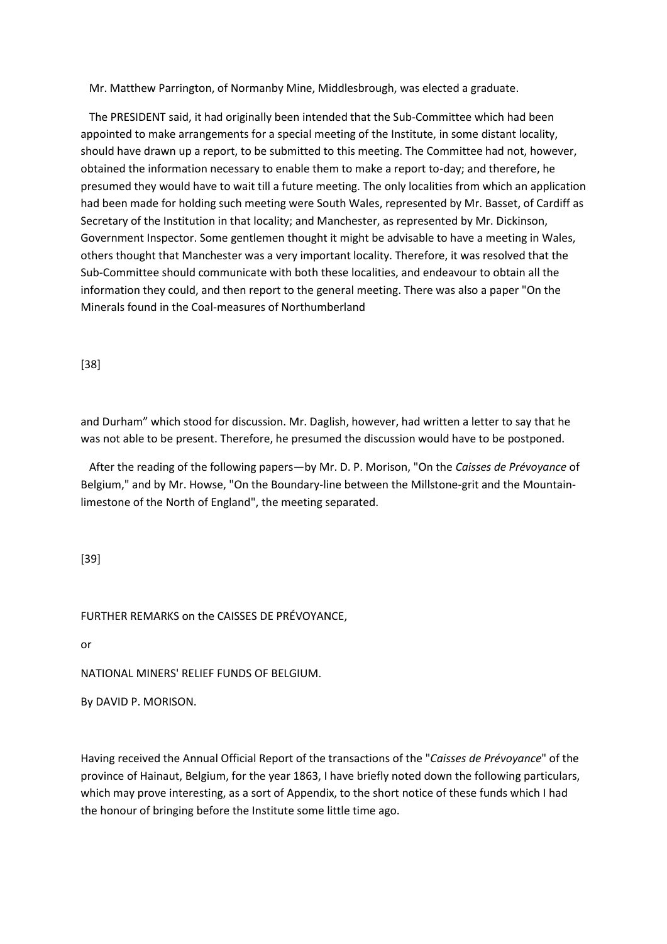Mr. Matthew Parrington, of Normanby Mine, Middlesbrough, was elected a graduate.

 The PRESIDENT said, it had originally been intended that the Sub-Committee which had been appointed to make arrangements for a special meeting of the Institute, in some distant locality, should have drawn up a report, to be submitted to this meeting. The Committee had not, however, obtained the information necessary to enable them to make a report to-day; and therefore, he presumed they would have to wait till a future meeting. The only localities from which an application had been made for holding such meeting were South Wales, represented by Mr. Basset, of Cardiff as Secretary of the Institution in that locality; and Manchester, as represented by Mr. Dickinson, Government Inspector. Some gentlemen thought it might be advisable to have a meeting in Wales, others thought that Manchester was a very important locality. Therefore, it was resolved that the Sub-Committee should communicate with both these localities, and endeavour to obtain all the information they could, and then report to the general meeting. There was also a paper "On the Minerals found in the Coal-measures of Northumberland

[38]

and Durham" which stood for discussion. Mr. Daglish, however, had written a letter to say that he was not able to be present. Therefore, he presumed the discussion would have to be postponed.

 After the reading of the following papers—by Mr. D. P. Morison, "On the *Caisses de Prévoyance* of Belgium," and by Mr. Howse, "On the Boundary-line between the Millstone-grit and the Mountainlimestone of the North of England", the meeting separated.

[39]

FURTHER REMARKS on the CAISSES DE PRÉVOYANCE,

or

NATIONAL MINERS' RELIEF FUNDS OF BELGIUM.

By DAVID P. MORISON.

Having received the Annual Official Report of the transactions of the "*Caisses de Prévoyance*" of the province of Hainaut, Belgium, for the year 1863, I have briefly noted down the following particulars, which may prove interesting, as a sort of Appendix, to the short notice of these funds which I had the honour of bringing before the Institute some little time ago.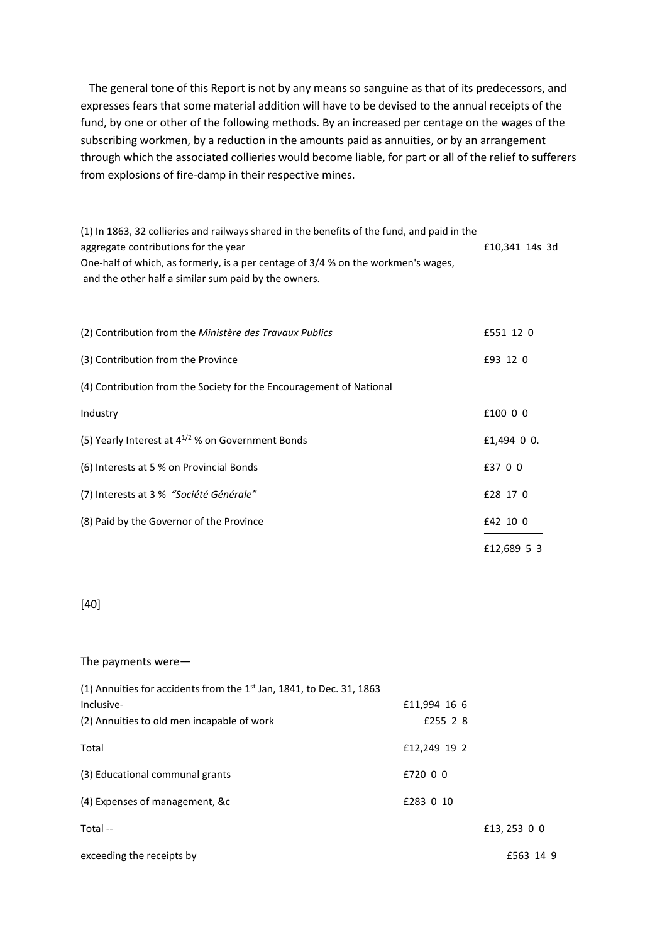The general tone of this Report is not by any means so sanguine as that of its predecessors, and expresses fears that some material addition will have to be devised to the annual receipts of the fund, by one or other of the following methods. By an increased per centage on the wages of the subscribing workmen, by a reduction in the amounts paid as annuities, or by an arrangement through which the associated collieries would become liable, for part or all of the relief to sufferers from explosions of fire-damp in their respective mines.

(1) In 1863, 32 collieries and railways shared in the benefits of the fund, and paid in the aggregate contributions for the year **E10,341 14s** 3d One-half of which, as formerly, is a per centage of 3/4 % on the workmen's wages, and the other half a similar sum paid by the owners.

| (2) Contribution from the Ministère des Travaux Publics             | £551 12 0   |
|---------------------------------------------------------------------|-------------|
| (3) Contribution from the Province                                  | £93 12 0    |
| (4) Contribution from the Society for the Encouragement of National |             |
| Industry                                                            | £100 0 0    |
| (5) Yearly Interest at $4^{1/2}$ % on Government Bonds              | £1,494 0 0. |
| (6) Interests at 5 % on Provincial Bonds                            | £37 0 0     |
| (7) Interests at 3 % "Société Générale"                             | £28 17 0    |
| (8) Paid by the Governor of the Province                            | £42 10 0    |
|                                                                     | £12,689 5 3 |

## [40]

#### The payments were—

| (1) Annuities for accidents from the $1st$ Jan, 1841, to Dec. 31, 1863 |              |              |
|------------------------------------------------------------------------|--------------|--------------|
| Inclusive-                                                             | £11,994 16 6 |              |
| (2) Annuities to old men incapable of work                             | £255 2 8     |              |
| Total                                                                  | £12,249 19 2 |              |
| (3) Educational communal grants                                        | £720 0 0     |              |
| (4) Expenses of management, &c                                         | £283 0 10    |              |
| Total --                                                               |              | £13, 253 0 0 |
| exceeding the receipts by                                              |              | £563 14 9    |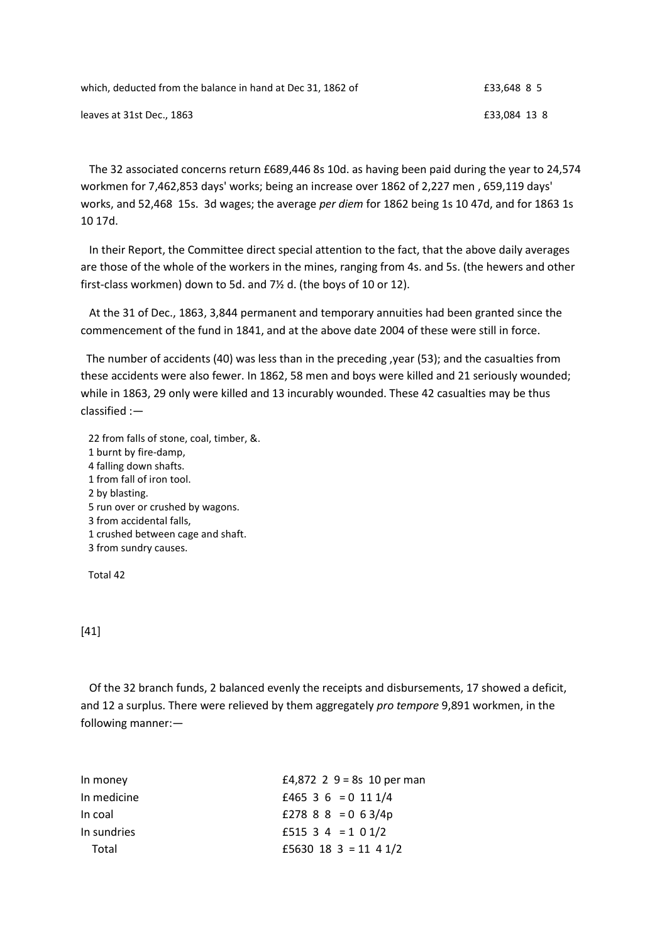| which, deducted from the balance in hand at Dec 31, 1862 of | £33.648 8 5  |
|-------------------------------------------------------------|--------------|
| leaves at 31st Dec., 1863                                   | £33.084 13 8 |

 The 32 associated concerns return £689,446 8s 10d. as having been paid during the year to 24,574 workmen for 7,462,853 days' works; being an increase over 1862 of 2,227 men , 659,119 days' works, and 52,468 15s. 3d wages; the average *per diem* for 1862 being 1s 10 47d, and for 1863 1s 10 17d.

 In their Report, the Committee direct special attention to the fact, that the above daily averages are those of the whole of the workers in the mines, ranging from 4s. and 5s. (the hewers and other first-class workmen) down to 5d. and 7½ d. (the boys of 10 or 12).

 At the 31 of Dec., 1863, 3,844 permanent and temporary annuities had been granted since the commencement of the fund in 1841, and at the above date 2004 of these were still in force.

 The number of accidents (40) was less than in the preceding ,year (53); and the casualties from these accidents were also fewer. In 1862, 58 men and boys were killed and 21 seriously wounded; while in 1863, 29 only were killed and 13 incurably wounded. These 42 casualties may be thus classified :—

 22 from falls of stone, coal, timber, &. 1 burnt by fire-damp, 4 falling down shafts. 1 from fall of iron tool. 2 by blasting. 5 run over or crushed by wagons. 3 from accidental falls, 1 crushed between cage and shaft. 3 from sundry causes.

Total 42

## [41]

 Of the 32 branch funds, 2 balanced evenly the receipts and disbursements, 17 showed a deficit, and 12 a surplus. There were relieved by them aggregately *pro tempore* 9,891 workmen, in the following manner:—

| In money    | £4,872 2 $9 = 8s$ 10 per man |
|-------------|------------------------------|
| In medicine | £465 3 6 = 0 11 1/4          |
| In coal     | £278 8 8 = 0 6 3/4p          |
| In sundries | £515 3 4 = 1 0 1/2           |
| Total       | £5630 18 3 = 11 4 1/2        |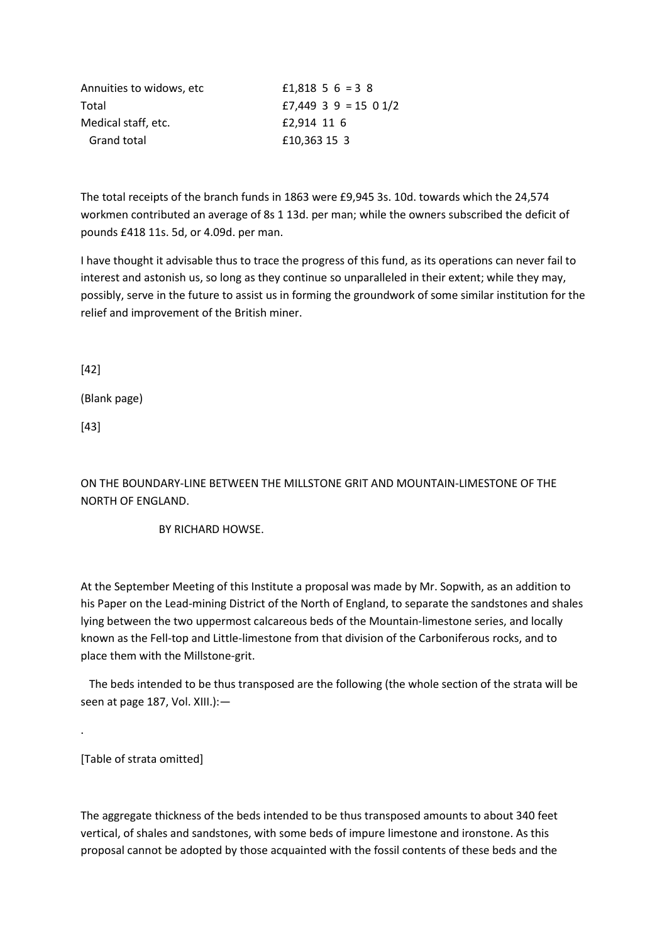| Annuities to widows, etc. | £1.818 5 6 = 3 8      |
|---------------------------|-----------------------|
| Total                     | £7,449 3 9 = 15 0 1/2 |
| Medical staff, etc.       | £2,914 11 6           |
| Grand total               | £10,363 15 3          |

The total receipts of the branch funds in 1863 were £9,945 3s. 10d. towards which the 24,574 workmen contributed an average of 8s 1 13d. per man; while the owners subscribed the deficit of pounds £418 11s. 5d, or 4.09d. per man.

I have thought it advisable thus to trace the progress of this fund, as its operations can never fail to interest and astonish us, so long as they continue so unparalleled in their extent; while they may, possibly, serve in the future to assist us in forming the groundwork of some similar institution for the relief and improvement of the British miner.

[42]

(Blank page)

[43]

ON THE BOUNDARY-LINE BETWEEN THE MILLSTONE GRIT AND MOUNTAIN-LIMESTONE OF THE NORTH OF ENGLAND.

BY RICHARD HOWSE.

At the September Meeting of this Institute a proposal was made by Mr. Sopwith, as an addition to his Paper on the Lead-mining District of the North of England, to separate the sandstones and shales lying between the two uppermost calcareous beds of the Mountain-limestone series, and locally known as the Fell-top and Little-limestone from that division of the Carboniferous rocks, and to place them with the Millstone-grit.

 The beds intended to be thus transposed are the following (the whole section of the strata will be seen at page 187, Vol. XIII.):—

[Table of strata omitted]

.

The aggregate thickness of the beds intended to be thus transposed amounts to about 340 feet vertical, of shales and sandstones, with some beds of impure limestone and ironstone. As this proposal cannot be adopted by those acquainted with the fossil contents of these beds and the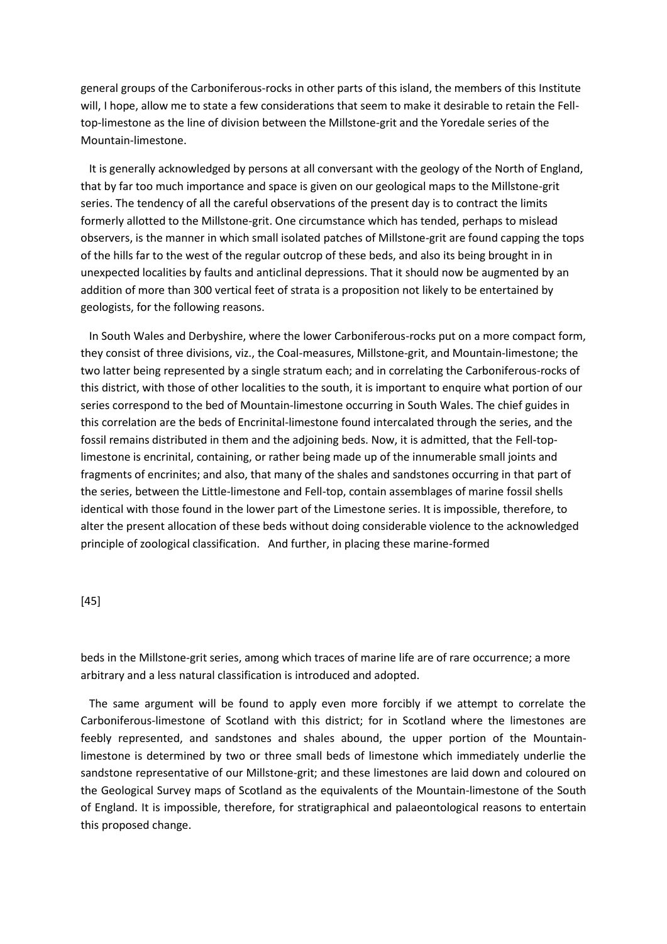general groups of the Carboniferous-rocks in other parts of this island, the members of this Institute will, I hope, allow me to state a few considerations that seem to make it desirable to retain the Felltop-limestone as the line of division between the Millstone-grit and the Yoredale series of the Mountain-limestone.

 It is generally acknowledged by persons at all conversant with the geology of the North of England, that by far too much importance and space is given on our geological maps to the Millstone-grit series. The tendency of all the careful observations of the present day is to contract the limits formerly allotted to the Millstone-grit. One circumstance which has tended, perhaps to mislead observers, is the manner in which small isolated patches of Millstone-grit are found capping the tops of the hills far to the west of the regular outcrop of these beds, and also its being brought in in unexpected localities by faults and anticlinal depressions. That it should now be augmented by an addition of more than 300 vertical feet of strata is a proposition not likely to be entertained by geologists, for the following reasons.

 In South Wales and Derbyshire, where the lower Carboniferous-rocks put on a more compact form, they consist of three divisions, viz., the Coal-measures, Millstone-grit, and Mountain-limestone; the two latter being represented by a single stratum each; and in correlating the Carboniferous-rocks of this district, with those of other localities to the south, it is important to enquire what portion of our series correspond to the bed of Mountain-limestone occurring in South Wales. The chief guides in this correlation are the beds of Encrinital-limestone found intercalated through the series, and the fossil remains distributed in them and the adjoining beds. Now, it is admitted, that the Fell-toplimestone is encrinital, containing, or rather being made up of the innumerable small joints and fragments of encrinites; and also, that many of the shales and sandstones occurring in that part of the series, between the Little-limestone and Fell-top, contain assemblages of marine fossil shells identical with those found in the lower part of the Limestone series. It is impossible, therefore, to alter the present allocation of these beds without doing considerable violence to the acknowledged principle of zoological classification. And further, in placing these marine-formed

#### [45]

beds in the Millstone-grit series, among which traces of marine life are of rare occurrence; a more arbitrary and a less natural classification is introduced and adopted.

 The same argument will be found to apply even more forcibly if we attempt to correlate the Carboniferous-limestone of Scotland with this district; for in Scotland where the limestones are feebly represented, and sandstones and shales abound, the upper portion of the Mountainlimestone is determined by two or three small beds of limestone which immediately underlie the sandstone representative of our Millstone-grit; and these limestones are laid down and coloured on the Geological Survey maps of Scotland as the equivalents of the Mountain-limestone of the South of England. It is impossible, therefore, for stratigraphical and palaeontological reasons to entertain this proposed change.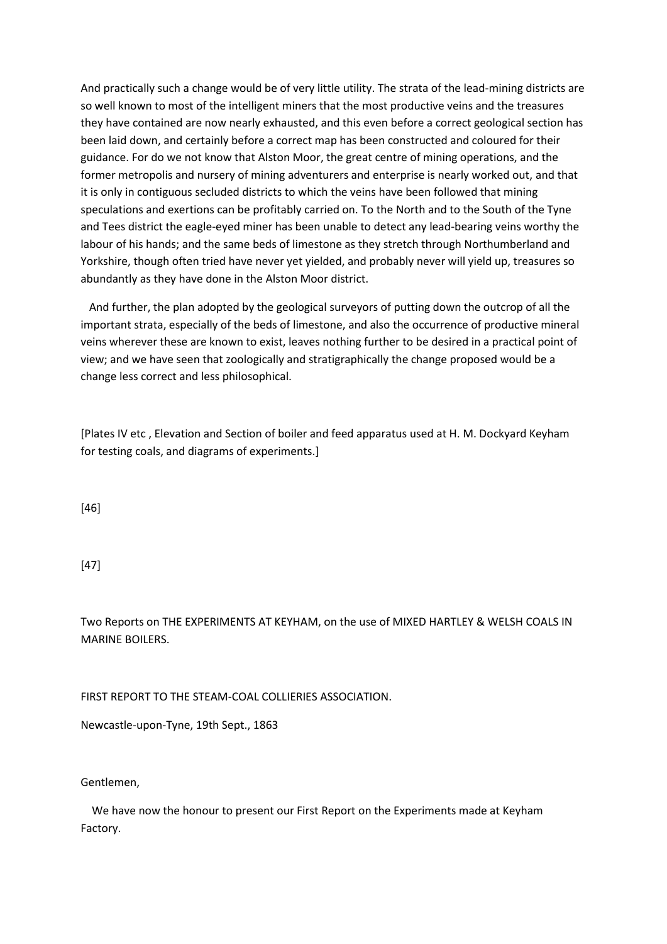And practically such a change would be of very little utility. The strata of the lead-mining districts are so well known to most of the intelligent miners that the most productive veins and the treasures they have contained are now nearly exhausted, and this even before a correct geological section has been laid down, and certainly before a correct map has been constructed and coloured for their guidance. For do we not know that Alston Moor, the great centre of mining operations, and the former metropolis and nursery of mining adventurers and enterprise is nearly worked out, and that it is only in contiguous secluded districts to which the veins have been followed that mining speculations and exertions can be profitably carried on. To the North and to the South of the Tyne and Tees district the eagle-eyed miner has been unable to detect any lead-bearing veins worthy the labour of his hands; and the same beds of limestone as they stretch through Northumberland and Yorkshire, though often tried have never yet yielded, and probably never will yield up, treasures so abundantly as they have done in the Alston Moor district.

 And further, the plan adopted by the geological surveyors of putting down the outcrop of all the important strata, especially of the beds of limestone, and also the occurrence of productive mineral veins wherever these are known to exist, leaves nothing further to be desired in a practical point of view; and we have seen that zoologically and stratigraphically the change proposed would be a change less correct and less philosophical.

[Plates IV etc , Elevation and Section of boiler and feed apparatus used at H. M. Dockyard Keyham for testing coals, and diagrams of experiments.]

[46]

[47]

Two Reports on THE EXPERIMENTS AT KEYHAM, on the use of MIXED HARTLEY & WELSH COALS IN MARINE BOILERS.

FIRST REPORT TO THE STEAM-COAL COLLIERIES ASSOCIATION.

Newcastle-upon-Tyne, 19th Sept., 1863

Gentlemen,

 We have now the honour to present our First Report on the Experiments made at Keyham Factory.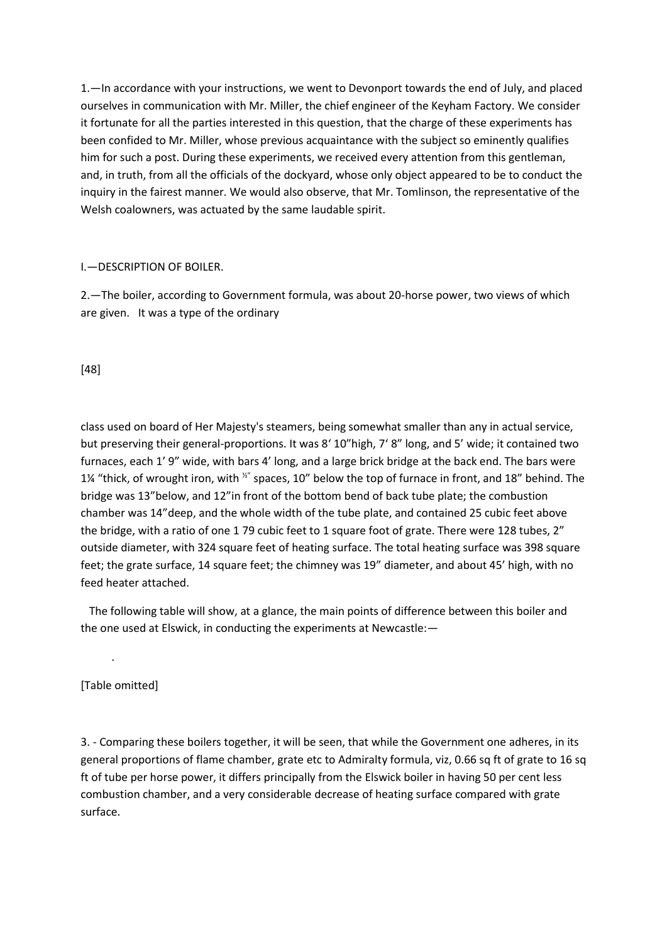1.—In accordance with your instructions, we went to Devonport towards the end of July, and placed ourselves in communication with Mr. Miller, the chief engineer of the Keyham Factory. We consider it fortunate for all the parties interested in this question, that the charge of these experiments has been confided to Mr. Miller, whose previous acquaintance with the subject so eminently qualifies him for such a post. During these experiments, we received every attention from this gentleman, and, in truth, from all the officials of the dockyard, whose only object appeared to be to conduct the inquiry in the fairest manner. We would also observe, that Mr. Tomlinson, the representative of the Welsh coalowners, was actuated by the same laudable spirit.

#### I.—DESCRIPTION OF BOILER.

2.—The boiler, according to Government formula, was about 20-horse power, two views of which are given. It was a type of the ordinary

[48]

class used on board of Her Majesty's steamers, being somewhat smaller than any in actual service, but preserving their general-proportions. It was 8' 10"high, 7' 8" long, and 5' wide; it contained two furnaces, each 1' 9" wide, with bars 4' long, and a large brick bridge at the back end. The bars were 1¼ "thick, of wrought iron, with  $x''$  spaces, 10" below the top of furnace in front, and 18" behind. The bridge was 13"below, and 12"in front of the bottom bend of back tube plate; the combustion chamber was 14"deep, and the whole width of the tube plate, and contained 25 cubic feet above the bridge, with a ratio of one 1 79 cubic feet to 1 square foot of grate. There were 128 tubes, 2" outside diameter, with 324 square feet of heating surface. The total heating surface was 398 square feet; the grate surface, 14 square feet; the chimney was 19" diameter, and about 45' high, with no feed heater attached.

 The following table will show, at a glance, the main points of difference between this boiler and the one used at Elswick, in conducting the experiments at Newcastle:—

[Table omitted]

.

3. - Comparing these boilers together, it will be seen, that while the Government one adheres, in its general proportions of flame chamber, grate etc to Admiralty formula, viz, 0.66 sq ft of grate to 16 sq ft of tube per horse power, it differs principally from the Elswick boiler in having 50 per cent less combustion chamber, and a very considerable decrease of heating surface compared with grate surface.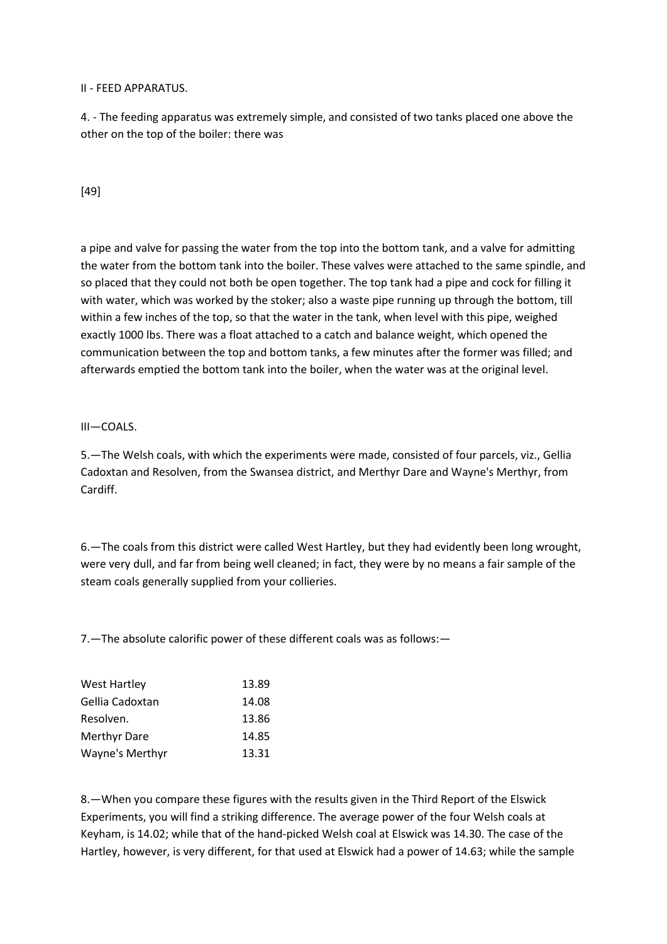#### II - FEED APPARATUS.

4. - The feeding apparatus was extremely simple, and consisted of two tanks placed one above the other on the top of the boiler: there was

# [49]

a pipe and valve for passing the water from the top into the bottom tank, and a valve for admitting the water from the bottom tank into the boiler. These valves were attached to the same spindle, and so placed that they could not both be open together. The top tank had a pipe and cock for filling it with water, which was worked by the stoker; also a waste pipe running up through the bottom, till within a few inches of the top, so that the water in the tank, when level with this pipe, weighed exactly 1000 lbs. There was a float attached to a catch and balance weight, which opened the communication between the top and bottom tanks, a few minutes after the former was filled; and afterwards emptied the bottom tank into the boiler, when the water was at the original level.

## III—COALS.

5.—The Welsh coals, with which the experiments were made, consisted of four parcels, viz., Gellia Cadoxtan and Resolven, from the Swansea district, and Merthyr Dare and Wayne's Merthyr, from Cardiff.

6.—The coals from this district were called West Hartley, but they had evidently been long wrought, were very dull, and far from being well cleaned; in fact, they were by no means a fair sample of the steam coals generally supplied from your collieries.

7.—The absolute calorific power of these different coals was as follows:—

| <b>West Hartley</b> | 13.89 |
|---------------------|-------|
| Gellia Cadoxtan     | 14.08 |
| Resolven.           | 13.86 |
| Merthyr Dare        | 14.85 |
| Wayne's Merthyr     | 13.31 |

8.—When you compare these figures with the results given in the Third Report of the Elswick Experiments, you will find a striking difference. The average power of the four Welsh coals at Keyham, is 14.02; while that of the hand-picked Welsh coal at Elswick was 14.30. The case of the Hartley, however, is very different, for that used at Elswick had a power of 14.63; while the sample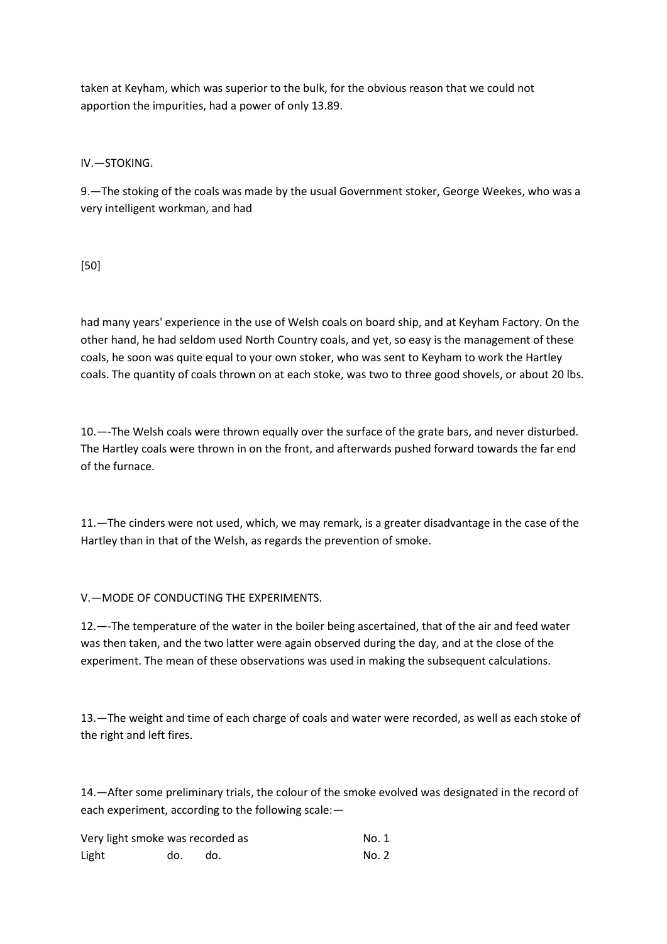taken at Keyham, which was superior to the bulk, for the obvious reason that we could not apportion the impurities, had a power of only 13.89.

IV.—STOKING.

9.—The stoking of the coals was made by the usual Government stoker, George Weekes, who was a very intelligent workman, and had

[50]

had many years' experience in the use of Welsh coals on board ship, and at Keyham Factory. On the other hand, he had seldom used North Country coals, and yet, so easy is the management of these coals, he soon was quite equal to your own stoker, who was sent to Keyham to work the Hartley coals. The quantity of coals thrown on at each stoke, was two to three good shovels, or about 20 lbs.

10.—-The Welsh coals were thrown equally over the surface of the grate bars, and never disturbed. The Hartley coals were thrown in on the front, and afterwards pushed forward towards the far end of the furnace.

11.—The cinders were not used, which, we may remark, is a greater disadvantage in the case of the Hartley than in that of the Welsh, as regards the prevention of smoke.

V.—MODE OF CONDUCTING THE EXPERIMENTS.

12.—-The temperature of the water in the boiler being ascertained, that of the air and feed water was then taken, and the two latter were again observed during the day, and at the close of the experiment. The mean of these observations was used in making the subsequent calculations.

13.—The weight and time of each charge of coals and water were recorded, as well as each stoke of the right and left fires.

14.—After some preliminary trials, the colour of the smoke evolved was designated in the record of each experiment, according to the following scale:—

| Very light smoke was recorded as |     |     | No. 1 |
|----------------------------------|-----|-----|-------|
| Light                            | do. | do. | No. 2 |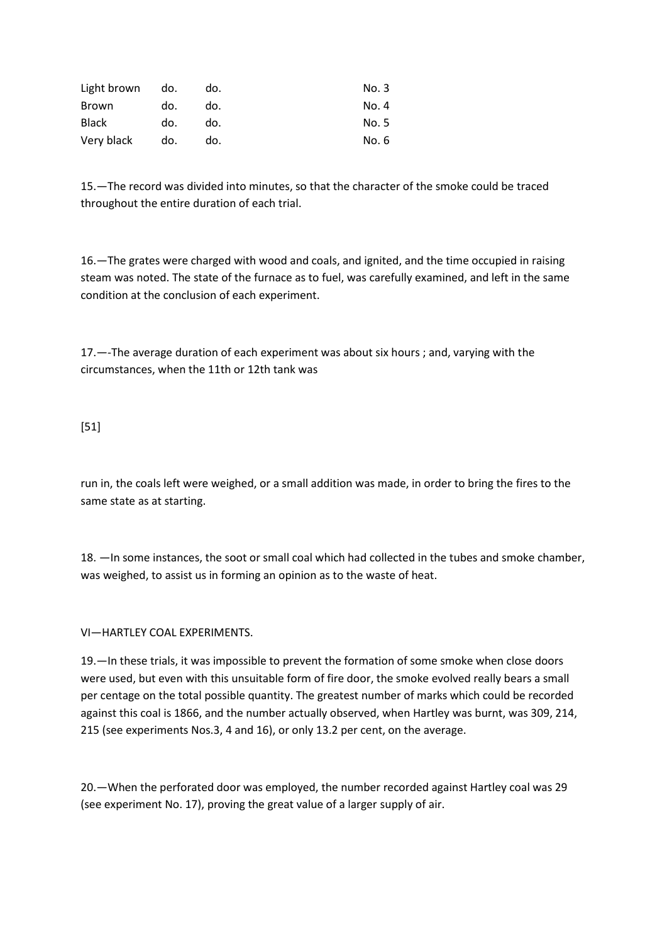| Light brown  | do. | do. | No. 3 |
|--------------|-----|-----|-------|
| Brown        | do. | do. | No. 4 |
| <b>Black</b> | do. | do. | No. 5 |
| Very black   | do. | do. | No. 6 |

15.—The record was divided into minutes, so that the character of the smoke could be traced throughout the entire duration of each trial.

16.—The grates were charged with wood and coals, and ignited, and the time occupied in raising steam was noted. The state of the furnace as to fuel, was carefully examined, and left in the same condition at the conclusion of each experiment.

17.—-The average duration of each experiment was about six hours ; and, varying with the circumstances, when the 11th or 12th tank was

[51]

run in, the coals left were weighed, or a small addition was made, in order to bring the fires to the same state as at starting.

18. —In some instances, the soot or small coal which had collected in the tubes and smoke chamber, was weighed, to assist us in forming an opinion as to the waste of heat.

VI—HARTLEY COAL EXPERIMENTS.

19.—In these trials, it was impossible to prevent the formation of some smoke when close doors were used, but even with this unsuitable form of fire door, the smoke evolved really bears a small per centage on the total possible quantity. The greatest number of marks which could be recorded against this coal is 1866, and the number actually observed, when Hartley was burnt, was 309, 214, 215 (see experiments Nos.3, 4 and 16), or only 13.2 per cent, on the average.

20.—When the perforated door was employed, the number recorded against Hartley coal was 29 (see experiment No. 17), proving the great value of a larger supply of air.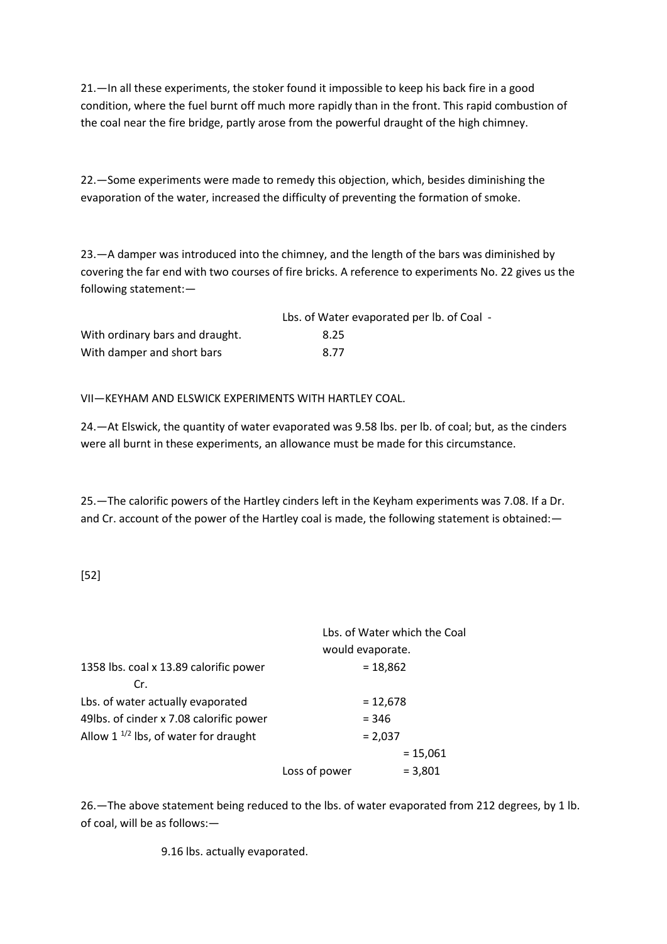21.—In all these experiments, the stoker found it impossible to keep his back fire in a good condition, where the fuel burnt off much more rapidly than in the front. This rapid combustion of the coal near the fire bridge, partly arose from the powerful draught of the high chimney.

22.—Some experiments were made to remedy this objection, which, besides diminishing the evaporation of the water, increased the difficulty of preventing the formation of smoke.

23.—A damper was introduced into the chimney, and the length of the bars was diminished by covering the far end with two courses of fire bricks. A reference to experiments No. 22 gives us the following statement:—

|                                 | Lbs. of Water evaporated per lb. of Coal - |
|---------------------------------|--------------------------------------------|
| With ordinary bars and draught. | 8.25                                       |
| With damper and short bars      | 8.77                                       |

VII—KEYHAM AND ELSWICK EXPERIMENTS WITH HARTLEY COAL.

24.—At Elswick, the quantity of water evaporated was 9.58 lbs. per lb. of coal; but, as the cinders were all burnt in these experiments, an allowance must be made for this circumstance.

25.—The calorific powers of the Hartley cinders left in the Keyham experiments was 7.08. If a Dr. and Cr. account of the power of the Hartley coal is made, the following statement is obtained: -

[52]

|                                           |                  | Lbs. of Water which the Coal |
|-------------------------------------------|------------------|------------------------------|
|                                           | would evaporate. |                              |
| 1358 lbs. coal x 13.89 calorific power    |                  | $= 18,862$                   |
| Cr.                                       |                  |                              |
| Lbs. of water actually evaporated         |                  | $= 12,678$                   |
| 49lbs. of cinder x 7.08 calorific power   |                  | $= 346$                      |
| Allow $1^{1/2}$ lbs, of water for draught |                  | $= 2,037$                    |
|                                           |                  | $= 15,061$                   |
|                                           | Loss of power    | $= 3,801$                    |
|                                           |                  |                              |

26.—The above statement being reduced to the lbs. of water evaporated from 212 degrees, by 1 lb. of coal, will be as follows:—

9.16 lbs. actually evaporated.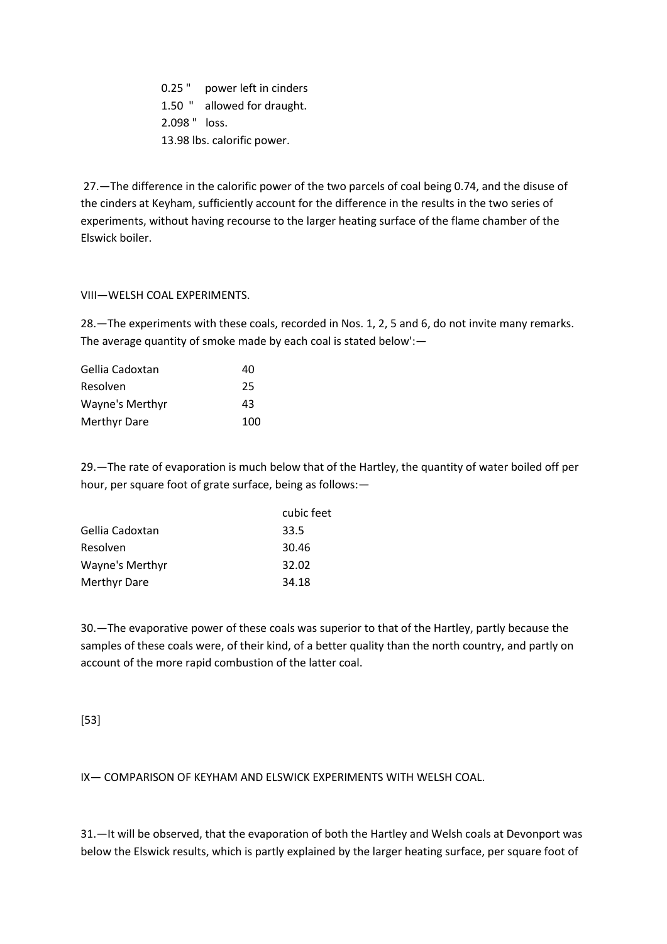0.25 " power left in cinders 1.50 " allowed for draught. 2.098 " loss. 13.98 lbs. calorific power.

27.—The difference in the calorific power of the two parcels of coal being 0.74, and the disuse of the cinders at Keyham, sufficiently account for the difference in the results in the two series of experiments, without having recourse to the larger heating surface of the flame chamber of the Elswick boiler.

## VIII—WELSH COAL EXPERIMENTS.

28.—The experiments with these coals, recorded in Nos. 1, 2, 5 and 6, do not invite many remarks. The average quantity of smoke made by each coal is stated below':—

| Gellia Cadoxtan | 40  |
|-----------------|-----|
| Resolven        | 25  |
| Wayne's Merthyr | 43  |
| Merthyr Dare    | 100 |

29.—The rate of evaporation is much below that of the Hartley, the quantity of water boiled off per hour, per square foot of grate surface, being as follows:—

|                          | cubic feet |
|--------------------------|------------|
| Gellia Cadoxtan<br>33.5  |            |
| 30.46<br>Resolven        |            |
| Wayne's Merthyr<br>32.02 |            |
| Merthyr Dare<br>34.18    |            |

30.—The evaporative power of these coals was superior to that of the Hartley, partly because the samples of these coals were, of their kind, of a better quality than the north country, and partly on account of the more rapid combustion of the latter coal.

# [53]

IX— COMPARISON OF KEYHAM AND ELSWICK EXPERIMENTS WITH WELSH COAL.

31.—It will be observed, that the evaporation of both the Hartley and Welsh coals at Devonport was below the Elswick results, which is partly explained by the larger heating surface, per square foot of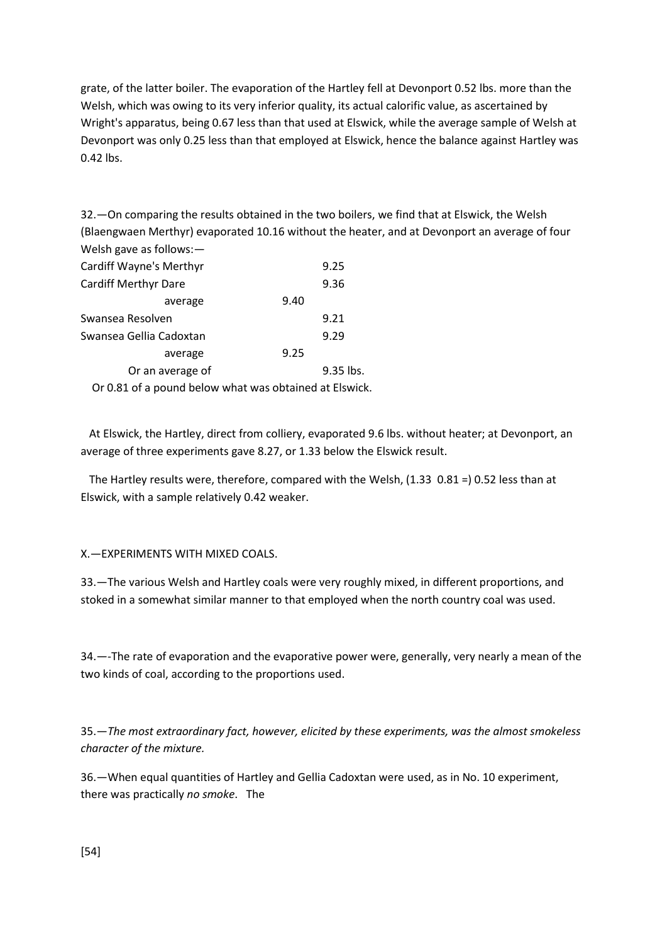grate, of the latter boiler. The evaporation of the Hartley fell at Devonport 0.52 lbs. more than the Welsh, which was owing to its very inferior quality, its actual calorific value, as ascertained by Wright's apparatus, being 0.67 less than that used at Elswick, while the average sample of Welsh at Devonport was only 0.25 less than that employed at Elswick, hence the balance against Hartley was 0.42 lbs.

32.—On comparing the results obtained in the two boilers, we find that at Elswick, the Welsh (Blaengwaen Merthyr) evaporated 10.16 without the heater, and at Devonport an average of four Welsh gave as follows:—

| <b>Cardiff Wayne's Merthyr</b>                         |      | 9.25      |
|--------------------------------------------------------|------|-----------|
| <b>Cardiff Merthyr Dare</b>                            |      | 9.36      |
| average                                                | 9.40 |           |
| Swansea Resolven                                       |      | 9.21      |
| Swansea Gellia Cadoxtan                                |      | 9.29      |
| average                                                | 9.25 |           |
| Or an average of                                       |      | 9.35 lbs. |
| Or 0.81 of a pound below what was obtained at Elswick. |      |           |

 At Elswick, the Hartley, direct from colliery, evaporated 9.6 lbs. without heater; at Devonport, an average of three experiments gave 8.27, or 1.33 below the Elswick result.

 The Hartley results were, therefore, compared with the Welsh, (1.33 0.81 =) 0.52 less than at Elswick, with a sample relatively 0.42 weaker.

X.—EXPERIMENTS WITH MIXED COALS.

33.—The various Welsh and Hartley coals were very roughly mixed, in different proportions, and stoked in a somewhat similar manner to that employed when the north country coal was used.

34.—-The rate of evaporation and the evaporative power were, generally, very nearly a mean of the two kinds of coal, according to the proportions used.

35.—*The most extraordinary fact, however, elicited by these experiments, was the almost smokeless character of the mixture.*

36.—When equal quantities of Hartley and Gellia Cadoxtan were used, as in No. 10 experiment, there was practically *no smoke*. The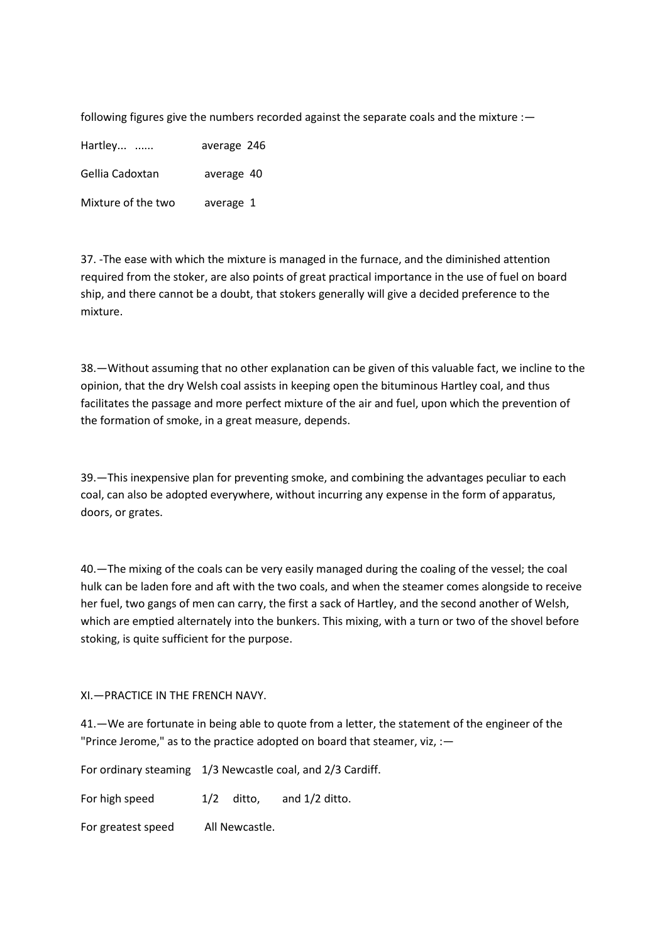following figures give the numbers recorded against the separate coals and the mixture :-

Hartley... ...... average 246 Gellia Cadoxtan average 40

Mixture of the two average 1

37. -The ease with which the mixture is managed in the furnace, and the diminished attention required from the stoker, are also points of great practical importance in the use of fuel on board ship, and there cannot be a doubt, that stokers generally will give a decided preference to the mixture.

38.—Without assuming that no other explanation can be given of this valuable fact, we incline to the opinion, that the dry Welsh coal assists in keeping open the bituminous Hartley coal, and thus facilitates the passage and more perfect mixture of the air and fuel, upon which the prevention of the formation of smoke, in a great measure, depends.

39.—This inexpensive plan for preventing smoke, and combining the advantages peculiar to each coal, can also be adopted everywhere, without incurring any expense in the form of apparatus, doors, or grates.

40.—The mixing of the coals can be very easily managed during the coaling of the vessel; the coal hulk can be laden fore and aft with the two coals, and when the steamer comes alongside to receive her fuel, two gangs of men can carry, the first a sack of Hartley, and the second another of Welsh, which are emptied alternately into the bunkers. This mixing, with a turn or two of the shovel before stoking, is quite sufficient for the purpose.

XI.—PRACTICE IN THE FRENCH NAVY.

41.—We are fortunate in being able to quote from a letter, the statement of the engineer of the "Prince Jerome," as to the practice adopted on board that steamer, viz, :—

For ordinary steaming 1/3 Newcastle coal, and 2/3 Cardiff. For high speed  $1/2$  ditto, and  $1/2$  ditto. For greatest speed All Newcastle.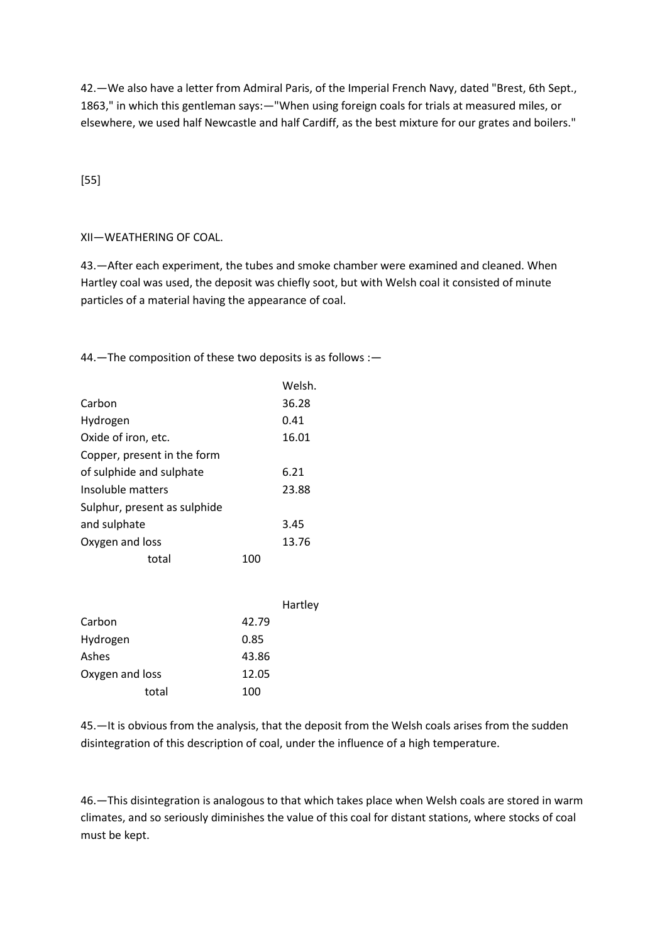42.—We also have a letter from Admiral Paris, of the Imperial French Navy, dated "Brest, 6th Sept., 1863," in which this gentleman says:—"When using foreign coals for trials at measured miles, or elsewhere, we used half Newcastle and half Cardiff, as the best mixture for our grates and boilers."

# [55]

# XII—WEATHERING OF COAL.

43.—After each experiment, the tubes and smoke chamber were examined and cleaned. When Hartley coal was used, the deposit was chiefly soot, but with Welsh coal it consisted of minute particles of a material having the appearance of coal.

44.—The composition of these two deposits is as follows :—

|                              |     | Welsh. |
|------------------------------|-----|--------|
| Carbon                       |     | 36.28  |
| Hydrogen                     |     | 0.41   |
| Oxide of iron, etc.          |     | 16.01  |
| Copper, present in the form  |     |        |
| of sulphide and sulphate     |     | 6.21   |
| Insoluble matters            |     | 23.88  |
| Sulphur, present as sulphide |     |        |
| and sulphate                 |     | 3.45   |
| Oxygen and loss              |     | 13.76  |
| total                        | 100 |        |
|                              |     |        |

|                 | Hartley |  |
|-----------------|---------|--|
| Carbon          | 42.79   |  |
| Hydrogen        | 0.85    |  |
| Ashes           | 43.86   |  |
| Oxygen and loss | 12.05   |  |
| total           | 100     |  |

45.—It is obvious from the analysis, that the deposit from the Welsh coals arises from the sudden disintegration of this description of coal, under the influence of a high temperature.

46.—This disintegration is analogous to that which takes place when Welsh coals are stored in warm climates, and so seriously diminishes the value of this coal for distant stations, where stocks of coal must be kept.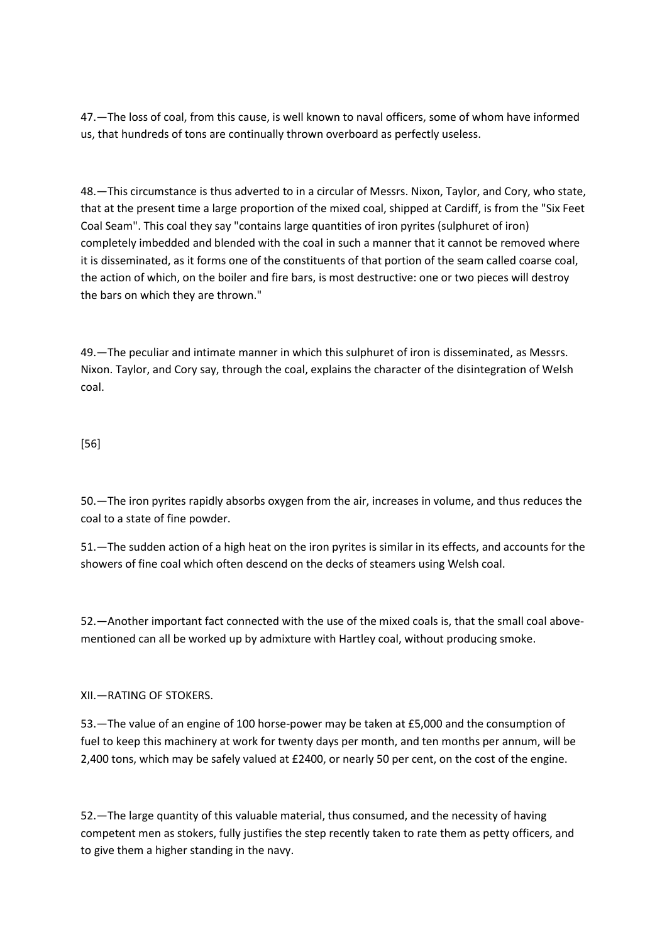47.—The loss of coal, from this cause, is well known to naval officers, some of whom have informed us, that hundreds of tons are continually thrown overboard as perfectly useless.

48.—This circumstance is thus adverted to in a circular of Messrs. Nixon, Taylor, and Cory, who state, that at the present time a large proportion of the mixed coal, shipped at Cardiff, is from the "Six Feet Coal Seam". This coal they say "contains large quantities of iron pyrites (sulphuret of iron) completely imbedded and blended with the coal in such a manner that it cannot be removed where it is disseminated, as it forms one of the constituents of that portion of the seam called coarse coal, the action of which, on the boiler and fire bars, is most destructive: one or two pieces will destroy the bars on which they are thrown."

49.—The peculiar and intimate manner in which this sulphuret of iron is disseminated, as Messrs. Nixon. Taylor, and Cory say, through the coal, explains the character of the disintegration of Welsh coal.

# [56]

50.—The iron pyrites rapidly absorbs oxygen from the air, increases in volume, and thus reduces the coal to a state of fine powder.

51.—The sudden action of a high heat on the iron pyrites is similar in its effects, and accounts for the showers of fine coal which often descend on the decks of steamers using Welsh coal.

52.—Another important fact connected with the use of the mixed coals is, that the small coal abovementioned can all be worked up by admixture with Hartley coal, without producing smoke.

XII.—RATING OF STOKERS.

53.—The value of an engine of 100 horse-power may be taken at £5,000 and the consumption of fuel to keep this machinery at work for twenty days per month, and ten months per annum, will be 2,400 tons, which may be safely valued at £2400, or nearly 50 per cent, on the cost of the engine.

52.—The large quantity of this valuable material, thus consumed, and the necessity of having competent men as stokers, fully justifies the step recently taken to rate them as petty officers, and to give them a higher standing in the navy.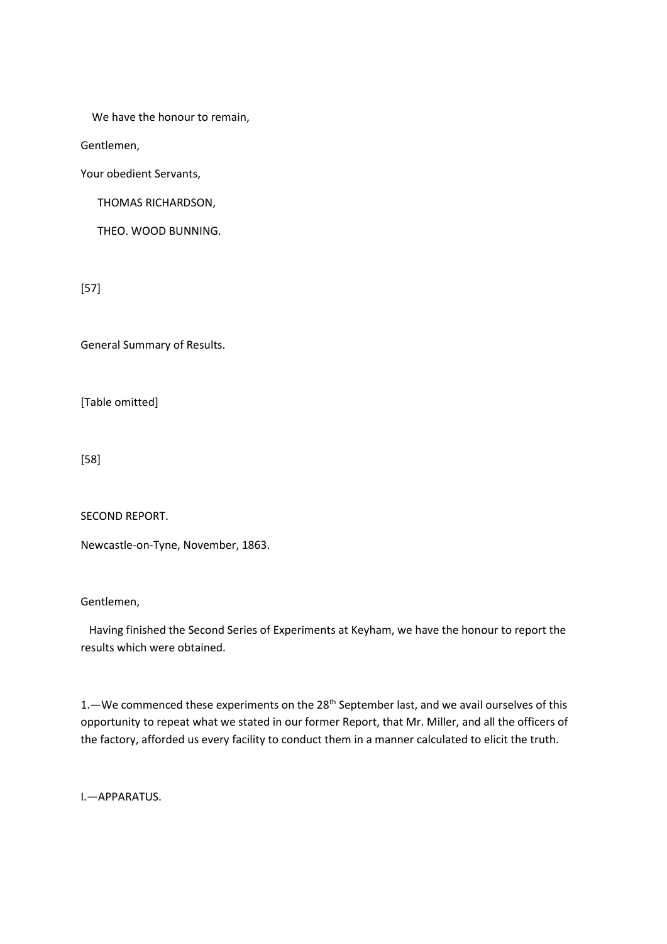We have the honour to remain,

Gentlemen,

Your obedient Servants,

THOMAS RICHARDSON,

THEO. WOOD BUNNING.

[57]

General Summary of Results.

[Table omitted]

[58]

SECOND REPORT.

Newcastle-on-Tyne, November, 1863.

Gentlemen,

 Having finished the Second Series of Experiments at Keyham, we have the honour to report the results which were obtained.

1. - We commenced these experiments on the 28<sup>th</sup> September last, and we avail ourselves of this opportunity to repeat what we stated in our former Report, that Mr. Miller, and all the officers of the factory, afforded us every facility to conduct them in a manner calculated to elicit the truth.

I.—APPARATUS.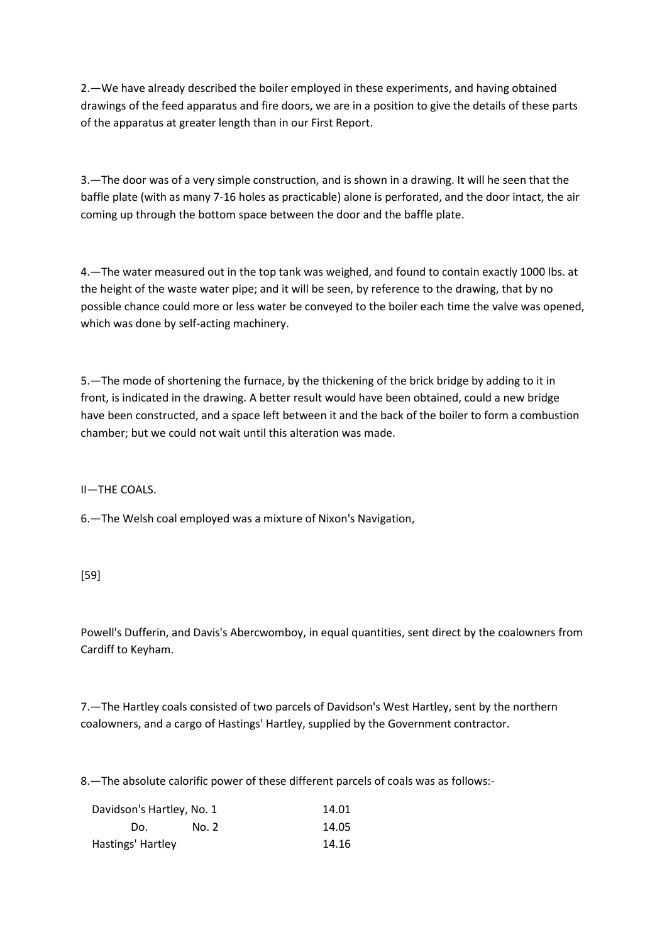2.—We have already described the boiler employed in these experiments, and having obtained drawings of the feed apparatus and fire doors, we are in a position to give the details of these parts of the apparatus at greater length than in our First Report.

3.—The door was of a very simple construction, and is shown in a drawing. It will he seen that the baffle plate (with as many 7-16 holes as practicable) alone is perforated, and the door intact, the air coming up through the bottom space between the door and the baffle plate.

4.—The water measured out in the top tank was weighed, and found to contain exactly 1000 lbs. at the height of the waste water pipe; and it will be seen, by reference to the drawing, that by no possible chance could more or less water be conveyed to the boiler each time the valve was opened, which was done by self-acting machinery.

5.—The mode of shortening the furnace, by the thickening of the brick bridge by adding to it in front, is indicated in the drawing. A better result would have been obtained, could a new bridge have been constructed, and a space left between it and the back of the boiler to form a combustion chamber; but we could not wait until this alteration was made.

II—THE COALS.

6.—The Welsh coal employed was a mixture of Nixon's Navigation,

[59]

Powell's Dufferin, and Davis's Abercwomboy, in equal quantities, sent direct by the coalowners from Cardiff to Keyham.

7.—The Hartley coals consisted of two parcels of Davidson's West Hartley, sent by the northern coalowners, and a cargo of Hastings' Hartley, supplied by the Government contractor.

8.—The absolute calorific power of these different parcels of coals was as follows:-

| Davidson's Hartley, No. 1 |       | 14.01 |
|---------------------------|-------|-------|
| Do.                       | No. 2 | 14.05 |
| Hastings' Hartley         |       | 14.16 |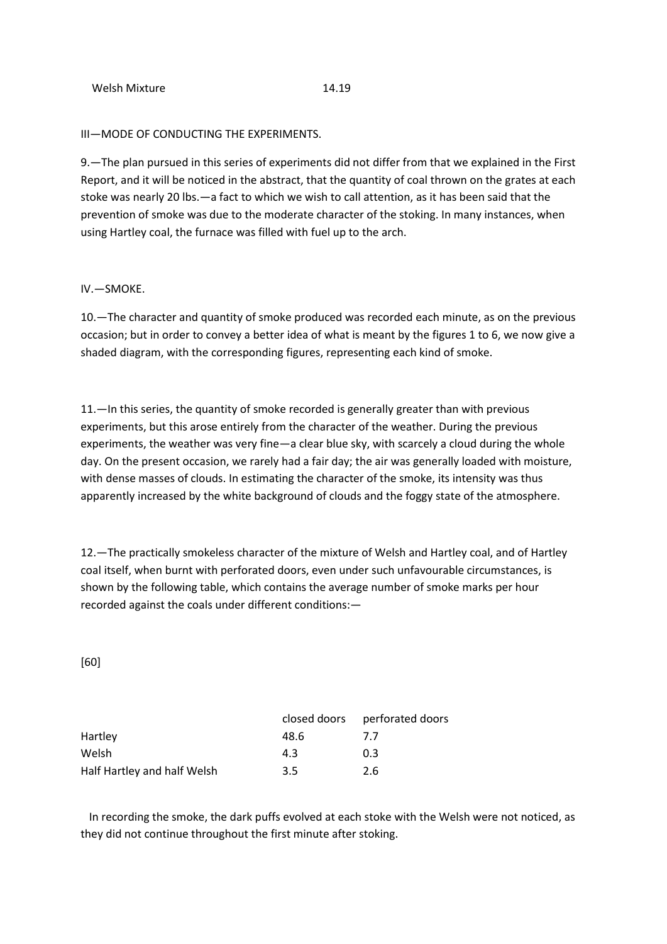#### III—MODE OF CONDUCTING THE EXPERIMENTS.

9.—The plan pursued in this series of experiments did not differ from that we explained in the First Report, and it will be noticed in the abstract, that the quantity of coal thrown on the grates at each stoke was nearly 20 lbs.—a fact to which we wish to call attention, as it has been said that the prevention of smoke was due to the moderate character of the stoking. In many instances, when using Hartley coal, the furnace was filled with fuel up to the arch.

#### IV.—SMOKE.

10.—The character and quantity of smoke produced was recorded each minute, as on the previous occasion; but in order to convey a better idea of what is meant by the figures 1 to 6, we now give a shaded diagram, with the corresponding figures, representing each kind of smoke.

11.—In this series, the quantity of smoke recorded is generally greater than with previous experiments, but this arose entirely from the character of the weather. During the previous experiments, the weather was very fine—a clear blue sky, with scarcely a cloud during the whole day. On the present occasion, we rarely had a fair day; the air was generally loaded with moisture, with dense masses of clouds. In estimating the character of the smoke, its intensity was thus apparently increased by the white background of clouds and the foggy state of the atmosphere.

12.—The practically smokeless character of the mixture of Welsh and Hartley coal, and of Hartley coal itself, when burnt with perforated doors, even under such unfavourable circumstances, is shown by the following table, which contains the average number of smoke marks per hour recorded against the coals under different conditions:—

#### [60]

|                             |      | closed doors perforated doors |
|-----------------------------|------|-------------------------------|
| Hartley                     | 48.6 | $\prime$                      |
| Welsh                       | 43   | 0.3                           |
| Half Hartley and half Welsh | 3.5  | 2.6                           |

 In recording the smoke, the dark puffs evolved at each stoke with the Welsh were not noticed, as they did not continue throughout the first minute after stoking.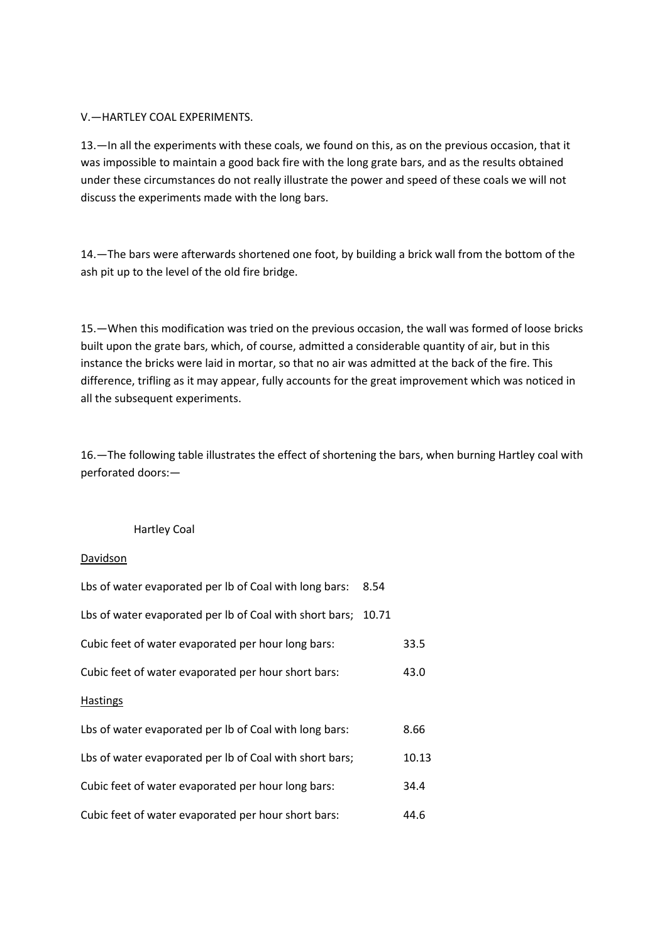## V.—HARTLEY COAL EXPERIMENTS.

13.—In all the experiments with these coals, we found on this, as on the previous occasion, that it was impossible to maintain a good back fire with the long grate bars, and as the results obtained under these circumstances do not really illustrate the power and speed of these coals we will not discuss the experiments made with the long bars.

14.—The bars were afterwards shortened one foot, by building a brick wall from the bottom of the ash pit up to the level of the old fire bridge.

15.—When this modification was tried on the previous occasion, the wall was formed of loose bricks built upon the grate bars, which, of course, admitted a considerable quantity of air, but in this instance the bricks were laid in mortar, so that no air was admitted at the back of the fire. This difference, trifling as it may appear, fully accounts for the great improvement which was noticed in all the subsequent experiments.

16.—The following table illustrates the effect of shortening the bars, when burning Hartley coal with perforated doors:—

#### Hartley Coal

#### Davidson

| Lbs of water evaporated per Ib of Coal with long bars:  | 8.54  |       |
|---------------------------------------------------------|-------|-------|
| Lbs of water evaporated per Ib of Coal with short bars; | 10.71 |       |
| Cubic feet of water evaporated per hour long bars:      |       | 33.5  |
| Cubic feet of water evaporated per hour short bars:     |       | 43.0  |
| <b>Hastings</b>                                         |       |       |
| Lbs of water evaporated per Ib of Coal with long bars:  |       | 8.66  |
| Lbs of water evaporated per Ib of Coal with short bars; |       | 10.13 |
| Cubic feet of water evaporated per hour long bars:      |       | 34.4  |
| Cubic feet of water evaporated per hour short bars:     |       | 44.6  |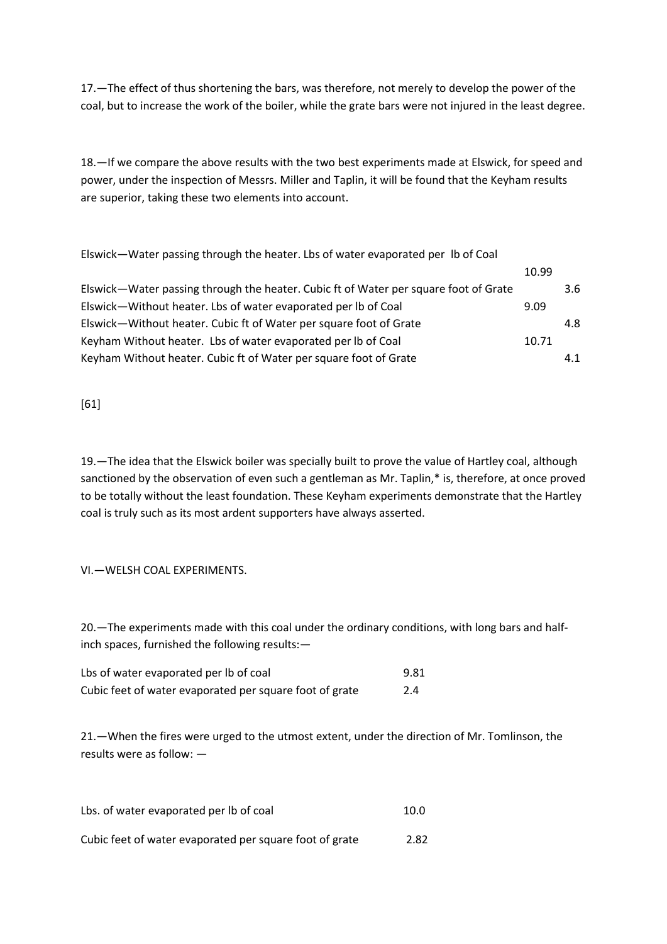17.—The effect of thus shortening the bars, was therefore, not merely to develop the power of the coal, but to increase the work of the boiler, while the grate bars were not injured in the least degree.

18.—If we compare the above results with the two best experiments made at Elswick, for speed and power, under the inspection of Messrs. Miller and Taplin, it will be found that the Keyham results are superior, taking these two elements into account.

| Elswick—Water passing through the heater. Lbs of water evaporated per lb of Coal     |       |     |
|--------------------------------------------------------------------------------------|-------|-----|
|                                                                                      | 10.99 |     |
| Elswick-Water passing through the heater. Cubic ft of Water per square foot of Grate |       | 3.6 |
| Elswick-Without heater. Lbs of water evaporated per lb of Coal                       | 9.09  |     |
| Elswick-Without heater. Cubic ft of Water per square foot of Grate                   |       | 4.8 |
| Keyham Without heater. Lbs of water evaporated per Ib of Coal                        | 10.71 |     |
| Keyham Without heater. Cubic ft of Water per square foot of Grate                    |       | 4.1 |

[61]

19.—The idea that the Elswick boiler was specially built to prove the value of Hartley coal, although sanctioned by the observation of even such a gentleman as Mr. Taplin,\* is, therefore, at once proved to be totally without the least foundation. These Keyham experiments demonstrate that the Hartley coal is truly such as its most ardent supporters have always asserted.

# VI.—WELSH COAL EXPERIMENTS.

20.—The experiments made with this coal under the ordinary conditions, with long bars and halfinch spaces, furnished the following results:—

| Lbs of water evaporated per lb of coal                  | 9.81 |
|---------------------------------------------------------|------|
| Cubic feet of water evaporated per square foot of grate | 2.4  |

21.—When the fires were urged to the utmost extent, under the direction of Mr. Tomlinson, the results were as follow: —

| Lbs. of water evaporated per lb of coal                 | 10.0 |
|---------------------------------------------------------|------|
| Cubic feet of water evaporated per square foot of grate | 2.82 |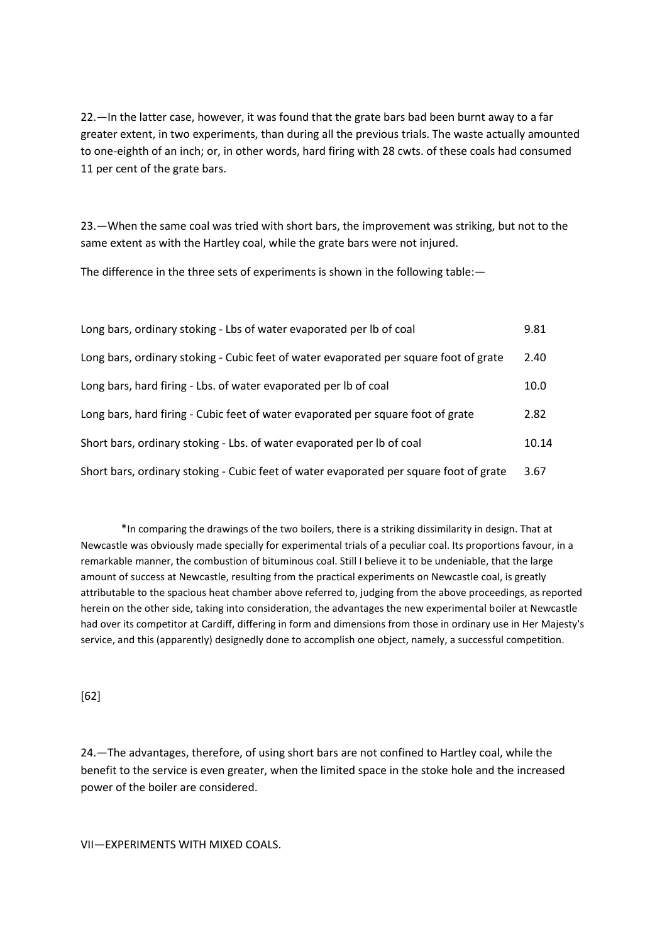22.—In the latter case, however, it was found that the grate bars bad been burnt away to a far greater extent, in two experiments, than during all the previous trials. The waste actually amounted to one-eighth of an inch; or, in other words, hard firing with 28 cwts. of these coals had consumed 11 per cent of the grate bars.

23.—When the same coal was tried with short bars, the improvement was striking, but not to the same extent as with the Hartley coal, while the grate bars were not injured.

The difference in the three sets of experiments is shown in the following table:—

| Long bars, ordinary stoking - Lbs of water evaporated per Ib of coal                   | 9.81  |
|----------------------------------------------------------------------------------------|-------|
| Long bars, ordinary stoking - Cubic feet of water evaporated per square foot of grate  | 2.40  |
| Long bars, hard firing - Lbs. of water evaporated per lb of coal                       | 10.0  |
| Long bars, hard firing - Cubic feet of water evaporated per square foot of grate       | 2.82  |
| Short bars, ordinary stoking - Lbs. of water evaporated per lb of coal                 | 10.14 |
| Short bars, ordinary stoking - Cubic feet of water evaporated per square foot of grate | 3.67  |

\*In comparing the drawings of the two boilers, there is a striking dissimilarity in design. That at Newcastle was obviously made specially for experimental trials of a peculiar coal. Its proportions favour, in a remarkable manner, the combustion of bituminous coal. Still I believe it to be undeniable, that the large amount of success at Newcastle, resulting from the practical experiments on Newcastle coal, is greatly attributable to the spacious heat chamber above referred to, judging from the above proceedings, as reported herein on the other side, taking into consideration, the advantages the new experimental boiler at Newcastle had over its competitor at Cardiff, differing in form and dimensions from those in ordinary use in Her Majesty's service, and this (apparently) designedly done to accomplish one object, namely, a successful competition.

[62]

24.—The advantages, therefore, of using short bars are not confined to Hartley coal, while the benefit to the service is even greater, when the limited space in the stoke hole and the increased power of the boiler are considered.

VII—EXPERIMENTS WITH MIXED COALS.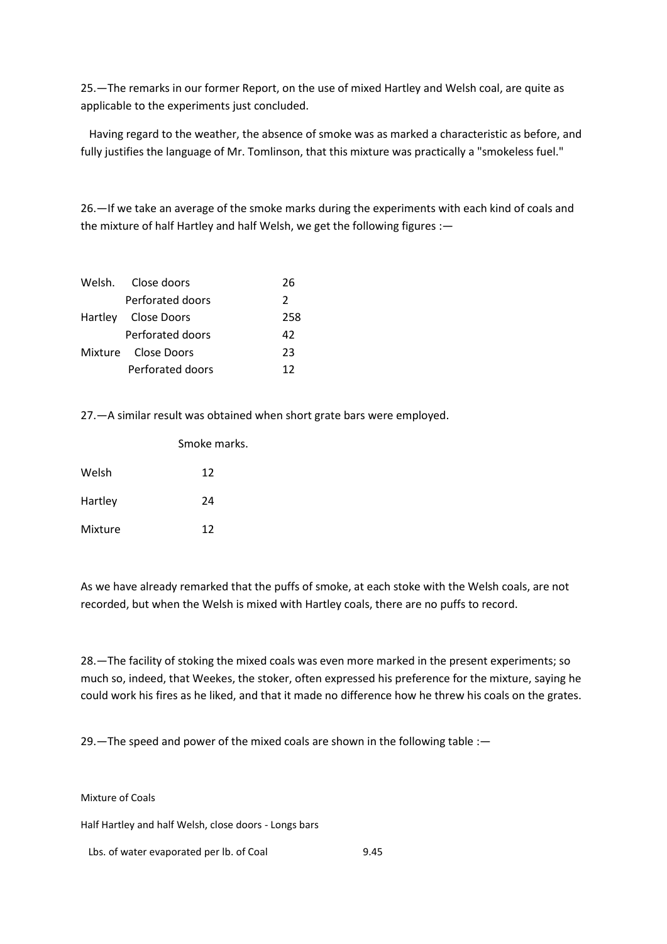25.—The remarks in our former Report, on the use of mixed Hartley and Welsh coal, are quite as applicable to the experiments just concluded.

 Having regard to the weather, the absence of smoke was as marked a characteristic as before, and fully justifies the language of Mr. Tomlinson, that this mixture was practically a "smokeless fuel."

26.—If we take an average of the smoke marks during the experiments with each kind of coals and the mixture of half Hartley and half Welsh, we get the following figures :-

| Welsh. Close doors  | 26            |
|---------------------|---------------|
| Perforated doors    | $\mathcal{L}$ |
| Hartley Close Doors | 258           |
| Perforated doors    | 42            |
| Mixture Close Doors | 23            |
| Perforated doors    | 12            |

27.—A similar result was obtained when short grate bars were employed.

|         | Smoke marks. |
|---------|--------------|
| Welsh   | 12           |
| Hartley | 24           |
| Mixture | 12           |

As we have already remarked that the puffs of smoke, at each stoke with the Welsh coals, are not recorded, but when the Welsh is mixed with Hartley coals, there are no puffs to record.

28.—The facility of stoking the mixed coals was even more marked in the present experiments; so much so, indeed, that Weekes, the stoker, often expressed his preference for the mixture, saying he could work his fires as he liked, and that it made no difference how he threw his coals on the grates.

29.—The speed and power of the mixed coals are shown in the following table :—

Mixture of Coals

Half Hartley and half Welsh, close doors - Longs bars

Lbs. of water evaporated per lb. of Coal 9.45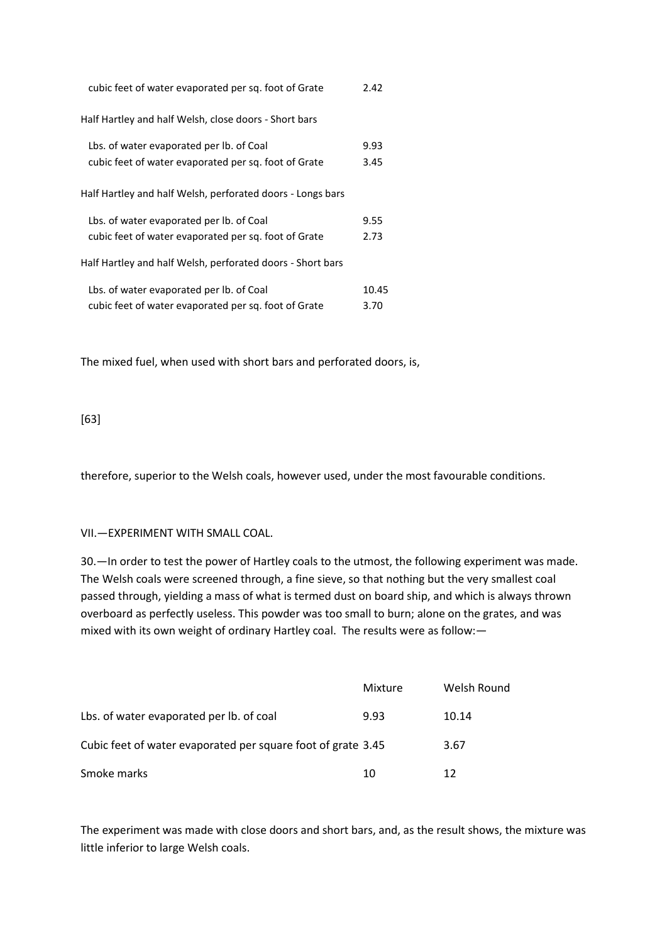| cubic feet of water evaporated per sq. foot of Grate       | 2.42  |
|------------------------------------------------------------|-------|
| Half Hartley and half Welsh, close doors - Short bars      |       |
| Lbs. of water evaporated per lb. of Coal                   | 9.93  |
| cubic feet of water evaporated per sq. foot of Grate       | 3.45  |
| Half Hartley and half Welsh, perforated doors - Longs bars |       |
| Lbs. of water evaporated per lb. of Coal                   | 9.55  |
| cubic feet of water evaporated per sq. foot of Grate       | 2.73  |
| Half Hartley and half Welsh, perforated doors - Short bars |       |
| Lbs. of water evaporated per lb. of Coal                   | 10.45 |
| cubic feet of water evaporated per sq. foot of Grate       | 3.70  |

The mixed fuel, when used with short bars and perforated doors, is,

# [63]

therefore, superior to the Welsh coals, however used, under the most favourable conditions.

## VII.—EXPERIMENT WITH SMALL COAL.

30.—In order to test the power of Hartley coals to the utmost, the following experiment was made. The Welsh coals were screened through, a fine sieve, so that nothing but the very smallest coal passed through, yielding a mass of what is termed dust on board ship, and which is always thrown overboard as perfectly useless. This powder was too small to burn; alone on the grates, and was mixed with its own weight of ordinary Hartley coal. The results were as follow:—

|                                                              | Mixture | Welsh Round |
|--------------------------------------------------------------|---------|-------------|
| Lbs. of water evaporated per lb. of coal                     | 9.93    | 10.14       |
| Cubic feet of water evaporated per square foot of grate 3.45 |         | 3.67        |
| Smoke marks                                                  | 10      | 12          |

The experiment was made with close doors and short bars, and, as the result shows, the mixture was little inferior to large Welsh coals.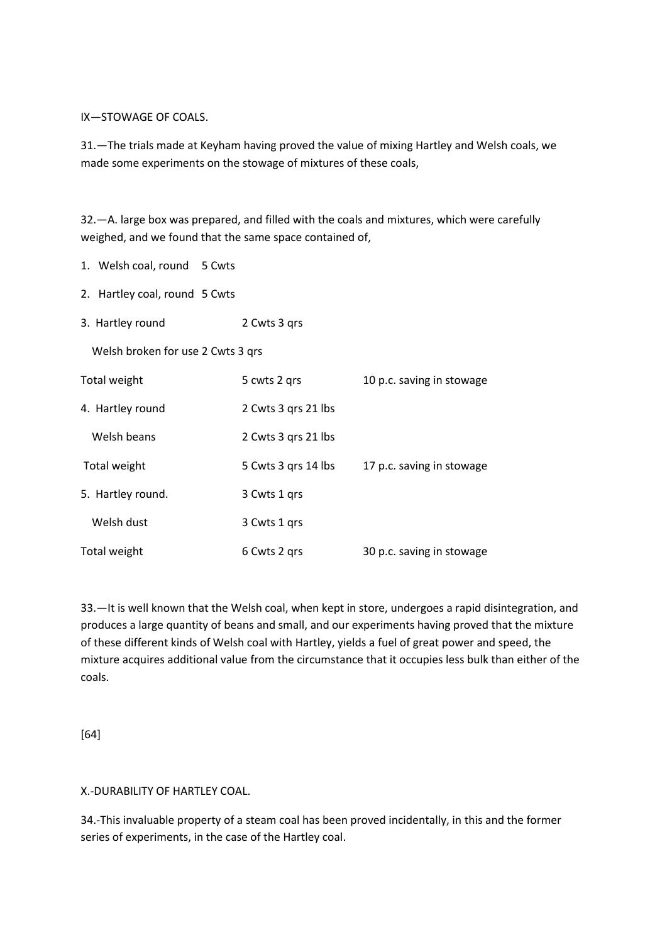IX—STOWAGE OF COALS.

31.—The trials made at Keyham having proved the value of mixing Hartley and Welsh coals, we made some experiments on the stowage of mixtures of these coals,

32.—A. large box was prepared, and filled with the coals and mixtures, which were carefully weighed, and we found that the same space contained of,

1. Welsh coal, round 5 Cwts

- 2. Hartley coal, round 5 Cwts
- 3. Hartley round 2 Cwts 3 qrs

Welsh broken for use 2 Cwts 3 qrs

| Total weight      | 5 cwts 2 grs        | 10 p.c. saving in stowage |
|-------------------|---------------------|---------------------------|
| 4. Hartley round  | 2 Cwts 3 grs 21 lbs |                           |
| Welsh beans       | 2 Cwts 3 grs 21 lbs |                           |
| Total weight      | 5 Cwts 3 grs 14 lbs | 17 p.c. saving in stowage |
| 5. Hartley round. | 3 Cwts 1 grs        |                           |
| Welsh dust        | 3 Cwts 1 grs        |                           |
| Total weight      | 6 Cwts 2 grs        | 30 p.c. saving in stowage |

33.—It is well known that the Welsh coal, when kept in store, undergoes a rapid disintegration, and produces a large quantity of beans and small, and our experiments having proved that the mixture of these different kinds of Welsh coal with Hartley, yields a fuel of great power and speed, the mixture acquires additional value from the circumstance that it occupies less bulk than either of the coals.

[64]

## X.-DURABILITY OF HARTLEY COAL.

34.-This invaluable property of a steam coal has been proved incidentally, in this and the former series of experiments, in the case of the Hartley coal.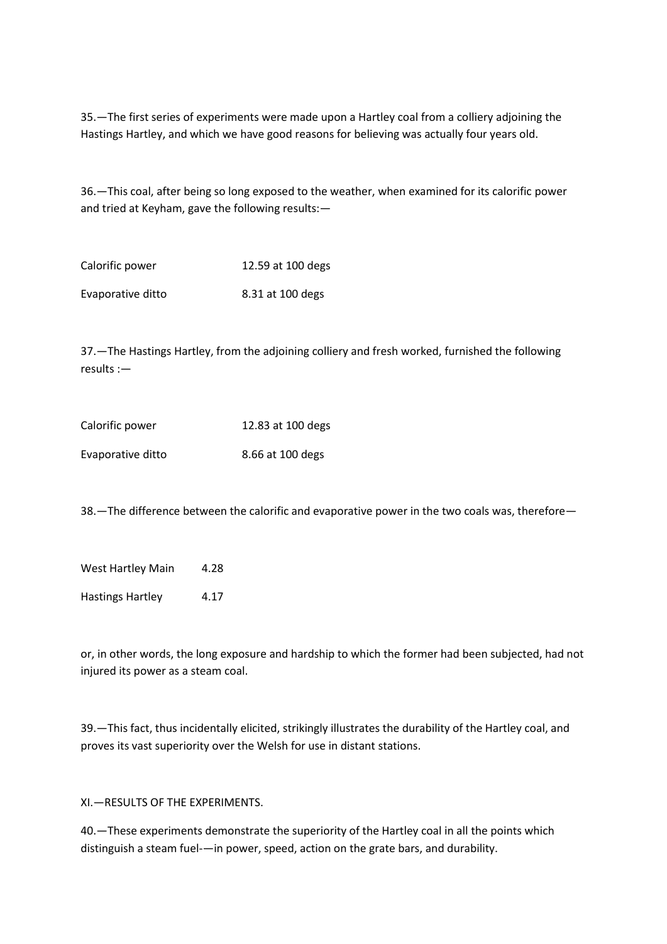35.—The first series of experiments were made upon a Hartley coal from a colliery adjoining the Hastings Hartley, and which we have good reasons for believing was actually four years old.

36.—This coal, after being so long exposed to the weather, when examined for its calorific power and tried at Keyham, gave the following results:—

| Calorific power   | 12.59 at 100 degs |
|-------------------|-------------------|
| Evaporative ditto | 8.31 at 100 degs  |

37.—The Hastings Hartley, from the adjoining colliery and fresh worked, furnished the following results :—

| Calorific power   | 12.83 at 100 degs |
|-------------------|-------------------|
| Evaporative ditto | 8.66 at 100 degs  |

38.—The difference between the calorific and evaporative power in the two coals was, therefore—

West Hartley Main 4.28

Hastings Hartley 4.17

or, in other words, the long exposure and hardship to which the former had been subjected, had not injured its power as a steam coal.

39.—This fact, thus incidentally elicited, strikingly illustrates the durability of the Hartley coal, and proves its vast superiority over the Welsh for use in distant stations.

XI.—RESULTS OF THE EXPERIMENTS.

40.—These experiments demonstrate the superiority of the Hartley coal in all the points which distinguish a steam fuel-—in power, speed, action on the grate bars, and durability.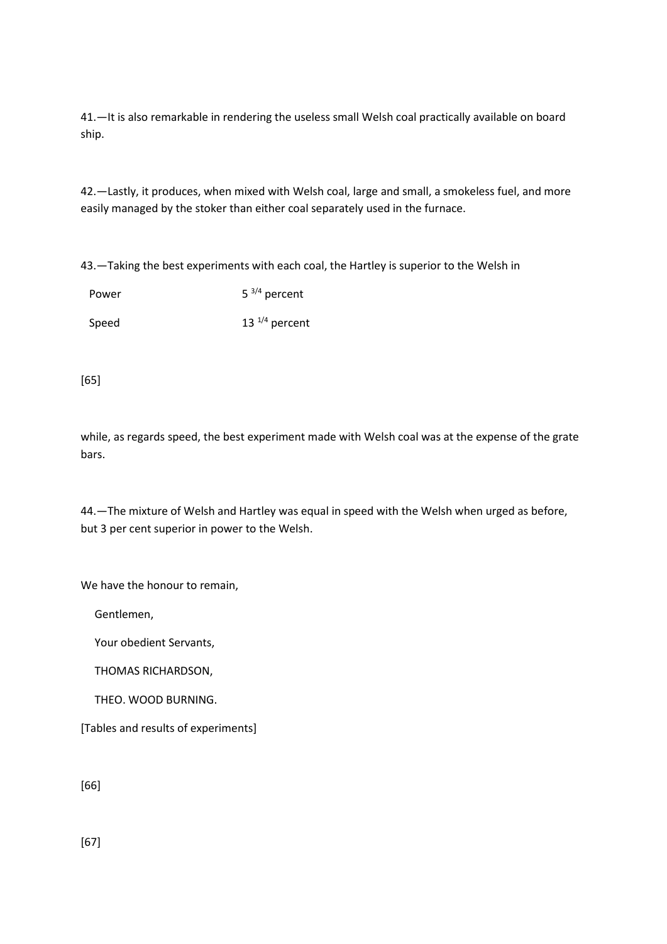41.—It is also remarkable in rendering the useless small Welsh coal practically available on board ship.

42.—Lastly, it produces, when mixed with Welsh coal, large and small, a smokeless fuel, and more easily managed by the stoker than either coal separately used in the furnace.

43.—Taking the best experiments with each coal, the Hartley is superior to the Welsh in

| Power | $5^{3/4}$ percent |
|-------|-------------------|
| Speed | 13 $1/4$ percent  |

[65]

while, as regards speed, the best experiment made with Welsh coal was at the expense of the grate bars.

44.—The mixture of Welsh and Hartley was equal in speed with the Welsh when urged as before, but 3 per cent superior in power to the Welsh.

We have the honour to remain.

Gentlemen,

Your obedient Servants,

THOMAS RICHARDSON,

THEO. WOOD BURNING.

[Tables and results of experiments]

[66]

[67]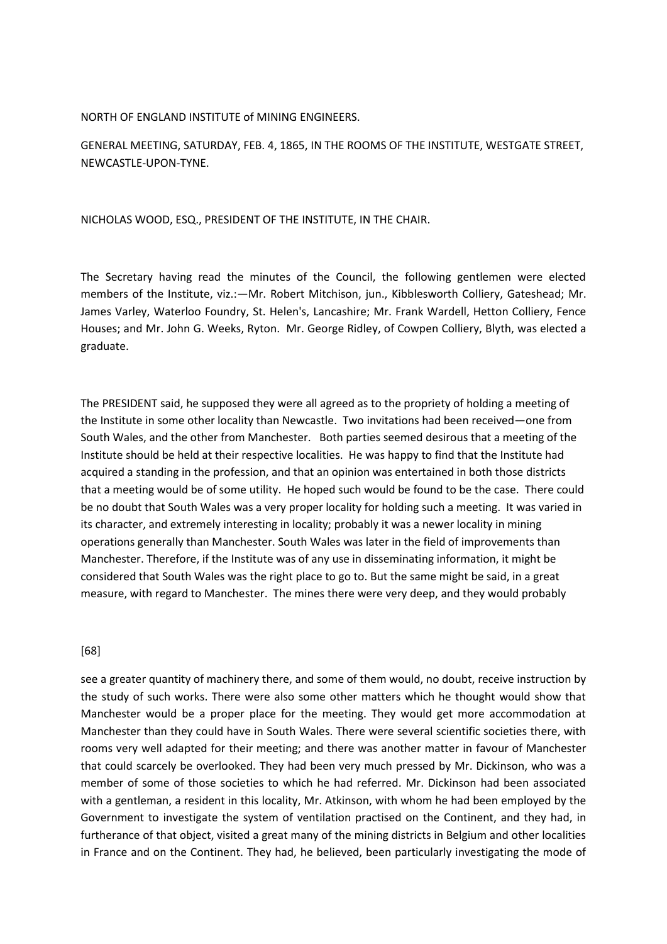#### NORTH OF ENGLAND INSTITUTE of MINING ENGINEERS.

GENERAL MEETING, SATURDAY, FEB. 4, 1865, IN THE ROOMS OF THE INSTITUTE, WESTGATE STREET, NEWCASTLE-UPON-TYNE.

NICHOLAS WOOD, ESQ., PRESIDENT OF THE INSTITUTE, IN THE CHAIR.

The Secretary having read the minutes of the Council, the following gentlemen were elected members of the Institute, viz.:—Mr. Robert Mitchison, jun., Kibblesworth Colliery, Gateshead; Mr. James Varley, Waterloo Foundry, St. Helen's, Lancashire; Mr. Frank Wardell, Hetton Colliery, Fence Houses; and Mr. John G. Weeks, Ryton. Mr. George Ridley, of Cowpen Colliery, Blyth, was elected a graduate.

The PRESIDENT said, he supposed they were all agreed as to the propriety of holding a meeting of the Institute in some other locality than Newcastle. Two invitations had been received—one from South Wales, and the other from Manchester. Both parties seemed desirous that a meeting of the Institute should be held at their respective localities. He was happy to find that the Institute had acquired a standing in the profession, and that an opinion was entertained in both those districts that a meeting would be of some utility. He hoped such would be found to be the case. There could be no doubt that South Wales was a very proper locality for holding such a meeting. It was varied in its character, and extremely interesting in locality; probably it was a newer locality in mining operations generally than Manchester. South Wales was later in the field of improvements than Manchester. Therefore, if the Institute was of any use in disseminating information, it might be considered that South Wales was the right place to go to. But the same might be said, in a great measure, with regard to Manchester. The mines there were very deep, and they would probably

## [68]

see a greater quantity of machinery there, and some of them would, no doubt, receive instruction by the study of such works. There were also some other matters which he thought would show that Manchester would be a proper place for the meeting. They would get more accommodation at Manchester than they could have in South Wales. There were several scientific societies there, with rooms very well adapted for their meeting; and there was another matter in favour of Manchester that could scarcely be overlooked. They had been very much pressed by Mr. Dickinson, who was a member of some of those societies to which he had referred. Mr. Dickinson had been associated with a gentleman, a resident in this locality, Mr. Atkinson, with whom he had been employed by the Government to investigate the system of ventilation practised on the Continent, and they had, in furtherance of that object, visited a great many of the mining districts in Belgium and other localities in France and on the Continent. They had, he believed, been particularly investigating the mode of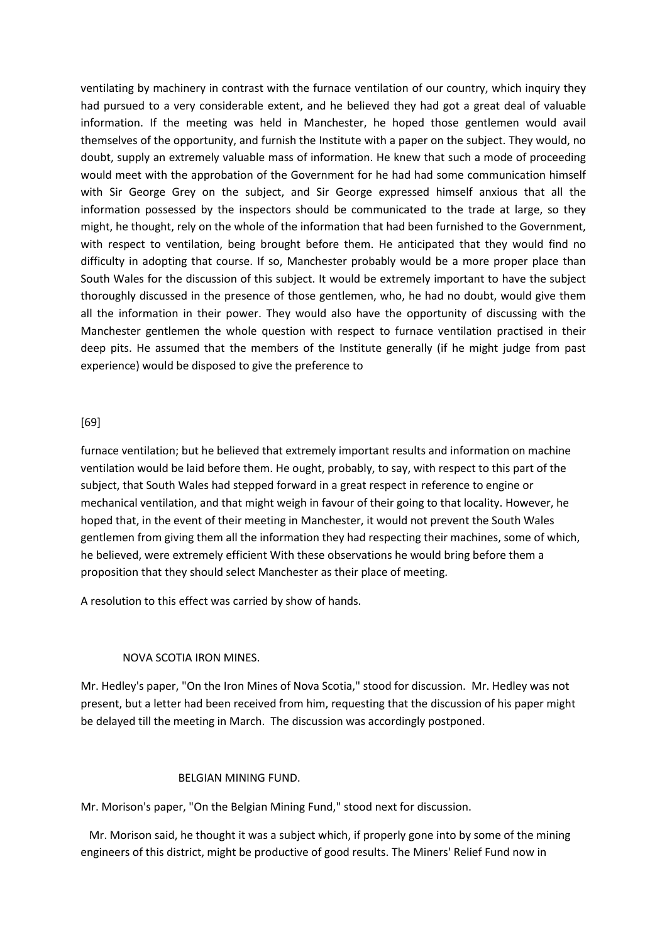ventilating by machinery in contrast with the furnace ventilation of our country, which inquiry they had pursued to a very considerable extent, and he believed they had got a great deal of valuable information. If the meeting was held in Manchester, he hoped those gentlemen would avail themselves of the opportunity, and furnish the Institute with a paper on the subject. They would, no doubt, supply an extremely valuable mass of information. He knew that such a mode of proceeding would meet with the approbation of the Government for he had had some communication himself with Sir George Grey on the subject, and Sir George expressed himself anxious that all the information possessed by the inspectors should be communicated to the trade at large, so they might, he thought, rely on the whole of the information that had been furnished to the Government, with respect to ventilation, being brought before them. He anticipated that they would find no difficulty in adopting that course. If so, Manchester probably would be a more proper place than South Wales for the discussion of this subject. It would be extremely important to have the subject thoroughly discussed in the presence of those gentlemen, who, he had no doubt, would give them all the information in their power. They would also have the opportunity of discussing with the Manchester gentlemen the whole question with respect to furnace ventilation practised in their deep pits. He assumed that the members of the Institute generally (if he might judge from past experience) would be disposed to give the preference to

## [69]

furnace ventilation; but he believed that extremely important results and information on machine ventilation would be laid before them. He ought, probably, to say, with respect to this part of the subject, that South Wales had stepped forward in a great respect in reference to engine or mechanical ventilation, and that might weigh in favour of their going to that locality. However, he hoped that, in the event of their meeting in Manchester, it would not prevent the South Wales gentlemen from giving them all the information they had respecting their machines, some of which, he believed, were extremely efficient With these observations he would bring before them a proposition that they should select Manchester as their place of meeting.

A resolution to this effect was carried by show of hands.

## NOVA SCOTIA IRON MINES.

Mr. Hedley's paper, "On the Iron Mines of Nova Scotia," stood for discussion. Mr. Hedley was not present, but a letter had been received from him, requesting that the discussion of his paper might be delayed till the meeting in March. The discussion was accordingly postponed.

## BELGIAN MINING FUND.

Mr. Morison's paper, "On the Belgian Mining Fund," stood next for discussion.

 Mr. Morison said, he thought it was a subject which, if properly gone into by some of the mining engineers of this district, might be productive of good results. The Miners' Relief Fund now in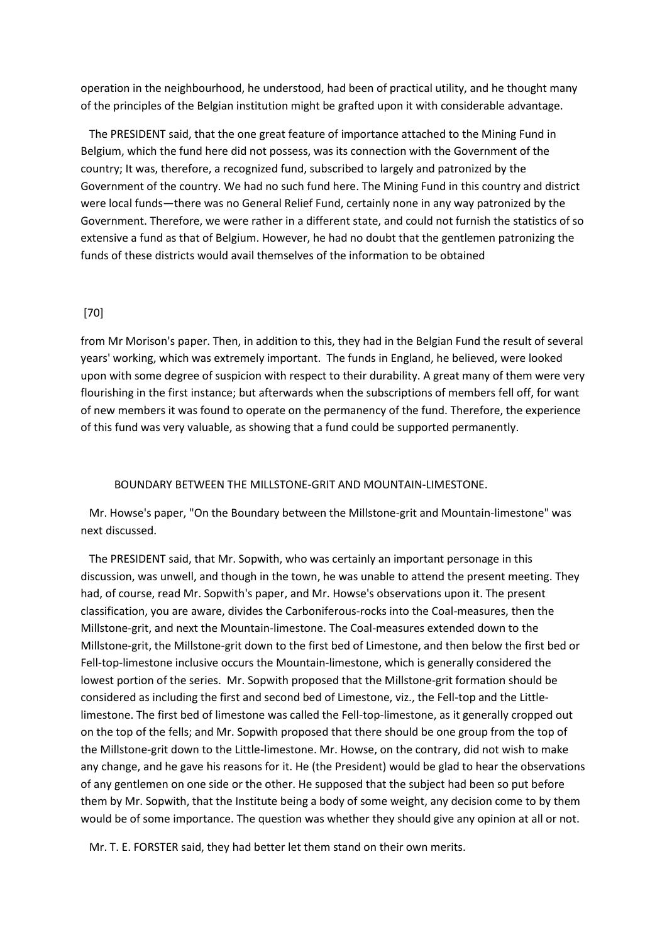operation in the neighbourhood, he understood, had been of practical utility, and he thought many of the principles of the Belgian institution might be grafted upon it with considerable advantage.

 The PRESIDENT said, that the one great feature of importance attached to the Mining Fund in Belgium, which the fund here did not possess, was its connection with the Government of the country; It was, therefore, a recognized fund, subscribed to largely and patronized by the Government of the country. We had no such fund here. The Mining Fund in this country and district were local funds—there was no General Relief Fund, certainly none in any way patronized by the Government. Therefore, we were rather in a different state, and could not furnish the statistics of so extensive a fund as that of Belgium. However, he had no doubt that the gentlemen patronizing the funds of these districts would avail themselves of the information to be obtained

## [70]

from Mr Morison's paper. Then, in addition to this, they had in the Belgian Fund the result of several years' working, which was extremely important. The funds in England, he believed, were looked upon with some degree of suspicion with respect to their durability. A great many of them were very flourishing in the first instance; but afterwards when the subscriptions of members fell off, for want of new members it was found to operate on the permanency of the fund. Therefore, the experience of this fund was very valuable, as showing that a fund could be supported permanently.

#### BOUNDARY BETWEEN THE MILLSTONE-GRIT AND MOUNTAIN-LIMESTONE.

 Mr. Howse's paper, "On the Boundary between the Millstone-grit and Mountain-limestone" was next discussed.

 The PRESIDENT said, that Mr. Sopwith, who was certainly an important personage in this discussion, was unwell, and though in the town, he was unable to attend the present meeting. They had, of course, read Mr. Sopwith's paper, and Mr. Howse's observations upon it. The present classification, you are aware, divides the Carboniferous-rocks into the Coal-measures, then the Millstone-grit, and next the Mountain-limestone. The Coal-measures extended down to the Millstone-grit, the Millstone-grit down to the first bed of Limestone, and then below the first bed or Fell-top-limestone inclusive occurs the Mountain-limestone, which is generally considered the lowest portion of the series. Mr. Sopwith proposed that the Millstone-grit formation should be considered as including the first and second bed of Limestone, viz., the Fell-top and the Littlelimestone. The first bed of limestone was called the Fell-top-limestone, as it generally cropped out on the top of the fells; and Mr. Sopwith proposed that there should be one group from the top of the Millstone-grit down to the Little-limestone. Mr. Howse, on the contrary, did not wish to make any change, and he gave his reasons for it. He (the President) would be glad to hear the observations of any gentlemen on one side or the other. He supposed that the subject had been so put before them by Mr. Sopwith, that the Institute being a body of some weight, any decision come to by them would be of some importance. The question was whether they should give any opinion at all or not.

Mr. T. E. FORSTER said, they had better let them stand on their own merits.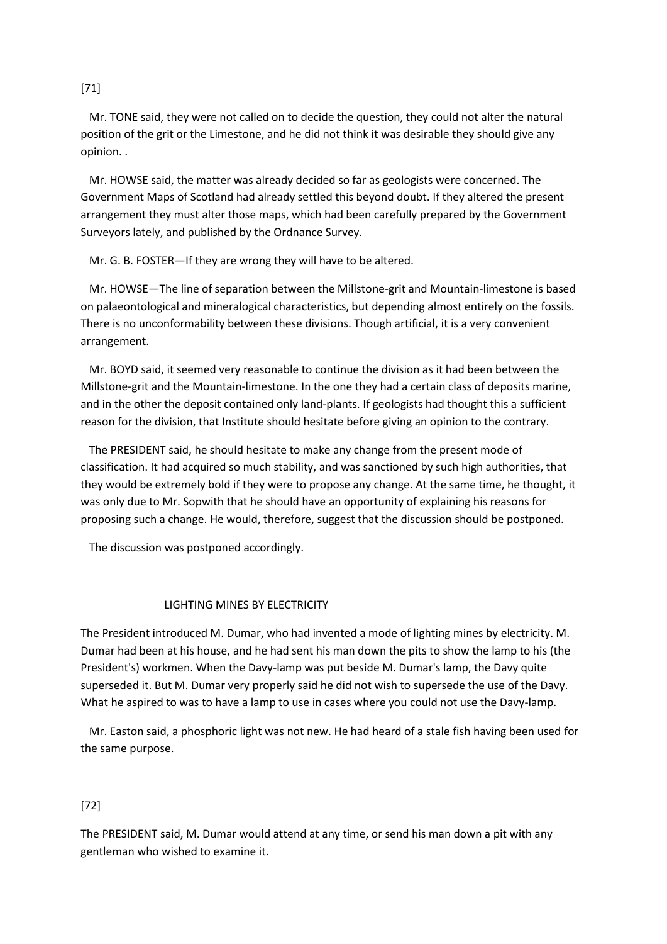[71]

 Mr. TONE said, they were not called on to decide the question, they could not alter the natural position of the grit or the Limestone, and he did not think it was desirable they should give any opinion. .

 Mr. HOWSE said, the matter was already decided so far as geologists were concerned. The Government Maps of Scotland had already settled this beyond doubt. If they altered the present arrangement they must alter those maps, which had been carefully prepared by the Government Surveyors lately, and published by the Ordnance Survey.

Mr. G. B. FOSTER—If they are wrong they will have to be altered.

 Mr. HOWSE—The line of separation between the Millstone-grit and Mountain-limestone is based on palaeontological and mineralogical characteristics, but depending almost entirely on the fossils. There is no unconformability between these divisions. Though artificial, it is a very convenient arrangement.

 Mr. BOYD said, it seemed very reasonable to continue the division as it had been between the Millstone-grit and the Mountain-limestone. In the one they had a certain class of deposits marine, and in the other the deposit contained only land-plants. If geologists had thought this a sufficient reason for the division, that Institute should hesitate before giving an opinion to the contrary.

 The PRESIDENT said, he should hesitate to make any change from the present mode of classification. It had acquired so much stability, and was sanctioned by such high authorities, that they would be extremely bold if they were to propose any change. At the same time, he thought, it was only due to Mr. Sopwith that he should have an opportunity of explaining his reasons for proposing such a change. He would, therefore, suggest that the discussion should be postponed.

The discussion was postponed accordingly.

# LIGHTING MINES BY ELECTRICITY

The President introduced M. Dumar, who had invented a mode of lighting mines by electricity. M. Dumar had been at his house, and he had sent his man down the pits to show the lamp to his (the President's) workmen. When the Davy-lamp was put beside M. Dumar's lamp, the Davy quite superseded it. But M. Dumar very properly said he did not wish to supersede the use of the Davy. What he aspired to was to have a lamp to use in cases where you could not use the Davy-lamp.

 Mr. Easton said, a phosphoric light was not new. He had heard of a stale fish having been used for the same purpose.

# [72]

The PRESIDENT said, M. Dumar would attend at any time, or send his man down a pit with any gentleman who wished to examine it.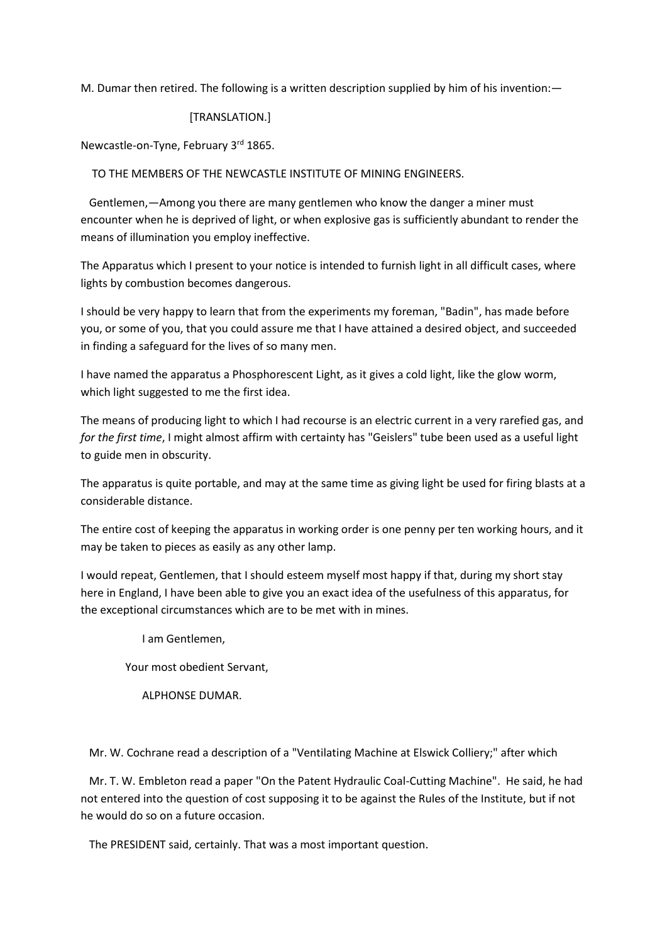M. Dumar then retired. The following is a written description supplied by him of his invention:—

## [TRANSLATION.]

Newcastle-on-Tyne, February 3rd 1865.

TO THE MEMBERS OF THE NEWCASTLE INSTITUTE OF MINING ENGINEERS.

 Gentlemen,—Among you there are many gentlemen who know the danger a miner must encounter when he is deprived of light, or when explosive gas is sufficiently abundant to render the means of illumination you employ ineffective.

The Apparatus which I present to your notice is intended to furnish light in all difficult cases, where lights by combustion becomes dangerous.

I should be very happy to learn that from the experiments my foreman, "Badin", has made before you, or some of you, that you could assure me that I have attained a desired object, and succeeded in finding a safeguard for the lives of so many men.

I have named the apparatus a Phosphorescent Light, as it gives a cold light, like the glow worm, which light suggested to me the first idea.

The means of producing light to which I had recourse is an electric current in a very rarefied gas, and *for the first time*, I might almost affirm with certainty has "Geislers" tube been used as a useful light to guide men in obscurity.

The apparatus is quite portable, and may at the same time as giving light be used for firing blasts at a considerable distance.

The entire cost of keeping the apparatus in working order is one penny per ten working hours, and it may be taken to pieces as easily as any other lamp.

I would repeat, Gentlemen, that I should esteem myself most happy if that, during my short stay here in England, I have been able to give you an exact idea of the usefulness of this apparatus, for the exceptional circumstances which are to be met with in mines.

I am Gentlemen,

Your most obedient Servant,

ALPHONSE DUMAR.

Mr. W. Cochrane read a description of a "Ventilating Machine at Elswick Colliery;" after which

 Mr. T. W. Embleton read a paper "On the Patent Hydraulic Coal-Cutting Machine". He said, he had not entered into the question of cost supposing it to be against the Rules of the Institute, but if not he would do so on a future occasion.

The PRESIDENT said, certainly. That was a most important question.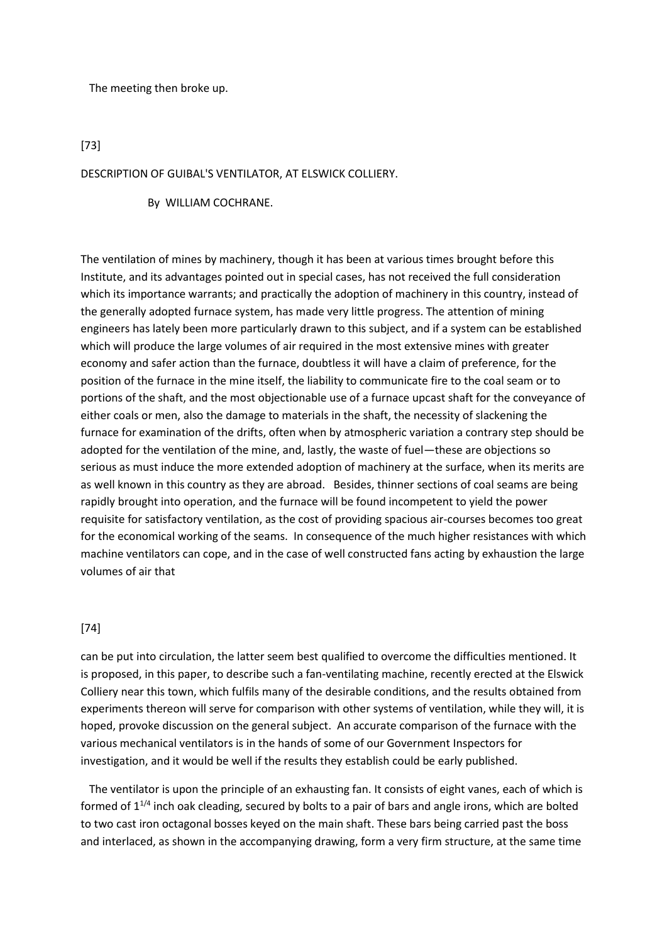The meeting then broke up.

[73]

DESCRIPTION OF GUIBAL'S VENTILATOR, AT ELSWICK COLLIERY.

By WILLIAM COCHRANE.

The ventilation of mines by machinery, though it has been at various times brought before this Institute, and its advantages pointed out in special cases, has not received the full consideration which its importance warrants; and practically the adoption of machinery in this country, instead of the generally adopted furnace system, has made very little progress. The attention of mining engineers has lately been more particularly drawn to this subject, and if a system can be established which will produce the large volumes of air required in the most extensive mines with greater economy and safer action than the furnace, doubtless it will have a claim of preference, for the position of the furnace in the mine itself, the liability to communicate fire to the coal seam or to portions of the shaft, and the most objectionable use of a furnace upcast shaft for the conveyance of either coals or men, also the damage to materials in the shaft, the necessity of slackening the furnace for examination of the drifts, often when by atmospheric variation a contrary step should be adopted for the ventilation of the mine, and, lastly, the waste of fuel—these are objections so serious as must induce the more extended adoption of machinery at the surface, when its merits are as well known in this country as they are abroad. Besides, thinner sections of coal seams are being rapidly brought into operation, and the furnace will be found incompetent to yield the power requisite for satisfactory ventilation, as the cost of providing spacious air-courses becomes too great for the economical working of the seams. In consequence of the much higher resistances with which machine ventilators can cope, and in the case of well constructed fans acting by exhaustion the large volumes of air that

## [74]

can be put into circulation, the latter seem best qualified to overcome the difficulties mentioned. It is proposed, in this paper, to describe such a fan-ventilating machine, recently erected at the Elswick Colliery near this town, which fulfils many of the desirable conditions, and the results obtained from experiments thereon will serve for comparison with other systems of ventilation, while they will, it is hoped, provoke discussion on the general subject. An accurate comparison of the furnace with the various mechanical ventilators is in the hands of some of our Government Inspectors for investigation, and it would be well if the results they establish could be early published.

 The ventilator is upon the principle of an exhausting fan. It consists of eight vanes, each of which is formed of  $1^{1/4}$  inch oak cleading, secured by bolts to a pair of bars and angle irons, which are bolted to two cast iron octagonal bosses keyed on the main shaft. These bars being carried past the boss and interlaced, as shown in the accompanying drawing, form a very firm structure, at the same time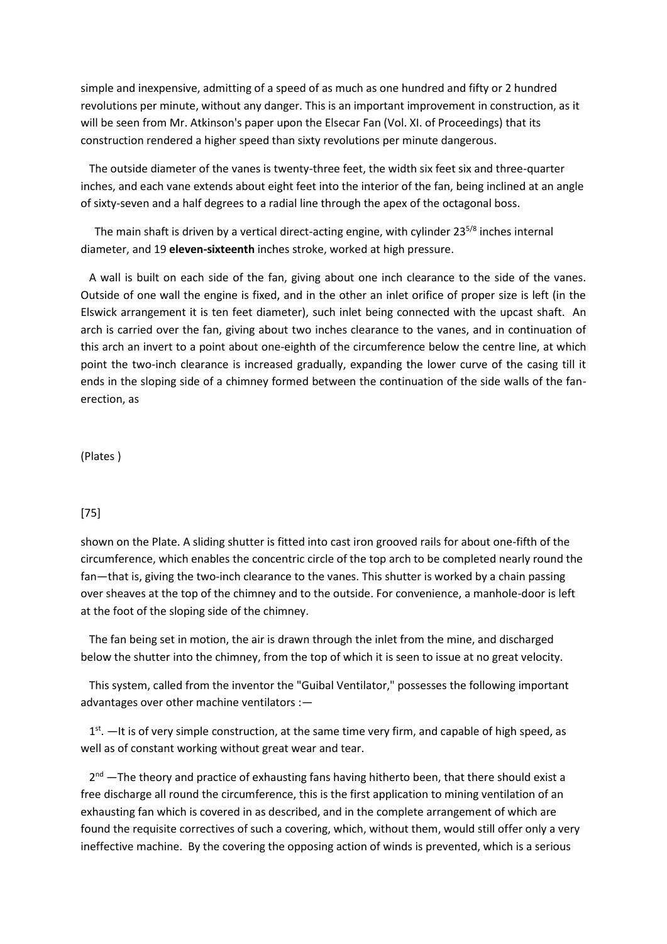simple and inexpensive, admitting of a speed of as much as one hundred and fifty or 2 hundred revolutions per minute, without any danger. This is an important improvement in construction, as it will be seen from Mr. Atkinson's paper upon the Elsecar Fan (Vol. XI. of Proceedings) that its construction rendered a higher speed than sixty revolutions per minute dangerous.

 The outside diameter of the vanes is twenty-three feet, the width six feet six and three-quarter inches, and each vane extends about eight feet into the interior of the fan, being inclined at an angle of sixty-seven and a half degrees to a radial line through the apex of the octagonal boss.

The main shaft is driven by a vertical direct-acting engine, with cylinder  $23^{5/8}$  inches internal diameter, and 19 **eleven-sixteenth** inches stroke, worked at high pressure.

 A wall is built on each side of the fan, giving about one inch clearance to the side of the vanes. Outside of one wall the engine is fixed, and in the other an inlet orifice of proper size is left (in the Elswick arrangement it is ten feet diameter), such inlet being connected with the upcast shaft. An arch is carried over the fan, giving about two inches clearance to the vanes, and in continuation of this arch an invert to a point about one-eighth of the circumference below the centre line, at which point the two-inch clearance is increased gradually, expanding the lower curve of the casing till it ends in the sloping side of a chimney formed between the continuation of the side walls of the fanerection, as

(Plates )

## [75]

shown on the Plate. A sliding shutter is fitted into cast iron grooved rails for about one-fifth of the circumference, which enables the concentric circle of the top arch to be completed nearly round the fan—that is, giving the two-inch clearance to the vanes. This shutter is worked by a chain passing over sheaves at the top of the chimney and to the outside. For convenience, a manhole-door is left at the foot of the sloping side of the chimney.

 The fan being set in motion, the air is drawn through the inlet from the mine, and discharged below the shutter into the chimney, from the top of which it is seen to issue at no great velocity.

 This system, called from the inventor the "Guibal Ventilator," possesses the following important advantages over other machine ventilators :—

 $1<sup>st</sup>$ .  $-$ It is of very simple construction, at the same time very firm, and capable of high speed, as well as of constant working without great wear and tear.

2<sup>nd</sup> —The theory and practice of exhausting fans having hitherto been, that there should exist a free discharge all round the circumference, this is the first application to mining ventilation of an exhausting fan which is covered in as described, and in the complete arrangement of which are found the requisite correctives of such a covering, which, without them, would still offer only a very ineffective machine. By the covering the opposing action of winds is prevented, which is a serious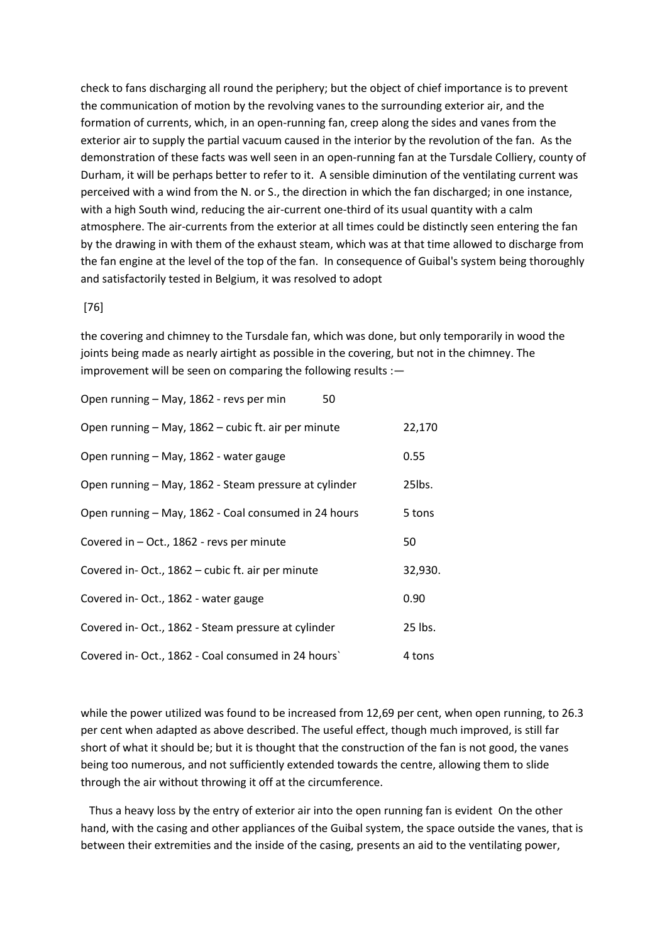check to fans discharging all round the periphery; but the object of chief importance is to prevent the communication of motion by the revolving vanes to the surrounding exterior air, and the formation of currents, which, in an open-running fan, creep along the sides and vanes from the exterior air to supply the partial vacuum caused in the interior by the revolution of the fan. As the demonstration of these facts was well seen in an open-running fan at the Tursdale Colliery, county of Durham, it will be perhaps better to refer to it. A sensible diminution of the ventilating current was perceived with a wind from the N. or S., the direction in which the fan discharged; in one instance, with a high South wind, reducing the air-current one-third of its usual quantity with a calm atmosphere. The air-currents from the exterior at all times could be distinctly seen entering the fan by the drawing in with them of the exhaust steam, which was at that time allowed to discharge from the fan engine at the level of the top of the fan. In consequence of Guibal's system being thoroughly and satisfactorily tested in Belgium, it was resolved to adopt

#### [76]

the covering and chimney to the Tursdale fan, which was done, but only temporarily in wood the joints being made as nearly airtight as possible in the covering, but not in the chimney. The improvement will be seen on comparing the following results :—

| Open running - May, 1862 - revs per min<br>50         |         |
|-------------------------------------------------------|---------|
| Open running - May, 1862 - cubic ft. air per minute   | 22,170  |
| Open running - May, 1862 - water gauge                | 0.55    |
| Open running - May, 1862 - Steam pressure at cylinder | 25lbs.  |
| Open running - May, 1862 - Coal consumed in 24 hours  | 5 tons  |
| Covered in - Oct., 1862 - revs per minute             | 50      |
| Covered in-Oct., 1862 - cubic ft. air per minute      | 32,930. |
| Covered in-Oct., 1862 - water gauge                   | 0.90    |
| Covered in-Oct., 1862 - Steam pressure at cylinder    | 25 lbs. |
| Covered in-Oct., 1862 - Coal consumed in 24 hours'    | 4 tons  |

while the power utilized was found to be increased from 12,69 per cent, when open running, to 26.3 per cent when adapted as above described. The useful effect, though much improved, is still far short of what it should be; but it is thought that the construction of the fan is not good, the vanes being too numerous, and not sufficiently extended towards the centre, allowing them to slide through the air without throwing it off at the circumference.

 Thus a heavy loss by the entry of exterior air into the open running fan is evident On the other hand, with the casing and other appliances of the Guibal system, the space outside the vanes, that is between their extremities and the inside of the casing, presents an aid to the ventilating power,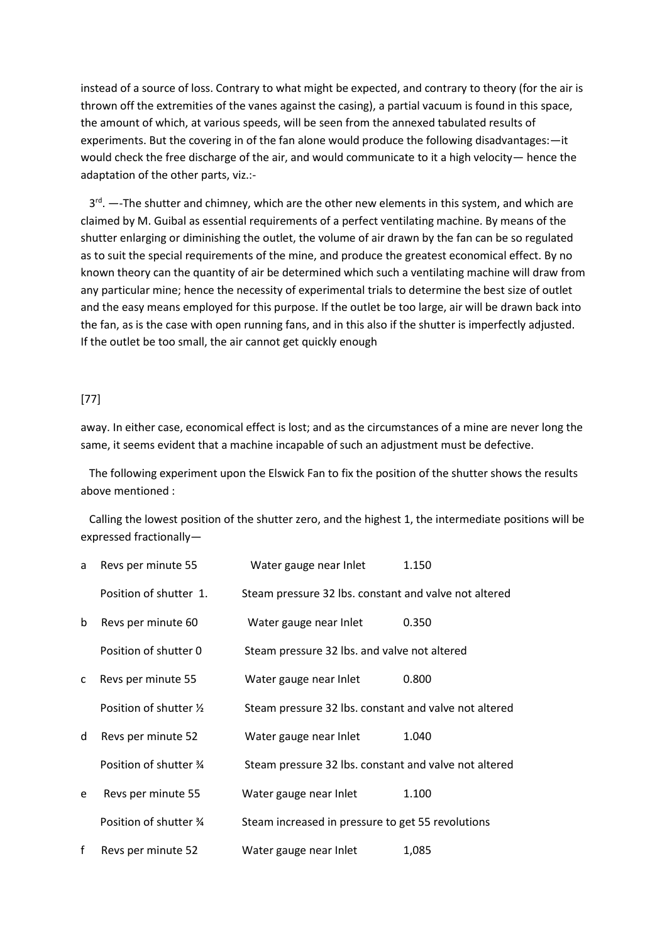instead of a source of loss. Contrary to what might be expected, and contrary to theory (for the air is thrown off the extremities of the vanes against the casing), a partial vacuum is found in this space, the amount of which, at various speeds, will be seen from the annexed tabulated results of experiments. But the covering in of the fan alone would produce the following disadvantages:—it would check the free discharge of the air, and would communicate to it a high velocity— hence the adaptation of the other parts, viz.:-

3<sup>rd</sup>. —-The shutter and chimney, which are the other new elements in this system, and which are claimed by M. Guibal as essential requirements of a perfect ventilating machine. By means of the shutter enlarging or diminishing the outlet, the volume of air drawn by the fan can be so regulated as to suit the special requirements of the mine, and produce the greatest economical effect. By no known theory can the quantity of air be determined which such a ventilating machine will draw from any particular mine; hence the necessity of experimental trials to determine the best size of outlet and the easy means employed for this purpose. If the outlet be too large, air will be drawn back into the fan, as is the case with open running fans, and in this also if the shutter is imperfectly adjusted. If the outlet be too small, the air cannot get quickly enough

## [77]

away. In either case, economical effect is lost; and as the circumstances of a mine are never long the same, it seems evident that a machine incapable of such an adjustment must be defective.

 The following experiment upon the Elswick Fan to fix the position of the shutter shows the results above mentioned :

 Calling the lowest position of the shutter zero, and the highest 1, the intermediate positions will be expressed fractionally—

| a            | Revs per minute 55      | Water gauge near Inlet                                | 1.150 |
|--------------|-------------------------|-------------------------------------------------------|-------|
|              | Position of shutter 1.  | Steam pressure 32 lbs. constant and valve not altered |       |
| b            | Revs per minute 60      | Water gauge near Inlet                                | 0.350 |
|              | Position of shutter 0   | Steam pressure 32 lbs. and valve not altered          |       |
| $\mathsf{C}$ | Revs per minute 55      | Water gauge near Inlet                                | 0.800 |
|              | Position of shutter 1/2 | Steam pressure 32 lbs. constant and valve not altered |       |
| d            | Revs per minute 52      | Water gauge near Inlet                                | 1.040 |
|              | Position of shutter 3/4 | Steam pressure 32 lbs. constant and valve not altered |       |
| e            | Revs per minute 55      | Water gauge near Inlet                                | 1.100 |
|              | Position of shutter 3/4 | Steam increased in pressure to get 55 revolutions     |       |
| f            | Revs per minute 52      | Water gauge near Inlet                                | 1,085 |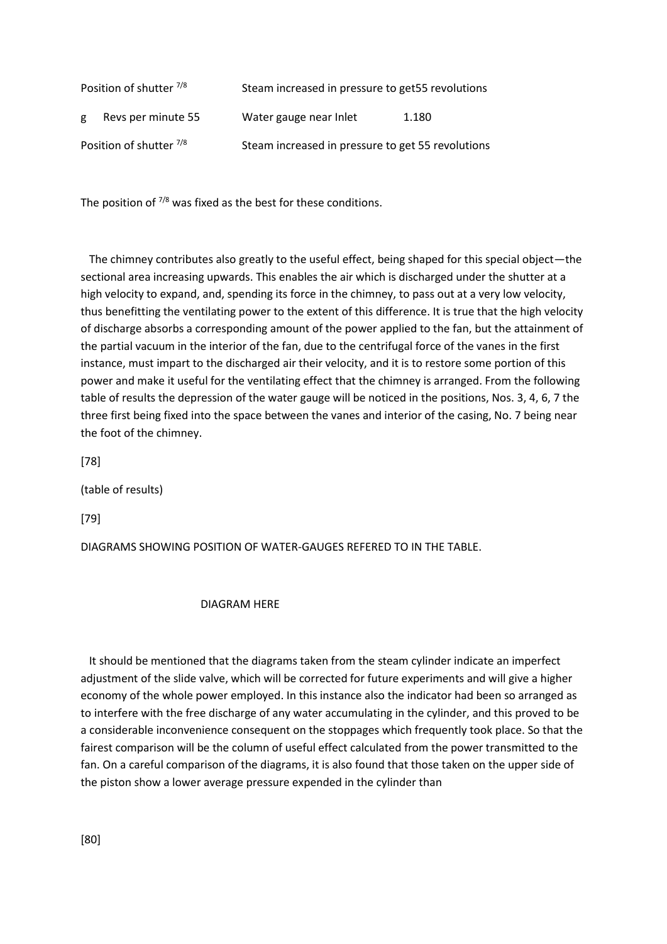| Position of shutter 7/8 |                    | Steam increased in pressure to get55 revolutions  |       |
|-------------------------|--------------------|---------------------------------------------------|-------|
| g                       | Revs per minute 55 | Water gauge near Inlet                            | 1.180 |
| Position of shutter 7/8 |                    | Steam increased in pressure to get 55 revolutions |       |

The position of  $7/8$  was fixed as the best for these conditions.

 The chimney contributes also greatly to the useful effect, being shaped for this special object—the sectional area increasing upwards. This enables the air which is discharged under the shutter at a high velocity to expand, and, spending its force in the chimney, to pass out at a very low velocity, thus benefitting the ventilating power to the extent of this difference. It is true that the high velocity of discharge absorbs a corresponding amount of the power applied to the fan, but the attainment of the partial vacuum in the interior of the fan, due to the centrifugal force of the vanes in the first instance, must impart to the discharged air their velocity, and it is to restore some portion of this power and make it useful for the ventilating effect that the chimney is arranged. From the following table of results the depression of the water gauge will be noticed in the positions, Nos. 3, 4, 6, 7 the three first being fixed into the space between the vanes and interior of the casing, No. 7 being near the foot of the chimney.

[78]

(table of results)

[79]

DIAGRAMS SHOWING POSITION OF WATER-GAUGES REFERED TO IN THE TABLE.

#### DIAGRAM HERE

 It should be mentioned that the diagrams taken from the steam cylinder indicate an imperfect adjustment of the slide valve, which will be corrected for future experiments and will give a higher economy of the whole power employed. In this instance also the indicator had been so arranged as to interfere with the free discharge of any water accumulating in the cylinder, and this proved to be a considerable inconvenience consequent on the stoppages which frequently took place. So that the fairest comparison will be the column of useful effect calculated from the power transmitted to the fan. On a careful comparison of the diagrams, it is also found that those taken on the upper side of the piston show a lower average pressure expended in the cylinder than

[80]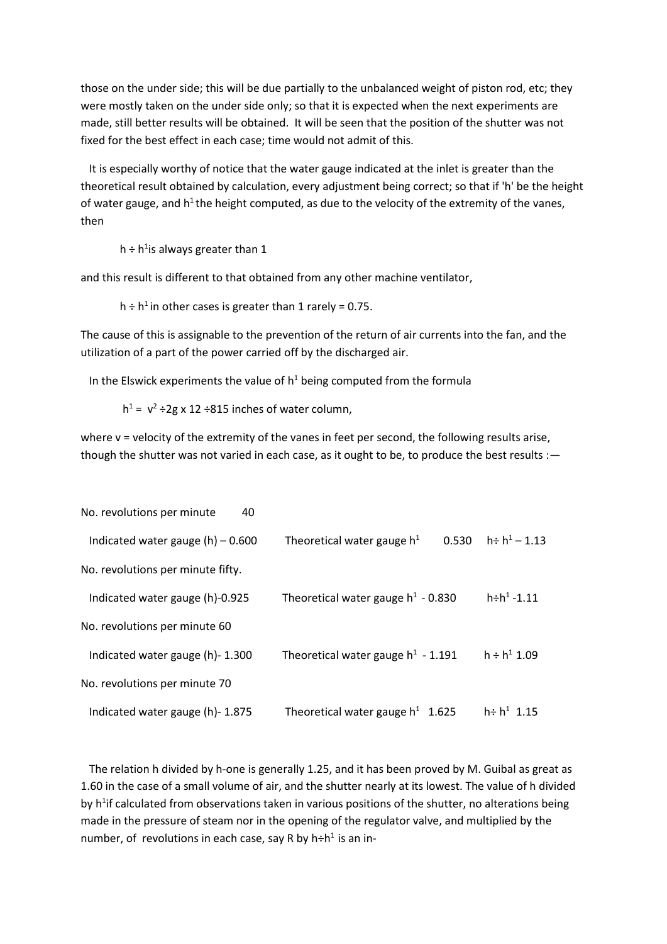those on the under side; this will be due partially to the unbalanced weight of piston rod, etc; they were mostly taken on the under side only; so that it is expected when the next experiments are made, still better results will be obtained. It will be seen that the position of the shutter was not fixed for the best effect in each case; time would not admit of this.

 It is especially worthy of notice that the water gauge indicated at the inlet is greater than the theoretical result obtained by calculation, every adjustment being correct; so that if 'h' be the height of water gauge, and h<sup>1</sup> the height computed, as due to the velocity of the extremity of the vanes, then

h ÷ h<sup>1</sup>is always greater than 1

and this result is different to that obtained from any other machine ventilator,

h ÷ h<sup>1</sup> in other cases is greater than 1 rarely = 0.75.

The cause of this is assignable to the prevention of the return of air currents into the fan, and the utilization of a part of the power carried off by the discharged air.

In the Elswick experiments the value of  $h^1$  being computed from the formula

 $h^1 = v^2 \div 2g \times 12 \div 815$  inches of water column,

where v = velocity of the extremity of the vanes in feet per second, the following results arise, though the shutter was not varied in each case, as it ought to be, to produce the best results :-

| No. revolutions per minute<br>40    |                                       |                              |
|-------------------------------------|---------------------------------------|------------------------------|
| Indicated water gauge $(h) - 0.600$ | Theoretical water gauge $h^1$         | $h \div h^1 - 1.13$<br>0.530 |
| No. revolutions per minute fifty.   |                                       |                              |
| Indicated water gauge (h)-0.925     | Theoretical water gauge $h^1$ - 0.830 | $h \div h^1 - 1.11$          |
| No. revolutions per minute 60       |                                       |                              |
| Indicated water gauge (h)-1.300     | Theoretical water gauge $h^1$ - 1.191 | $h \div h^1$ 1.09            |
| No. revolutions per minute 70       |                                       |                              |
| Indicated water gauge (h)- 1.875    | Theoretical water gauge $h^1$ 1.625   | $h \div h^1$ 1.15            |

 The relation h divided by h-one is generally 1.25, and it has been proved by M. Guibal as great as 1.60 in the case of a small volume of air, and the shutter nearly at its lowest. The value of h divided by h<sup>1</sup>if calculated from observations taken in various positions of the shutter, no alterations being made in the pressure of steam nor in the opening of the regulator valve, and multiplied by the number, of revolutions in each case, say R by h÷h<sup>1</sup> is an in-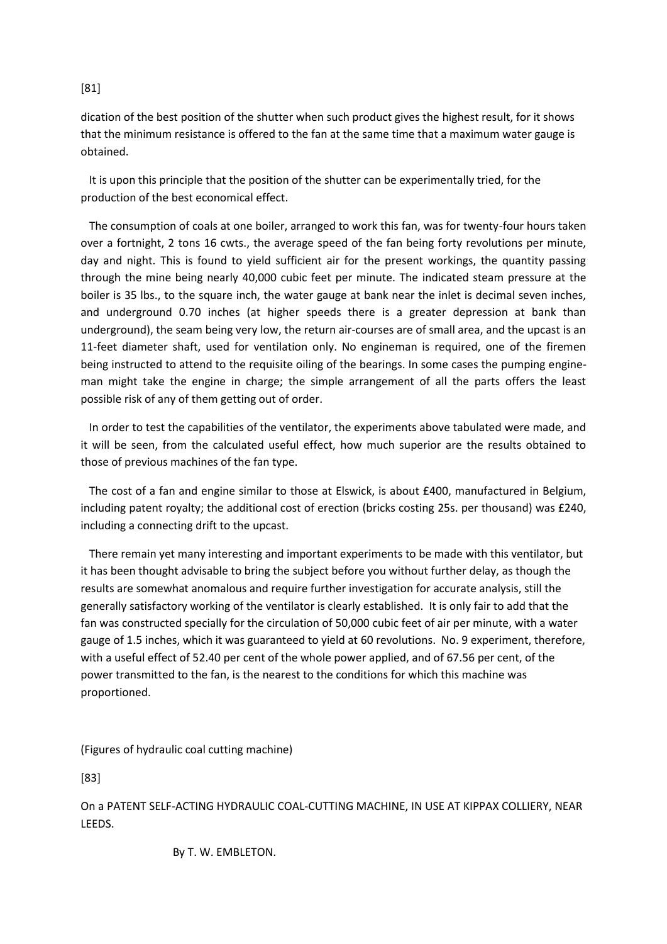# [81]

dication of the best position of the shutter when such product gives the highest result, for it shows that the minimum resistance is offered to the fan at the same time that a maximum water gauge is obtained.

 It is upon this principle that the position of the shutter can be experimentally tried, for the production of the best economical effect.

 The consumption of coals at one boiler, arranged to work this fan, was for twenty-four hours taken over a fortnight, 2 tons 16 cwts., the average speed of the fan being forty revolutions per minute, day and night. This is found to yield sufficient air for the present workings, the quantity passing through the mine being nearly 40,000 cubic feet per minute. The indicated steam pressure at the boiler is 35 lbs., to the square inch, the water gauge at bank near the inlet is decimal seven inches, and underground 0.70 inches (at higher speeds there is a greater depression at bank than underground), the seam being very low, the return air-courses are of small area, and the upcast is an 11-feet diameter shaft, used for ventilation only. No engineman is required, one of the firemen being instructed to attend to the requisite oiling of the bearings. In some cases the pumping engineman might take the engine in charge; the simple arrangement of all the parts offers the least possible risk of any of them getting out of order.

 In order to test the capabilities of the ventilator, the experiments above tabulated were made, and it will be seen, from the calculated useful effect, how much superior are the results obtained to those of previous machines of the fan type.

 The cost of a fan and engine similar to those at Elswick, is about £400, manufactured in Belgium, including patent royalty; the additional cost of erection (bricks costing 25s. per thousand) was £240, including a connecting drift to the upcast.

 There remain yet many interesting and important experiments to be made with this ventilator, but it has been thought advisable to bring the subject before you without further delay, as though the results are somewhat anomalous and require further investigation for accurate analysis, still the generally satisfactory working of the ventilator is clearly established. It is only fair to add that the fan was constructed specially for the circulation of 50,000 cubic feet of air per minute, with a water gauge of 1.5 inches, which it was guaranteed to yield at 60 revolutions. No. 9 experiment, therefore, with a useful effect of 52.40 per cent of the whole power applied, and of 67.56 per cent, of the power transmitted to the fan, is the nearest to the conditions for which this machine was proportioned.

(Figures of hydraulic coal cutting machine)

[83]

On a PATENT SELF-ACTING HYDRAULIC COAL-CUTTING MACHINE, IN USE AT KIPPAX COLLIERY, NEAR LEEDS.

By T. W. EMBLETON.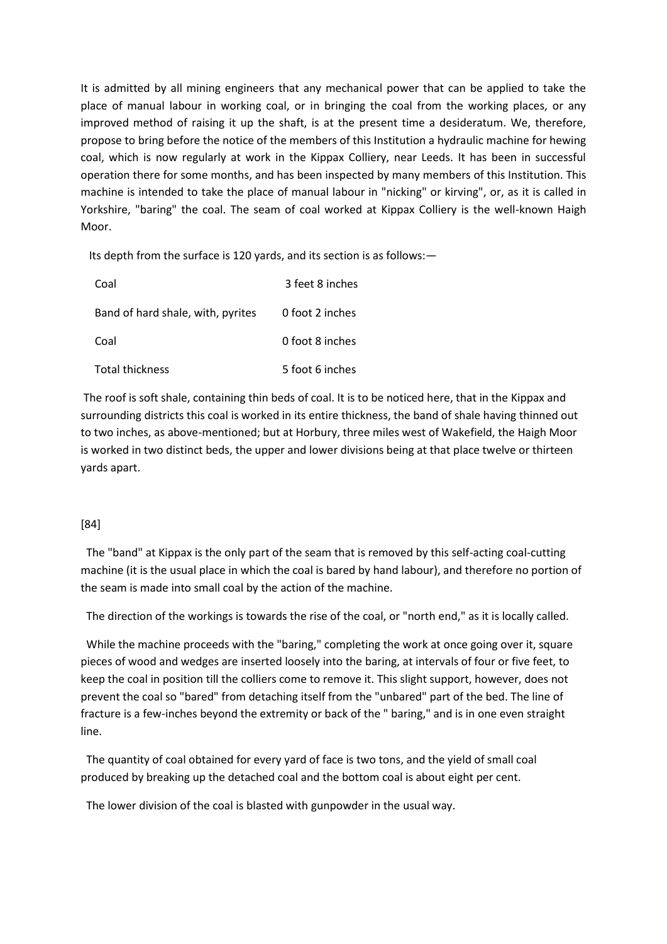It is admitted by all mining engineers that any mechanical power that can be applied to take the place of manual labour in working coal, or in bringing the coal from the working places, or any improved method of raising it up the shaft, is at the present time a desideratum. We, therefore, propose to bring before the notice of the members of this Institution a hydraulic machine for hewing coal, which is now regularly at work in the Kippax Colliery, near Leeds. It has been in successful operation there for some months, and has been inspected by many members of this Institution. This machine is intended to take the place of manual labour in "nicking" or kirving", or, as it is called in Yorkshire, "baring" the coal. The seam of coal worked at Kippax Colliery is the well-known Haigh Moor.

Its depth from the surface is 120 yards, and its section is as follows:—

| Coal                              | 3 feet 8 inches |
|-----------------------------------|-----------------|
| Band of hard shale, with, pyrites | 0 foot 2 inches |
| Coal                              | 0 foot 8 inches |
| <b>Total thickness</b>            | 5 foot 6 inches |

The roof is soft shale, containing thin beds of coal. It is to be noticed here, that in the Kippax and surrounding districts this coal is worked in its entire thickness, the band of shale having thinned out to two inches, as above-mentioned; but at Horbury, three miles west of Wakefield, the Haigh Moor is worked in two distinct beds, the upper and lower divisions being at that place twelve or thirteen yards apart.

# [84]

 The "band" at Kippax is the only part of the seam that is removed by this self-acting coal-cutting machine (it is the usual place in which the coal is bared by hand labour), and therefore no portion of the seam is made into small coal by the action of the machine.

The direction of the workings is towards the rise of the coal, or "north end," as it is locally called.

While the machine proceeds with the "baring," completing the work at once going over it, square pieces of wood and wedges are inserted loosely into the baring, at intervals of four or five feet, to keep the coal in position till the colliers come to remove it. This slight support, however, does not prevent the coal so "bared" from detaching itself from the "unbared" part of the bed. The line of fracture is a few-inches beyond the extremity or back of the " baring," and is in one even straight line.

 The quantity of coal obtained for every yard of face is two tons, and the yield of small coal produced by breaking up the detached coal and the bottom coal is about eight per cent.

The lower division of the coal is blasted with gunpowder in the usual way.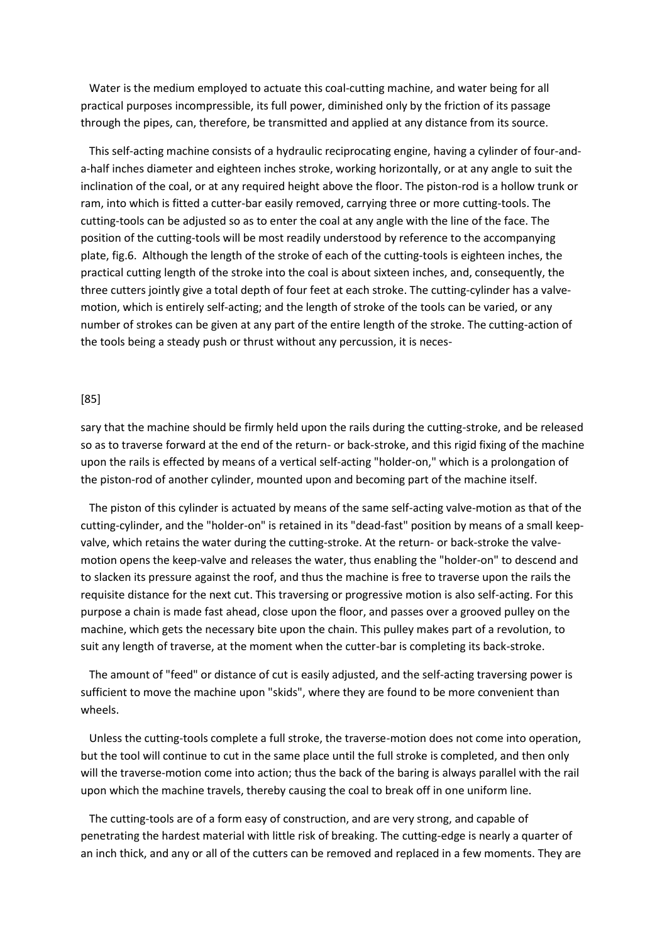Water is the medium employed to actuate this coal-cutting machine, and water being for all practical purposes incompressible, its full power, diminished only by the friction of its passage through the pipes, can, therefore, be transmitted and applied at any distance from its source.

 This self-acting machine consists of a hydraulic reciprocating engine, having a cylinder of four-anda-half inches diameter and eighteen inches stroke, working horizontally, or at any angle to suit the inclination of the coal, or at any required height above the floor. The piston-rod is a hollow trunk or ram, into which is fitted a cutter-bar easily removed, carrying three or more cutting-tools. The cutting-tools can be adjusted so as to enter the coal at any angle with the line of the face. The position of the cutting-tools will be most readily understood by reference to the accompanying plate, fig.6. Although the length of the stroke of each of the cutting-tools is eighteen inches, the practical cutting length of the stroke into the coal is about sixteen inches, and, consequently, the three cutters jointly give a total depth of four feet at each stroke. The cutting-cylinder has a valvemotion, which is entirely self-acting; and the length of stroke of the tools can be varied, or any number of strokes can be given at any part of the entire length of the stroke. The cutting-action of the tools being a steady push or thrust without any percussion, it is neces-

#### [85]

sary that the machine should be firmly held upon the rails during the cutting-stroke, and be released so as to traverse forward at the end of the return- or back-stroke, and this rigid fixing of the machine upon the rails is effected by means of a vertical self-acting "holder-on," which is a prolongation of the piston-rod of another cylinder, mounted upon and becoming part of the machine itself.

 The piston of this cylinder is actuated by means of the same self-acting valve-motion as that of the cutting-cylinder, and the "holder-on" is retained in its "dead-fast" position by means of a small keepvalve, which retains the water during the cutting-stroke. At the return- or back-stroke the valvemotion opens the keep-valve and releases the water, thus enabling the "holder-on" to descend and to slacken its pressure against the roof, and thus the machine is free to traverse upon the rails the requisite distance for the next cut. This traversing or progressive motion is also self-acting. For this purpose a chain is made fast ahead, close upon the floor, and passes over a grooved pulley on the machine, which gets the necessary bite upon the chain. This pulley makes part of a revolution, to suit any length of traverse, at the moment when the cutter-bar is completing its back-stroke.

 The amount of "feed" or distance of cut is easily adjusted, and the self-acting traversing power is sufficient to move the machine upon "skids", where they are found to be more convenient than wheels.

 Unless the cutting-tools complete a full stroke, the traverse-motion does not come into operation, but the tool will continue to cut in the same place until the full stroke is completed, and then only will the traverse-motion come into action; thus the back of the baring is always parallel with the rail upon which the machine travels, thereby causing the coal to break off in one uniform line.

 The cutting-tools are of a form easy of construction, and are very strong, and capable of penetrating the hardest material with little risk of breaking. The cutting-edge is nearly a quarter of an inch thick, and any or all of the cutters can be removed and replaced in a few moments. They are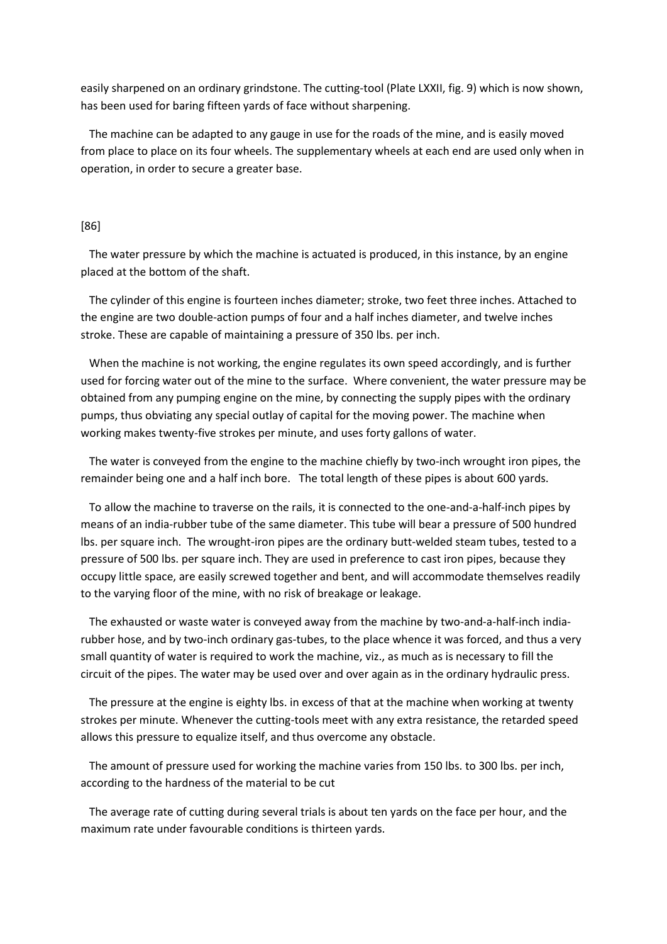easily sharpened on an ordinary grindstone. The cutting-tool (Plate LXXII, fig. 9) which is now shown, has been used for baring fifteen yards of face without sharpening.

 The machine can be adapted to any gauge in use for the roads of the mine, and is easily moved from place to place on its four wheels. The supplementary wheels at each end are used only when in operation, in order to secure a greater base.

### [86]

 The water pressure by which the machine is actuated is produced, in this instance, by an engine placed at the bottom of the shaft.

 The cylinder of this engine is fourteen inches diameter; stroke, two feet three inches. Attached to the engine are two double-action pumps of four and a half inches diameter, and twelve inches stroke. These are capable of maintaining a pressure of 350 lbs. per inch.

 When the machine is not working, the engine regulates its own speed accordingly, and is further used for forcing water out of the mine to the surface. Where convenient, the water pressure may be obtained from any pumping engine on the mine, by connecting the supply pipes with the ordinary pumps, thus obviating any special outlay of capital for the moving power. The machine when working makes twenty-five strokes per minute, and uses forty gallons of water.

 The water is conveyed from the engine to the machine chiefly by two-inch wrought iron pipes, the remainder being one and a half inch bore. The total length of these pipes is about 600 yards.

 To allow the machine to traverse on the rails, it is connected to the one-and-a-half-inch pipes by means of an india-rubber tube of the same diameter. This tube will bear a pressure of 500 hundred lbs. per square inch. The wrought-iron pipes are the ordinary butt-welded steam tubes, tested to a pressure of 500 lbs. per square inch. They are used in preference to cast iron pipes, because they occupy little space, are easily screwed together and bent, and will accommodate themselves readily to the varying floor of the mine, with no risk of breakage or leakage.

 The exhausted or waste water is conveyed away from the machine by two-and-a-half-inch indiarubber hose, and by two-inch ordinary gas-tubes, to the place whence it was forced, and thus a very small quantity of water is required to work the machine, viz., as much as is necessary to fill the circuit of the pipes. The water may be used over and over again as in the ordinary hydraulic press.

 The pressure at the engine is eighty lbs. in excess of that at the machine when working at twenty strokes per minute. Whenever the cutting-tools meet with any extra resistance, the retarded speed allows this pressure to equalize itself, and thus overcome any obstacle.

 The amount of pressure used for working the machine varies from 150 lbs. to 300 lbs. per inch, according to the hardness of the material to be cut

 The average rate of cutting during several trials is about ten yards on the face per hour, and the maximum rate under favourable conditions is thirteen yards.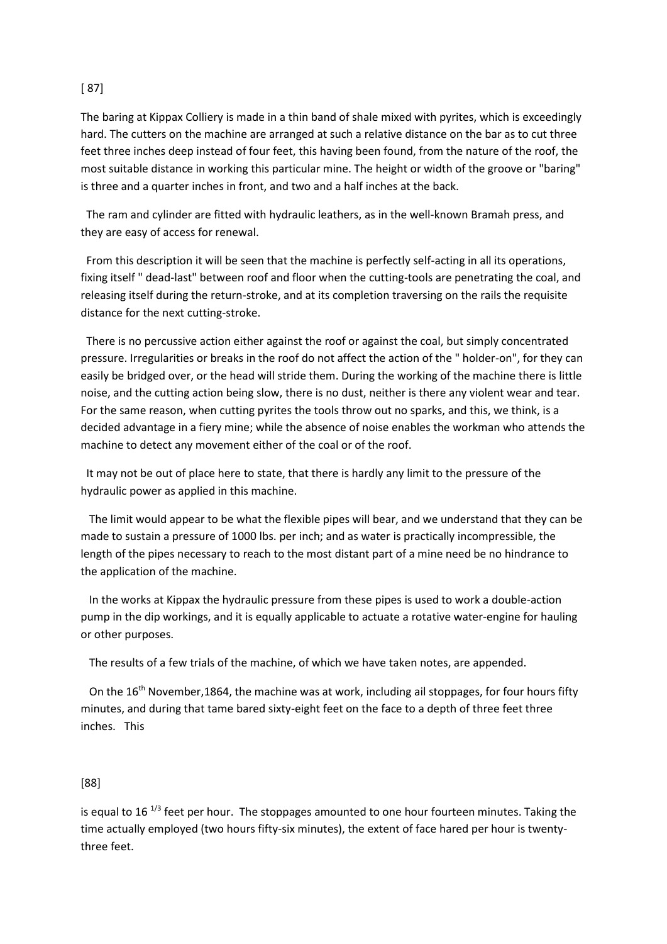# [ 87]

The baring at Kippax Colliery is made in a thin band of shale mixed with pyrites, which is exceedingly hard. The cutters on the machine are arranged at such a relative distance on the bar as to cut three feet three inches deep instead of four feet, this having been found, from the nature of the roof, the most suitable distance in working this particular mine. The height or width of the groove or "baring" is three and a quarter inches in front, and two and a half inches at the back.

 The ram and cylinder are fitted with hydraulic leathers, as in the well-known Bramah press, and they are easy of access for renewal.

 From this description it will be seen that the machine is perfectly self-acting in all its operations, fixing itself " dead-last" between roof and floor when the cutting-tools are penetrating the coal, and releasing itself during the return-stroke, and at its completion traversing on the rails the requisite distance for the next cutting-stroke.

 There is no percussive action either against the roof or against the coal, but simply concentrated pressure. Irregularities or breaks in the roof do not affect the action of the " holder-on", for they can easily be bridged over, or the head will stride them. During the working of the machine there is little noise, and the cutting action being slow, there is no dust, neither is there any violent wear and tear. For the same reason, when cutting pyrites the tools throw out no sparks, and this, we think, is a decided advantage in a fiery mine; while the absence of noise enables the workman who attends the machine to detect any movement either of the coal or of the roof.

 It may not be out of place here to state, that there is hardly any limit to the pressure of the hydraulic power as applied in this machine.

 The limit would appear to be what the flexible pipes will bear, and we understand that they can be made to sustain a pressure of 1000 lbs. per inch; and as water is practically incompressible, the length of the pipes necessary to reach to the most distant part of a mine need be no hindrance to the application of the machine.

 In the works at Kippax the hydraulic pressure from these pipes is used to work a double-action pump in the dip workings, and it is equally applicable to actuate a rotative water-engine for hauling or other purposes.

The results of a few trials of the machine, of which we have taken notes, are appended.

On the  $16<sup>th</sup>$  November, 1864, the machine was at work, including ail stoppages, for four hours fifty minutes, and during that tame bared sixty-eight feet on the face to a depth of three feet three inches. This

# [88]

is equal to 16 $1/3$  feet per hour. The stoppages amounted to one hour fourteen minutes. Taking the time actually employed (two hours fifty-six minutes), the extent of face hared per hour is twentythree feet.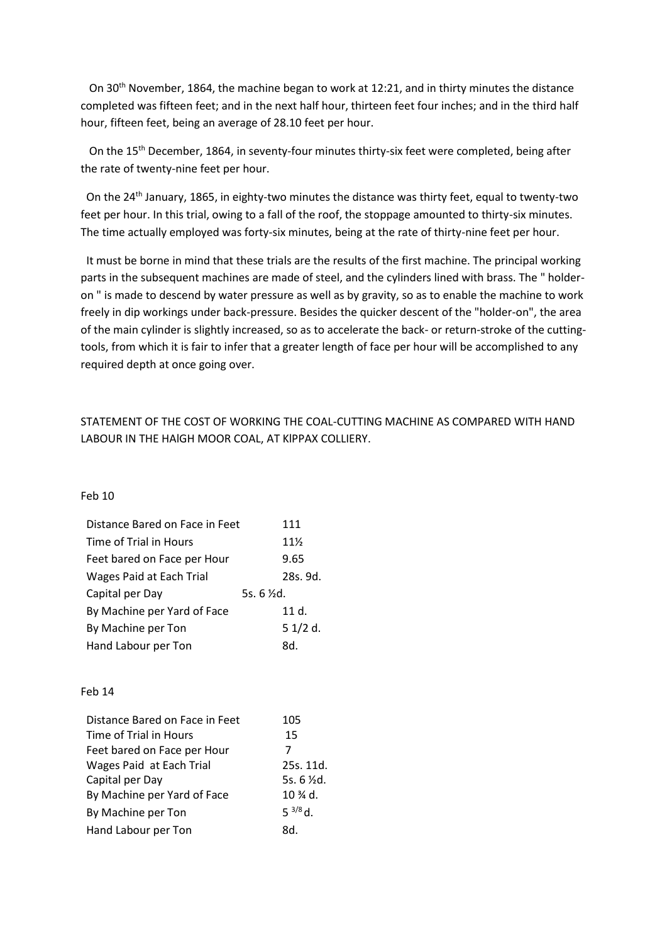On 30th November, 1864, the machine began to work at 12:21, and in thirty minutes the distance completed was fifteen feet; and in the next half hour, thirteen feet four inches; and in the third half hour, fifteen feet, being an average of 28.10 feet per hour.

On the 15<sup>th</sup> December, 1864, in seventy-four minutes thirty-six feet were completed, being after the rate of twenty-nine feet per hour.

On the  $24<sup>th</sup>$  January, 1865, in eighty-two minutes the distance was thirty feet, equal to twenty-two feet per hour. In this trial, owing to a fall of the roof, the stoppage amounted to thirty-six minutes. The time actually employed was forty-six minutes, being at the rate of thirty-nine feet per hour.

 It must be borne in mind that these trials are the results of the first machine. The principal working parts in the subsequent machines are made of steel, and the cylinders lined with brass. The " holderon " is made to descend by water pressure as well as by gravity, so as to enable the machine to work freely in dip workings under back-pressure. Besides the quicker descent of the "holder-on", the area of the main cylinder is slightly increased, so as to accelerate the back- or return-stroke of the cuttingtools, from which it is fair to infer that a greater length of face per hour will be accomplished to any required depth at once going over.

# STATEMENT OF THE COST OF WORKING THE COAL-CUTTING MACHINE AS COMPARED WITH HAND LABOUR IN THE HAlGH MOOR COAL, AT KlPPAX COLLIERY.

### Feb 10

| Distance Bared on Face in Feet | 111             |
|--------------------------------|-----------------|
| Time of Trial in Hours         | $11\frac{1}{2}$ |
| Feet bared on Face per Hour    | 9.65            |
| Wages Paid at Each Trial       | 28s. 9d.        |
|                                |                 |
| Capital per Day                | 5s. 6 %d.       |
| By Machine per Yard of Face    | 11 d.           |
| By Machine per Ton             | 51/2d.          |

#### Feb 14

| Distance Bared on Face in Feet | 105                 |
|--------------------------------|---------------------|
| Time of Trial in Hours         | 15                  |
| Feet bared on Face per Hour    |                     |
| Wages Paid at Each Trial       | 25s. 11d.           |
| Capital per Day                | 5s. $6 \times d$ .  |
| By Machine per Yard of Face    | $10 \frac{3}{4}$ d. |
| By Machine per Ton             | $5^{3/8}$ d         |
| Hand Labour per Ton            | .h8                 |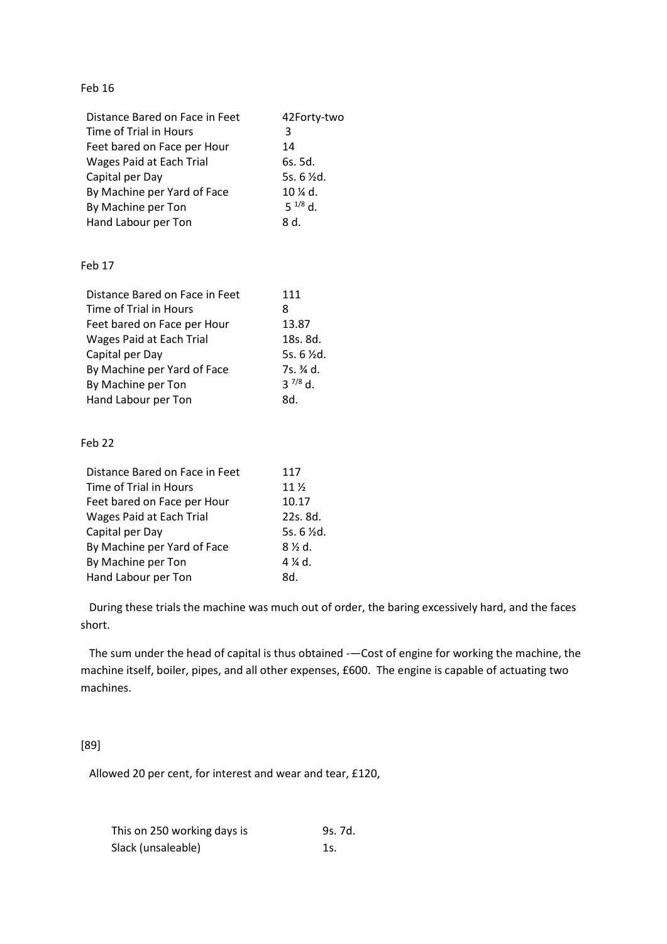# Feb 16

| Distance Bared on Face in Feet | 42Forty-two            |
|--------------------------------|------------------------|
| Time of Trial in Hours         | 3                      |
| Feet bared on Face per Hour    | 14                     |
| Wages Paid at Each Trial       | 6s. 5d.                |
| Capital per Day                | 5s. $6 \frac{1}{2}$ d. |
| By Machine per Yard of Face    | $10 \frac{1}{4}$ d.    |
| By Machine per Ton             | $5^{1/8}$ d.           |
| Hand Labour per Ton            | .h 8                   |

# Feb 17

| Distance Bared on Face in Feet | 111                |
|--------------------------------|--------------------|
| Time of Trial in Hours         | 8                  |
| Feet bared on Face per Hour    | 13.87              |
| Wages Paid at Each Trial       | 18s. 8d.           |
| Capital per Day                | 5s. $6 \times d$ . |
| By Machine per Yard of Face    | 7s. ¾ d.           |
| By Machine per Ton             | $3^{7/8}$ d.       |
| Hand Labour per Ton            | .h8                |

### Feb 22

| Distance Bared on Face in Feet | 117                   |
|--------------------------------|-----------------------|
| Time of Trial in Hours         | 11 <sub>2</sub>       |
| Feet bared on Face per Hour    | 10.17                 |
| Wages Paid at Each Trial       | 22s. 8d.              |
| Capital per Day                | 5s. $6\frac{1}{2}d$ . |
| By Machine per Yard of Face    | $8\%$ d.              |
| By Machine per Ton             | 4 % d.                |
| Hand Labour per Ton            | .h8                   |

 During these trials the machine was much out of order, the baring excessively hard, and the faces short.

 The sum under the head of capital is thus obtained -—Cost of engine for working the machine, the machine itself, boiler, pipes, and all other expenses, £600. The engine is capable of actuating two machines.

# [89]

Allowed 20 per cent, for interest and wear and tear, £120,

| This on 250 working days is | 9s. 7d. |
|-----------------------------|---------|
| Slack (unsaleable)          | 1s.     |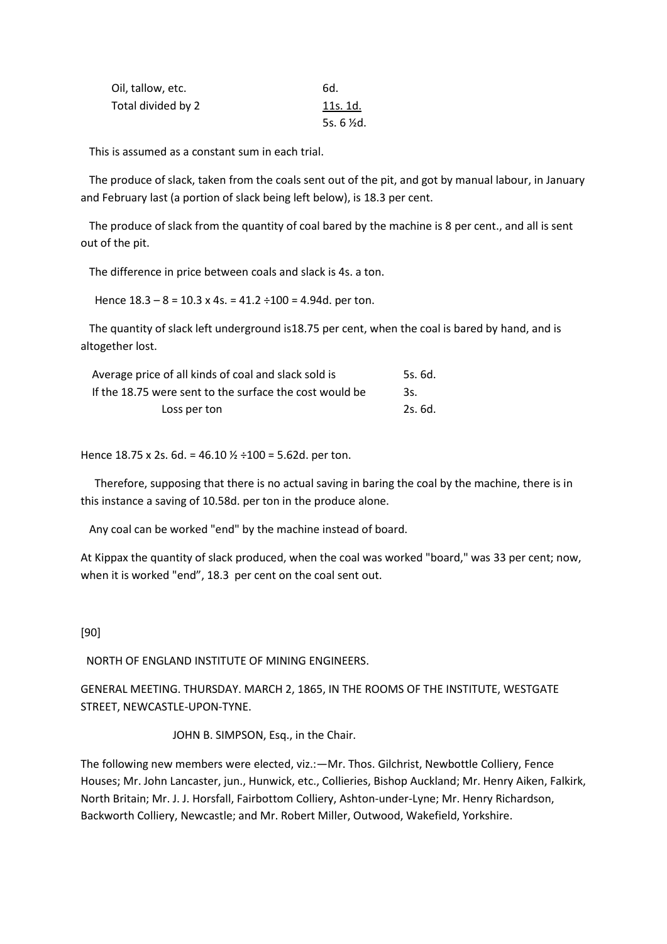| Oil, tallow, etc.  | 6d.                |
|--------------------|--------------------|
| Total divided by 2 | 11s. 1d.           |
|                    | 5s. $6 \times d$ . |

This is assumed as a constant sum in each trial.

 The produce of slack, taken from the coals sent out of the pit, and got by manual labour, in January and February last (a portion of slack being left below), is 18.3 per cent.

 The produce of slack from the quantity of coal bared by the machine is 8 per cent., and all is sent out of the pit.

The difference in price between coals and slack is 4s. a ton.

Hence  $18.3 - 8 = 10.3 \times 4s$ . =  $41.2 \div 100 = 4.94d$ . per ton.

 The quantity of slack left underground is18.75 per cent, when the coal is bared by hand, and is altogether lost.

| Average price of all kinds of coal and slack sold is    | 5s. 6d. |
|---------------------------------------------------------|---------|
| If the 18.75 were sent to the surface the cost would be | 3s.     |
| Loss per ton                                            | 2s. 6d. |

Hence 18.75 x 2s. 6d. = 46.10  $\frac{1}{2}$  ÷100 = 5.62d. per ton.

 Therefore, supposing that there is no actual saving in baring the coal by the machine, there is in this instance a saving of 10.58d. per ton in the produce alone.

Any coal can be worked "end" by the machine instead of board.

At Kippax the quantity of slack produced, when the coal was worked "board," was 33 per cent; now, when it is worked "end", 18.3 per cent on the coal sent out.

# [90]

NORTH OF ENGLAND INSTITUTE OF MINING ENGINEERS.

GENERAL MEETING. THURSDAY. MARCH 2, 1865, IN THE ROOMS OF THE INSTITUTE, WESTGATE STREET, NEWCASTLE-UPON-TYNE.

JOHN B. SIMPSON, Esq., in the Chair.

The following new members were elected, viz.:—Mr. Thos. Gilchrist, Newbottle Colliery, Fence Houses; Mr. John Lancaster, jun., Hunwick, etc., Collieries, Bishop Auckland; Mr. Henry Aiken, Falkirk, North Britain; Mr. J. J. Horsfall, Fairbottom Colliery, Ashton-under-Lyne; Mr. Henry Richardson, Backworth Colliery, Newcastle; and Mr. Robert Miller, Outwood, Wakefield, Yorkshire.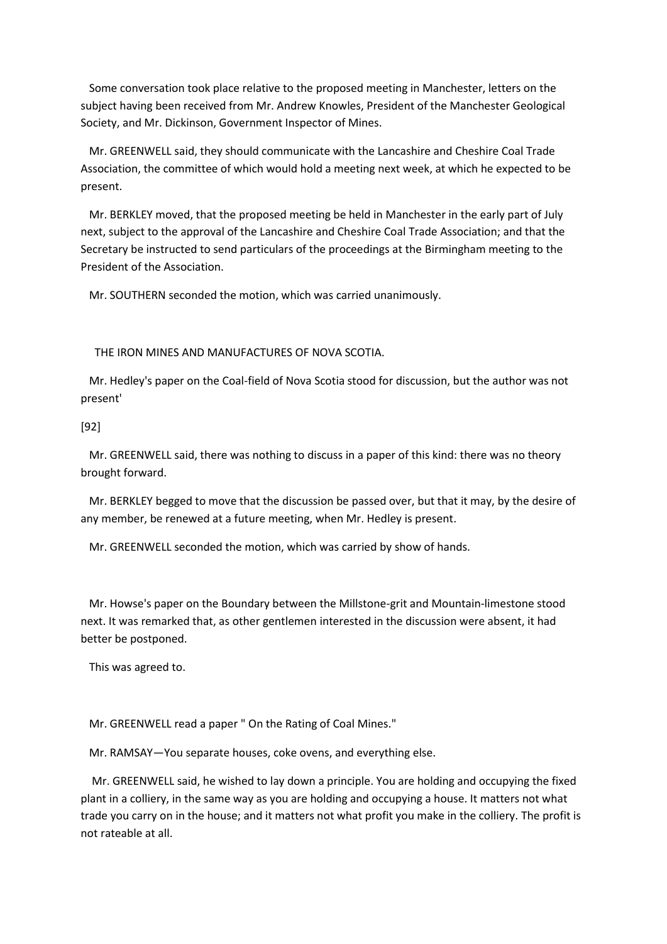Some conversation took place relative to the proposed meeting in Manchester, letters on the subject having been received from Mr. Andrew Knowles, President of the Manchester Geological Society, and Mr. Dickinson, Government Inspector of Mines.

 Mr. GREENWELL said, they should communicate with the Lancashire and Cheshire Coal Trade Association, the committee of which would hold a meeting next week, at which he expected to be present.

 Mr. BERKLEY moved, that the proposed meeting be held in Manchester in the early part of July next, subject to the approval of the Lancashire and Cheshire Coal Trade Association; and that the Secretary be instructed to send particulars of the proceedings at the Birmingham meeting to the President of the Association.

Mr. SOUTHERN seconded the motion, which was carried unanimously.

THE IRON MINES AND MANUFACTURES OF NOVA SCOTIA.

 Mr. Hedley's paper on the Coal-field of Nova Scotia stood for discussion, but the author was not present'

[92]

 Mr. GREENWELL said, there was nothing to discuss in a paper of this kind: there was no theory brought forward.

 Mr. BERKLEY begged to move that the discussion be passed over, but that it may, by the desire of any member, be renewed at a future meeting, when Mr. Hedley is present.

Mr. GREENWELL seconded the motion, which was carried by show of hands.

 Mr. Howse's paper on the Boundary between the Millstone-grit and Mountain-limestone stood next. It was remarked that, as other gentlemen interested in the discussion were absent, it had better be postponed.

This was agreed to.

Mr. GREENWELL read a paper " On the Rating of Coal Mines."

Mr. RAMSAY—You separate houses, coke ovens, and everything else.

 Mr. GREENWELL said, he wished to lay down a principle. You are holding and occupying the fixed plant in a colliery, in the same way as you are holding and occupying a house. It matters not what trade you carry on in the house; and it matters not what profit you make in the colliery. The profit is not rateable at all.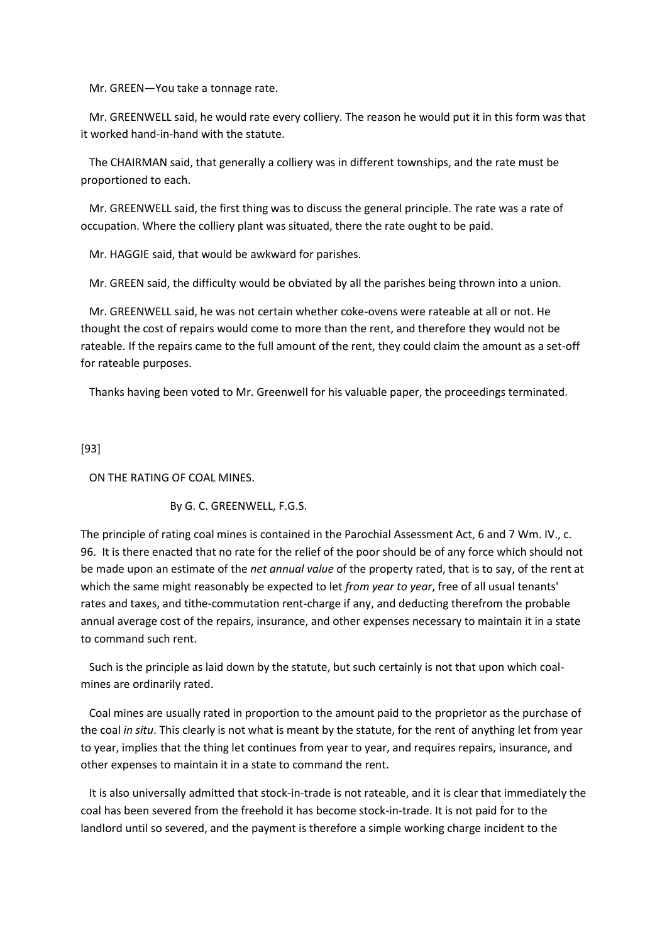Mr. GREEN—You take a tonnage rate.

 Mr. GREENWELL said, he would rate every colliery. The reason he would put it in this form was that it worked hand-in-hand with the statute.

 The CHAIRMAN said, that generally a colliery was in different townships, and the rate must be proportioned to each.

 Mr. GREENWELL said, the first thing was to discuss the general principle. The rate was a rate of occupation. Where the colliery plant was situated, there the rate ought to be paid.

Mr. HAGGIE said, that would be awkward for parishes.

Mr. GREEN said, the difficulty would be obviated by all the parishes being thrown into a union.

 Mr. GREENWELL said, he was not certain whether coke-ovens were rateable at all or not. He thought the cost of repairs would come to more than the rent, and therefore they would not be rateable. If the repairs came to the full amount of the rent, they could claim the amount as a set-off for rateable purposes.

Thanks having been voted to Mr. Greenwell for his valuable paper, the proceedings terminated.

[93]

ON THE RATING OF COAL MINES.

# By G. C. GREENWELL, F.G.S.

The principle of rating coal mines is contained in the Parochial Assessment Act, 6 and 7 Wm. IV., c. 96. It is there enacted that no rate for the relief of the poor should be of any force which should not be made upon an estimate of the *net annual value* of the property rated, that is to say, of the rent at which the same might reasonably be expected to let *from year to year*, free of all usual tenants' rates and taxes, and tithe-commutation rent-charge if any, and deducting therefrom the probable annual average cost of the repairs, insurance, and other expenses necessary to maintain it in a state to command such rent.

 Such is the principle as laid down by the statute, but such certainly is not that upon which coalmines are ordinarily rated.

 Coal mines are usually rated in proportion to the amount paid to the proprietor as the purchase of the coal *in situ*. This clearly is not what is meant by the statute, for the rent of anything let from year to year, implies that the thing let continues from year to year, and requires repairs, insurance, and other expenses to maintain it in a state to command the rent.

 It is also universally admitted that stock-in-trade is not rateable, and it is clear that immediately the coal has been severed from the freehold it has become stock-in-trade. It is not paid for to the landlord until so severed, and the payment is therefore a simple working charge incident to the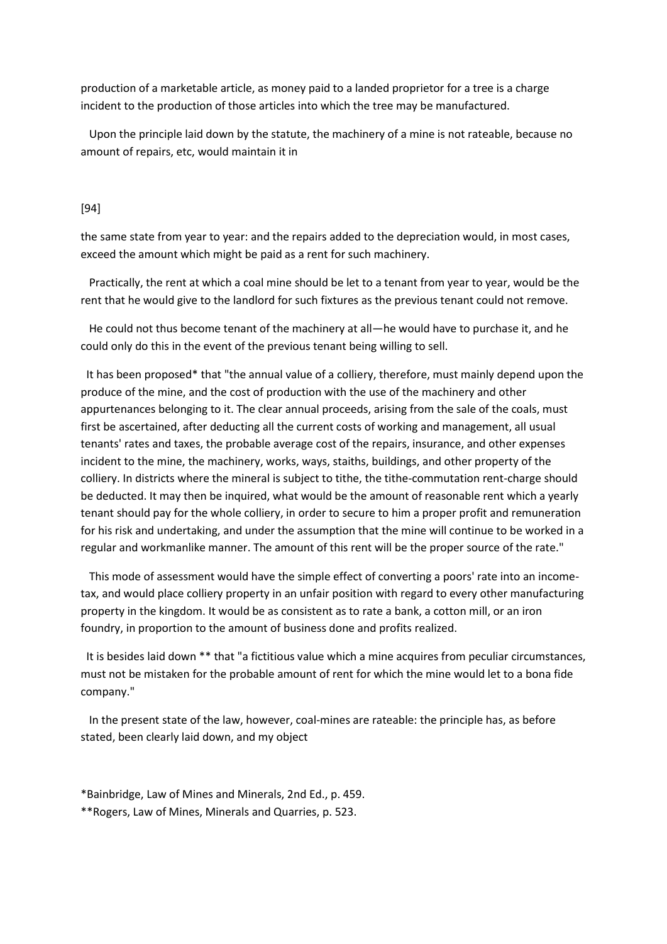production of a marketable article, as money paid to a landed proprietor for a tree is a charge incident to the production of those articles into which the tree may be manufactured.

 Upon the principle laid down by the statute, the machinery of a mine is not rateable, because no amount of repairs, etc, would maintain it in

### [94]

the same state from year to year: and the repairs added to the depreciation would, in most cases, exceed the amount which might be paid as a rent for such machinery.

 Practically, the rent at which a coal mine should be let to a tenant from year to year, would be the rent that he would give to the landlord for such fixtures as the previous tenant could not remove.

 He could not thus become tenant of the machinery at all—he would have to purchase it, and he could only do this in the event of the previous tenant being willing to sell.

 It has been proposed\* that "the annual value of a colliery, therefore, must mainly depend upon the produce of the mine, and the cost of production with the use of the machinery and other appurtenances belonging to it. The clear annual proceeds, arising from the sale of the coals, must first be ascertained, after deducting all the current costs of working and management, all usual tenants' rates and taxes, the probable average cost of the repairs, insurance, and other expenses incident to the mine, the machinery, works, ways, staiths, buildings, and other property of the colliery. In districts where the mineral is subject to tithe, the tithe-commutation rent-charge should be deducted. It may then be inquired, what would be the amount of reasonable rent which a yearly tenant should pay for the whole colliery, in order to secure to him a proper profit and remuneration for his risk and undertaking, and under the assumption that the mine will continue to be worked in a regular and workmanlike manner. The amount of this rent will be the proper source of the rate."

 This mode of assessment would have the simple effect of converting a poors' rate into an incometax, and would place colliery property in an unfair position with regard to every other manufacturing property in the kingdom. It would be as consistent as to rate a bank, a cotton mill, or an iron foundry, in proportion to the amount of business done and profits realized.

 It is besides laid down \*\* that "a fictitious value which a mine acquires from peculiar circumstances, must not be mistaken for the probable amount of rent for which the mine would let to a bona fide company."

 In the present state of the law, however, coal-mines are rateable: the principle has, as before stated, been clearly laid down, and my object

\*Bainbridge, Law of Mines and Minerals, 2nd Ed., p. 459. \*\*Rogers, Law of Mines, Minerals and Quarries, p. 523.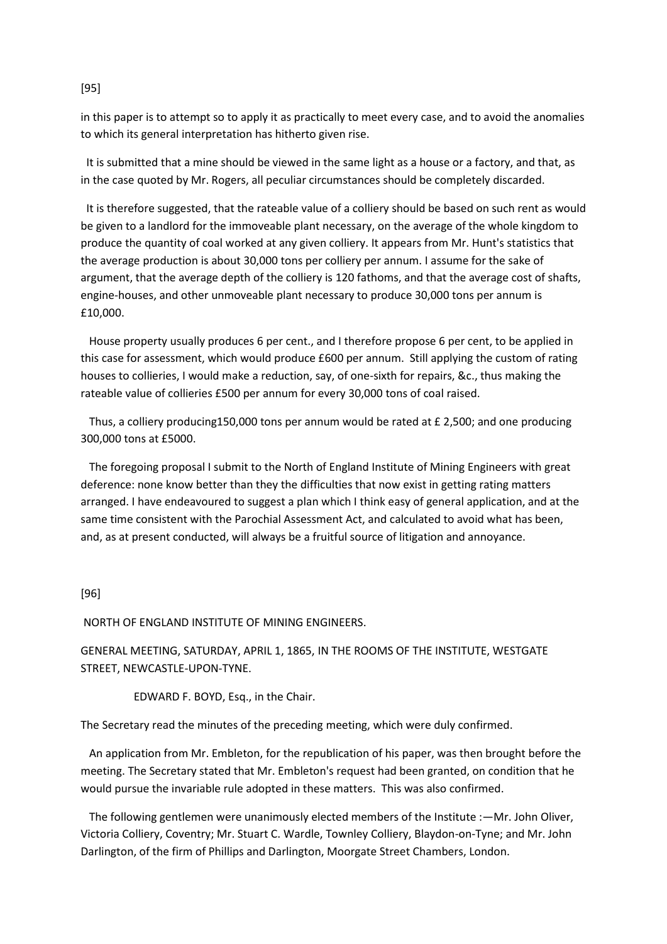### [95]

in this paper is to attempt so to apply it as practically to meet every case, and to avoid the anomalies to which its general interpretation has hitherto given rise.

 It is submitted that a mine should be viewed in the same light as a house or a factory, and that, as in the case quoted by Mr. Rogers, all peculiar circumstances should be completely discarded.

 It is therefore suggested, that the rateable value of a colliery should be based on such rent as would be given to a landlord for the immoveable plant necessary, on the average of the whole kingdom to produce the quantity of coal worked at any given colliery. It appears from Mr. Hunt's statistics that the average production is about 30,000 tons per colliery per annum. I assume for the sake of argument, that the average depth of the colliery is 120 fathoms, and that the average cost of shafts, engine-houses, and other unmoveable plant necessary to produce 30,000 tons per annum is £10,000.

 House property usually produces 6 per cent., and I therefore propose 6 per cent, to be applied in this case for assessment, which would produce £600 per annum. Still applying the custom of rating houses to collieries, I would make a reduction, say, of one-sixth for repairs, &c., thus making the rateable value of collieries £500 per annum for every 30,000 tons of coal raised.

 Thus, a colliery producing150,000 tons per annum would be rated at £ 2,500; and one producing 300,000 tons at £5000.

 The foregoing proposal I submit to the North of England Institute of Mining Engineers with great deference: none know better than they the difficulties that now exist in getting rating matters arranged. I have endeavoured to suggest a plan which I think easy of general application, and at the same time consistent with the Parochial Assessment Act, and calculated to avoid what has been, and, as at present conducted, will always be a fruitful source of litigation and annoyance.

# [96]

NORTH OF ENGLAND INSTITUTE OF MINING ENGINEERS.

GENERAL MEETING, SATURDAY, APRIL 1, 1865, IN THE ROOMS OF THE INSTITUTE, WESTGATE STREET, NEWCASTLE-UPON-TYNE.

EDWARD F. BOYD, Esq., in the Chair.

The Secretary read the minutes of the preceding meeting, which were duly confirmed.

 An application from Mr. Embleton, for the republication of his paper, was then brought before the meeting. The Secretary stated that Mr. Embleton's request had been granted, on condition that he would pursue the invariable rule adopted in these matters. This was also confirmed.

 The following gentlemen were unanimously elected members of the Institute :—Mr. John Oliver, Victoria Colliery, Coventry; Mr. Stuart C. Wardle, Townley Colliery, Blaydon-on-Tyne; and Mr. John Darlington, of the firm of Phillips and Darlington, Moorgate Street Chambers, London.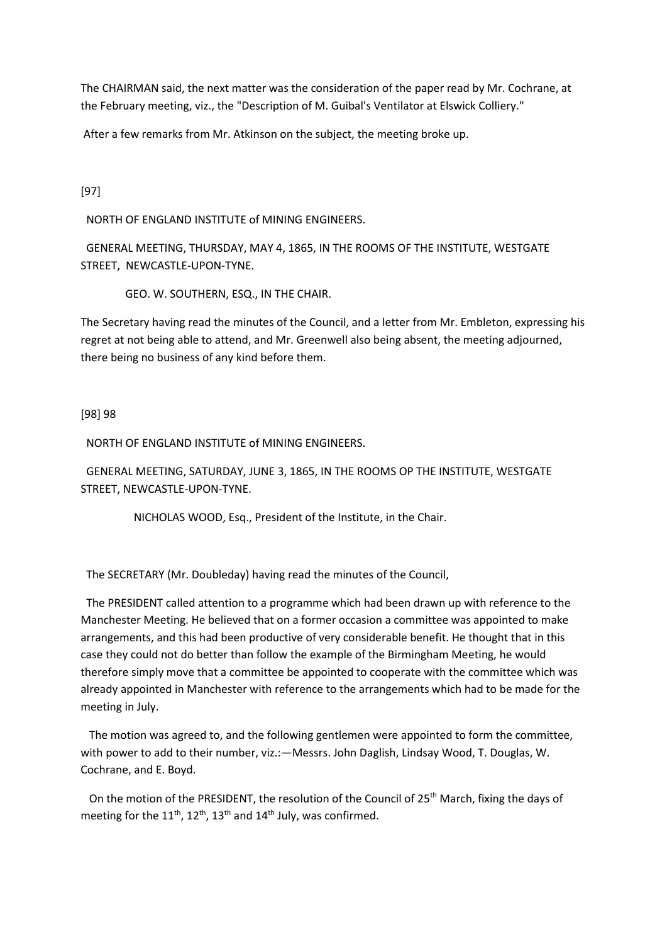The CHAIRMAN said, the next matter was the consideration of the paper read by Mr. Cochrane, at the February meeting, viz., the "Description of M. Guibal's Ventilator at Elswick Colliery."

After a few remarks from Mr. Atkinson on the subject, the meeting broke up.

[97]

NORTH OF ENGLAND INSTITUTE of MINING ENGINEERS.

 GENERAL MEETING, THURSDAY, MAY 4, 1865, IN THE ROOMS OF THE INSTITUTE, WESTGATE STREET, NEWCASTLE-UPON-TYNE.

GEO. W. SOUTHERN, ESQ., IN THE CHAIR.

The Secretary having read the minutes of the Council, and a letter from Mr. Embleton, expressing his regret at not being able to attend, and Mr. Greenwell also being absent, the meeting adjourned, there being no business of any kind before them.

[98] 98

NORTH OF ENGLAND INSTITUTE of MINING ENGINEERS.

 GENERAL MEETING, SATURDAY, JUNE 3, 1865, IN THE ROOMS OP THE INSTITUTE, WESTGATE STREET, NEWCASTLE-UPON-TYNE.

NICHOLAS WOOD, Esq., President of the Institute, in the Chair.

The SECRETARY (Mr. Doubleday) having read the minutes of the Council,

 The PRESIDENT called attention to a programme which had been drawn up with reference to the Manchester Meeting. He believed that on a former occasion a committee was appointed to make arrangements, and this had been productive of very considerable benefit. He thought that in this case they could not do better than follow the example of the Birmingham Meeting, he would therefore simply move that a committee be appointed to cooperate with the committee which was already appointed in Manchester with reference to the arrangements which had to be made for the meeting in July.

 The motion was agreed to, and the following gentlemen were appointed to form the committee, with power to add to their number, viz.:—Messrs. John Daglish, Lindsay Wood, T. Douglas, W. Cochrane, and E. Boyd.

On the motion of the PRESIDENT, the resolution of the Council of 25<sup>th</sup> March, fixing the days of meeting for the  $11^{th}$ ,  $12^{th}$ ,  $13^{th}$  and  $14^{th}$  July, was confirmed.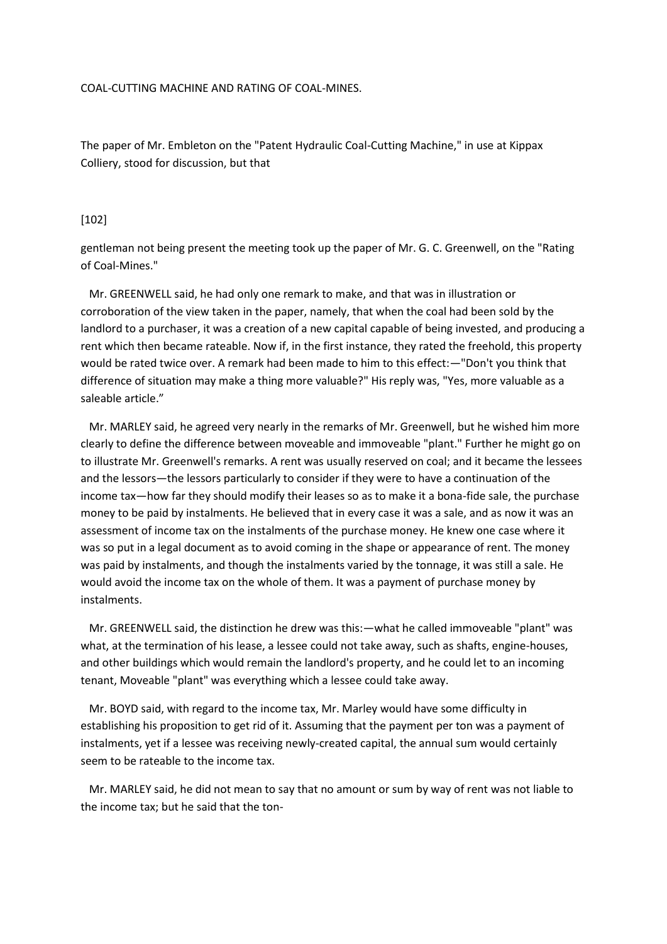#### COAL-CUTTING MACHINE AND RATING OF COAL-MINES.

The paper of Mr. Embleton on the "Patent Hydraulic Coal-Cutting Machine," in use at Kippax Colliery, stood for discussion, but that

#### [102]

gentleman not being present the meeting took up the paper of Mr. G. C. Greenwell, on the "Rating of Coal-Mines."

 Mr. GREENWELL said, he had only one remark to make, and that was in illustration or corroboration of the view taken in the paper, namely, that when the coal had been sold by the landlord to a purchaser, it was a creation of a new capital capable of being invested, and producing a rent which then became rateable. Now if, in the first instance, they rated the freehold, this property would be rated twice over. A remark had been made to him to this effect:—"Don't you think that difference of situation may make a thing more valuable?" His reply was, "Yes, more valuable as a saleable article."

 Mr. MARLEY said, he agreed very nearly in the remarks of Mr. Greenwell, but he wished him more clearly to define the difference between moveable and immoveable "plant." Further he might go on to illustrate Mr. Greenwell's remarks. A rent was usually reserved on coal; and it became the lessees and the lessors—the lessors particularly to consider if they were to have a continuation of the income tax—how far they should modify their leases so as to make it a bona-fide sale, the purchase money to be paid by instalments. He believed that in every case it was a sale, and as now it was an assessment of income tax on the instalments of the purchase money. He knew one case where it was so put in a legal document as to avoid coming in the shape or appearance of rent. The money was paid by instalments, and though the instalments varied by the tonnage, it was still a sale. He would avoid the income tax on the whole of them. It was a payment of purchase money by instalments.

 Mr. GREENWELL said, the distinction he drew was this:—what he called immoveable "plant" was what, at the termination of his lease, a lessee could not take away, such as shafts, engine-houses, and other buildings which would remain the landlord's property, and he could let to an incoming tenant, Moveable "plant" was everything which a lessee could take away.

 Mr. BOYD said, with regard to the income tax, Mr. Marley would have some difficulty in establishing his proposition to get rid of it. Assuming that the payment per ton was a payment of instalments, yet if a lessee was receiving newly-created capital, the annual sum would certainly seem to be rateable to the income tax.

 Mr. MARLEY said, he did not mean to say that no amount or sum by way of rent was not liable to the income tax; but he said that the ton-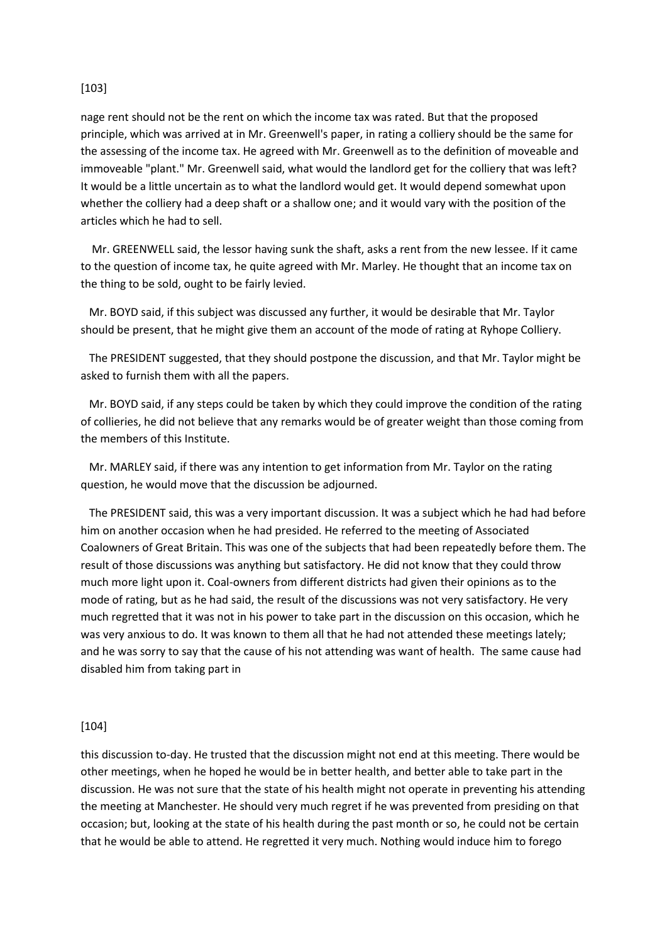# [103]

nage rent should not be the rent on which the income tax was rated. But that the proposed principle, which was arrived at in Mr. Greenwell's paper, in rating a colliery should be the same for the assessing of the income tax. He agreed with Mr. Greenwell as to the definition of moveable and immoveable "plant." Mr. Greenwell said, what would the landlord get for the colliery that was left? It would be a little uncertain as to what the landlord would get. It would depend somewhat upon whether the colliery had a deep shaft or a shallow one; and it would vary with the position of the articles which he had to sell.

 Mr. GREENWELL said, the lessor having sunk the shaft, asks a rent from the new lessee. If it came to the question of income tax, he quite agreed with Mr. Marley. He thought that an income tax on the thing to be sold, ought to be fairly levied.

 Mr. BOYD said, if this subject was discussed any further, it would be desirable that Mr. Taylor should be present, that he might give them an account of the mode of rating at Ryhope Colliery.

 The PRESIDENT suggested, that they should postpone the discussion, and that Mr. Taylor might be asked to furnish them with all the papers.

 Mr. BOYD said, if any steps could be taken by which they could improve the condition of the rating of collieries, he did not believe that any remarks would be of greater weight than those coming from the members of this Institute.

 Mr. MARLEY said, if there was any intention to get information from Mr. Taylor on the rating question, he would move that the discussion be adjourned.

 The PRESIDENT said, this was a very important discussion. It was a subject which he had had before him on another occasion when he had presided. He referred to the meeting of Associated Coalowners of Great Britain. This was one of the subjects that had been repeatedly before them. The result of those discussions was anything but satisfactory. He did not know that they could throw much more light upon it. Coal-owners from different districts had given their opinions as to the mode of rating, but as he had said, the result of the discussions was not very satisfactory. He very much regretted that it was not in his power to take part in the discussion on this occasion, which he was very anxious to do. It was known to them all that he had not attended these meetings lately; and he was sorry to say that the cause of his not attending was want of health. The same cause had disabled him from taking part in

# [104]

this discussion to-day. He trusted that the discussion might not end at this meeting. There would be other meetings, when he hoped he would be in better health, and better able to take part in the discussion. He was not sure that the state of his health might not operate in preventing his attending the meeting at Manchester. He should very much regret if he was prevented from presiding on that occasion; but, looking at the state of his health during the past month or so, he could not be certain that he would be able to attend. He regretted it very much. Nothing would induce him to forego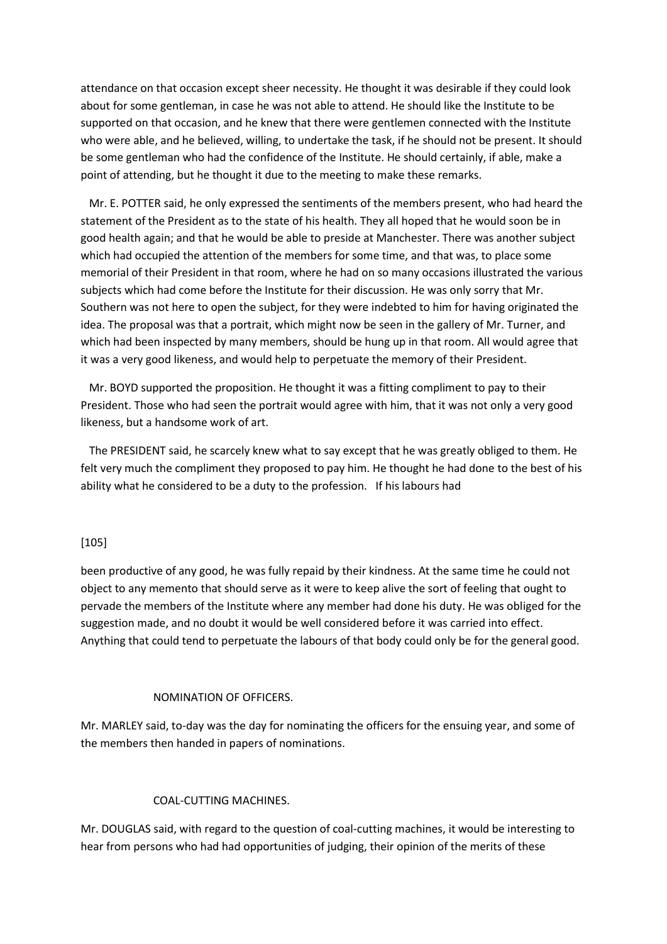attendance on that occasion except sheer necessity. He thought it was desirable if they could look about for some gentleman, in case he was not able to attend. He should like the Institute to be supported on that occasion, and he knew that there were gentlemen connected with the Institute who were able, and he believed, willing, to undertake the task, if he should not be present. It should be some gentleman who had the confidence of the Institute. He should certainly, if able, make a point of attending, but he thought it due to the meeting to make these remarks.

 Mr. E. POTTER said, he only expressed the sentiments of the members present, who had heard the statement of the President as to the state of his health. They all hoped that he would soon be in good health again; and that he would be able to preside at Manchester. There was another subject which had occupied the attention of the members for some time, and that was, to place some memorial of their President in that room, where he had on so many occasions illustrated the various subjects which had come before the Institute for their discussion. He was only sorry that Mr. Southern was not here to open the subject, for they were indebted to him for having originated the idea. The proposal was that a portrait, which might now be seen in the gallery of Mr. Turner, and which had been inspected by many members, should be hung up in that room. All would agree that it was a very good likeness, and would help to perpetuate the memory of their President.

 Mr. BOYD supported the proposition. He thought it was a fitting compliment to pay to their President. Those who had seen the portrait would agree with him, that it was not only a very good likeness, but a handsome work of art.

 The PRESIDENT said, he scarcely knew what to say except that he was greatly obliged to them. He felt very much the compliment they proposed to pay him. He thought he had done to the best of his ability what he considered to be a duty to the profession. If his labours had

# [105]

been productive of any good, he was fully repaid by their kindness. At the same time he could not object to any memento that should serve as it were to keep alive the sort of feeling that ought to pervade the members of the Institute where any member had done his duty. He was obliged for the suggestion made, and no doubt it would be well considered before it was carried into effect. Anything that could tend to perpetuate the labours of that body could only be for the general good.

#### NOMINATION OF OFFICERS.

Mr. MARLEY said, to-day was the day for nominating the officers for the ensuing year, and some of the members then handed in papers of nominations.

### COAL-CUTTING MACHINES.

Mr. DOUGLAS said, with regard to the question of coal-cutting machines, it would be interesting to hear from persons who had had opportunities of judging, their opinion of the merits of these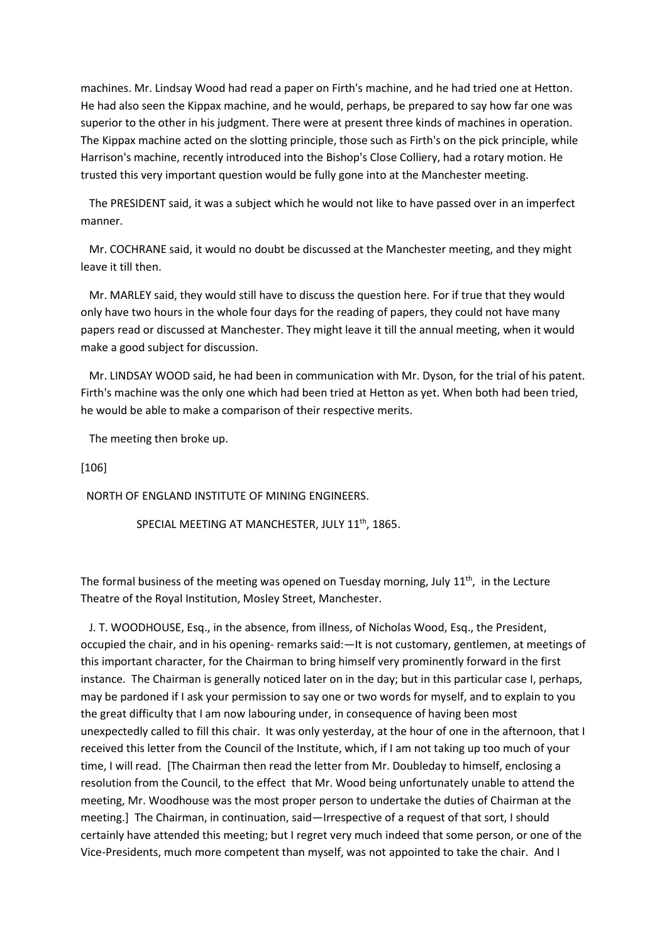machines. Mr. Lindsay Wood had read a paper on Firth's machine, and he had tried one at Hetton. He had also seen the Kippax machine, and he would, perhaps, be prepared to say how far one was superior to the other in his judgment. There were at present three kinds of machines in operation. The Kippax machine acted on the slotting principle, those such as Firth's on the pick principle, while Harrison's machine, recently introduced into the Bishop's Close Colliery, had a rotary motion. He trusted this very important question would be fully gone into at the Manchester meeting.

 The PRESIDENT said, it was a subject which he would not like to have passed over in an imperfect manner.

 Mr. COCHRANE said, it would no doubt be discussed at the Manchester meeting, and they might leave it till then.

 Mr. MARLEY said, they would still have to discuss the question here. For if true that they would only have two hours in the whole four days for the reading of papers, they could not have many papers read or discussed at Manchester. They might leave it till the annual meeting, when it would make a good subject for discussion.

 Mr. LINDSAY WOOD said, he had been in communication with Mr. Dyson, for the trial of his patent. Firth's machine was the only one which had been tried at Hetton as yet. When both had been tried, he would be able to make a comparison of their respective merits.

The meeting then broke up.

[106]

NORTH OF ENGLAND INSTITUTE OF MINING ENGINEERS.

SPECIAL MEETING AT MANCHESTER, JULY 11<sup>th</sup>, 1865.

The formal business of the meeting was opened on Tuesday morning, July  $11<sup>th</sup>$ , in the Lecture Theatre of the Royal Institution, Mosley Street, Manchester.

 J. T. WOODHOUSE, Esq., in the absence, from illness, of Nicholas Wood, Esq., the President, occupied the chair, and in his opening- remarks said:—It is not customary, gentlemen, at meetings of this important character, for the Chairman to bring himself very prominently forward in the first instance. The Chairman is generally noticed later on in the day; but in this particular case I, perhaps, may be pardoned if I ask your permission to say one or two words for myself, and to explain to you the great difficulty that I am now labouring under, in consequence of having been most unexpectedly called to fill this chair. It was only yesterday, at the hour of one in the afternoon, that I received this letter from the Council of the Institute, which, if I am not taking up too much of your time, I will read. [The Chairman then read the letter from Mr. Doubleday to himself, enclosing a resolution from the Council, to the effect that Mr. Wood being unfortunately unable to attend the meeting, Mr. Woodhouse was the most proper person to undertake the duties of Chairman at the meeting.] The Chairman, in continuation, said—Irrespective of a request of that sort, I should certainly have attended this meeting; but I regret very much indeed that some person, or one of the Vice-Presidents, much more competent than myself, was not appointed to take the chair. And I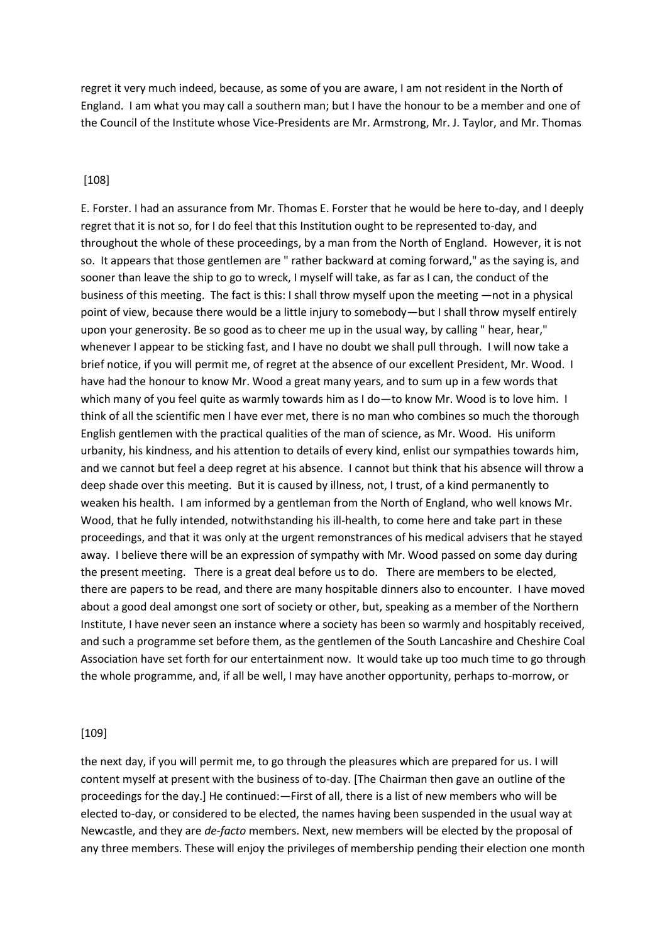regret it very much indeed, because, as some of you are aware, I am not resident in the North of England. I am what you may call a southern man; but I have the honour to be a member and one of the Council of the Institute whose Vice-Presidents are Mr. Armstrong, Mr. J. Taylor, and Mr. Thomas

### [108]

E. Forster. I had an assurance from Mr. Thomas E. Forster that he would be here to-day, and I deeply regret that it is not so, for I do feel that this Institution ought to be represented to-day, and throughout the whole of these proceedings, by a man from the North of England. However, it is not so. It appears that those gentlemen are " rather backward at coming forward," as the saying is, and sooner than leave the ship to go to wreck, I myself will take, as far as I can, the conduct of the business of this meeting. The fact is this: I shall throw myself upon the meeting —not in a physical point of view, because there would be a little injury to somebody—but I shall throw myself entirely upon your generosity. Be so good as to cheer me up in the usual way, by calling " hear, hear," whenever I appear to be sticking fast, and I have no doubt we shall pull through. I will now take a brief notice, if you will permit me, of regret at the absence of our excellent President, Mr. Wood. I have had the honour to know Mr. Wood a great many years, and to sum up in a few words that which many of you feel quite as warmly towards him as I do—to know Mr. Wood is to love him. I think of all the scientific men I have ever met, there is no man who combines so much the thorough English gentlemen with the practical qualities of the man of science, as Mr. Wood. His uniform urbanity, his kindness, and his attention to details of every kind, enlist our sympathies towards him, and we cannot but feel a deep regret at his absence. I cannot but think that his absence will throw a deep shade over this meeting. But it is caused by illness, not, I trust, of a kind permanently to weaken his health. I am informed by a gentleman from the North of England, who well knows Mr. Wood, that he fully intended, notwithstanding his ill-health, to come here and take part in these proceedings, and that it was only at the urgent remonstrances of his medical advisers that he stayed away. I believe there will be an expression of sympathy with Mr. Wood passed on some day during the present meeting. There is a great deal before us to do. There are members to be elected, there are papers to be read, and there are many hospitable dinners also to encounter. I have moved about a good deal amongst one sort of society or other, but, speaking as a member of the Northern Institute, I have never seen an instance where a society has been so warmly and hospitably received, and such a programme set before them, as the gentlemen of the South Lancashire and Cheshire Coal Association have set forth for our entertainment now. It would take up too much time to go through the whole programme, and, if all be well, I may have another opportunity, perhaps to-morrow, or

### [109]

the next day, if you will permit me, to go through the pleasures which are prepared for us. I will content myself at present with the business of to-day. [The Chairman then gave an outline of the proceedings for the day.] He continued:—First of all, there is a list of new members who will be elected to-day, or considered to be elected, the names having been suspended in the usual way at Newcastle, and they are *de-facto* members. Next, new members will be elected by the proposal of any three members. These will enjoy the privileges of membership pending their election one month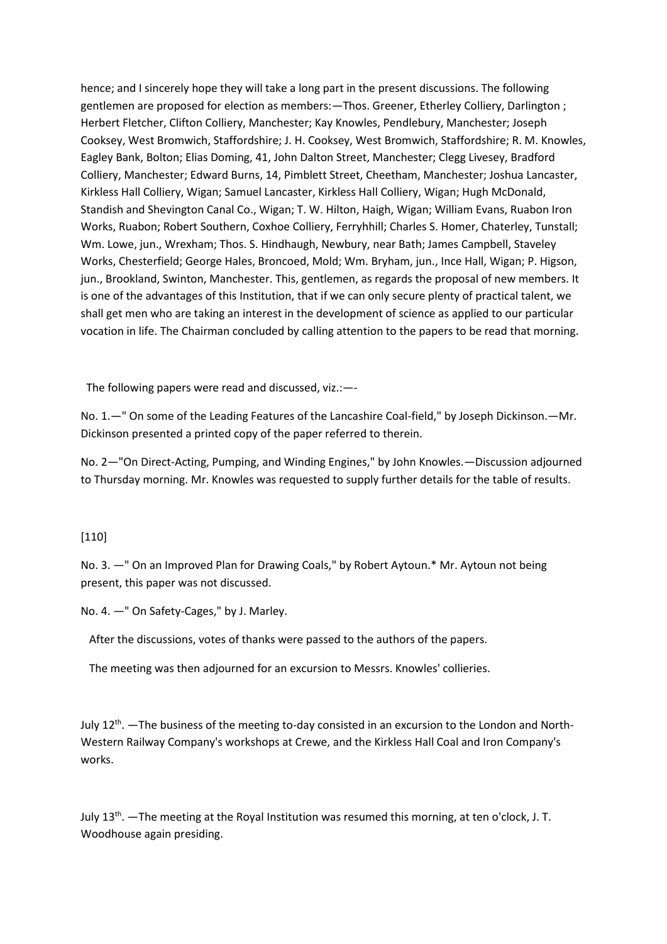hence; and I sincerely hope they will take a long part in the present discussions. The following gentlemen are proposed for election as members:—Thos. Greener, Etherley Colliery, Darlington ; Herbert Fletcher, Clifton Colliery, Manchester; Kay Knowles, Pendlebury, Manchester; Joseph Cooksey, West Bromwich, Staffordshire; J. H. Cooksey, West Bromwich, Staffordshire; R. M. Knowles, Eagley Bank, Bolton; Elias Doming, 41, John Dalton Street, Manchester; Clegg Livesey, Bradford Colliery, Manchester; Edward Burns, 14, Pimblett Street, Cheetham, Manchester; Joshua Lancaster, Kirkless Hall Colliery, Wigan; Samuel Lancaster, Kirkless Hall Colliery, Wigan; Hugh McDonald, Standish and Shevington Canal Co., Wigan; T. W. Hilton, Haigh, Wigan; William Evans, Ruabon Iron Works, Ruabon; Robert Southern, Coxhoe Colliery, Ferryhhill; Charles S. Homer, Chaterley, Tunstall; Wm. Lowe, jun., Wrexham; Thos. S. Hindhaugh, Newbury, near Bath; James Campbell, Staveley Works, Chesterfield; George Hales, Broncoed, Mold; Wm. Bryham, jun., Ince Hall, Wigan; P. Higson, jun., Brookland, Swinton, Manchester. This, gentlemen, as regards the proposal of new members. It is one of the advantages of this Institution, that if we can only secure plenty of practical talent, we shall get men who are taking an interest in the development of science as applied to our particular vocation in life. The Chairman concluded by calling attention to the papers to be read that morning.

The following papers were read and discussed, viz.:—-

No. 1.—" On some of the Leading Features of the Lancashire Coal-field," by Joseph Dickinson.—Mr. Dickinson presented a printed copy of the paper referred to therein.

No. 2—"On Direct-Acting, Pumping, and Winding Engines," by John Knowles.—Discussion adjourned to Thursday morning. Mr. Knowles was requested to supply further details for the table of results.

# [110]

No. 3. —" On an Improved Plan for Drawing Coals," by Robert Aytoun.\* Mr. Aytoun not being present, this paper was not discussed.

No. 4. —" On Safety-Cages," by J. Marley.

After the discussions, votes of thanks were passed to the authors of the papers.

The meeting was then adjourned for an excursion to Messrs. Knowles' collieries.

July 12<sup>th</sup>. —The business of the meeting to-day consisted in an excursion to the London and North-Western Railway Company's workshops at Crewe, and the Kirkless Hall Coal and Iron Company's works.

July 13<sup>th</sup>. —The meeting at the Royal Institution was resumed this morning, at ten o'clock, J. T. Woodhouse again presiding.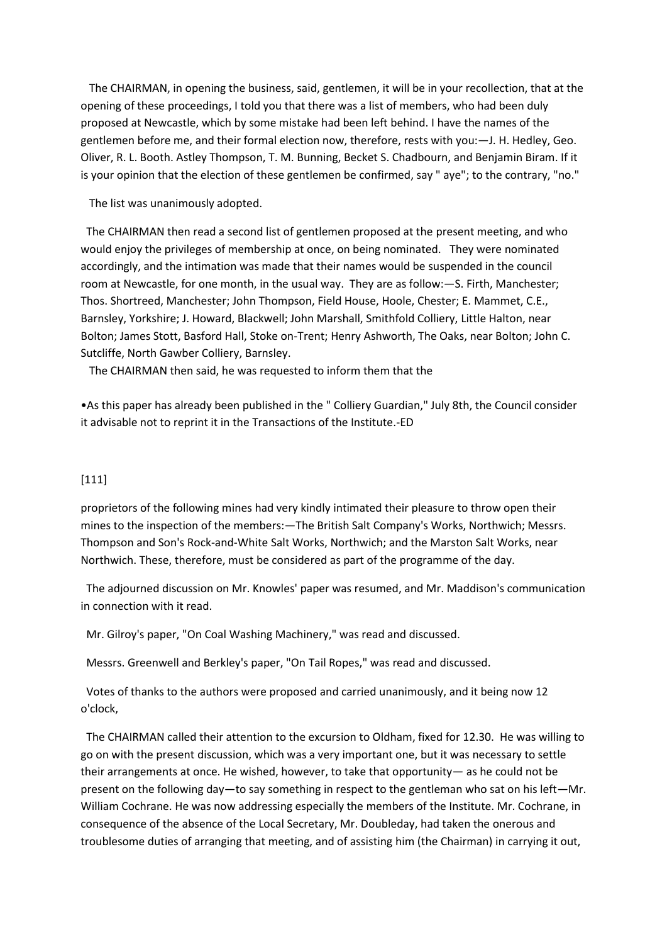The CHAIRMAN, in opening the business, said, gentlemen, it will be in your recollection, that at the opening of these proceedings, I told you that there was a list of members, who had been duly proposed at Newcastle, which by some mistake had been left behind. I have the names of the gentlemen before me, and their formal election now, therefore, rests with you:—J. H. Hedley, Geo. Oliver, R. L. Booth. Astley Thompson, T. M. Bunning, Becket S. Chadbourn, and Benjamin Biram. If it is your opinion that the election of these gentlemen be confirmed, say " aye"; to the contrary, "no."

The list was unanimously adopted.

 The CHAIRMAN then read a second list of gentlemen proposed at the present meeting, and who would enjoy the privileges of membership at once, on being nominated. They were nominated accordingly, and the intimation was made that their names would be suspended in the council room at Newcastle, for one month, in the usual way. They are as follow:—S. Firth, Manchester; Thos. Shortreed, Manchester; John Thompson, Field House, Hoole, Chester; E. Mammet, C.E., Barnsley, Yorkshire; J. Howard, Blackwell; John Marshall, Smithfold Colliery, Little Halton, near Bolton; James Stott, Basford Hall, Stoke on-Trent; Henry Ashworth, The Oaks, near Bolton; John C. Sutcliffe, North Gawber Colliery, Barnsley.

The CHAIRMAN then said, he was requested to inform them that the

•As this paper has already been published in the " Colliery Guardian," July 8th, the Council consider it advisable not to reprint it in the Transactions of the Institute.-ED

# [111]

proprietors of the following mines had very kindly intimated their pleasure to throw open their mines to the inspection of the members:—The British Salt Company's Works, Northwich; Messrs. Thompson and Son's Rock-and-White Salt Works, Northwich; and the Marston Salt Works, near Northwich. These, therefore, must be considered as part of the programme of the day.

 The adjourned discussion on Mr. Knowles' paper was resumed, and Mr. Maddison's communication in connection with it read.

Mr. Gilroy's paper, "On Coal Washing Machinery," was read and discussed.

Messrs. Greenwell and Berkley's paper, "On Tail Ropes," was read and discussed.

 Votes of thanks to the authors were proposed and carried unanimously, and it being now 12 o'clock,

 The CHAIRMAN called their attention to the excursion to Oldham, fixed for 12.30. He was willing to go on with the present discussion, which was a very important one, but it was necessary to settle their arrangements at once. He wished, however, to take that opportunity— as he could not be present on the following day—to say something in respect to the gentleman who sat on his left—Mr. William Cochrane. He was now addressing especially the members of the Institute. Mr. Cochrane, in consequence of the absence of the Local Secretary, Mr. Doubleday, had taken the onerous and troublesome duties of arranging that meeting, and of assisting him (the Chairman) in carrying it out,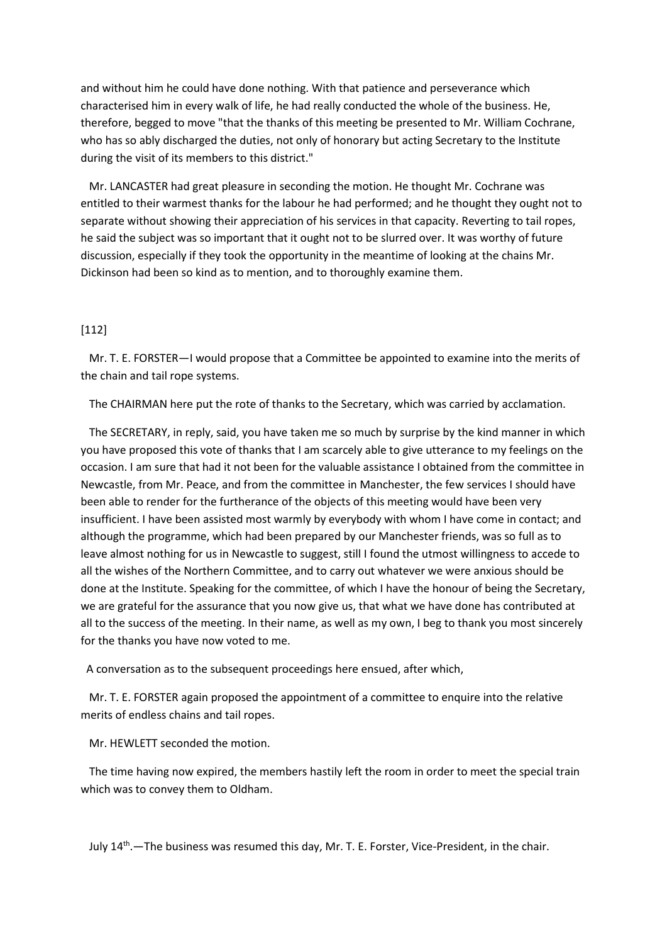and without him he could have done nothing. With that patience and perseverance which characterised him in every walk of life, he had really conducted the whole of the business. He, therefore, begged to move "that the thanks of this meeting be presented to Mr. William Cochrane, who has so ably discharged the duties, not only of honorary but acting Secretary to the Institute during the visit of its members to this district."

 Mr. LANCASTER had great pleasure in seconding the motion. He thought Mr. Cochrane was entitled to their warmest thanks for the labour he had performed; and he thought they ought not to separate without showing their appreciation of his services in that capacity. Reverting to tail ropes, he said the subject was so important that it ought not to be slurred over. It was worthy of future discussion, especially if they took the opportunity in the meantime of looking at the chains Mr. Dickinson had been so kind as to mention, and to thoroughly examine them.

### [112]

 Mr. T. E. FORSTER—I would propose that a Committee be appointed to examine into the merits of the chain and tail rope systems.

The CHAIRMAN here put the rote of thanks to the Secretary, which was carried by acclamation.

 The SECRETARY, in reply, said, you have taken me so much by surprise by the kind manner in which you have proposed this vote of thanks that I am scarcely able to give utterance to my feelings on the occasion. I am sure that had it not been for the valuable assistance I obtained from the committee in Newcastle, from Mr. Peace, and from the committee in Manchester, the few services I should have been able to render for the furtherance of the objects of this meeting would have been very insufficient. I have been assisted most warmly by everybody with whom I have come in contact; and although the programme, which had been prepared by our Manchester friends, was so full as to leave almost nothing for us in Newcastle to suggest, still I found the utmost willingness to accede to all the wishes of the Northern Committee, and to carry out whatever we were anxious should be done at the Institute. Speaking for the committee, of which I have the honour of being the Secretary, we are grateful for the assurance that you now give us, that what we have done has contributed at all to the success of the meeting. In their name, as well as my own, I beg to thank you most sincerely for the thanks you have now voted to me.

A conversation as to the subsequent proceedings here ensued, after which,

 Mr. T. E. FORSTER again proposed the appointment of a committee to enquire into the relative merits of endless chains and tail ropes.

Mr. HEWLETT seconded the motion.

 The time having now expired, the members hastily left the room in order to meet the special train which was to convey them to Oldham.

July 14<sup>th</sup>. - The business was resumed this day, Mr. T. E. Forster, Vice-President, in the chair.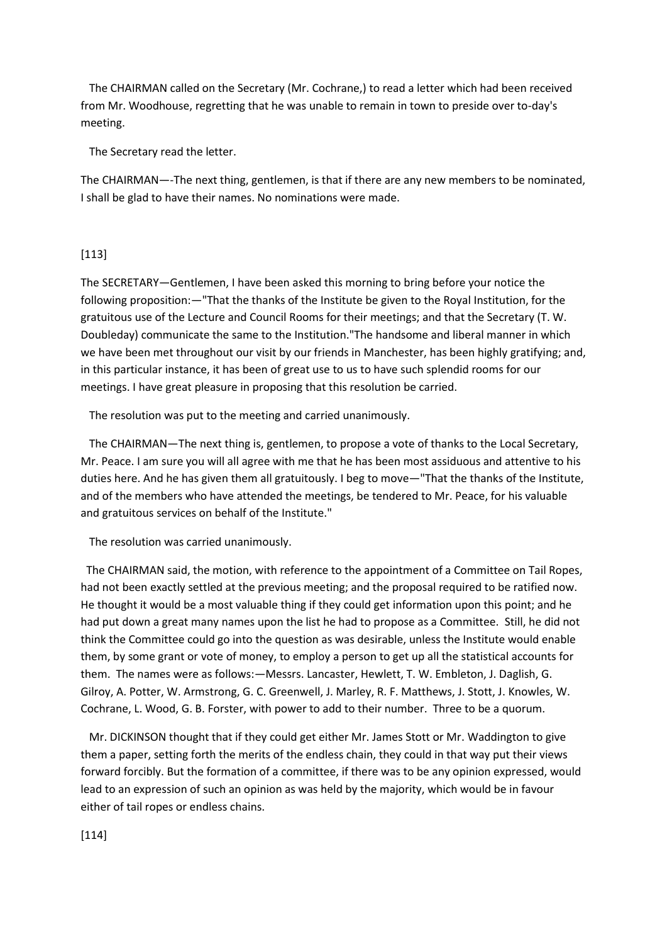The CHAIRMAN called on the Secretary (Mr. Cochrane,) to read a letter which had been received from Mr. Woodhouse, regretting that he was unable to remain in town to preside over to-day's meeting.

The Secretary read the letter.

The CHAIRMAN—-The next thing, gentlemen, is that if there are any new members to be nominated, I shall be glad to have their names. No nominations were made.

### [113]

The SECRETARY—Gentlemen, I have been asked this morning to bring before your notice the following proposition:—"That the thanks of the Institute be given to the Royal Institution, for the gratuitous use of the Lecture and Council Rooms for their meetings; and that the Secretary (T. W. Doubleday) communicate the same to the Institution."The handsome and liberal manner in which we have been met throughout our visit by our friends in Manchester, has been highly gratifying; and, in this particular instance, it has been of great use to us to have such splendid rooms for our meetings. I have great pleasure in proposing that this resolution be carried.

The resolution was put to the meeting and carried unanimously.

 The CHAIRMAN—The next thing is, gentlemen, to propose a vote of thanks to the Local Secretary, Mr. Peace. I am sure you will all agree with me that he has been most assiduous and attentive to his duties here. And he has given them all gratuitously. I beg to move—"That the thanks of the Institute, and of the members who have attended the meetings, be tendered to Mr. Peace, for his valuable and gratuitous services on behalf of the Institute."

The resolution was carried unanimously.

 The CHAIRMAN said, the motion, with reference to the appointment of a Committee on Tail Ropes, had not been exactly settled at the previous meeting; and the proposal required to be ratified now. He thought it would be a most valuable thing if they could get information upon this point; and he had put down a great many names upon the list he had to propose as a Committee. Still, he did not think the Committee could go into the question as was desirable, unless the Institute would enable them, by some grant or vote of money, to employ a person to get up all the statistical accounts for them. The names were as follows:—Messrs. Lancaster, Hewlett, T. W. Embleton, J. Daglish, G. Gilroy, A. Potter, W. Armstrong, G. C. Greenwell, J. Marley, R. F. Matthews, J. Stott, J. Knowles, W. Cochrane, L. Wood, G. B. Forster, with power to add to their number. Three to be a quorum.

 Mr. DICKINSON thought that if they could get either Mr. James Stott or Mr. Waddington to give them a paper, setting forth the merits of the endless chain, they could in that way put their views forward forcibly. But the formation of a committee, if there was to be any opinion expressed, would lead to an expression of such an opinion as was held by the majority, which would be in favour either of tail ropes or endless chains.

[114]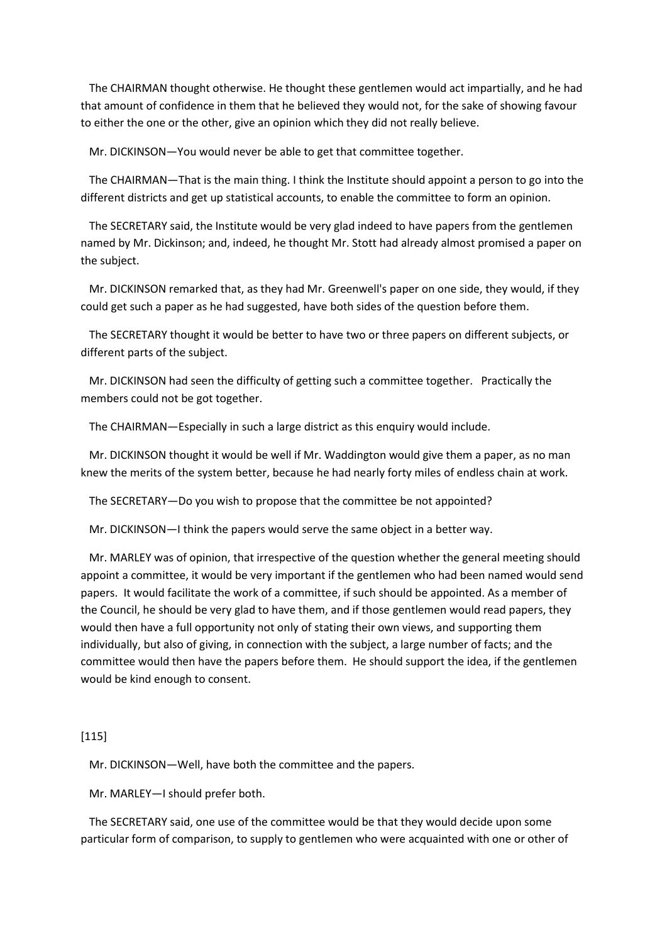The CHAIRMAN thought otherwise. He thought these gentlemen would act impartially, and he had that amount of confidence in them that he believed they would not, for the sake of showing favour to either the one or the other, give an opinion which they did not really believe.

Mr. DICKINSON—You would never be able to get that committee together.

 The CHAIRMAN—That is the main thing. I think the Institute should appoint a person to go into the different districts and get up statistical accounts, to enable the committee to form an opinion.

 The SECRETARY said, the Institute would be very glad indeed to have papers from the gentlemen named by Mr. Dickinson; and, indeed, he thought Mr. Stott had already almost promised a paper on the subject.

 Mr. DICKINSON remarked that, as they had Mr. Greenwell's paper on one side, they would, if they could get such a paper as he had suggested, have both sides of the question before them.

 The SECRETARY thought it would be better to have two or three papers on different subjects, or different parts of the subject.

 Mr. DICKINSON had seen the difficulty of getting such a committee together. Practically the members could not be got together.

The CHAIRMAN—Especially in such a large district as this enquiry would include.

 Mr. DICKINSON thought it would be well if Mr. Waddington would give them a paper, as no man knew the merits of the system better, because he had nearly forty miles of endless chain at work.

The SECRETARY—Do you wish to propose that the committee be not appointed?

Mr. DICKINSON—I think the papers would serve the same object in a better way.

 Mr. MARLEY was of opinion, that irrespective of the question whether the general meeting should appoint a committee, it would be very important if the gentlemen who had been named would send papers. It would facilitate the work of a committee, if such should be appointed. As a member of the Council, he should be very glad to have them, and if those gentlemen would read papers, they would then have a full opportunity not only of stating their own views, and supporting them individually, but also of giving, in connection with the subject, a large number of facts; and the committee would then have the papers before them. He should support the idea, if the gentlemen would be kind enough to consent.

### [115]

Mr. DICKINSON—Well, have both the committee and the papers.

Mr. MARLEY—I should prefer both.

 The SECRETARY said, one use of the committee would be that they would decide upon some particular form of comparison, to supply to gentlemen who were acquainted with one or other of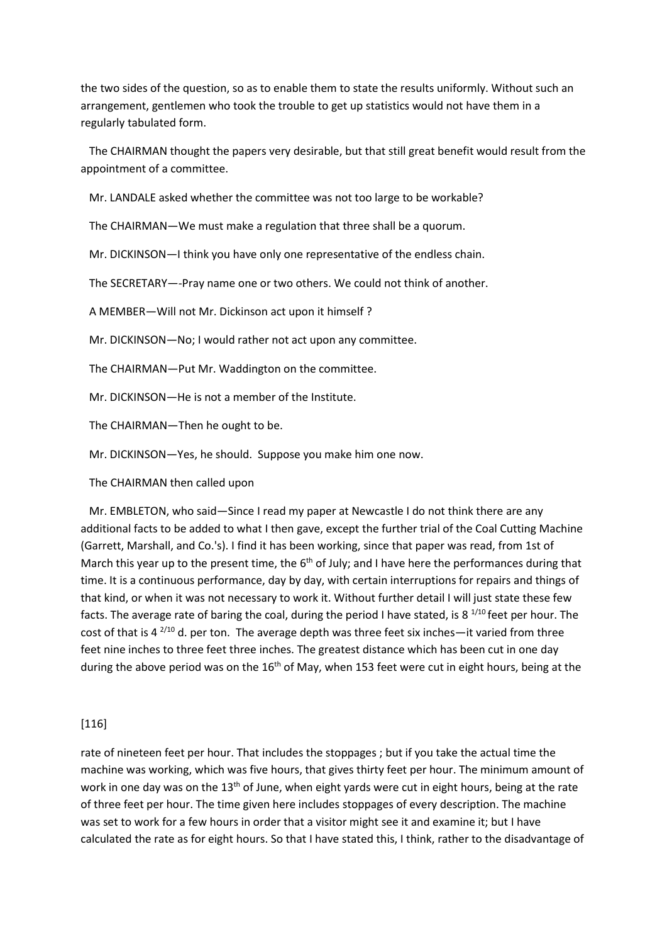the two sides of the question, so as to enable them to state the results uniformly. Without such an arrangement, gentlemen who took the trouble to get up statistics would not have them in a regularly tabulated form.

 The CHAIRMAN thought the papers very desirable, but that still great benefit would result from the appointment of a committee.

Mr. LANDALE asked whether the committee was not too large to be workable?

The CHAIRMAN—We must make a regulation that three shall be a quorum.

Mr. DICKINSON—I think you have only one representative of the endless chain.

The SECRETARY—-Pray name one or two others. We could not think of another.

A MEMBER—Will not Mr. Dickinson act upon it himself ?

Mr. DICKINSON—No; I would rather not act upon any committee.

The CHAIRMAN—Put Mr. Waddington on the committee.

Mr. DICKINSON—He is not a member of the Institute.

The CHAIRMAN—Then he ought to be.

Mr. DICKINSON—Yes, he should. Suppose you make him one now.

The CHAIRMAN then called upon

 Mr. EMBLETON, who said—Since I read my paper at Newcastle I do not think there are any additional facts to be added to what I then gave, except the further trial of the Coal Cutting Machine (Garrett, Marshall, and Co.'s). I find it has been working, since that paper was read, from 1st of March this year up to the present time, the 6<sup>th</sup> of July; and I have here the performances during that time. It is a continuous performance, day by day, with certain interruptions for repairs and things of that kind, or when it was not necessary to work it. Without further detail I will just state these few facts. The average rate of baring the coal, during the period I have stated, is 8  $^{1/10}$  feet per hour. The cost of that is 4  $^{2/10}$  d. per ton. The average depth was three feet six inches—it varied from three feet nine inches to three feet three inches. The greatest distance which has been cut in one day during the above period was on the  $16<sup>th</sup>$  of May, when 153 feet were cut in eight hours, being at the

[116]

rate of nineteen feet per hour. That includes the stoppages ; but if you take the actual time the machine was working, which was five hours, that gives thirty feet per hour. The minimum amount of work in one day was on the 13<sup>th</sup> of June, when eight yards were cut in eight hours, being at the rate of three feet per hour. The time given here includes stoppages of every description. The machine was set to work for a few hours in order that a visitor might see it and examine it; but I have calculated the rate as for eight hours. So that I have stated this, I think, rather to the disadvantage of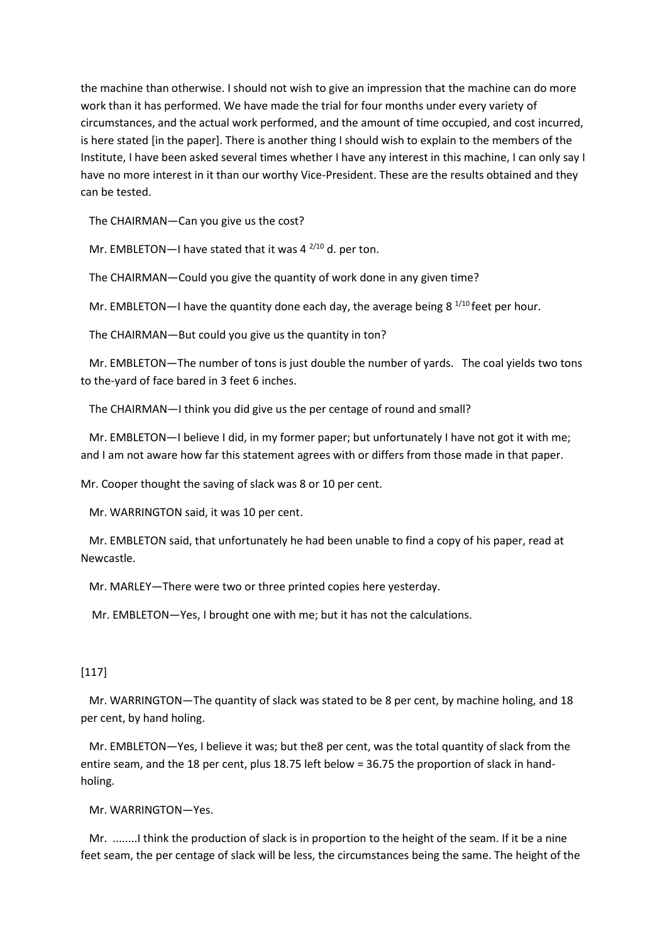the machine than otherwise. I should not wish to give an impression that the machine can do more work than it has performed. We have made the trial for four months under every variety of circumstances, and the actual work performed, and the amount of time occupied, and cost incurred, is here stated [in the paper]. There is another thing I should wish to explain to the members of the Institute, I have been asked several times whether I have any interest in this machine, I can only say I have no more interest in it than our worthy Vice-President. These are the results obtained and they can be tested.

The CHAIRMAN—Can you give us the cost?

Mr. EMBLETON—I have stated that it was 4 $^{2/10}$  d. per ton.

The CHAIRMAN—Could you give the quantity of work done in any given time?

Mr. EMBLETON—I have the quantity done each day, the average being 8  $^{1/10}$  feet per hour.

The CHAIRMAN—But could you give us the quantity in ton?

 Mr. EMBLETON—The number of tons is just double the number of yards. The coal yields two tons to the-yard of face bared in 3 feet 6 inches.

The CHAIRMAN—I think you did give us the per centage of round and small?

 Mr. EMBLETON—I believe I did, in my former paper; but unfortunately I have not got it with me; and I am not aware how far this statement agrees with or differs from those made in that paper.

Mr. Cooper thought the saving of slack was 8 or 10 per cent.

Mr. WARRINGTON said, it was 10 per cent.

 Mr. EMBLETON said, that unfortunately he had been unable to find a copy of his paper, read at Newcastle.

Mr. MARLEY—There were two or three printed copies here yesterday.

Mr. EMBLETON—Yes, I brought one with me; but it has not the calculations.

# [117]

 Mr. WARRINGTON—The quantity of slack was stated to be 8 per cent, by machine holing, and 18 per cent, by hand holing.

 Mr. EMBLETON—Yes, I believe it was; but the8 per cent, was the total quantity of slack from the entire seam, and the 18 per cent, plus 18.75 left below = 36.75 the proportion of slack in handholing.

Mr. WARRINGTON—Yes.

 Mr. ........I think the production of slack is in proportion to the height of the seam. If it be a nine feet seam, the per centage of slack will be less, the circumstances being the same. The height of the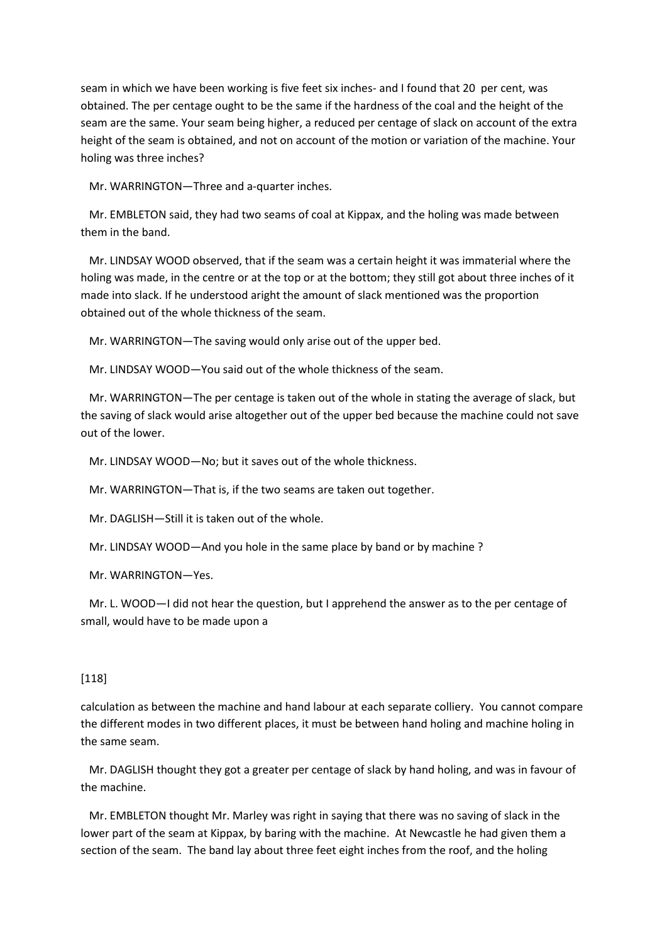seam in which we have been working is five feet six inches- and I found that 20 per cent, was obtained. The per centage ought to be the same if the hardness of the coal and the height of the seam are the same. Your seam being higher, a reduced per centage of slack on account of the extra height of the seam is obtained, and not on account of the motion or variation of the machine. Your holing was three inches?

Mr. WARRINGTON—Three and a-quarter inches.

 Mr. EMBLETON said, they had two seams of coal at Kippax, and the holing was made between them in the band.

 Mr. LINDSAY WOOD observed, that if the seam was a certain height it was immaterial where the holing was made, in the centre or at the top or at the bottom; they still got about three inches of it made into slack. If he understood aright the amount of slack mentioned was the proportion obtained out of the whole thickness of the seam.

Mr. WARRINGTON—The saving would only arise out of the upper bed.

Mr. LINDSAY WOOD—You said out of the whole thickness of the seam.

 Mr. WARRINGTON—The per centage is taken out of the whole in stating the average of slack, but the saving of slack would arise altogether out of the upper bed because the machine could not save out of the lower.

Mr. LINDSAY WOOD—No; but it saves out of the whole thickness.

Mr. WARRINGTON—That is, if the two seams are taken out together.

Mr. DAGLISH—Still it is taken out of the whole.

Mr. LINDSAY WOOD—And you hole in the same place by band or by machine ?

Mr. WARRINGTON—Yes.

 Mr. L. WOOD—I did not hear the question, but I apprehend the answer as to the per centage of small, would have to be made upon a

# [118]

calculation as between the machine and hand labour at each separate colliery. You cannot compare the different modes in two different places, it must be between hand holing and machine holing in the same seam.

 Mr. DAGLISH thought they got a greater per centage of slack by hand holing, and was in favour of the machine.

 Mr. EMBLETON thought Mr. Marley was right in saying that there was no saving of slack in the lower part of the seam at Kippax, by baring with the machine. At Newcastle he had given them a section of the seam. The band lay about three feet eight inches from the roof, and the holing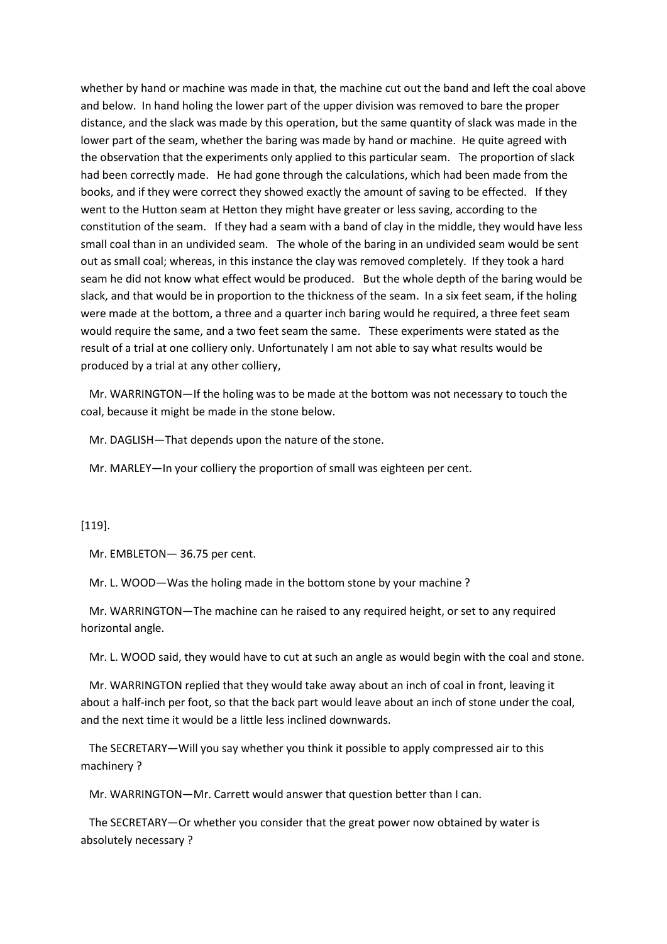whether by hand or machine was made in that, the machine cut out the band and left the coal above and below. In hand holing the lower part of the upper division was removed to bare the proper distance, and the slack was made by this operation, but the same quantity of slack was made in the lower part of the seam, whether the baring was made by hand or machine. He quite agreed with the observation that the experiments only applied to this particular seam. The proportion of slack had been correctly made. He had gone through the calculations, which had been made from the books, and if they were correct they showed exactly the amount of saving to be effected. If they went to the Hutton seam at Hetton they might have greater or less saving, according to the constitution of the seam. If they had a seam with a band of clay in the middle, they would have less small coal than in an undivided seam. The whole of the baring in an undivided seam would be sent out as small coal; whereas, in this instance the clay was removed completely. If they took a hard seam he did not know what effect would be produced. But the whole depth of the baring would be slack, and that would be in proportion to the thickness of the seam. In a six feet seam, if the holing were made at the bottom, a three and a quarter inch baring would he required, a three feet seam would require the same, and a two feet seam the same. These experiments were stated as the result of a trial at one colliery only. Unfortunately I am not able to say what results would be produced by a trial at any other colliery,

 Mr. WARRINGTON—If the holing was to be made at the bottom was not necessary to touch the coal, because it might be made in the stone below.

Mr. DAGLISH—That depends upon the nature of the stone.

Mr. MARLEY—In your colliery the proportion of small was eighteen per cent.

### [119].

Mr. EMBLETON— 36.75 per cent.

Mr. L. WOOD—Was the holing made in the bottom stone by your machine ?

 Mr. WARRINGTON—The machine can he raised to any required height, or set to any required horizontal angle.

Mr. L. WOOD said, they would have to cut at such an angle as would begin with the coal and stone.

 Mr. WARRINGTON replied that they would take away about an inch of coal in front, leaving it about a half-inch per foot, so that the back part would leave about an inch of stone under the coal, and the next time it would be a little less inclined downwards.

 The SECRETARY—Will you say whether you think it possible to apply compressed air to this machinery ?

Mr. WARRINGTON—Mr. Carrett would answer that question better than I can.

 The SECRETARY—Or whether you consider that the great power now obtained by water is absolutely necessary ?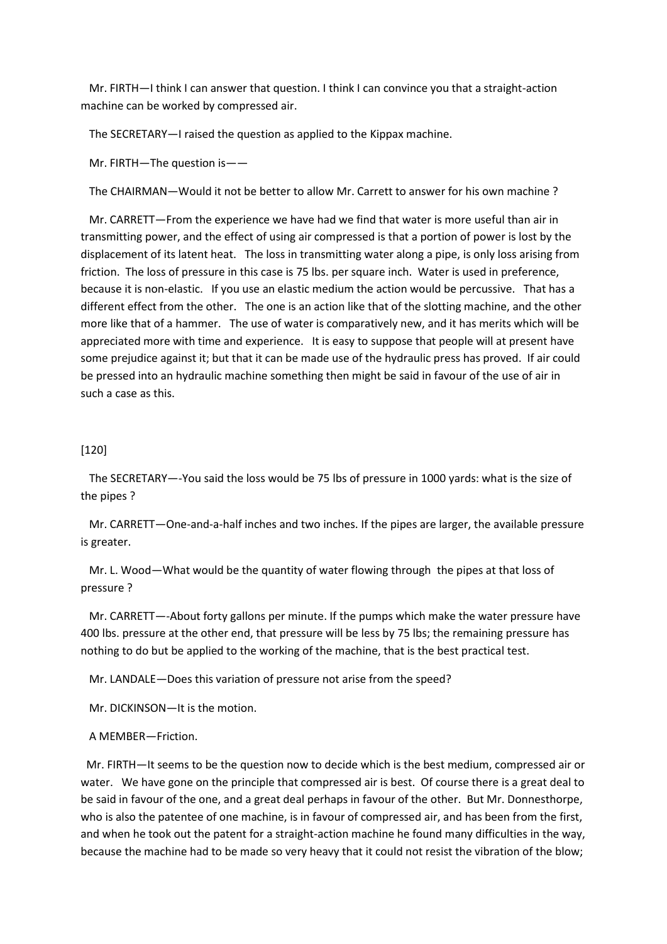Mr. FIRTH—I think I can answer that question. I think I can convince you that a straight-action machine can be worked by compressed air.

The SECRETARY—I raised the question as applied to the Kippax machine.

Mr. FIRTH—The question is——

The CHAIRMAN—Would it not be better to allow Mr. Carrett to answer for his own machine ?

 Mr. CARRETT—From the experience we have had we find that water is more useful than air in transmitting power, and the effect of using air compressed is that a portion of power is lost by the displacement of its latent heat. The loss in transmitting water along a pipe, is only loss arising from friction. The loss of pressure in this case is 75 lbs. per square inch. Water is used in preference, because it is non-elastic. If you use an elastic medium the action would be percussive. That has a different effect from the other. The one is an action like that of the slotting machine, and the other more like that of a hammer. The use of water is comparatively new, and it has merits which will be appreciated more with time and experience. It is easy to suppose that people will at present have some prejudice against it; but that it can be made use of the hydraulic press has proved. If air could be pressed into an hydraulic machine something then might be said in favour of the use of air in such a case as this.

### [120]

 The SECRETARY—-You said the loss would be 75 lbs of pressure in 1000 yards: what is the size of the pipes ?

 Mr. CARRETT—One-and-a-half inches and two inches. If the pipes are larger, the available pressure is greater.

 Mr. L. Wood—What would be the quantity of water flowing through the pipes at that loss of pressure ?

 Mr. CARRETT—-About forty gallons per minute. If the pumps which make the water pressure have 400 lbs. pressure at the other end, that pressure will be less by 75 lbs; the remaining pressure has nothing to do but be applied to the working of the machine, that is the best practical test.

Mr. LANDALE—Does this variation of pressure not arise from the speed?

Mr. DICKINSON—It is the motion.

A MEMBER—Friction.

 Mr. FIRTH—It seems to be the question now to decide which is the best medium, compressed air or water. We have gone on the principle that compressed air is best. Of course there is a great deal to be said in favour of the one, and a great deal perhaps in favour of the other. But Mr. Donnesthorpe, who is also the patentee of one machine, is in favour of compressed air, and has been from the first, and when he took out the patent for a straight-action machine he found many difficulties in the way, because the machine had to be made so very heavy that it could not resist the vibration of the blow;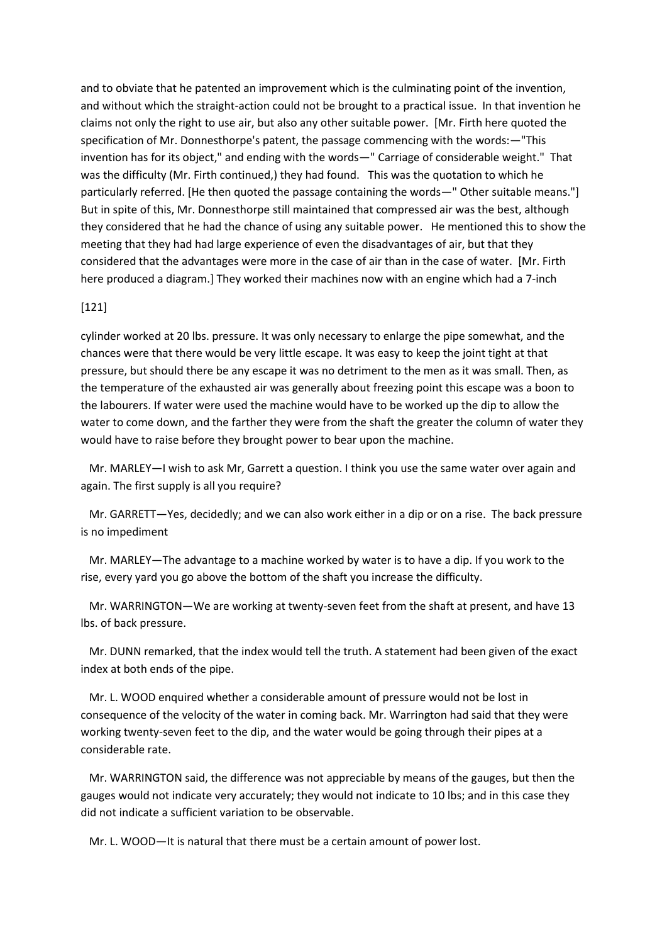and to obviate that he patented an improvement which is the culminating point of the invention, and without which the straight-action could not be brought to a practical issue. In that invention he claims not only the right to use air, but also any other suitable power. [Mr. Firth here quoted the specification of Mr. Donnesthorpe's patent, the passage commencing with the words:—"This invention has for its object," and ending with the words—" Carriage of considerable weight." That was the difficulty (Mr. Firth continued,) they had found. This was the quotation to which he particularly referred. [He then quoted the passage containing the words—" Other suitable means."] But in spite of this, Mr. Donnesthorpe still maintained that compressed air was the best, although they considered that he had the chance of using any suitable power. He mentioned this to show the meeting that they had had large experience of even the disadvantages of air, but that they considered that the advantages were more in the case of air than in the case of water. [Mr. Firth here produced a diagram.] They worked their machines now with an engine which had a 7-inch

#### [121]

cylinder worked at 20 lbs. pressure. It was only necessary to enlarge the pipe somewhat, and the chances were that there would be very little escape. It was easy to keep the joint tight at that pressure, but should there be any escape it was no detriment to the men as it was small. Then, as the temperature of the exhausted air was generally about freezing point this escape was a boon to the labourers. If water were used the machine would have to be worked up the dip to allow the water to come down, and the farther they were from the shaft the greater the column of water they would have to raise before they brought power to bear upon the machine.

 Mr. MARLEY—I wish to ask Mr, Garrett a question. I think you use the same water over again and again. The first supply is all you require?

 Mr. GARRETT—Yes, decidedly; and we can also work either in a dip or on a rise. The back pressure is no impediment

 Mr. MARLEY—The advantage to a machine worked by water is to have a dip. If you work to the rise, every yard you go above the bottom of the shaft you increase the difficulty.

 Mr. WARRINGTON—We are working at twenty-seven feet from the shaft at present, and have 13 lbs. of back pressure.

 Mr. DUNN remarked, that the index would tell the truth. A statement had been given of the exact index at both ends of the pipe.

 Mr. L. WOOD enquired whether a considerable amount of pressure would not be lost in consequence of the velocity of the water in coming back. Mr. Warrington had said that they were working twenty-seven feet to the dip, and the water would be going through their pipes at a considerable rate.

 Mr. WARRINGTON said, the difference was not appreciable by means of the gauges, but then the gauges would not indicate very accurately; they would not indicate to 10 lbs; and in this case they did not indicate a sufficient variation to be observable.

Mr. L. WOOD—It is natural that there must be a certain amount of power lost.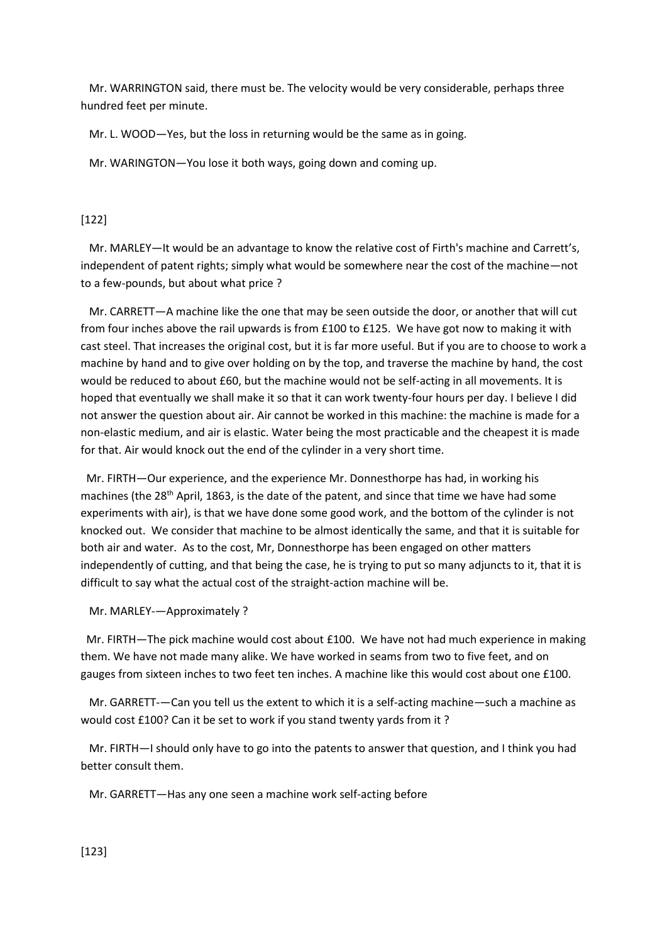Mr. WARRINGTON said, there must be. The velocity would be very considerable, perhaps three hundred feet per minute.

Mr. L. WOOD—Yes, but the loss in returning would be the same as in going.

Mr. WARINGTON—You lose it both ways, going down and coming up.

### [122]

 Mr. MARLEY—It would be an advantage to know the relative cost of Firth's machine and Carrett's, independent of patent rights; simply what would be somewhere near the cost of the machine—not to a few-pounds, but about what price ?

 Mr. CARRETT—A machine like the one that may be seen outside the door, or another that will cut from four inches above the rail upwards is from £100 to £125. We have got now to making it with cast steel. That increases the original cost, but it is far more useful. But if you are to choose to work a machine by hand and to give over holding on by the top, and traverse the machine by hand, the cost would be reduced to about £60, but the machine would not be self-acting in all movements. It is hoped that eventually we shall make it so that it can work twenty-four hours per day. I believe I did not answer the question about air. Air cannot be worked in this machine: the machine is made for a non-elastic medium, and air is elastic. Water being the most practicable and the cheapest it is made for that. Air would knock out the end of the cylinder in a very short time.

 Mr. FIRTH—Our experience, and the experience Mr. Donnesthorpe has had, in working his machines (the 28<sup>th</sup> April, 1863, is the date of the patent, and since that time we have had some experiments with air), is that we have done some good work, and the bottom of the cylinder is not knocked out. We consider that machine to be almost identically the same, and that it is suitable for both air and water. As to the cost, Mr, Donnesthorpe has been engaged on other matters independently of cutting, and that being the case, he is trying to put so many adjuncts to it, that it is difficult to say what the actual cost of the straight-action machine will be.

#### Mr. MARLEY-—Approximately ?

 Mr. FIRTH—The pick machine would cost about £100. We have not had much experience in making them. We have not made many alike. We have worked in seams from two to five feet, and on gauges from sixteen inches to two feet ten inches. A machine like this would cost about one £100.

 Mr. GARRETT-—Can you tell us the extent to which it is a self-acting machine—such a machine as would cost £100? Can it be set to work if you stand twenty yards from it ?

 Mr. FIRTH—I should only have to go into the patents to answer that question, and I think you had better consult them.

Mr. GARRETT—Has any one seen a machine work self-acting before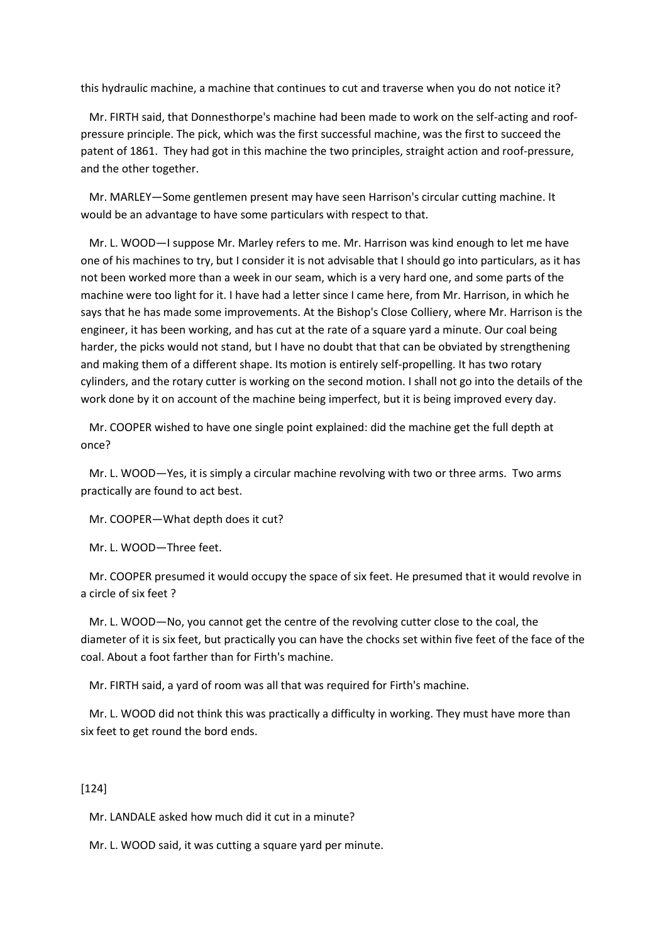this hydraulic machine, a machine that continues to cut and traverse when you do not notice it?

 Mr. FIRTH said, that Donnesthorpe's machine had been made to work on the self-acting and roofpressure principle. The pick, which was the first successful machine, was the first to succeed the patent of 1861. They had got in this machine the two principles, straight action and roof-pressure, and the other together.

 Mr. MARLEY—Some gentlemen present may have seen Harrison's circular cutting machine. It would be an advantage to have some particulars with respect to that.

 Mr. L. WOOD—I suppose Mr. Marley refers to me. Mr. Harrison was kind enough to let me have one of his machines to try, but I consider it is not advisable that I should go into particulars, as it has not been worked more than a week in our seam, which is a very hard one, and some parts of the machine were too light for it. I have had a letter since I came here, from Mr. Harrison, in which he says that he has made some improvements. At the Bishop's Close Colliery, where Mr. Harrison is the engineer, it has been working, and has cut at the rate of a square yard a minute. Our coal being harder, the picks would not stand, but I have no doubt that that can be obviated by strengthening and making them of a different shape. Its motion is entirely self-propelling. It has two rotary cylinders, and the rotary cutter is working on the second motion. I shall not go into the details of the work done by it on account of the machine being imperfect, but it is being improved every day.

 Mr. COOPER wished to have one single point explained: did the machine get the full depth at once?

 Mr. L. WOOD—Yes, it is simply a circular machine revolving with two or three arms. Two arms practically are found to act best.

Mr. COOPER—What depth does it cut?

Mr. L. WOOD—Three feet.

 Mr. COOPER presumed it would occupy the space of six feet. He presumed that it would revolve in a circle of six feet ?

 Mr. L. WOOD—No, you cannot get the centre of the revolving cutter close to the coal, the diameter of it is six feet, but practically you can have the chocks set within five feet of the face of the coal. About a foot farther than for Firth's machine.

Mr. FIRTH said, a yard of room was all that was required for Firth's machine.

 Mr. L. WOOD did not think this was practically a difficulty in working. They must have more than six feet to get round the bord ends.

# [124]

Mr. LANDALE asked how much did it cut in a minute?

Mr. L. WOOD said, it was cutting a square yard per minute.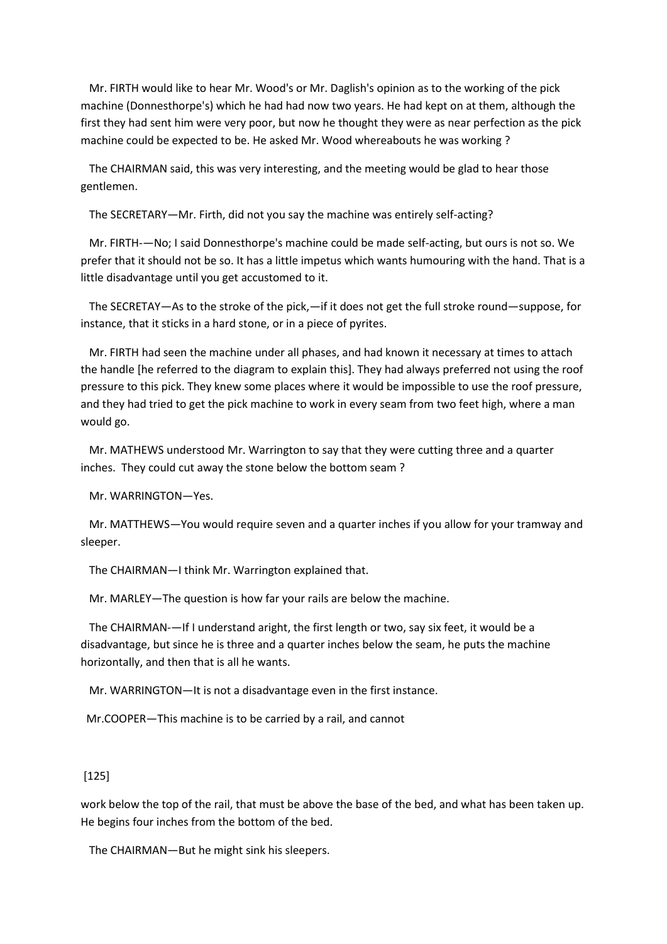Mr. FIRTH would like to hear Mr. Wood's or Mr. Daglish's opinion as to the working of the pick machine (Donnesthorpe's) which he had had now two years. He had kept on at them, although the first they had sent him were very poor, but now he thought they were as near perfection as the pick machine could be expected to be. He asked Mr. Wood whereabouts he was working ?

 The CHAIRMAN said, this was very interesting, and the meeting would be glad to hear those gentlemen.

The SECRETARY—Mr. Firth, did not you say the machine was entirely self-acting?

 Mr. FIRTH-—No; I said Donnesthorpe's machine could be made self-acting, but ours is not so. We prefer that it should not be so. It has a little impetus which wants humouring with the hand. That is a little disadvantage until you get accustomed to it.

 The SECRETAY—As to the stroke of the pick,—if it does not get the full stroke round—suppose, for instance, that it sticks in a hard stone, or in a piece of pyrites.

 Mr. FIRTH had seen the machine under all phases, and had known it necessary at times to attach the handle [he referred to the diagram to explain this]. They had always preferred not using the roof pressure to this pick. They knew some places where it would be impossible to use the roof pressure, and they had tried to get the pick machine to work in every seam from two feet high, where a man would go.

 Mr. MATHEWS understood Mr. Warrington to say that they were cutting three and a quarter inches. They could cut away the stone below the bottom seam ?

Mr. WARRINGTON—Yes.

 Mr. MATTHEWS—You would require seven and a quarter inches if you allow for your tramway and sleeper.

The CHAIRMAN—I think Mr. Warrington explained that.

Mr. MARLEY—The question is how far your rails are below the machine.

 The CHAIRMAN-—If I understand aright, the first length or two, say six feet, it would be a disadvantage, but since he is three and a quarter inches below the seam, he puts the machine horizontally, and then that is all he wants.

Mr. WARRINGTON—It is not a disadvantage even in the first instance.

Mr.COOPER—This machine is to be carried by a rail, and cannot

#### [125]

work below the top of the rail, that must be above the base of the bed, and what has been taken up. He begins four inches from the bottom of the bed.

The CHAIRMAN—But he might sink his sleepers.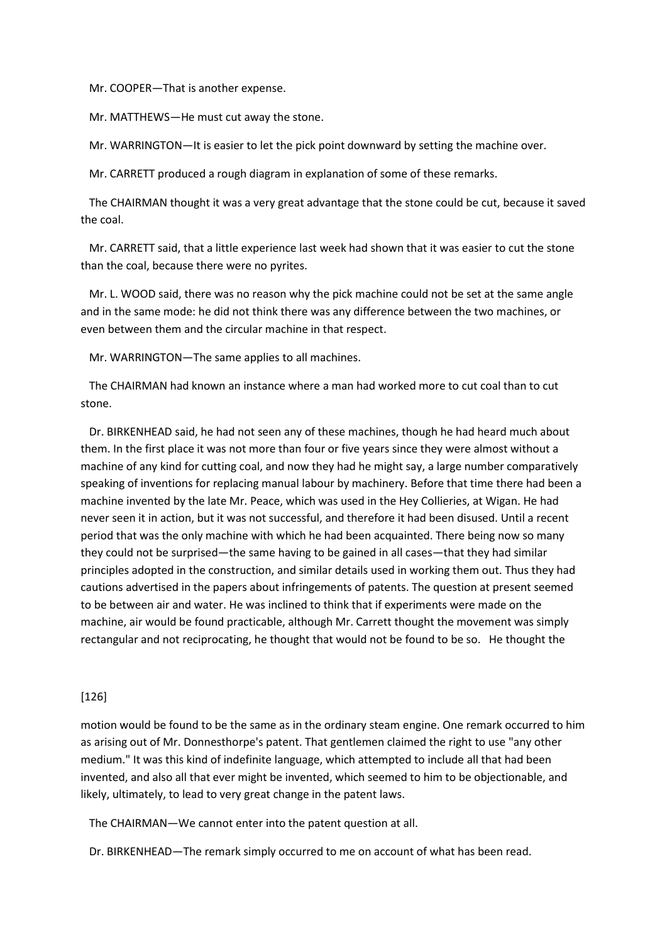Mr. COOPER—That is another expense.

Mr. MATTHEWS—He must cut away the stone.

Mr. WARRINGTON—It is easier to let the pick point downward by setting the machine over.

Mr. CARRETT produced a rough diagram in explanation of some of these remarks.

 The CHAIRMAN thought it was a very great advantage that the stone could be cut, because it saved the coal.

 Mr. CARRETT said, that a little experience last week had shown that it was easier to cut the stone than the coal, because there were no pyrites.

 Mr. L. WOOD said, there was no reason why the pick machine could not be set at the same angle and in the same mode: he did not think there was any difference between the two machines, or even between them and the circular machine in that respect.

Mr. WARRINGTON—The same applies to all machines.

 The CHAIRMAN had known an instance where a man had worked more to cut coal than to cut stone.

 Dr. BIRKENHEAD said, he had not seen any of these machines, though he had heard much about them. In the first place it was not more than four or five years since they were almost without a machine of any kind for cutting coal, and now they had he might say, a large number comparatively speaking of inventions for replacing manual labour by machinery. Before that time there had been a machine invented by the late Mr. Peace, which was used in the Hey Collieries, at Wigan. He had never seen it in action, but it was not successful, and therefore it had been disused. Until a recent period that was the only machine with which he had been acquainted. There being now so many they could not be surprised—the same having to be gained in all cases—that they had similar principles adopted in the construction, and similar details used in working them out. Thus they had cautions advertised in the papers about infringements of patents. The question at present seemed to be between air and water. He was inclined to think that if experiments were made on the machine, air would be found practicable, although Mr. Carrett thought the movement was simply rectangular and not reciprocating, he thought that would not be found to be so. He thought the

#### [126]

motion would be found to be the same as in the ordinary steam engine. One remark occurred to him as arising out of Mr. Donnesthorpe's patent. That gentlemen claimed the right to use "any other medium." It was this kind of indefinite language, which attempted to include all that had been invented, and also all that ever might be invented, which seemed to him to be objectionable, and likely, ultimately, to lead to very great change in the patent laws.

The CHAIRMAN—We cannot enter into the patent question at all.

Dr. BIRKENHEAD—The remark simply occurred to me on account of what has been read.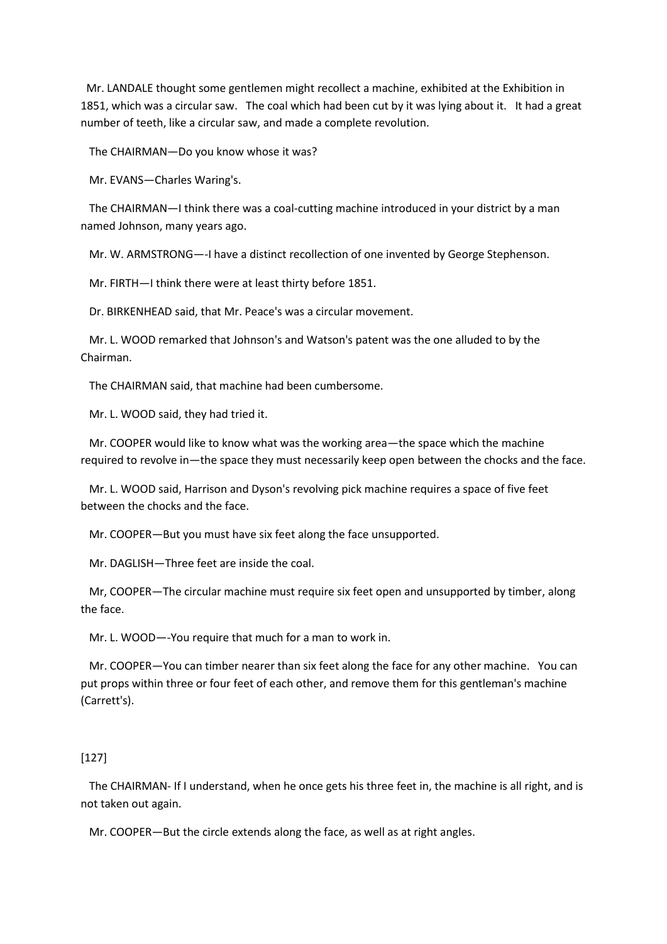Mr. LANDALE thought some gentlemen might recollect a machine, exhibited at the Exhibition in 1851, which was a circular saw. The coal which had been cut by it was lying about it. It had a great number of teeth, like a circular saw, and made a complete revolution.

The CHAIRMAN—Do you know whose it was?

Mr. EVANS—Charles Waring's.

 The CHAIRMAN—I think there was a coal-cutting machine introduced in your district by a man named Johnson, many years ago.

Mr. W. ARMSTRONG—-I have a distinct recollection of one invented by George Stephenson.

Mr. FIRTH—I think there were at least thirty before 1851.

Dr. BIRKENHEAD said, that Mr. Peace's was a circular movement.

 Mr. L. WOOD remarked that Johnson's and Watson's patent was the one alluded to by the Chairman.

The CHAIRMAN said, that machine had been cumbersome.

Mr. L. WOOD said, they had tried it.

 Mr. COOPER would like to know what was the working area—the space which the machine required to revolve in—the space they must necessarily keep open between the chocks and the face.

 Mr. L. WOOD said, Harrison and Dyson's revolving pick machine requires a space of five feet between the chocks and the face.

Mr. COOPER—But you must have six feet along the face unsupported.

Mr. DAGLISH—Three feet are inside the coal.

 Mr, COOPER—The circular machine must require six feet open and unsupported by timber, along the face.

Mr. L. WOOD—-You require that much for a man to work in.

 Mr. COOPER—You can timber nearer than six feet along the face for any other machine. You can put props within three or four feet of each other, and remove them for this gentleman's machine (Carrett's).

### [127]

 The CHAIRMAN- If I understand, when he once gets his three feet in, the machine is all right, and is not taken out again.

Mr. COOPER—But the circle extends along the face, as well as at right angles.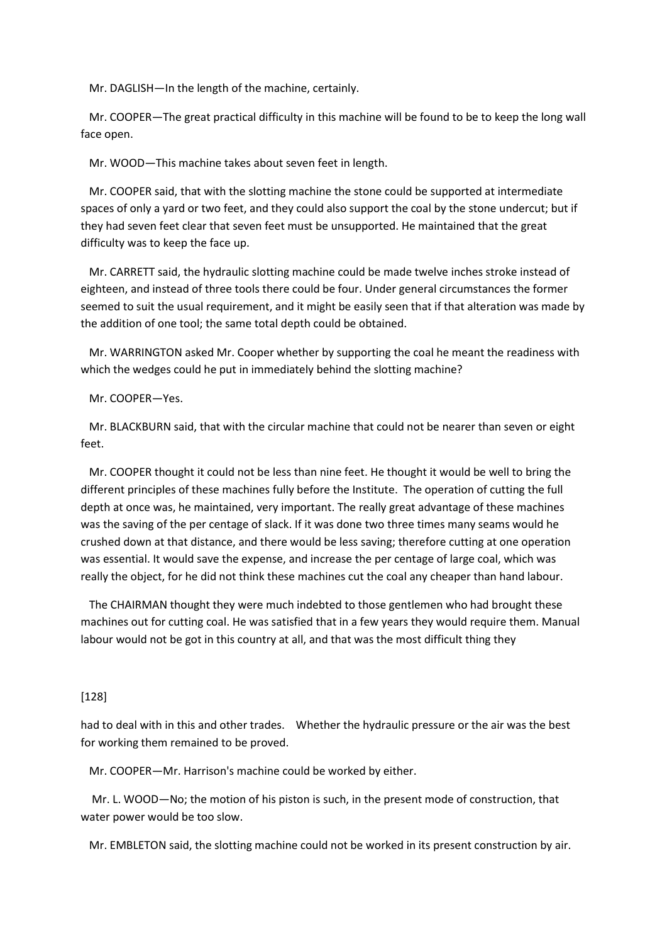Mr. DAGLISH—In the length of the machine, certainly.

 Mr. COOPER—The great practical difficulty in this machine will be found to be to keep the long wall face open.

Mr. WOOD—This machine takes about seven feet in length.

 Mr. COOPER said, that with the slotting machine the stone could be supported at intermediate spaces of only a yard or two feet, and they could also support the coal by the stone undercut; but if they had seven feet clear that seven feet must be unsupported. He maintained that the great difficulty was to keep the face up.

 Mr. CARRETT said, the hydraulic slotting machine could be made twelve inches stroke instead of eighteen, and instead of three tools there could be four. Under general circumstances the former seemed to suit the usual requirement, and it might be easily seen that if that alteration was made by the addition of one tool; the same total depth could be obtained.

 Mr. WARRINGTON asked Mr. Cooper whether by supporting the coal he meant the readiness with which the wedges could he put in immediately behind the slotting machine?

#### Mr. COOPER—Yes.

 Mr. BLACKBURN said, that with the circular machine that could not be nearer than seven or eight feet.

 Mr. COOPER thought it could not be less than nine feet. He thought it would be well to bring the different principles of these machines fully before the Institute. The operation of cutting the full depth at once was, he maintained, very important. The really great advantage of these machines was the saving of the per centage of slack. If it was done two three times many seams would he crushed down at that distance, and there would be less saving; therefore cutting at one operation was essential. It would save the expense, and increase the per centage of large coal, which was really the object, for he did not think these machines cut the coal any cheaper than hand labour.

 The CHAIRMAN thought they were much indebted to those gentlemen who had brought these machines out for cutting coal. He was satisfied that in a few years they would require them. Manual labour would not be got in this country at all, and that was the most difficult thing they

#### [128]

had to deal with in this and other trades. Whether the hydraulic pressure or the air was the best for working them remained to be proved.

Mr. COOPER—Mr. Harrison's machine could be worked by either.

 Mr. L. WOOD—No; the motion of his piston is such, in the present mode of construction, that water power would be too slow.

Mr. EMBLETON said, the slotting machine could not be worked in its present construction by air.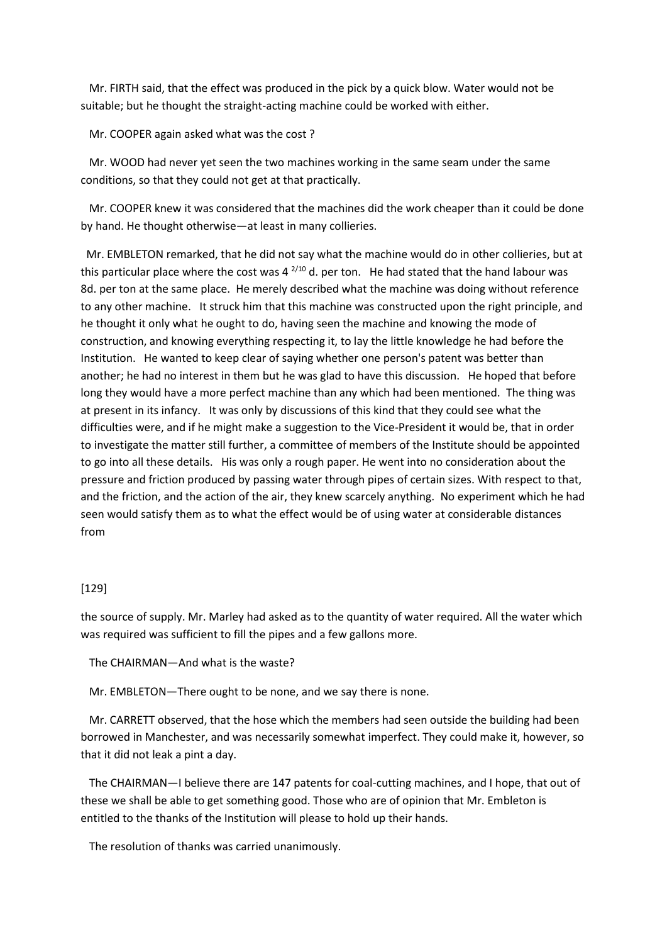Mr. FIRTH said, that the effect was produced in the pick by a quick blow. Water would not be suitable; but he thought the straight-acting machine could be worked with either.

Mr. COOPER again asked what was the cost ?

 Mr. WOOD had never yet seen the two machines working in the same seam under the same conditions, so that they could not get at that practically.

 Mr. COOPER knew it was considered that the machines did the work cheaper than it could be done by hand. He thought otherwise—at least in many collieries.

 Mr. EMBLETON remarked, that he did not say what the machine would do in other collieries, but at this particular place where the cost was  $4^{2/10}$  d. per ton. He had stated that the hand labour was 8d. per ton at the same place. He merely described what the machine was doing without reference to any other machine. It struck him that this machine was constructed upon the right principle, and he thought it only what he ought to do, having seen the machine and knowing the mode of construction, and knowing everything respecting it, to lay the little knowledge he had before the Institution. He wanted to keep clear of saying whether one person's patent was better than another; he had no interest in them but he was glad to have this discussion. He hoped that before long they would have a more perfect machine than any which had been mentioned. The thing was at present in its infancy. It was only by discussions of this kind that they could see what the difficulties were, and if he might make a suggestion to the Vice-President it would be, that in order to investigate the matter still further, a committee of members of the Institute should be appointed to go into all these details. His was only a rough paper. He went into no consideration about the pressure and friction produced by passing water through pipes of certain sizes. With respect to that, and the friction, and the action of the air, they knew scarcely anything. No experiment which he had seen would satisfy them as to what the effect would be of using water at considerable distances from

### [129]

the source of supply. Mr. Marley had asked as to the quantity of water required. All the water which was required was sufficient to fill the pipes and a few gallons more.

The CHAIRMAN—And what is the waste?

Mr. EMBLETON—There ought to be none, and we say there is none.

 Mr. CARRETT observed, that the hose which the members had seen outside the building had been borrowed in Manchester, and was necessarily somewhat imperfect. They could make it, however, so that it did not leak a pint a day.

 The CHAIRMAN—I believe there are 147 patents for coal-cutting machines, and I hope, that out of these we shall be able to get something good. Those who are of opinion that Mr. Embleton is entitled to the thanks of the Institution will please to hold up their hands.

The resolution of thanks was carried unanimously.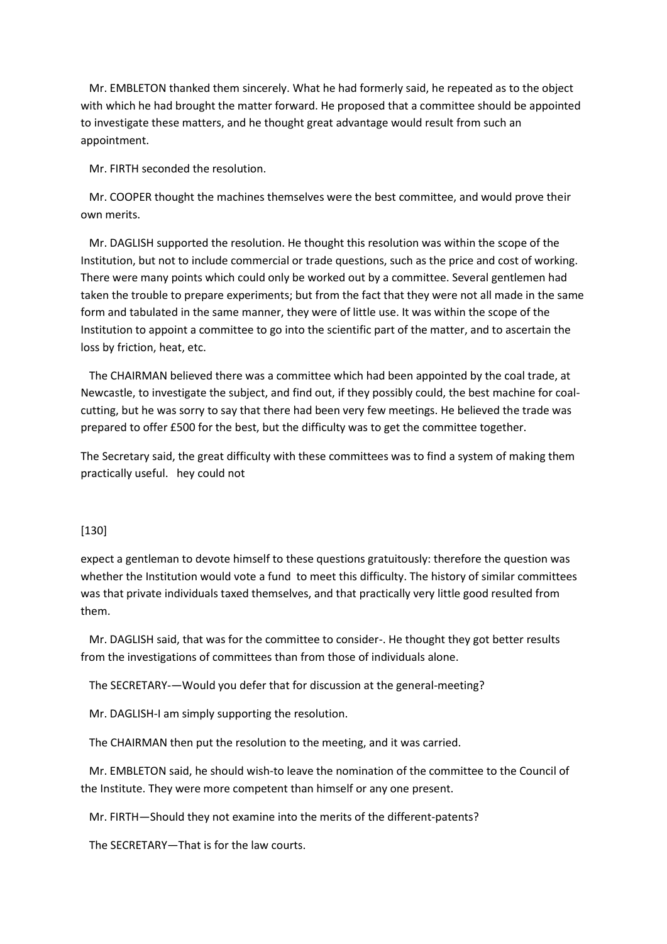Mr. EMBLETON thanked them sincerely. What he had formerly said, he repeated as to the object with which he had brought the matter forward. He proposed that a committee should be appointed to investigate these matters, and he thought great advantage would result from such an appointment.

Mr. FIRTH seconded the resolution.

 Mr. COOPER thought the machines themselves were the best committee, and would prove their own merits.

 Mr. DAGLISH supported the resolution. He thought this resolution was within the scope of the Institution, but not to include commercial or trade questions, such as the price and cost of working. There were many points which could only be worked out by a committee. Several gentlemen had taken the trouble to prepare experiments; but from the fact that they were not all made in the same form and tabulated in the same manner, they were of little use. It was within the scope of the Institution to appoint a committee to go into the scientific part of the matter, and to ascertain the loss by friction, heat, etc.

 The CHAIRMAN believed there was a committee which had been appointed by the coal trade, at Newcastle, to investigate the subject, and find out, if they possibly could, the best machine for coalcutting, but he was sorry to say that there had been very few meetings. He believed the trade was prepared to offer £500 for the best, but the difficulty was to get the committee together.

The Secretary said, the great difficulty with these committees was to find a system of making them practically useful. hey could not

#### [130]

expect a gentleman to devote himself to these questions gratuitously: therefore the question was whether the Institution would vote a fund to meet this difficulty. The history of similar committees was that private individuals taxed themselves, and that practically very little good resulted from them.

 Mr. DAGLISH said, that was for the committee to consider-. He thought they got better results from the investigations of committees than from those of individuals alone.

The SECRETARY-—Would you defer that for discussion at the general-meeting?

Mr. DAGLISH-I am simply supporting the resolution.

The CHAIRMAN then put the resolution to the meeting, and it was carried.

 Mr. EMBLETON said, he should wish-to leave the nomination of the committee to the Council of the Institute. They were more competent than himself or any one present.

Mr. FIRTH—Should they not examine into the merits of the different-patents?

The SECRETARY—That is for the law courts.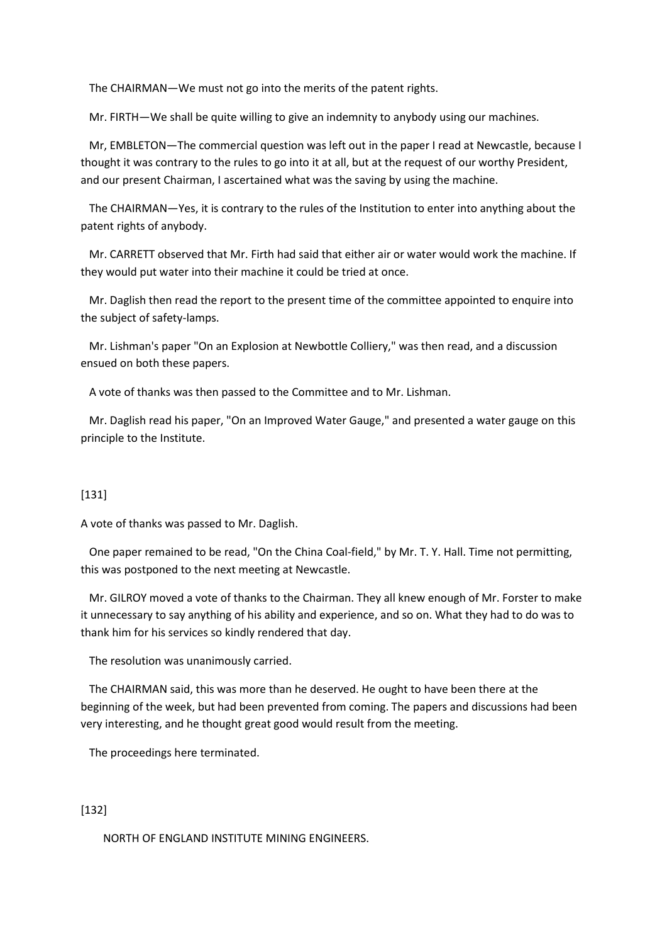The CHAIRMAN—We must not go into the merits of the patent rights.

Mr. FIRTH—We shall be quite willing to give an indemnity to anybody using our machines.

 Mr, EMBLETON—The commercial question was left out in the paper I read at Newcastle, because I thought it was contrary to the rules to go into it at all, but at the request of our worthy President, and our present Chairman, I ascertained what was the saving by using the machine.

 The CHAIRMAN—Yes, it is contrary to the rules of the Institution to enter into anything about the patent rights of anybody.

 Mr. CARRETT observed that Mr. Firth had said that either air or water would work the machine. If they would put water into their machine it could be tried at once.

 Mr. Daglish then read the report to the present time of the committee appointed to enquire into the subject of safety-lamps.

 Mr. Lishman's paper "On an Explosion at Newbottle Colliery," was then read, and a discussion ensued on both these papers.

A vote of thanks was then passed to the Committee and to Mr. Lishman.

 Mr. Daglish read his paper, "On an Improved Water Gauge," and presented a water gauge on this principle to the Institute.

# [131]

A vote of thanks was passed to Mr. Daglish.

 One paper remained to be read, "On the China Coal-field," by Mr. T. Y. Hall. Time not permitting, this was postponed to the next meeting at Newcastle.

 Mr. GILROY moved a vote of thanks to the Chairman. They all knew enough of Mr. Forster to make it unnecessary to say anything of his ability and experience, and so on. What they had to do was to thank him for his services so kindly rendered that day.

The resolution was unanimously carried.

 The CHAIRMAN said, this was more than he deserved. He ought to have been there at the beginning of the week, but had been prevented from coming. The papers and discussions had been very interesting, and he thought great good would result from the meeting.

The proceedings here terminated.

# [132]

NORTH OF ENGLAND INSTITUTE MINING ENGINEERS.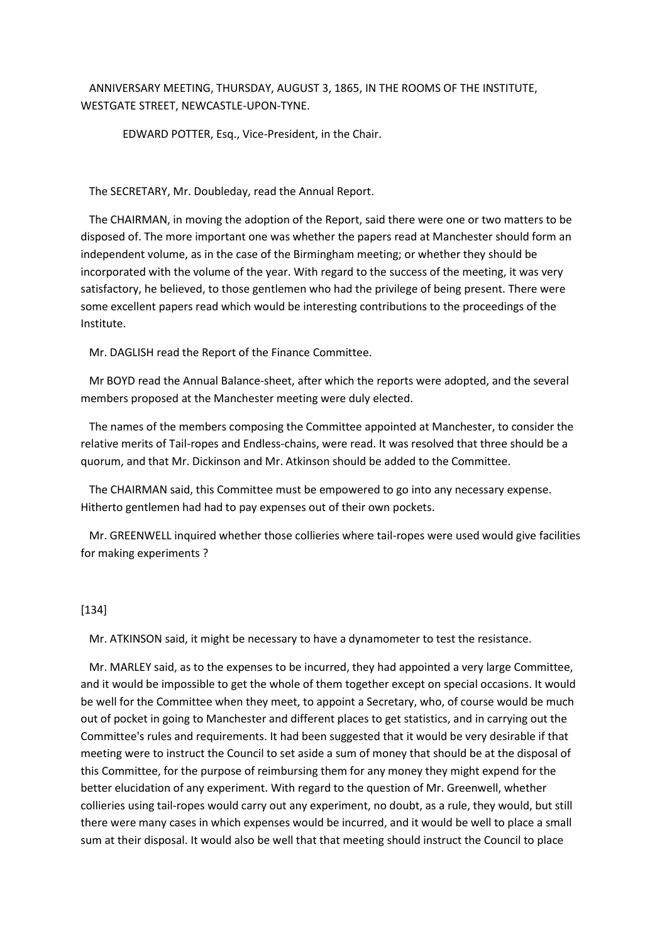ANNIVERSARY MEETING, THURSDAY, AUGUST 3, 1865, IN THE ROOMS OF THE INSTITUTE, WESTGATE STREET, NEWCASTLE-UPON-TYNE.

EDWARD POTTER, Esq., Vice-President, in the Chair.

The SECRETARY, Mr. Doubleday, read the Annual Report.

 The CHAIRMAN, in moving the adoption of the Report, said there were one or two matters to be disposed of. The more important one was whether the papers read at Manchester should form an independent volume, as in the case of the Birmingham meeting; or whether they should be incorporated with the volume of the year. With regard to the success of the meeting, it was very satisfactory, he believed, to those gentlemen who had the privilege of being present. There were some excellent papers read which would be interesting contributions to the proceedings of the Institute.

Mr. DAGLISH read the Report of the Finance Committee.

 Mr BOYD read the Annual Balance-sheet, after which the reports were adopted, and the several members proposed at the Manchester meeting were duly elected.

 The names of the members composing the Committee appointed at Manchester, to consider the relative merits of Tail-ropes and Endless-chains, were read. It was resolved that three should be a quorum, and that Mr. Dickinson and Mr. Atkinson should be added to the Committee.

 The CHAIRMAN said, this Committee must be empowered to go into any necessary expense. Hitherto gentlemen had had to pay expenses out of their own pockets.

 Mr. GREENWELL inquired whether those collieries where tail-ropes were used would give facilities for making experiments ?

### [134]

Mr. ATKINSON said, it might be necessary to have a dynamometer to test the resistance.

 Mr. MARLEY said, as to the expenses to be incurred, they had appointed a very large Committee, and it would be impossible to get the whole of them together except on special occasions. It would be well for the Committee when they meet, to appoint a Secretary, who, of course would be much out of pocket in going to Manchester and different places to get statistics, and in carrying out the Committee's rules and requirements. It had been suggested that it would be very desirable if that meeting were to instruct the Council to set aside a sum of money that should be at the disposal of this Committee, for the purpose of reimbursing them for any money they might expend for the better elucidation of any experiment. With regard to the question of Mr. Greenwell, whether collieries using tail-ropes would carry out any experiment, no doubt, as a rule, they would, but still there were many cases in which expenses would be incurred, and it would be well to place a small sum at their disposal. It would also be well that that meeting should instruct the Council to place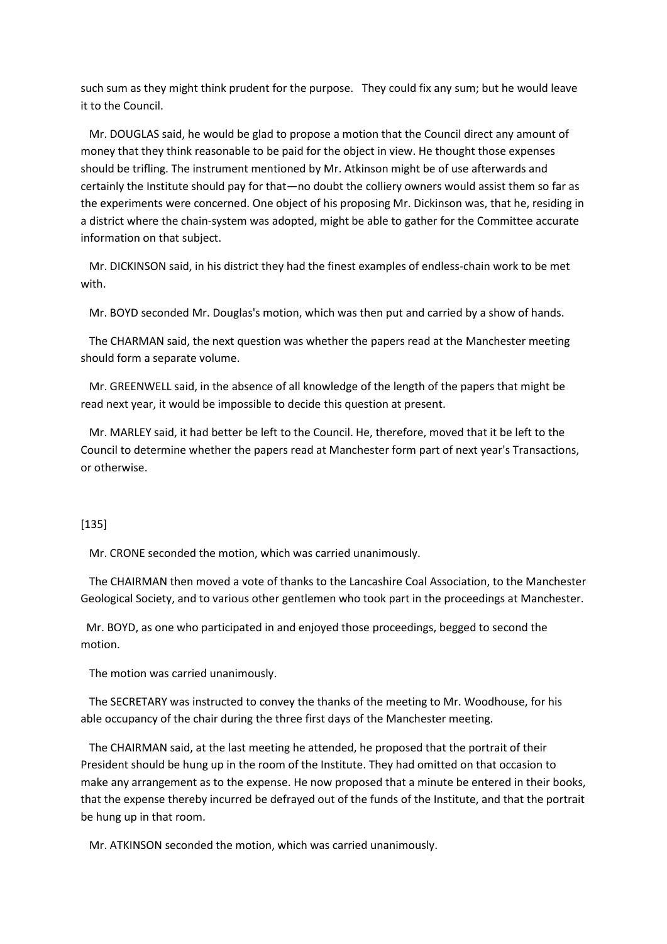such sum as they might think prudent for the purpose. They could fix any sum; but he would leave it to the Council.

 Mr. DOUGLAS said, he would be glad to propose a motion that the Council direct any amount of money that they think reasonable to be paid for the object in view. He thought those expenses should be trifling. The instrument mentioned by Mr. Atkinson might be of use afterwards and certainly the Institute should pay for that—no doubt the colliery owners would assist them so far as the experiments were concerned. One object of his proposing Mr. Dickinson was, that he, residing in a district where the chain-system was adopted, might be able to gather for the Committee accurate information on that subject.

 Mr. DICKINSON said, in his district they had the finest examples of endless-chain work to be met with.

Mr. BOYD seconded Mr. Douglas's motion, which was then put and carried by a show of hands.

 The CHARMAN said, the next question was whether the papers read at the Manchester meeting should form a separate volume.

 Mr. GREENWELL said, in the absence of all knowledge of the length of the papers that might be read next year, it would be impossible to decide this question at present.

 Mr. MARLEY said, it had better be left to the Council. He, therefore, moved that it be left to the Council to determine whether the papers read at Manchester form part of next year's Transactions, or otherwise.

#### [135]

Mr. CRONE seconded the motion, which was carried unanimously.

 The CHAIRMAN then moved a vote of thanks to the Lancashire Coal Association, to the Manchester Geological Society, and to various other gentlemen who took part in the proceedings at Manchester.

 Mr. BOYD, as one who participated in and enjoyed those proceedings, begged to second the motion.

The motion was carried unanimously.

 The SECRETARY was instructed to convey the thanks of the meeting to Mr. Woodhouse, for his able occupancy of the chair during the three first days of the Manchester meeting.

 The CHAIRMAN said, at the last meeting he attended, he proposed that the portrait of their President should be hung up in the room of the Institute. They had omitted on that occasion to make any arrangement as to the expense. He now proposed that a minute be entered in their books, that the expense thereby incurred be defrayed out of the funds of the Institute, and that the portrait be hung up in that room.

Mr. ATKINSON seconded the motion, which was carried unanimously.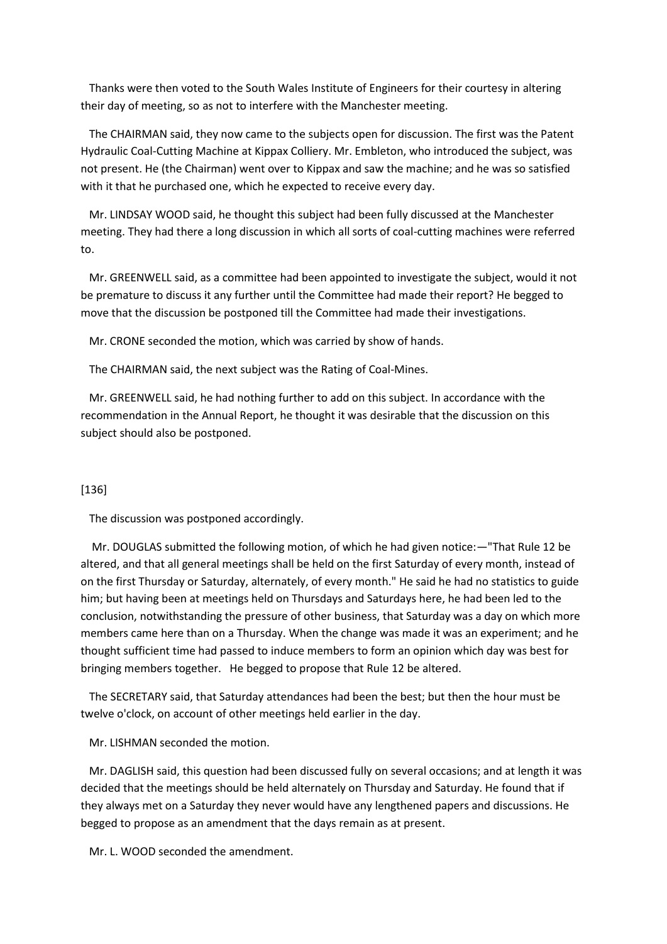Thanks were then voted to the South Wales Institute of Engineers for their courtesy in altering their day of meeting, so as not to interfere with the Manchester meeting.

 The CHAIRMAN said, they now came to the subjects open for discussion. The first was the Patent Hydraulic Coal-Cutting Machine at Kippax Colliery. Mr. Embleton, who introduced the subject, was not present. He (the Chairman) went over to Kippax and saw the machine; and he was so satisfied with it that he purchased one, which he expected to receive every day.

 Mr. LINDSAY WOOD said, he thought this subject had been fully discussed at the Manchester meeting. They had there a long discussion in which all sorts of coal-cutting machines were referred to.

 Mr. GREENWELL said, as a committee had been appointed to investigate the subject, would it not be premature to discuss it any further until the Committee had made their report? He begged to move that the discussion be postponed till the Committee had made their investigations.

Mr. CRONE seconded the motion, which was carried by show of hands.

The CHAIRMAN said, the next subject was the Rating of Coal-Mines.

 Mr. GREENWELL said, he had nothing further to add on this subject. In accordance with the recommendation in the Annual Report, he thought it was desirable that the discussion on this subject should also be postponed.

#### [136]

The discussion was postponed accordingly.

 Mr. DOUGLAS submitted the following motion, of which he had given notice:—"That Rule 12 be altered, and that all general meetings shall be held on the first Saturday of every month, instead of on the first Thursday or Saturday, alternately, of every month." He said he had no statistics to guide him; but having been at meetings held on Thursdays and Saturdays here, he had been led to the conclusion, notwithstanding the pressure of other business, that Saturday was a day on which more members came here than on a Thursday. When the change was made it was an experiment; and he thought sufficient time had passed to induce members to form an opinion which day was best for bringing members together. He begged to propose that Rule 12 be altered.

 The SECRETARY said, that Saturday attendances had been the best; but then the hour must be twelve o'clock, on account of other meetings held earlier in the day.

Mr. LISHMAN seconded the motion.

 Mr. DAGLISH said, this question had been discussed fully on several occasions; and at length it was decided that the meetings should be held alternately on Thursday and Saturday. He found that if they always met on a Saturday they never would have any lengthened papers and discussions. He begged to propose as an amendment that the days remain as at present.

Mr. L. WOOD seconded the amendment.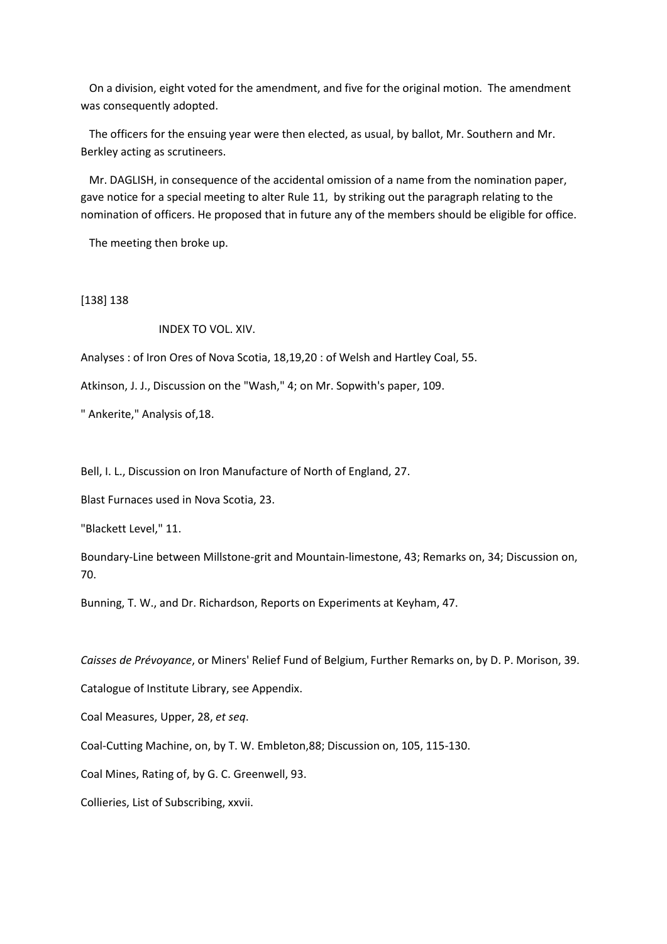On a division, eight voted for the amendment, and five for the original motion. The amendment was consequently adopted.

 The officers for the ensuing year were then elected, as usual, by ballot, Mr. Southern and Mr. Berkley acting as scrutineers.

 Mr. DAGLISH, in consequence of the accidental omission of a name from the nomination paper, gave notice for a special meeting to alter Rule 11, by striking out the paragraph relating to the nomination of officers. He proposed that in future any of the members should be eligible for office.

The meeting then broke up.

[138] 138

INDEX TO VOL. XIV.

Analyses : of Iron Ores of Nova Scotia, 18,19,20 : of Welsh and Hartley Coal, 55.

Atkinson, J. J., Discussion on the "Wash," 4; on Mr. Sopwith's paper, 109.

" Ankerite," Analysis of,18.

Bell, I. L., Discussion on Iron Manufacture of North of England, 27.

Blast Furnaces used in Nova Scotia, 23.

"Blackett Level," 11.

Boundary-Line between Millstone-grit and Mountain-limestone, 43; Remarks on, 34; Discussion on, 70.

Bunning, T. W., and Dr. Richardson, Reports on Experiments at Keyham, 47.

*Caisses de Prévoyance*, or Miners' Relief Fund of Belgium, Further Remarks on, by D. P. Morison, 39.

Catalogue of Institute Library, see Appendix.

Coal Measures, Upper, 28, *et seq*.

Coal-Cutting Machine, on, by T. W. Embleton,88; Discussion on, 105, 115-130.

Coal Mines, Rating of, by G. C. Greenwell, 93.

Collieries, List of Subscribing, xxvii.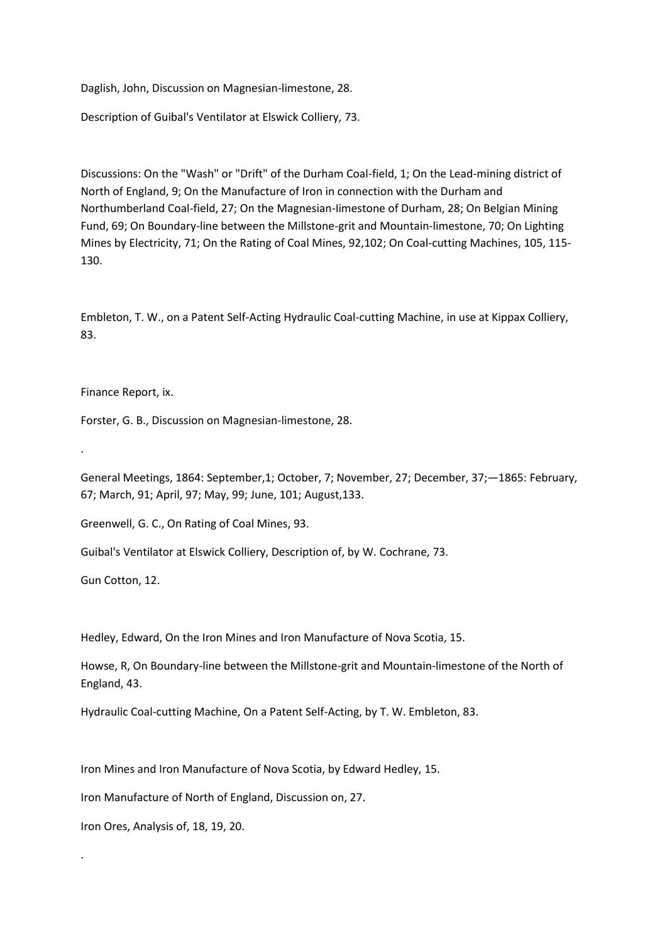Daglish, John, Discussion on Magnesian-limestone, 28.

Description of Guibal's Ventilator at Elswick Colliery, 73.

Discussions: On the "Wash" or "Drift" of the Durham Coal-field, 1; On the Lead-mining district of North of England, 9; On the Manufacture of Iron in connection with the Durham and Northumberland Coal-field, 27; On the Magnesian-Iimestone of Durham, 28; On Belgian Mining Fund, 69; On Boundary-line between the Millstone-grit and Mountain-limestone, 70; On Lighting Mines by Electricity, 71; On the Rating of Coal Mines, 92,102; On Coal-cutting Machines, 105, 115- 130.

Embleton, T. W., on a Patent Self-Acting Hydraulic Coal-cutting Machine, in use at Kippax Colliery, 83.

Finance Report, ix.

.

.

Forster, G. B., Discussion on Magnesian-limestone, 28.

General Meetings, 1864: September,1; October, 7; November, 27; December, 37;—1865: February, 67; March, 91; April, 97; May, 99; June, 101; August,133.

Greenwell, G. C., On Rating of Coal Mines, 93.

Guibal's Ventilator at Elswick Colliery, Description of, by W. Cochrane, 73.

Gun Cotton, 12.

Hedley, Edward, On the Iron Mines and Iron Manufacture of Nova Scotia, 15.

Howse, R, On Boundary-line between the Millstone-grit and Mountain-limestone of the North of England, 43.

Hydraulic Coal-cutting Machine, On a Patent Self-Acting, by T. W. Embleton, 83.

Iron Mines and Iron Manufacture of Nova Scotia, by Edward Hedley, 15.

Iron Manufacture of North of England, Discussion on, 27.

Iron Ores, Analysis of, 18, 19, 20.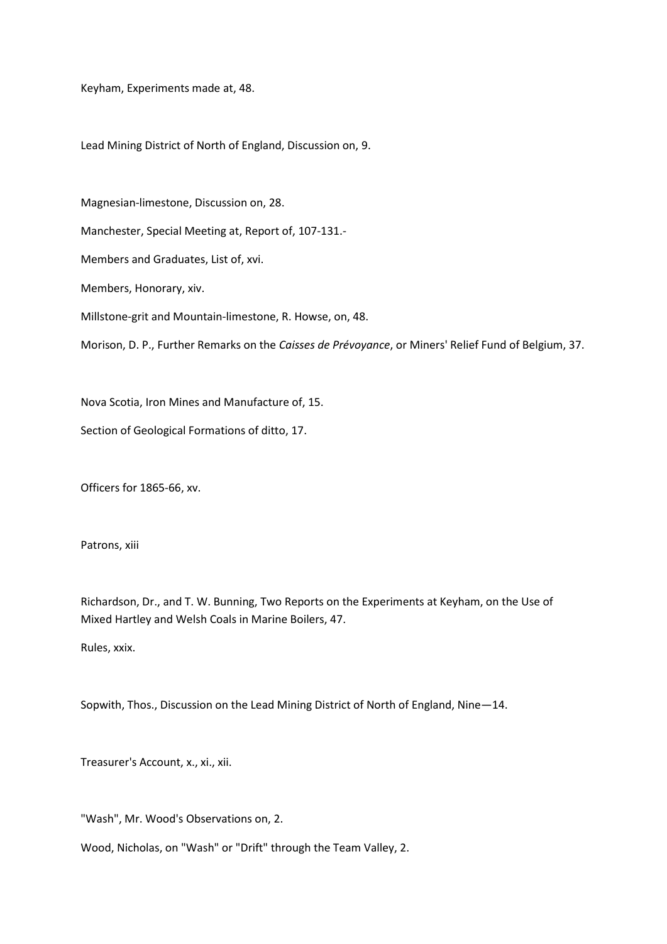Keyham, Experiments made at, 48.

Lead Mining District of North of England, Discussion on, 9.

Magnesian-limestone, Discussion on, 28.

Manchester, Special Meeting at, Report of, 107-131.-

Members and Graduates, List of, xvi.

Members, Honorary, xiv.

Millstone-grit and Mountain-limestone, R. Howse, on, 48.

Morison, D. P., Further Remarks on the *Caisses de Prévoyance*, or Miners' Relief Fund of Belgium, 37.

Nova Scotia, Iron Mines and Manufacture of, 15.

Section of Geological Formations of ditto, 17.

Officers for 1865-66, xv.

Patrons, xiii

Richardson, Dr., and T. W. Bunning, Two Reports on the Experiments at Keyham, on the Use of Mixed Hartley and Welsh Coals in Marine Boilers, 47.

Rules, xxix.

Sopwith, Thos., Discussion on the Lead Mining District of North of England, Nine—14.

Treasurer's Account, x., xi., xii.

"Wash", Mr. Wood's Observations on, 2.

Wood, Nicholas, on "Wash" or "Drift" through the Team Valley, 2.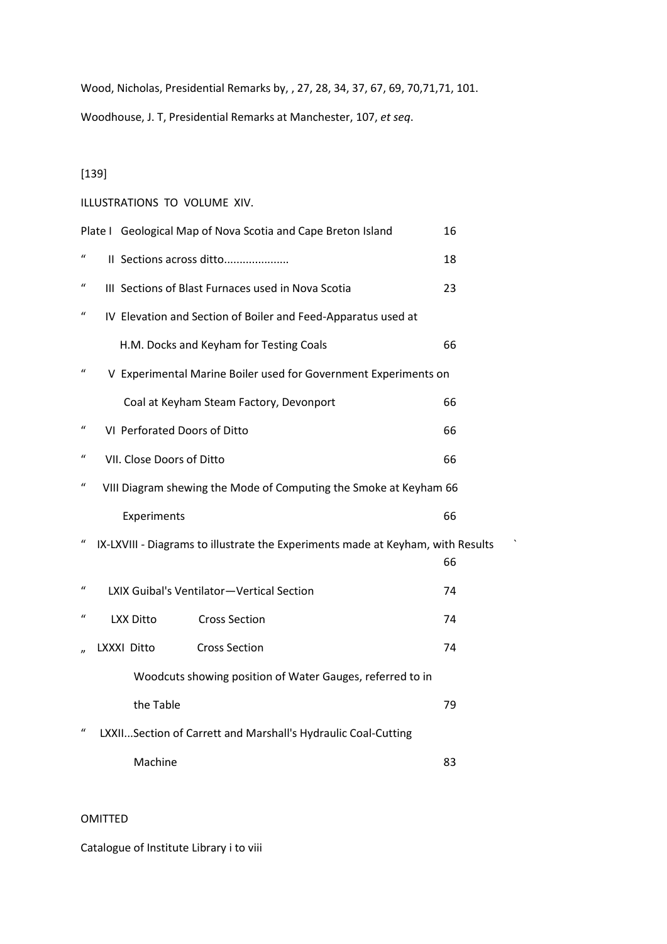Wood, Nicholas, Presidential Remarks by, , 27, 28, 34, 37, 67, 69, 70,71,71, 101. Woodhouse, J. T, Presidential Remarks at Manchester, 107, *et seq*.

[139]

## ILLUSTRATIONS TO VOLUME XIV.

|                  |                              | Plate I Geological Map of Nova Scotia and Cape Breton Island                    | 16 |
|------------------|------------------------------|---------------------------------------------------------------------------------|----|
| $\iota$          |                              | II Sections across ditto                                                        | 18 |
| $\mathcal{U}$    |                              | III Sections of Blast Furnaces used in Nova Scotia                              | 23 |
| $\mathcal{U}$    |                              | IV Elevation and Section of Boiler and Feed-Apparatus used at                   |    |
|                  |                              | H.M. Docks and Keyham for Testing Coals                                         | 66 |
| $\mathcal{U}$    |                              | V Experimental Marine Boiler used for Government Experiments on                 |    |
|                  |                              | Coal at Keyham Steam Factory, Devonport                                         | 66 |
| $\boldsymbol{u}$ | VI Perforated Doors of Ditto |                                                                                 | 66 |
| $\iota$          | VII. Close Doors of Ditto    |                                                                                 | 66 |
| $\iota$          |                              | VIII Diagram shewing the Mode of Computing the Smoke at Keyham 66               |    |
|                  |                              |                                                                                 |    |
|                  | Experiments                  |                                                                                 | 66 |
| $\boldsymbol{u}$ |                              | IX-LXVIII - Diagrams to illustrate the Experiments made at Keyham, with Results | 66 |
| $\iota$          |                              | LXIX Guibal's Ventilator-Vertical Section                                       | 74 |
| $\mathcal{U}$    | <b>LXX Ditto</b>             | <b>Cross Section</b>                                                            | 74 |
|                  | LXXXI Ditto                  | <b>Cross Section</b>                                                            | 74 |
|                  |                              | Woodcuts showing position of Water Gauges, referred to in                       |    |
|                  | the Table                    |                                                                                 | 79 |
| $\mathcal{U}$    |                              | LXXIISection of Carrett and Marshall's Hydraulic Coal-Cutting                   |    |

# OMITTED

Catalogue of Institute Library i to viii